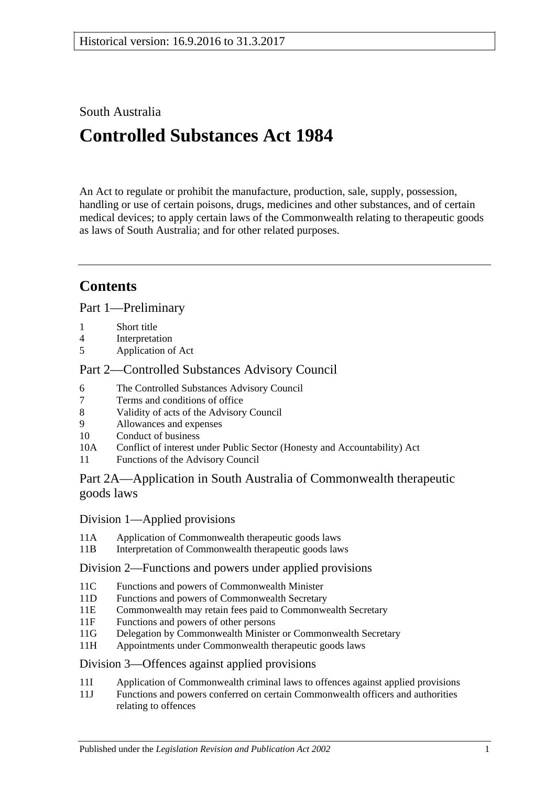## South Australia

# **Controlled Substances Act 1984**

An Act to regulate or prohibit the manufacture, production, sale, supply, possession, handling or use of certain poisons, drugs, medicines and other substances, and of certain medical devices; to apply certain laws of the Commonwealth relating to therapeutic goods as laws of South Australia; and for other related purposes.

## **Contents**

[Part 1—Preliminary](#page-5-0)

- 1 [Short title](#page-5-1)
- 4 [Interpretation](#page-5-2)
- 5 [Application of Act](#page-12-0)

## [Part 2—Controlled Substances Advisory Council](#page-12-1)

- 6 [The Controlled Substances Advisory Council](#page-12-2)
- 7 [Terms and conditions of office](#page-13-0)
- 8 [Validity of acts of the Advisory Council](#page-13-1)
- 9 [Allowances and expenses](#page-13-2)<br>10 Conduct of business
- [Conduct of business](#page-13-3)
- 10A Conflict of interest [under Public Sector \(Honesty and Accountability\) Act](#page-14-0)
- 11 [Functions of the Advisory Council](#page-14-1)

## [Part 2A—Application in South Australia of Commonwealth therapeutic](#page-15-0)  [goods laws](#page-15-0)

## Division [1—Applied provisions](#page-15-1)

- 11A [Application of Commonwealth therapeutic goods laws](#page-15-2)
- 11B [Interpretation of Commonwealth therapeutic goods laws](#page-15-3)

## Division [2—Functions and powers under applied provisions](#page-15-4)

- 11C [Functions and powers of Commonwealth Minister](#page-15-5)<br>11D Functions and powers of Commonwealth Secretary
- [Functions and powers of Commonwealth Secretary](#page-15-6)
- 11E [Commonwealth may retain fees paid to Commonwealth Secretary](#page-16-0)
- 11F [Functions and powers of other persons](#page-16-1)
- 11G [Delegation by Commonwealth Minister or Commonwealth Secretary](#page-16-2)
- 11H [Appointments under Commonwealth therapeutic goods laws](#page-16-3)

## Division [3—Offences against applied provisions](#page-16-4)

- 11I [Application of Commonwealth criminal laws to offences against applied provisions](#page-16-5)
- 11J [Functions and powers conferred on certain Commonwealth officers and authorities](#page-17-0)  [relating to offences](#page-17-0)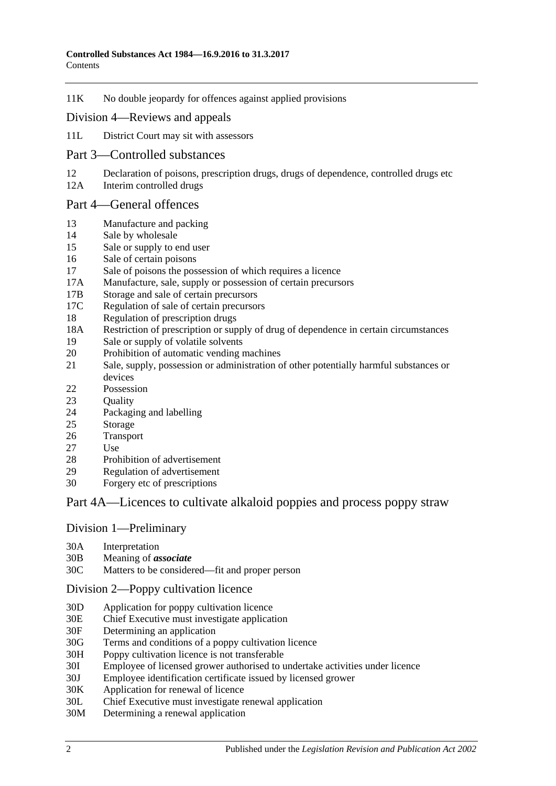11K [No double jeopardy for offences against applied provisions](#page-17-1)

#### Division [4—Reviews and appeals](#page-17-2)

- 11L [District Court may sit with assessors](#page-17-3)
- [Part 3—Controlled substances](#page-18-0)
- 12 [Declaration of poisons, prescription drugs, drugs of dependence, controlled drugs etc](#page-18-1)
- 12A [Interim controlled drugs](#page-18-2)

#### [Part 4—General offences](#page-19-0)

- 13 [Manufacture and packing](#page-19-1)
- 14 [Sale by wholesale](#page-19-2)
- 15 [Sale or supply to end user](#page-20-0)
- 16 [Sale of certain poisons](#page-20-1)
- 17 [Sale of poisons the possession of which requires a licence](#page-20-2)
- 17A [Manufacture, sale, supply or possession of certain precursors](#page-21-0)
- 17B [Storage and sale of certain precursors](#page-21-1)
- 17C [Regulation of sale of certain precursors](#page-22-0)
- 18 [Regulation of prescription drugs](#page-23-0)
- 18A [Restriction of prescription or supply of drug of dependence in certain circumstances](#page-26-0)
- 19 [Sale or supply of volatile solvents](#page-28-0)
- 20 [Prohibition of automatic vending machines](#page-28-1)
- 21 [Sale, supply, possession or administration of other potentially harmful substances or](#page-29-0)  [devices](#page-29-0)
- 22 [Possession](#page-29-1)
- 23 Ouality
- 24 [Packaging and](#page-29-3) labelling
- 25 [Storage](#page-30-0)
- 26 [Transport](#page-30-1)
- 27 [Use](#page-30-2)
- 28 [Prohibition of advertisement](#page-30-3)<br>29 Regulation of advertisement
- [Regulation of advertisement](#page-30-4)
- 30 Forgery [etc of prescriptions](#page-30-5)

## [Part 4A—Licences to cultivate alkaloid poppies and process poppy straw](#page-31-0)

#### Division [1—Preliminary](#page-31-1)

- 30A [Interpretation](#page-31-2)
- 30B [Meaning of](#page-33-0) *associate*
- 30C [Matters to be considered—fit and proper person](#page-34-0)

#### Division [2—Poppy cultivation licence](#page-36-0)

- 30D [Application for poppy cultivation licence](#page-36-1)
- 30E [Chief Executive must investigate application](#page-36-2)
- 30F [Determining an application](#page-37-0)
- 30G [Terms and conditions of a poppy cultivation licence](#page-37-1)
- 30H [Poppy cultivation licence is not transferable](#page-38-0)
- 30I [Employee of licensed grower authorised to undertake activities under licence](#page-38-1)
- 30J [Employee identification certificate issued by licensed grower](#page-39-0)
- 30K [Application for renewal of licence](#page-39-1)
- 30L [Chief Executive must investigate renewal application](#page-40-0)
- 30M [Determining a renewal application](#page-40-1)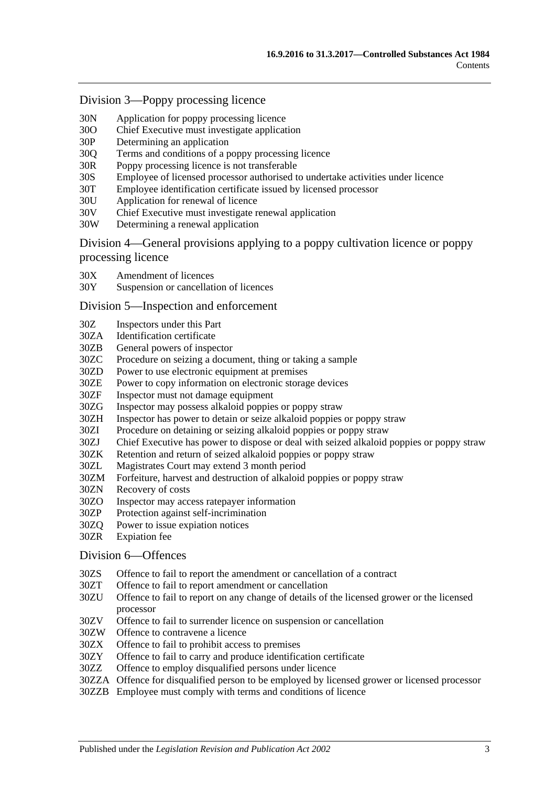#### Division [3—Poppy processing licence](#page-41-0)

- 30N [Application for poppy processing licence](#page-41-1)
- 30O [Chief Executive must investigate application](#page-42-0)
- 30P [Determining an application](#page-42-1)
- 30Q [Terms and conditions of a poppy processing licence](#page-42-2)
- 30R [Poppy processing licence is not transferable](#page-43-0)
- 30S [Employee of licensed processor authorised to undertake activities under licence](#page-43-1)
- 30T [Employee identification certificate issued by licensed processor](#page-44-0)
- 30U [Application for renewal of licence](#page-44-1)
- 30V [Chief Executive must investigate renewal application](#page-45-0)
- 30W [Determining a renewal application](#page-45-1)

Division [4—General provisions applying to a poppy cultivation licence or poppy](#page-46-0)  [processing licence](#page-46-0)

- 30X [Amendment of licences](#page-46-1)
- 30Y [Suspension or cancellation of licences](#page-46-2)

#### Division [5—Inspection and enforcement](#page-47-0)

- 30Z [Inspectors under this Part](#page-47-1)
- 30ZA [Identification certificate](#page-47-2)
- 30ZB [General powers of inspector](#page-48-0)
- 30ZC [Procedure on seizing a document, thing or taking a sample](#page-48-1)
- 30ZD [Power to use electronic equipment at premises](#page-49-0)
- 30ZE [Power to copy information on electronic storage devices](#page-50-0)
- 30ZF [Inspector must not damage equipment](#page-50-1)
- 30ZG [Inspector may possess alkaloid poppies or poppy straw](#page-50-2)
- 30ZH [Inspector has power to detain or seize alkaloid poppies or poppy straw](#page-50-3)
- 30ZI [Procedure on detaining or seizing alkaloid poppies or poppy straw](#page-50-4)
- 30ZJ [Chief Executive has power to dispose or deal with seized alkaloid poppies or poppy straw](#page-51-0)<br>30ZK Retention and return of seized alkaloid poppies or poppy straw
- 30ZK [Retention and return of seized alkaloid poppies or poppy straw](#page-51-1)<br>30ZL Magistrates Court may extend 3 month period
- [Magistrates Court may extend 3 month period](#page-52-0)
- 30ZM [Forfeiture, harvest and destruction of alkaloid poppies or poppy straw](#page-52-1)
- 30ZN [Recovery of costs](#page-53-0)
- 30ZO [Inspector may access ratepayer information](#page-53-1)
- 30ZP [Protection against self-incrimination](#page-53-2)
- 30ZQ [Power to issue expiation notices](#page-53-3)
- 30ZR [Expiation fee](#page-54-0)

#### Division [6—Offences](#page-54-1)

- 30ZS [Offence to fail to report the amendment or cancellation of a contract](#page-54-2)
- 30ZT [Offence to fail to report amendment or cancellation](#page-54-3)
- 30ZU [Offence to fail to report on any change of details of the licensed grower or the licensed](#page-54-4)  [processor](#page-54-4)
- 30ZV [Offence to fail to surrender licence on suspension or cancellation](#page-55-0)
- 30ZW [Offence to contravene a licence](#page-55-1)
- 30ZX [Offence to fail to prohibit access to premises](#page-55-2)
- 30ZY [Offence to fail to carry and produce identification certificate](#page-56-0)
- 30ZZ [Offence to employ disqualified persons under licence](#page-56-1)
- 30ZZA [Offence for disqualified person to be employed by licensed grower or licensed processor](#page-57-0)
- 30ZZB Employee [must comply with terms and conditions of licence](#page-57-1)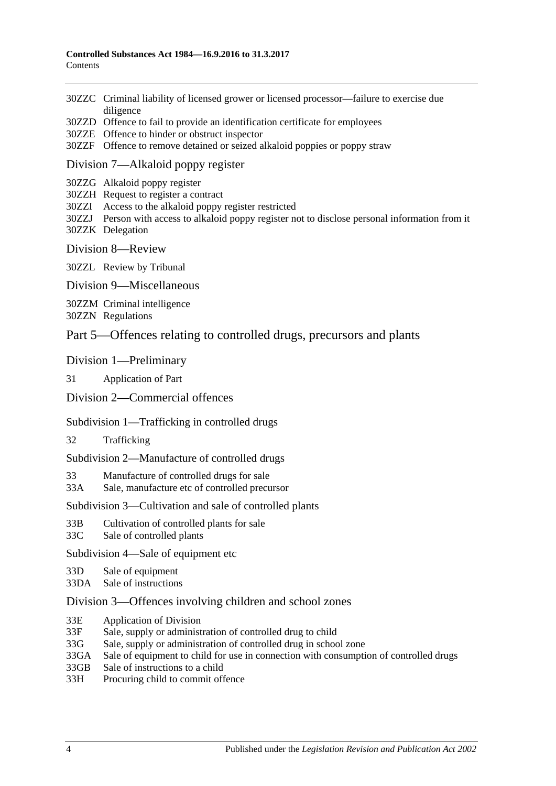- 30ZZC [Criminal liability of licensed grower or licensed processor—failure to exercise due](#page-58-0)  [diligence](#page-58-0)
- 30ZZD [Offence to fail to provide an identification certificate for employees](#page-58-1)
- 30ZZE [Offence to hinder or obstruct inspector](#page-58-2)
- 30ZZF [Offence to remove detained or seized alkaloid poppies or poppy straw](#page-59-0)

#### Division [7—Alkaloid poppy register](#page-59-1)

- 30ZZG [Alkaloid poppy register](#page-59-2)
- 30ZZH [Request to register a contract](#page-59-3)
- 30ZZI [Access to the alkaloid poppy register restricted](#page-60-0)
- 30ZZJ [Person with access to alkaloid poppy register not to disclose personal information from it](#page-60-1) 30ZZK [Delegation](#page-60-2)
- Division [8—Review](#page-61-0)

30ZZL [Review by Tribunal](#page-61-1)

Division [9—Miscellaneous](#page-61-2)

30ZZM [Criminal intelligence](#page-61-3) 30ZZN [Regulations](#page-62-0)

## [Part 5—Offences relating to controlled drugs, precursors and plants](#page-63-0)

#### [Division 1—Preliminary](#page-63-1)

31 [Application of Part](#page-63-2)

#### [Division 2—Commercial offences](#page-65-0)

#### [Subdivision 1—Trafficking in controlled drugs](#page-65-1)

32 [Trafficking](#page-65-2)

[Subdivision 2—Manufacture of controlled drugs](#page-67-0)

33 [Manufacture of controlled drugs for sale](#page-67-1)

33A [Sale, manufacture etc of controlled precursor](#page-68-0)

#### [Subdivision 3—Cultivation and sale of controlled plants](#page-69-0)

- 33B [Cultivation of controlled plants for sale](#page-69-1)
- 33C [Sale of controlled plants](#page-69-2)

[Subdivision 4—Sale of equipment etc](#page-70-0)

- 33D [Sale of equipment](#page-70-1)
- 33DA [Sale of instructions](#page-71-0)

#### [Division 3—Offences involving children and school zones](#page-71-1)

- 33E [Application of Division](#page-71-2)
- 33F [Sale, supply or administration of controlled drug to child](#page-71-3)
- 33G [Sale, supply or administration of controlled drug in school zone](#page-71-4)
- 33GA [Sale of equipment to child for use in connection with consumption of controlled drugs](#page-72-0)
- 33GB [Sale of instructions to a child](#page-72-1)
- 33H [Procuring child to commit offence](#page-72-2)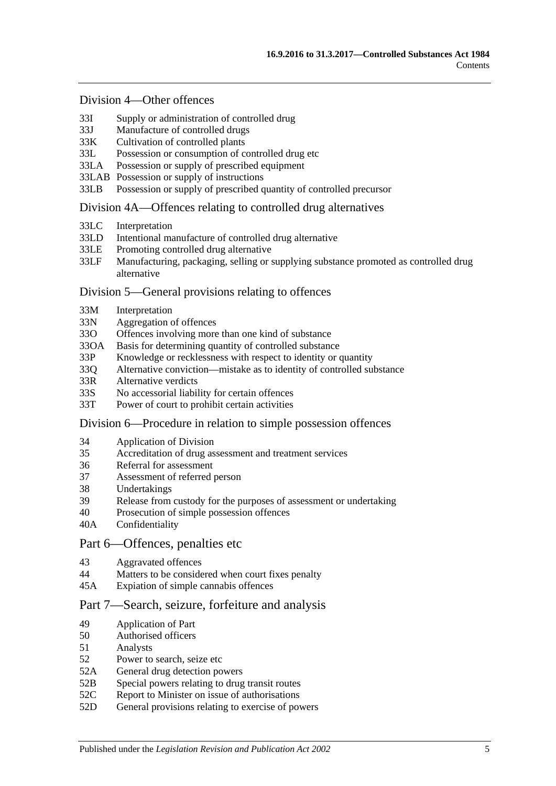#### [Division 4—Other offences](#page-73-0)

- 33I [Supply or administration of controlled drug](#page-73-1)
- 33J [Manufacture of controlled drugs](#page-73-2)
- 33K [Cultivation of controlled plants](#page-73-3)
- 33L [Possession or consumption of controlled drug etc](#page-74-0)
- 33LA [Possession or supply of prescribed equipment](#page-74-1)
- 33LAB [Possession or supply of instructions](#page-74-2)
- 33LB [Possession or supply of prescribed quantity of controlled precursor](#page-75-0)

#### [Division 4A—Offences relating to controlled drug alternatives](#page-76-0)

- 33LC [Interpretation](#page-76-1)
- 33LD [Intentional manufacture of controlled drug alternative](#page-76-2)
- 33LE [Promoting controlled drug alternative](#page-77-0)<br>33LE Manufacturing packaging selling or s
- Manufacturing, packaging, selling or supplying substance promoted as controlled drug [alternative](#page-77-1)

#### [Division 5—General provisions relating to offences](#page-78-0)

- 33M [Interpretation](#page-78-1)
- 33N [Aggregation of offences](#page-78-2)
- 33O [Offences involving more than one kind of substance](#page-79-0)
- 33OA [Basis for determining quantity of controlled substance](#page-79-1)
- 33P [Knowledge or recklessness with respect to identity or quantity](#page-80-0)
- 33Q [Alternative conviction—mistake as to identity of controlled substance](#page-80-1)
- 33R [Alternative verdicts](#page-81-0)
- 33S [No accessorial liability for certain offences](#page-81-1)
- 33T [Power of court to prohibit certain activities](#page-81-2)

#### [Division 6—Procedure in relation to simple possession offences](#page-81-3)

- 34 [Application of Division](#page-81-4)
- 35 [Accreditation of drug assessment and treatment services](#page-82-0)
- 36 [Referral for assessment](#page-82-1)<br>37 Assessment of referred
- [Assessment of referred person](#page-82-2)
- 38 [Undertakings](#page-83-0)
- 39 [Release from custody for the purposes of assessment or undertaking](#page-84-0)
- 40 [Prosecution of simple possession offences](#page-84-1)
- 40A [Confidentiality](#page-85-0)

#### [Part 6—Offences, penalties etc](#page-85-1)

- 43 [Aggravated offences](#page-85-2)
- 44 [Matters to be considered when court fixes penalty](#page-86-0)
- 45A [Expiation of simple cannabis offences](#page-87-0)

### [Part 7—Search, seizure, forfeiture and analysis](#page-87-1)

- 49 [Application of Part](#page-87-2)
- 50 [Authorised officers](#page-87-3)
- 51 [Analysts](#page-88-0)
- 52 [Power to search, seize etc](#page-88-1)
- 52A [General drug detection powers](#page-89-0)
- 52B [Special powers relating to drug transit routes](#page-91-0)
- 52C Report to Minister on issue of authorisations<br>52D General provisions relating to exercise of poy
- [General provisions relating to exercise of powers](#page-93-0)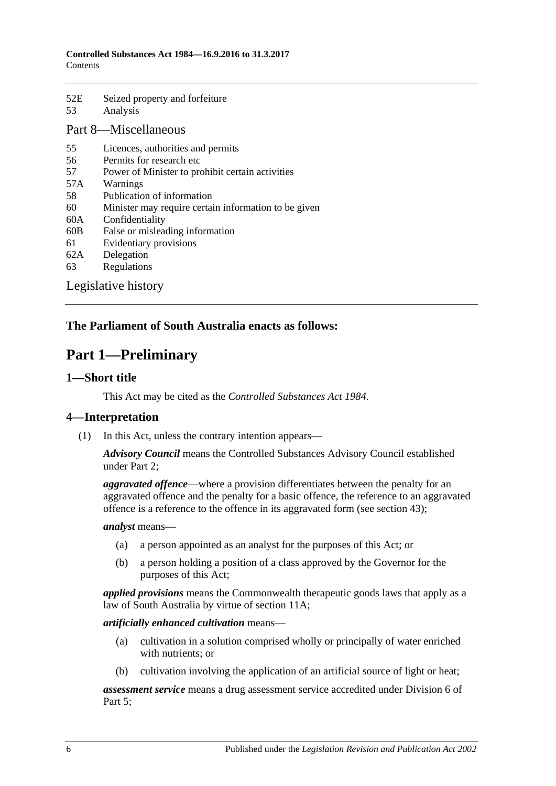52E [Seized property and forfeiture](#page-93-1) 53 [Analysis](#page-95-0)

## [Part 8—Miscellaneous](#page-95-1)

- 55 [Licences, authorities and permits](#page-95-2)
- 56 [Permits for research etc](#page-96-0)
- 57 [Power of Minister to prohibit certain activities](#page-96-1)
- 57A [Warnings](#page-97-0)
- 58 [Publication of information](#page-98-0)
- 60 [Minister may require certain information to be given](#page-98-1)
- 60A [Confidentiality](#page-99-0)
- 60B [False or misleading information](#page-100-0)
- 61 [Evidentiary provisions](#page-100-1)
- 62A [Delegation](#page-100-2)
- 63 [Regulations](#page-101-0)

[Legislative history](#page-103-0)

## <span id="page-5-0"></span>**The Parliament of South Australia enacts as follows:**

## **Part 1—Preliminary**

### <span id="page-5-1"></span>**1—Short title**

This Act may be cited as the *Controlled Substances Act 1984*.

## <span id="page-5-2"></span>**4—Interpretation**

(1) In this Act, unless the contrary intention appears—

*Advisory Council* means the Controlled Substances Advisory Council established under [Part 2;](#page-12-1)

*aggravated offence*—where a provision differentiates between the penalty for an aggravated offence and the penalty for a basic offence, the reference to an aggravated offence is a reference to the offence in its aggravated form (see [section](#page-85-2) 43);

#### *analyst* means—

- (a) a person appointed as an analyst for the purposes of this Act; or
- (b) a person holding a position of a class approved by the Governor for the purposes of this Act;

*applied provisions* means the Commonwealth therapeutic goods laws that apply as a law of South Australia by virtue of [section](#page-15-2) 11A;

#### *artificially enhanced cultivation* means—

- (a) cultivation in a solution comprised wholly or principally of water enriched with nutrients; or
- (b) cultivation involving the application of an artificial source of light or heat;

*assessment service* means a drug assessment service accredited under [Division](#page-81-3) 6 of [Part 5;](#page-63-0)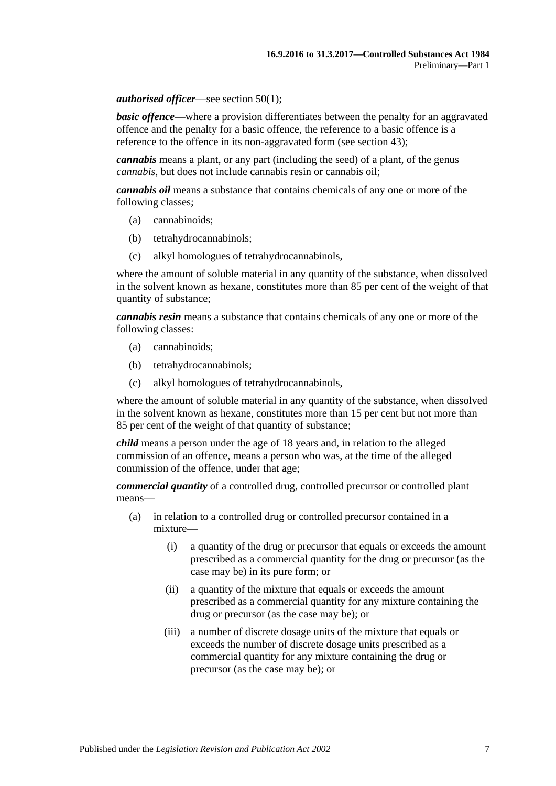#### *authorised officer*—see [section](#page-87-4) 50(1);

**basic offence—where a provision differentiates between the penalty for an aggravated** offence and the penalty for a basic offence, the reference to a basic offence is a reference to the offence in its non-aggravated form (see [section](#page-85-2) 43);

*cannabis* means a plant, or any part (including the seed) of a plant, of the genus *cannabis*, but does not include cannabis resin or cannabis oil;

*cannabis oil* means a substance that contains chemicals of any one or more of the following classes;

- (a) cannabinoids;
- (b) tetrahydrocannabinols;
- (c) alkyl homologues of tetrahydrocannabinols,

where the amount of soluble material in any quantity of the substance, when dissolved in the solvent known as hexane, constitutes more than 85 per cent of the weight of that quantity of substance;

*cannabis resin* means a substance that contains chemicals of any one or more of the following classes:

- (a) cannabinoids;
- (b) tetrahydrocannabinols;
- (c) alkyl homologues of tetrahydrocannabinols,

where the amount of soluble material in any quantity of the substance, when dissolved in the solvent known as hexane, constitutes more than 15 per cent but not more than 85 per cent of the weight of that quantity of substance;

*child* means a person under the age of 18 years and, in relation to the alleged commission of an offence, means a person who was, at the time of the alleged commission of the offence, under that age;

*commercial quantity* of a controlled drug, controlled precursor or controlled plant means—

- (a) in relation to a controlled drug or controlled precursor contained in a mixture—
	- (i) a quantity of the drug or precursor that equals or exceeds the amount prescribed as a commercial quantity for the drug or precursor (as the case may be) in its pure form; or
	- (ii) a quantity of the mixture that equals or exceeds the amount prescribed as a commercial quantity for any mixture containing the drug or precursor (as the case may be); or
	- (iii) a number of discrete dosage units of the mixture that equals or exceeds the number of discrete dosage units prescribed as a commercial quantity for any mixture containing the drug or precursor (as the case may be); or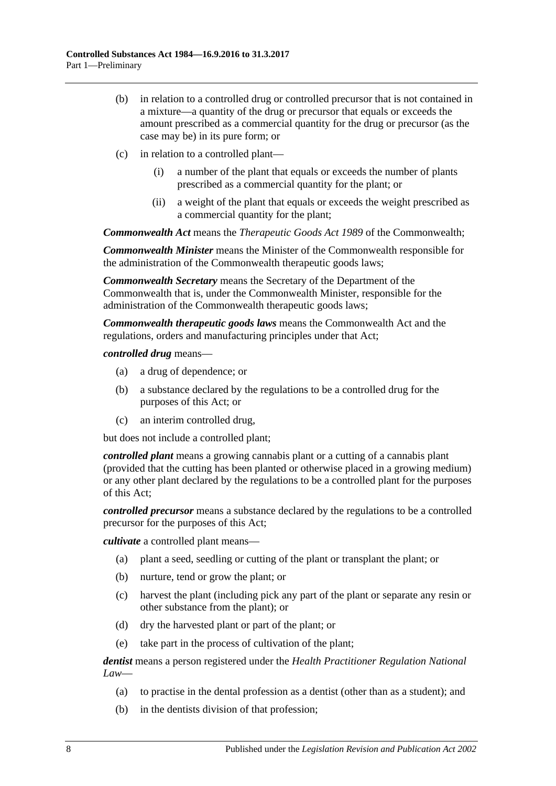- (b) in relation to a controlled drug or controlled precursor that is not contained in a mixture—a quantity of the drug or precursor that equals or exceeds the amount prescribed as a commercial quantity for the drug or precursor (as the case may be) in its pure form; or
- (c) in relation to a controlled plant—
	- (i) a number of the plant that equals or exceeds the number of plants prescribed as a commercial quantity for the plant; or
	- (ii) a weight of the plant that equals or exceeds the weight prescribed as a commercial quantity for the plant;

*Commonwealth Act* means the *Therapeutic Goods Act 1989* of the Commonwealth;

*Commonwealth Minister* means the Minister of the Commonwealth responsible for the administration of the Commonwealth therapeutic goods laws;

*Commonwealth Secretary* means the Secretary of the Department of the Commonwealth that is, under the Commonwealth Minister, responsible for the administration of the Commonwealth therapeutic goods laws;

*Commonwealth therapeutic goods laws* means the Commonwealth Act and the regulations, orders and manufacturing principles under that Act;

*controlled drug* means—

- (a) a drug of dependence; or
- (b) a substance declared by the regulations to be a controlled drug for the purposes of this Act; or
- (c) an interim controlled drug,

but does not include a controlled plant;

*controlled plant* means a growing cannabis plant or a cutting of a cannabis plant (provided that the cutting has been planted or otherwise placed in a growing medium) or any other plant declared by the regulations to be a controlled plant for the purposes of this Act;

*controlled precursor* means a substance declared by the regulations to be a controlled precursor for the purposes of this Act;

*cultivate* a controlled plant means—

- (a) plant a seed, seedling or cutting of the plant or transplant the plant; or
- (b) nurture, tend or grow the plant; or
- (c) harvest the plant (including pick any part of the plant or separate any resin or other substance from the plant); or
- (d) dry the harvested plant or part of the plant; or
- (e) take part in the process of cultivation of the plant;

*dentist* means a person registered under the *Health Practitioner Regulation National Law*—

- (a) to practise in the dental profession as a dentist (other than as a student); and
- (b) in the dentists division of that profession;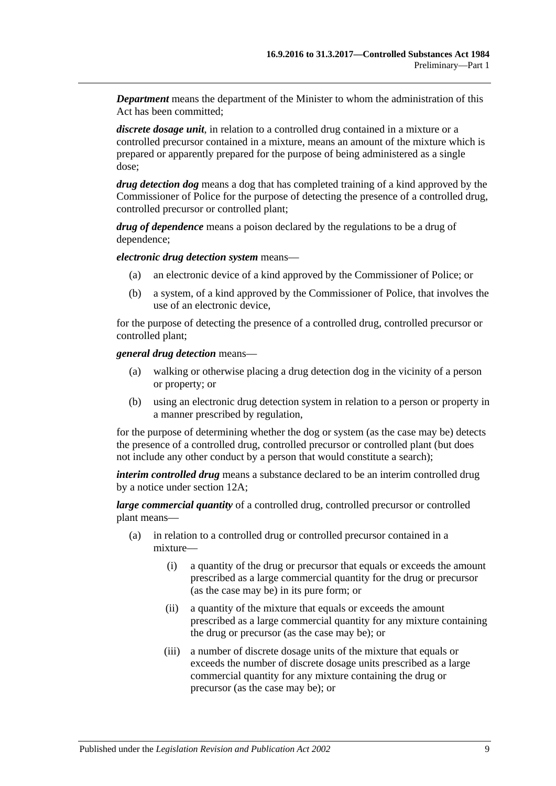*Department* means the department of the Minister to whom the administration of this Act has been committed;

*discrete dosage unit*, in relation to a controlled drug contained in a mixture or a controlled precursor contained in a mixture, means an amount of the mixture which is prepared or apparently prepared for the purpose of being administered as a single dose;

*drug detection dog* means a dog that has completed training of a kind approved by the Commissioner of Police for the purpose of detecting the presence of a controlled drug, controlled precursor or controlled plant;

*drug of dependence* means a poison declared by the regulations to be a drug of dependence;

*electronic drug detection system* means—

- (a) an electronic device of a kind approved by the Commissioner of Police; or
- (b) a system, of a kind approved by the Commissioner of Police, that involves the use of an electronic device,

for the purpose of detecting the presence of a controlled drug, controlled precursor or controlled plant;

*general drug detection* means—

- (a) walking or otherwise placing a drug detection dog in the vicinity of a person or property; or
- (b) using an electronic drug detection system in relation to a person or property in a manner prescribed by regulation,

for the purpose of determining whether the dog or system (as the case may be) detects the presence of a controlled drug, controlled precursor or controlled plant (but does not include any other conduct by a person that would constitute a search);

*interim controlled drug* means a substance declared to be an interim controlled drug by a notice under [section](#page-18-2) 12A;

*large commercial quantity* of a controlled drug, controlled precursor or controlled plant means—

- (a) in relation to a controlled drug or controlled precursor contained in a mixture—
	- (i) a quantity of the drug or precursor that equals or exceeds the amount prescribed as a large commercial quantity for the drug or precursor (as the case may be) in its pure form; or
	- (ii) a quantity of the mixture that equals or exceeds the amount prescribed as a large commercial quantity for any mixture containing the drug or precursor (as the case may be); or
	- (iii) a number of discrete dosage units of the mixture that equals or exceeds the number of discrete dosage units prescribed as a large commercial quantity for any mixture containing the drug or precursor (as the case may be); or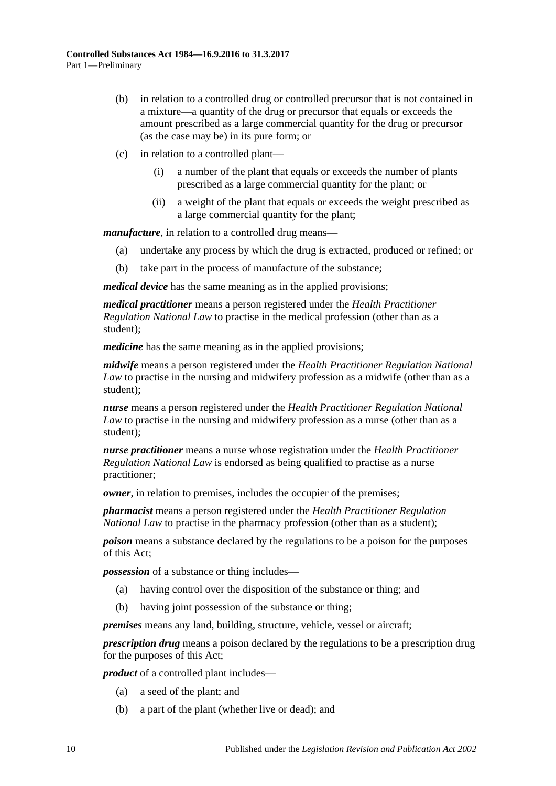- (b) in relation to a controlled drug or controlled precursor that is not contained in a mixture—a quantity of the drug or precursor that equals or exceeds the amount prescribed as a large commercial quantity for the drug or precursor (as the case may be) in its pure form; or
- (c) in relation to a controlled plant—
	- (i) a number of the plant that equals or exceeds the number of plants prescribed as a large commercial quantity for the plant; or
	- (ii) a weight of the plant that equals or exceeds the weight prescribed as a large commercial quantity for the plant;

*manufacture*, in relation to a controlled drug means—

- (a) undertake any process by which the drug is extracted, produced or refined; or
- (b) take part in the process of manufacture of the substance;

*medical device* has the same meaning as in the applied provisions;

*medical practitioner* means a person registered under the *Health Practitioner Regulation National Law* to practise in the medical profession (other than as a student);

*medicine* has the same meaning as in the applied provisions;

*midwife* means a person registered under the *Health Practitioner Regulation National Law* to practise in the nursing and midwifery profession as a midwife (other than as a student);

*nurse* means a person registered under the *Health Practitioner Regulation National Law* to practise in the nursing and midwifery profession as a nurse (other than as a student);

*nurse practitioner* means a nurse whose registration under the *Health Practitioner Regulation National Law* is endorsed as being qualified to practise as a nurse practitioner;

*owner*, in relation to premises, includes the occupier of the premises;

*pharmacist* means a person registered under the *Health Practitioner Regulation National Law* to practise in the pharmacy profession (other than as a student);

*poison* means a substance declared by the regulations to be a poison for the purposes of this Act;

*possession* of a substance or thing includes—

- (a) having control over the disposition of the substance or thing; and
- (b) having joint possession of the substance or thing;

*premises* means any land, building, structure, vehicle, vessel or aircraft;

*prescription drug* means a poison declared by the regulations to be a prescription drug for the purposes of this Act;

*product* of a controlled plant includes—

- (a) a seed of the plant; and
- (b) a part of the plant (whether live or dead); and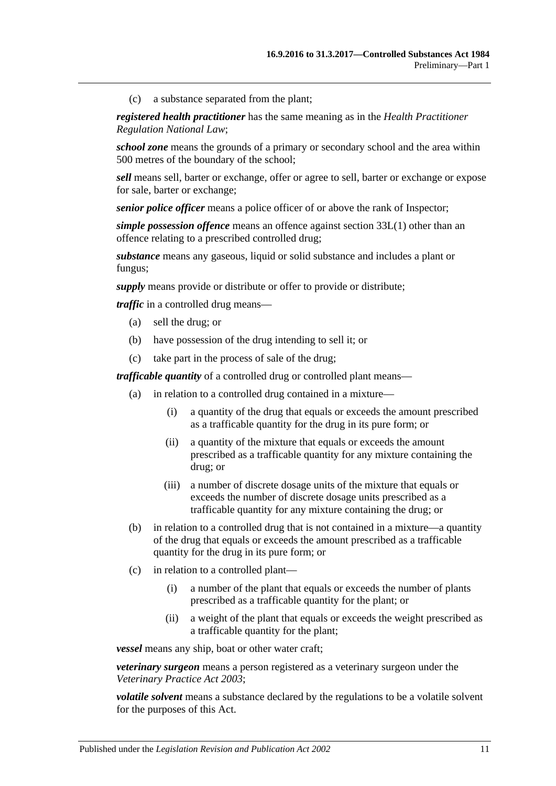(c) a substance separated from the plant;

*registered health practitioner* has the same meaning as in the *Health Practitioner Regulation National Law*;

*school zone* means the grounds of a primary or secondary school and the area within 500 metres of the boundary of the school;

*sell* means sell, barter or exchange, offer or agree to sell, barter or exchange or expose for sale, barter or exchange;

*senior police officer* means a police officer of or above the rank of Inspector;

*simple possession offence* means an offence against [section](#page-74-3) 33L(1) other than an offence relating to a prescribed controlled drug;

*substance* means any gaseous, liquid or solid substance and includes a plant or fungus;

*supply* means provide or distribute or offer to provide or distribute;

*traffic* in a controlled drug means—

- (a) sell the drug; or
- (b) have possession of the drug intending to sell it; or
- (c) take part in the process of sale of the drug;

*trafficable quantity* of a controlled drug or controlled plant means—

- (a) in relation to a controlled drug contained in a mixture—
	- (i) a quantity of the drug that equals or exceeds the amount prescribed as a trafficable quantity for the drug in its pure form; or
	- (ii) a quantity of the mixture that equals or exceeds the amount prescribed as a trafficable quantity for any mixture containing the drug; or
	- (iii) a number of discrete dosage units of the mixture that equals or exceeds the number of discrete dosage units prescribed as a trafficable quantity for any mixture containing the drug; or
- (b) in relation to a controlled drug that is not contained in a mixture—a quantity of the drug that equals or exceeds the amount prescribed as a trafficable quantity for the drug in its pure form; or
- (c) in relation to a controlled plant—
	- (i) a number of the plant that equals or exceeds the number of plants prescribed as a trafficable quantity for the plant; or
	- (ii) a weight of the plant that equals or exceeds the weight prescribed as a trafficable quantity for the plant;

*vessel* means any ship, boat or other water craft;

*veterinary surgeon* means a person registered as a veterinary surgeon under the *[Veterinary Practice Act](http://www.legislation.sa.gov.au/index.aspx?action=legref&type=act&legtitle=Veterinary%20Practice%20Act%202003) 2003*;

*volatile solvent* means a substance declared by the regulations to be a volatile solvent for the purposes of this Act.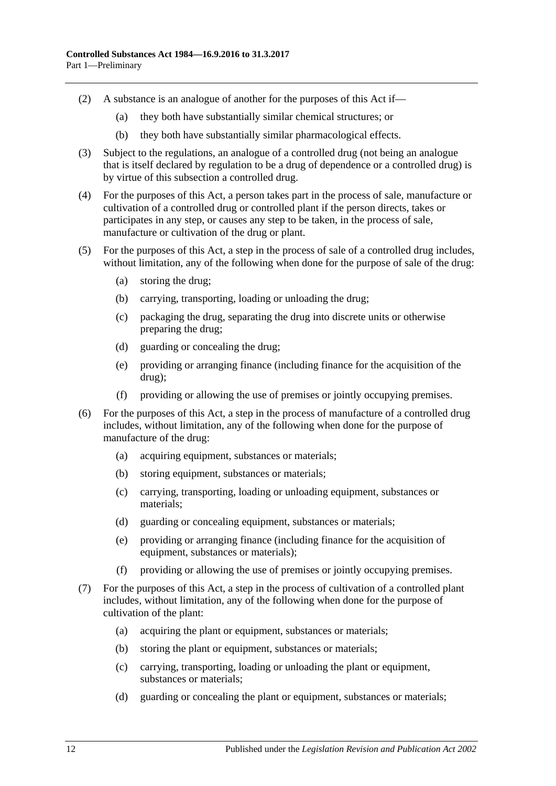- (2) A substance is an analogue of another for the purposes of this Act if—
	- (a) they both have substantially similar chemical structures; or
	- (b) they both have substantially similar pharmacological effects.
- (3) Subject to the regulations, an analogue of a controlled drug (not being an analogue that is itself declared by regulation to be a drug of dependence or a controlled drug) is by virtue of this subsection a controlled drug.
- (4) For the purposes of this Act, a person takes part in the process of sale, manufacture or cultivation of a controlled drug or controlled plant if the person directs, takes or participates in any step, or causes any step to be taken, in the process of sale, manufacture or cultivation of the drug or plant.
- (5) For the purposes of this Act, a step in the process of sale of a controlled drug includes, without limitation, any of the following when done for the purpose of sale of the drug:
	- (a) storing the drug;
	- (b) carrying, transporting, loading or unloading the drug;
	- (c) packaging the drug, separating the drug into discrete units or otherwise preparing the drug;
	- (d) guarding or concealing the drug;
	- (e) providing or arranging finance (including finance for the acquisition of the drug);
	- (f) providing or allowing the use of premises or jointly occupying premises.
- (6) For the purposes of this Act, a step in the process of manufacture of a controlled drug includes, without limitation, any of the following when done for the purpose of manufacture of the drug:
	- (a) acquiring equipment, substances or materials;
	- (b) storing equipment, substances or materials;
	- (c) carrying, transporting, loading or unloading equipment, substances or materials;
	- (d) guarding or concealing equipment, substances or materials;
	- (e) providing or arranging finance (including finance for the acquisition of equipment, substances or materials);
	- (f) providing or allowing the use of premises or jointly occupying premises.
- <span id="page-11-0"></span>(7) For the purposes of this Act, a step in the process of cultivation of a controlled plant includes, without limitation, any of the following when done for the purpose of cultivation of the plant:
	- (a) acquiring the plant or equipment, substances or materials;
	- (b) storing the plant or equipment, substances or materials;
	- (c) carrying, transporting, loading or unloading the plant or equipment, substances or materials;
	- (d) guarding or concealing the plant or equipment, substances or materials;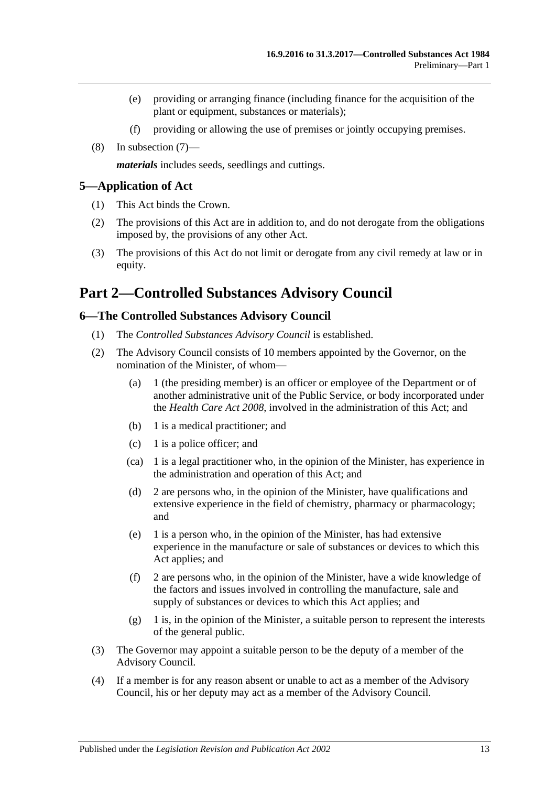- (e) providing or arranging finance (including finance for the acquisition of the plant or equipment, substances or materials);
- (f) providing or allowing the use of premises or jointly occupying premises.
- (8) In [subsection](#page-11-0) (7)—

*materials* includes seeds, seedlings and cuttings.

#### <span id="page-12-0"></span>**5—Application of Act**

- (1) This Act binds the Crown.
- (2) The provisions of this Act are in addition to, and do not derogate from the obligations imposed by, the provisions of any other Act.
- (3) The provisions of this Act do not limit or derogate from any civil remedy at law or in equity.

## <span id="page-12-1"></span>**Part 2—Controlled Substances Advisory Council**

#### <span id="page-12-2"></span>**6—The Controlled Substances Advisory Council**

- (1) The *Controlled Substances Advisory Council* is established.
- (2) The Advisory Council consists of 10 members appointed by the Governor, on the nomination of the Minister, of whom—
	- (a) 1 (the presiding member) is an officer or employee of the Department or of another administrative unit of the Public Service, or body incorporated under the *[Health Care Act](http://www.legislation.sa.gov.au/index.aspx?action=legref&type=act&legtitle=Health%20Care%20Act%202008) 2008*, involved in the administration of this Act; and
	- (b) 1 is a medical practitioner; and
	- (c) 1 is a police officer; and
	- (ca) 1 is a legal practitioner who, in the opinion of the Minister, has experience in the administration and operation of this Act; and
	- (d) 2 are persons who, in the opinion of the Minister, have qualifications and extensive experience in the field of chemistry, pharmacy or pharmacology; and
	- (e) 1 is a person who, in the opinion of the Minister, has had extensive experience in the manufacture or sale of substances or devices to which this Act applies; and
	- (f) 2 are persons who, in the opinion of the Minister, have a wide knowledge of the factors and issues involved in controlling the manufacture, sale and supply of substances or devices to which this Act applies; and
	- (g) 1 is, in the opinion of the Minister, a suitable person to represent the interests of the general public.
- (3) The Governor may appoint a suitable person to be the deputy of a member of the Advisory Council.
- (4) If a member is for any reason absent or unable to act as a member of the Advisory Council, his or her deputy may act as a member of the Advisory Council.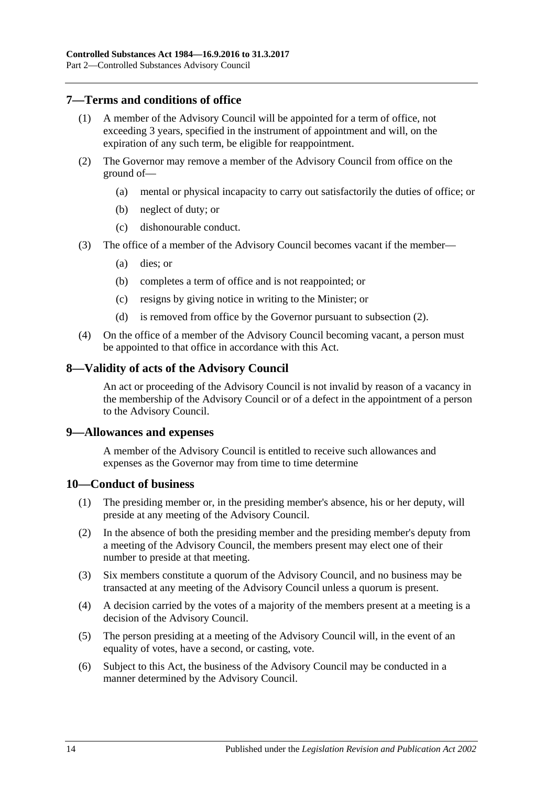## <span id="page-13-0"></span>**7—Terms and conditions of office**

- (1) A member of the Advisory Council will be appointed for a term of office, not exceeding 3 years, specified in the instrument of appointment and will, on the expiration of any such term, be eligible for reappointment.
- <span id="page-13-4"></span>(2) The Governor may remove a member of the Advisory Council from office on the ground of—
	- (a) mental or physical incapacity to carry out satisfactorily the duties of office; or
	- (b) neglect of duty; or
	- (c) dishonourable conduct.
- (3) The office of a member of the Advisory Council becomes vacant if the member—
	- (a) dies; or
	- (b) completes a term of office and is not reappointed; or
	- (c) resigns by giving notice in writing to the Minister; or
	- (d) is removed from office by the Governor pursuant to [subsection](#page-13-4) (2).
- (4) On the office of a member of the Advisory Council becoming vacant, a person must be appointed to that office in accordance with this Act.

#### <span id="page-13-1"></span>**8—Validity of acts of the Advisory Council**

An act or proceeding of the Advisory Council is not invalid by reason of a vacancy in the membership of the Advisory Council or of a defect in the appointment of a person to the Advisory Council.

#### <span id="page-13-2"></span>**9—Allowances and expenses**

A member of the Advisory Council is entitled to receive such allowances and expenses as the Governor may from time to time determine

#### <span id="page-13-3"></span>**10—Conduct of business**

- (1) The presiding member or, in the presiding member's absence, his or her deputy, will preside at any meeting of the Advisory Council.
- (2) In the absence of both the presiding member and the presiding member's deputy from a meeting of the Advisory Council, the members present may elect one of their number to preside at that meeting.
- (3) Six members constitute a quorum of the Advisory Council, and no business may be transacted at any meeting of the Advisory Council unless a quorum is present.
- (4) A decision carried by the votes of a majority of the members present at a meeting is a decision of the Advisory Council.
- (5) The person presiding at a meeting of the Advisory Council will, in the event of an equality of votes, have a second, or casting, vote.
- (6) Subject to this Act, the business of the Advisory Council may be conducted in a manner determined by the Advisory Council.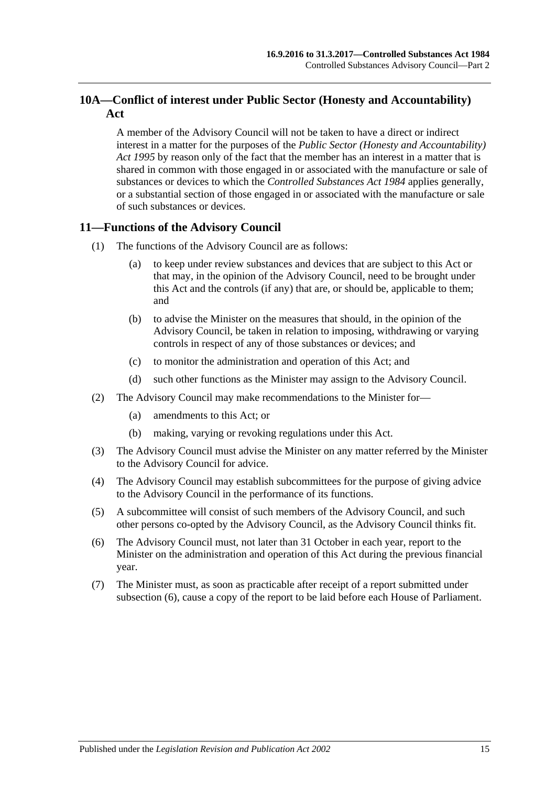## <span id="page-14-0"></span>**10A—Conflict of interest under Public Sector (Honesty and Accountability) Act**

A member of the Advisory Council will not be taken to have a direct or indirect interest in a matter for the purposes of the *[Public Sector \(Honesty and Accountability\)](http://www.legislation.sa.gov.au/index.aspx?action=legref&type=act&legtitle=Public%20Sector%20(Honesty%20and%20Accountability)%20Act%201995)  Act [1995](http://www.legislation.sa.gov.au/index.aspx?action=legref&type=act&legtitle=Public%20Sector%20(Honesty%20and%20Accountability)%20Act%201995)* by reason only of the fact that the member has an interest in a matter that is shared in common with those engaged in or associated with the manufacture or sale of substances or devices to which the *[Controlled Substances Act](http://www.legislation.sa.gov.au/index.aspx?action=legref&type=act&legtitle=Controlled%20Substances%20Act%201984) 1984* applies generally, or a substantial section of those engaged in or associated with the manufacture or sale of such substances or devices.

## <span id="page-14-1"></span>**11—Functions of the Advisory Council**

- (1) The functions of the Advisory Council are as follows:
	- (a) to keep under review substances and devices that are subject to this Act or that may, in the opinion of the Advisory Council, need to be brought under this Act and the controls (if any) that are, or should be, applicable to them; and
	- (b) to advise the Minister on the measures that should, in the opinion of the Advisory Council, be taken in relation to imposing, withdrawing or varying controls in respect of any of those substances or devices; and
	- (c) to monitor the administration and operation of this Act; and
	- (d) such other functions as the Minister may assign to the Advisory Council.
- (2) The Advisory Council may make recommendations to the Minister for—
	- (a) amendments to this Act; or
	- (b) making, varying or revoking regulations under this Act.
- (3) The Advisory Council must advise the Minister on any matter referred by the Minister to the Advisory Council for advice.
- (4) The Advisory Council may establish subcommittees for the purpose of giving advice to the Advisory Council in the performance of its functions.
- (5) A subcommittee will consist of such members of the Advisory Council, and such other persons co-opted by the Advisory Council, as the Advisory Council thinks fit.
- <span id="page-14-2"></span>(6) The Advisory Council must, not later than 31 October in each year, report to the Minister on the administration and operation of this Act during the previous financial year.
- (7) The Minister must, as soon as practicable after receipt of a report submitted under [subsection](#page-14-2) (6), cause a copy of the report to be laid before each House of Parliament.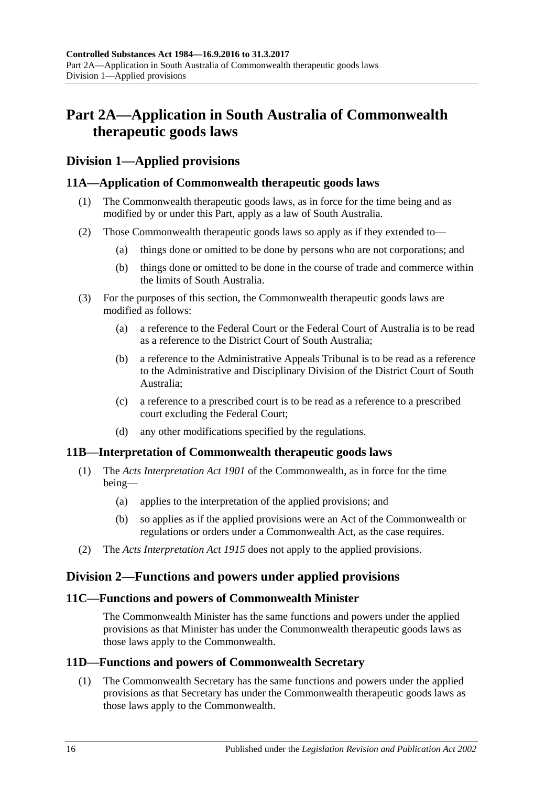## <span id="page-15-0"></span>**Part 2A—Application in South Australia of Commonwealth therapeutic goods laws**

## <span id="page-15-1"></span>**Division 1—Applied provisions**

## <span id="page-15-2"></span>**11A—Application of Commonwealth therapeutic goods laws**

- (1) The Commonwealth therapeutic goods laws, as in force for the time being and as modified by or under this Part, apply as a law of South Australia.
- (2) Those Commonwealth therapeutic goods laws so apply as if they extended to—
	- (a) things done or omitted to be done by persons who are not corporations; and
	- (b) things done or omitted to be done in the course of trade and commerce within the limits of South Australia.
- (3) For the purposes of this section, the Commonwealth therapeutic goods laws are modified as follows:
	- (a) a reference to the Federal Court or the Federal Court of Australia is to be read as a reference to the District Court of South Australia;
	- (b) a reference to the Administrative Appeals Tribunal is to be read as a reference to the Administrative and Disciplinary Division of the District Court of South Australia;
	- (c) a reference to a prescribed court is to be read as a reference to a prescribed court excluding the Federal Court;
	- (d) any other modifications specified by the regulations.

## <span id="page-15-3"></span>**11B—Interpretation of Commonwealth therapeutic goods laws**

- (1) The *Acts Interpretation Act 1901* of the Commonwealth, as in force for the time being—
	- (a) applies to the interpretation of the applied provisions; and
	- (b) so applies as if the applied provisions were an Act of the Commonwealth or regulations or orders under a Commonwealth Act, as the case requires.
- (2) The *[Acts Interpretation Act](http://www.legislation.sa.gov.au/index.aspx?action=legref&type=act&legtitle=Acts%20Interpretation%20Act%201915) 1915* does not apply to the applied provisions.

## <span id="page-15-4"></span>**Division 2—Functions and powers under applied provisions**

## <span id="page-15-5"></span>**11C—Functions and powers of Commonwealth Minister**

The Commonwealth Minister has the same functions and powers under the applied provisions as that Minister has under the Commonwealth therapeutic goods laws as those laws apply to the Commonwealth.

## <span id="page-15-7"></span><span id="page-15-6"></span>**11D—Functions and powers of Commonwealth Secretary**

(1) The Commonwealth Secretary has the same functions and powers under the applied provisions as that Secretary has under the Commonwealth therapeutic goods laws as those laws apply to the Commonwealth.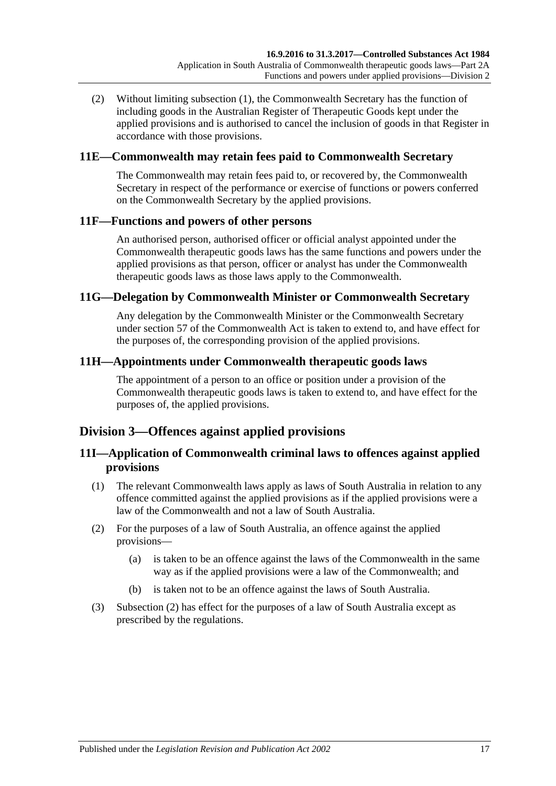(2) Without limiting [subsection](#page-15-7) (1), the Commonwealth Secretary has the function of including goods in the Australian Register of Therapeutic Goods kept under the applied provisions and is authorised to cancel the inclusion of goods in that Register in accordance with those provisions.

## <span id="page-16-0"></span>**11E—Commonwealth may retain fees paid to Commonwealth Secretary**

The Commonwealth may retain fees paid to, or recovered by, the Commonwealth Secretary in respect of the performance or exercise of functions or powers conferred on the Commonwealth Secretary by the applied provisions.

## <span id="page-16-1"></span>**11F—Functions and powers of other persons**

An authorised person, authorised officer or official analyst appointed under the Commonwealth therapeutic goods laws has the same functions and powers under the applied provisions as that person, officer or analyst has under the Commonwealth therapeutic goods laws as those laws apply to the Commonwealth.

## <span id="page-16-2"></span>**11G—Delegation by Commonwealth Minister or Commonwealth Secretary**

Any delegation by the Commonwealth Minister or the Commonwealth Secretary under section 57 of the Commonwealth Act is taken to extend to, and have effect for the purposes of, the corresponding provision of the applied provisions.

## <span id="page-16-3"></span>**11H—Appointments under Commonwealth therapeutic goods laws**

The appointment of a person to an office or position under a provision of the Commonwealth therapeutic goods laws is taken to extend to, and have effect for the purposes of, the applied provisions.

## <span id="page-16-4"></span>**Division 3—Offences against applied provisions**

## <span id="page-16-5"></span>**11I—Application of Commonwealth criminal laws to offences against applied provisions**

- (1) The relevant Commonwealth laws apply as laws of South Australia in relation to any offence committed against the applied provisions as if the applied provisions were a law of the Commonwealth and not a law of South Australia.
- <span id="page-16-6"></span>(2) For the purposes of a law of South Australia, an offence against the applied provisions—
	- (a) is taken to be an offence against the laws of the Commonwealth in the same way as if the applied provisions were a law of the Commonwealth; and
	- (b) is taken not to be an offence against the laws of South Australia.
- (3) [Subsection](#page-16-6) (2) has effect for the purposes of a law of South Australia except as prescribed by the regulations.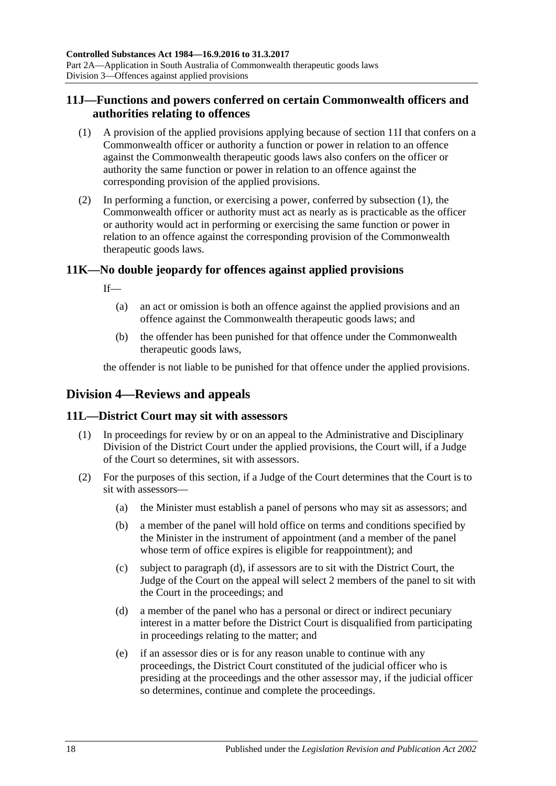## <span id="page-17-0"></span>**11J—Functions and powers conferred on certain Commonwealth officers and authorities relating to offences**

- <span id="page-17-4"></span>(1) A provision of the applied provisions applying because of [section](#page-16-5) 11I that confers on a Commonwealth officer or authority a function or power in relation to an offence against the Commonwealth therapeutic goods laws also confers on the officer or authority the same function or power in relation to an offence against the corresponding provision of the applied provisions.
- (2) In performing a function, or exercising a power, conferred by [subsection](#page-17-4) (1), the Commonwealth officer or authority must act as nearly as is practicable as the officer or authority would act in performing or exercising the same function or power in relation to an offence against the corresponding provision of the Commonwealth therapeutic goods laws.

## <span id="page-17-1"></span>**11K—No double jeopardy for offences against applied provisions**

If—

- (a) an act or omission is both an offence against the applied provisions and an offence against the Commonwealth therapeutic goods laws; and
- (b) the offender has been punished for that offence under the Commonwealth therapeutic goods laws,

the offender is not liable to be punished for that offence under the applied provisions.

## <span id="page-17-2"></span>**Division 4—Reviews and appeals**

## <span id="page-17-3"></span>**11L—District Court may sit with assessors**

- (1) In proceedings for review by or on an appeal to the Administrative and Disciplinary Division of the District Court under the applied provisions, the Court will, if a Judge of the Court so determines, sit with assessors.
- <span id="page-17-5"></span>(2) For the purposes of this section, if a Judge of the Court determines that the Court is to sit with assessors—
	- (a) the Minister must establish a panel of persons who may sit as assessors; and
	- (b) a member of the panel will hold office on terms and conditions specified by the Minister in the instrument of appointment (and a member of the panel whose term of office expires is eligible for reappointment); and
	- (c) subject to [paragraph](#page-17-5) (d), if assessors are to sit with the District Court, the Judge of the Court on the appeal will select 2 members of the panel to sit with the Court in the proceedings; and
	- (d) a member of the panel who has a personal or direct or indirect pecuniary interest in a matter before the District Court is disqualified from participating in proceedings relating to the matter; and
	- (e) if an assessor dies or is for any reason unable to continue with any proceedings, the District Court constituted of the judicial officer who is presiding at the proceedings and the other assessor may, if the judicial officer so determines, continue and complete the proceedings.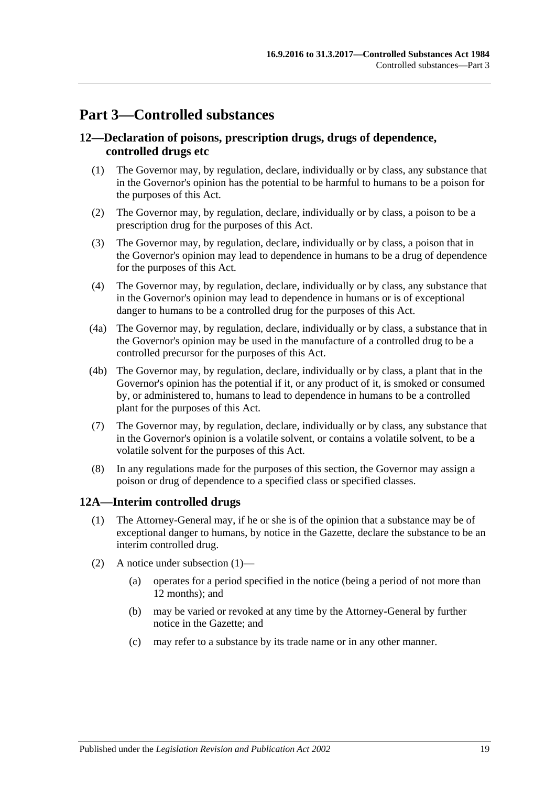## <span id="page-18-0"></span>**Part 3—Controlled substances**

## <span id="page-18-1"></span>**12—Declaration of poisons, prescription drugs, drugs of dependence, controlled drugs etc**

- (1) The Governor may, by regulation, declare, individually or by class, any substance that in the Governor's opinion has the potential to be harmful to humans to be a poison for the purposes of this Act.
- (2) The Governor may, by regulation, declare, individually or by class, a poison to be a prescription drug for the purposes of this Act.
- (3) The Governor may, by regulation, declare, individually or by class, a poison that in the Governor's opinion may lead to dependence in humans to be a drug of dependence for the purposes of this Act.
- (4) The Governor may, by regulation, declare, individually or by class, any substance that in the Governor's opinion may lead to dependence in humans or is of exceptional danger to humans to be a controlled drug for the purposes of this Act.
- (4a) The Governor may, by regulation, declare, individually or by class, a substance that in the Governor's opinion may be used in the manufacture of a controlled drug to be a controlled precursor for the purposes of this Act.
- (4b) The Governor may, by regulation, declare, individually or by class, a plant that in the Governor's opinion has the potential if it, or any product of it, is smoked or consumed by, or administered to, humans to lead to dependence in humans to be a controlled plant for the purposes of this Act.
- (7) The Governor may, by regulation, declare, individually or by class, any substance that in the Governor's opinion is a volatile solvent, or contains a volatile solvent, to be a volatile solvent for the purposes of this Act.
- (8) In any regulations made for the purposes of this section, the Governor may assign a poison or drug of dependence to a specified class or specified classes.

## <span id="page-18-3"></span><span id="page-18-2"></span>**12A—Interim controlled drugs**

- (1) The Attorney-General may, if he or she is of the opinion that a substance may be of exceptional danger to humans, by notice in the Gazette, declare the substance to be an interim controlled drug.
- (2) A notice under [subsection](#page-18-3) (1)—
	- (a) operates for a period specified in the notice (being a period of not more than 12 months); and
	- (b) may be varied or revoked at any time by the Attorney-General by further notice in the Gazette; and
	- (c) may refer to a substance by its trade name or in any other manner.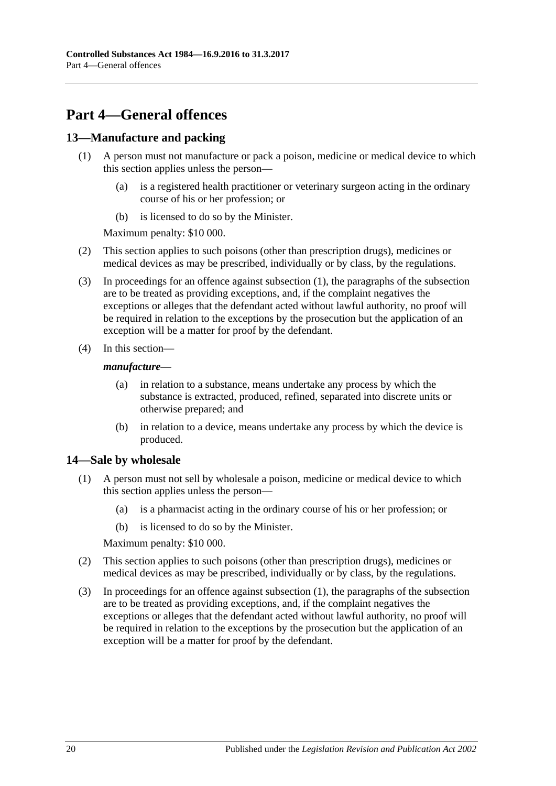## <span id="page-19-0"></span>**Part 4—General offences**

## <span id="page-19-3"></span><span id="page-19-1"></span>**13—Manufacture and packing**

- (1) A person must not manufacture or pack a poison, medicine or medical device to which this section applies unless the person—
	- (a) is a registered health practitioner or veterinary surgeon acting in the ordinary course of his or her profession; or
	- (b) is licensed to do so by the Minister.

Maximum penalty: \$10 000.

- (2) This section applies to such poisons (other than prescription drugs), medicines or medical devices as may be prescribed, individually or by class, by the regulations.
- (3) In proceedings for an offence against [subsection](#page-19-3) (1), the paragraphs of the subsection are to be treated as providing exceptions, and, if the complaint negatives the exceptions or alleges that the defendant acted without lawful authority, no proof will be required in relation to the exceptions by the prosecution but the application of an exception will be a matter for proof by the defendant.
- (4) In this section—

#### *manufacture*—

- (a) in relation to a substance, means undertake any process by which the substance is extracted, produced, refined, separated into discrete units or otherwise prepared; and
- (b) in relation to a device, means undertake any process by which the device is produced.

## <span id="page-19-4"></span><span id="page-19-2"></span>**14—Sale by wholesale**

- (1) A person must not sell by wholesale a poison, medicine or medical device to which this section applies unless the person—
	- (a) is a pharmacist acting in the ordinary course of his or her profession; or
	- (b) is licensed to do so by the Minister.

Maximum penalty: \$10 000.

- (2) This section applies to such poisons (other than prescription drugs), medicines or medical devices as may be prescribed, individually or by class, by the regulations.
- (3) In proceedings for an offence against [subsection](#page-19-4) (1), the paragraphs of the subsection are to be treated as providing exceptions, and, if the complaint negatives the exceptions or alleges that the defendant acted without lawful authority, no proof will be required in relation to the exceptions by the prosecution but the application of an exception will be a matter for proof by the defendant.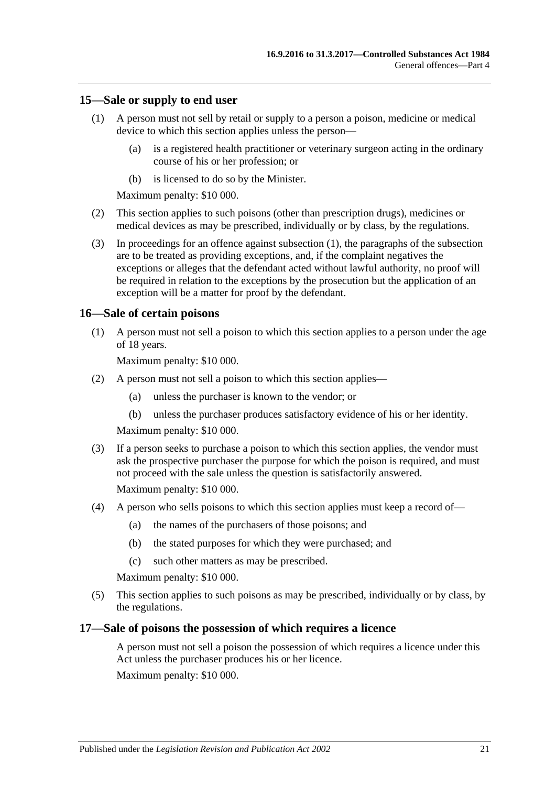#### <span id="page-20-3"></span><span id="page-20-0"></span>**15—Sale or supply to end user**

- (1) A person must not sell by retail or supply to a person a poison, medicine or medical device to which this section applies unless the person—
	- (a) is a registered health practitioner or veterinary surgeon acting in the ordinary course of his or her profession; or
	- (b) is licensed to do so by the Minister.

Maximum penalty: \$10 000.

- (2) This section applies to such poisons (other than prescription drugs), medicines or medical devices as may be prescribed, individually or by class, by the regulations.
- (3) In proceedings for an offence against [subsection](#page-20-3) (1), the paragraphs of the subsection are to be treated as providing exceptions, and, if the complaint negatives the exceptions or alleges that the defendant acted without lawful authority, no proof will be required in relation to the exceptions by the prosecution but the application of an exception will be a matter for proof by the defendant.

### <span id="page-20-1"></span>**16—Sale of certain poisons**

(1) A person must not sell a poison to which this section applies to a person under the age of 18 years.

Maximum penalty: \$10 000.

- (2) A person must not sell a poison to which this section applies—
	- (a) unless the purchaser is known to the vendor; or
	- (b) unless the purchaser produces satisfactory evidence of his or her identity.

Maximum penalty: \$10 000.

(3) If a person seeks to purchase a poison to which this section applies, the vendor must ask the prospective purchaser the purpose for which the poison is required, and must not proceed with the sale unless the question is satisfactorily answered.

Maximum penalty: \$10 000.

- (4) A person who sells poisons to which this section applies must keep a record of—
	- (a) the names of the purchasers of those poisons; and
	- (b) the stated purposes for which they were purchased; and
	- (c) such other matters as may be prescribed.

Maximum penalty: \$10 000.

(5) This section applies to such poisons as may be prescribed, individually or by class, by the regulations.

### <span id="page-20-2"></span>**17—Sale of poisons the possession of which requires a licence**

A person must not sell a poison the possession of which requires a licence under this Act unless the purchaser produces his or her licence.

Maximum penalty: \$10 000.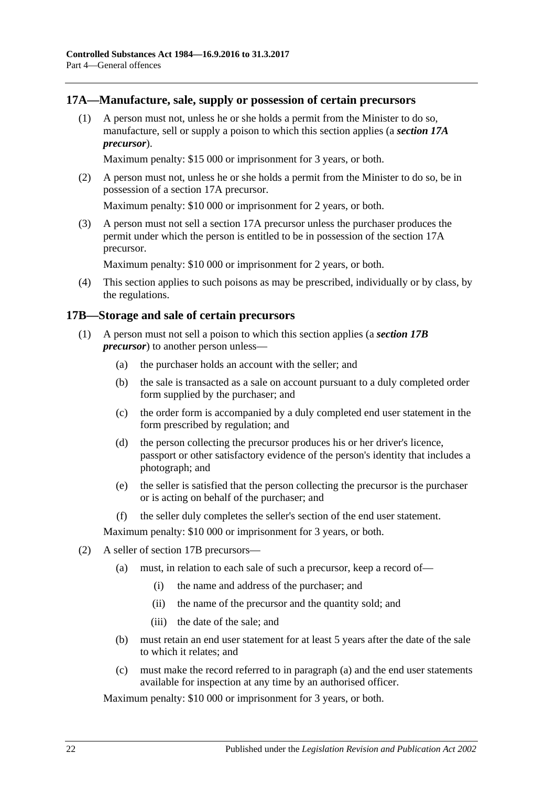### <span id="page-21-0"></span>**17A—Manufacture, sale, supply or possession of certain precursors**

(1) A person must not, unless he or she holds a permit from the Minister to do so, manufacture, sell or supply a poison to which this section applies (a *section 17A precursor*).

Maximum penalty: \$15 000 or imprisonment for 3 years, or both.

(2) A person must not, unless he or she holds a permit from the Minister to do so, be in possession of a section 17A precursor.

Maximum penalty: \$10 000 or imprisonment for 2 years, or both.

(3) A person must not sell a section 17A precursor unless the purchaser produces the permit under which the person is entitled to be in possession of the section 17A precursor.

Maximum penalty: \$10 000 or imprisonment for 2 years, or both.

(4) This section applies to such poisons as may be prescribed, individually or by class, by the regulations.

### <span id="page-21-1"></span>**17B—Storage and sale of certain precursors**

- (1) A person must not sell a poison to which this section applies (a *section 17B precursor*) to another person unless—
	- (a) the purchaser holds an account with the seller; and
	- (b) the sale is transacted as a sale on account pursuant to a duly completed order form supplied by the purchaser; and
	- (c) the order form is accompanied by a duly completed end user statement in the form prescribed by regulation; and
	- (d) the person collecting the precursor produces his or her driver's licence, passport or other satisfactory evidence of the person's identity that includes a photograph; and
	- (e) the seller is satisfied that the person collecting the precursor is the purchaser or is acting on behalf of the purchaser; and
	- (f) the seller duly completes the seller's section of the end user statement.

Maximum penalty: \$10 000 or imprisonment for 3 years, or both.

- <span id="page-21-2"></span>(2) A seller of section 17B precursors—
	- (a) must, in relation to each sale of such a precursor, keep a record of—
		- (i) the name and address of the purchaser; and
		- (ii) the name of the precursor and the quantity sold; and
		- (iii) the date of the sale; and
	- (b) must retain an end user statement for at least 5 years after the date of the sale to which it relates; and
	- (c) must make the record referred to in [paragraph](#page-21-2) (a) and the end user statements available for inspection at any time by an authorised officer.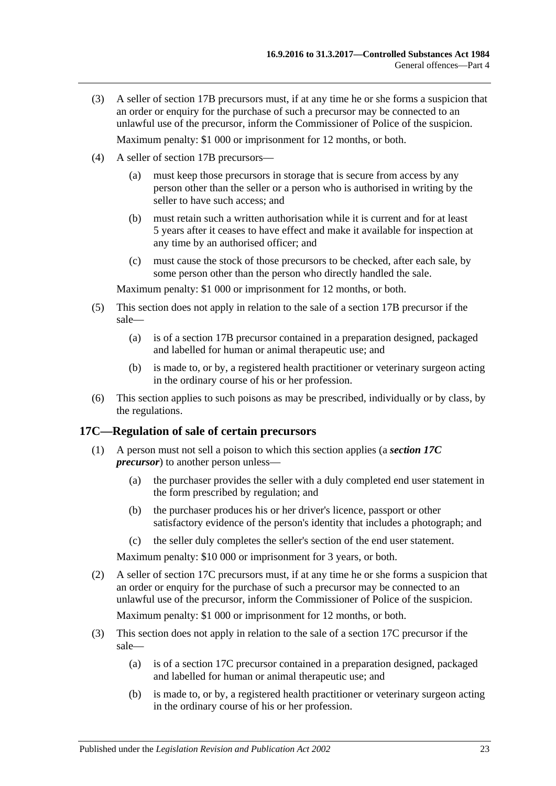- (3) A seller of section 17B precursors must, if at any time he or she forms a suspicion that an order or enquiry for the purchase of such a precursor may be connected to an unlawful use of the precursor, inform the Commissioner of Police of the suspicion. Maximum penalty: \$1 000 or imprisonment for 12 months, or both.
- (4) A seller of section 17B precursors—
	- (a) must keep those precursors in storage that is secure from access by any person other than the seller or a person who is authorised in writing by the seller to have such access: and
	- (b) must retain such a written authorisation while it is current and for at least 5 years after it ceases to have effect and make it available for inspection at any time by an authorised officer; and
	- (c) must cause the stock of those precursors to be checked, after each sale, by some person other than the person who directly handled the sale.

Maximum penalty: \$1 000 or imprisonment for 12 months, or both.

- (5) This section does not apply in relation to the sale of a section 17B precursor if the sale—
	- (a) is of a section 17B precursor contained in a preparation designed, packaged and labelled for human or animal therapeutic use; and
	- (b) is made to, or by, a registered health practitioner or veterinary surgeon acting in the ordinary course of his or her profession.
- (6) This section applies to such poisons as may be prescribed, individually or by class, by the regulations.

#### <span id="page-22-0"></span>**17C—Regulation of sale of certain precursors**

- (1) A person must not sell a poison to which this section applies (a *section 17C precursor*) to another person unless—
	- (a) the purchaser provides the seller with a duly completed end user statement in the form prescribed by regulation; and
	- (b) the purchaser produces his or her driver's licence, passport or other satisfactory evidence of the person's identity that includes a photograph; and
	- (c) the seller duly completes the seller's section of the end user statement.

Maximum penalty: \$10 000 or imprisonment for 3 years, or both.

(2) A seller of section 17C precursors must, if at any time he or she forms a suspicion that an order or enquiry for the purchase of such a precursor may be connected to an unlawful use of the precursor, inform the Commissioner of Police of the suspicion.

Maximum penalty: \$1 000 or imprisonment for 12 months, or both.

- (3) This section does not apply in relation to the sale of a section 17C precursor if the sale—
	- (a) is of a section 17C precursor contained in a preparation designed, packaged and labelled for human or animal therapeutic use; and
	- (b) is made to, or by, a registered health practitioner or veterinary surgeon acting in the ordinary course of his or her profession.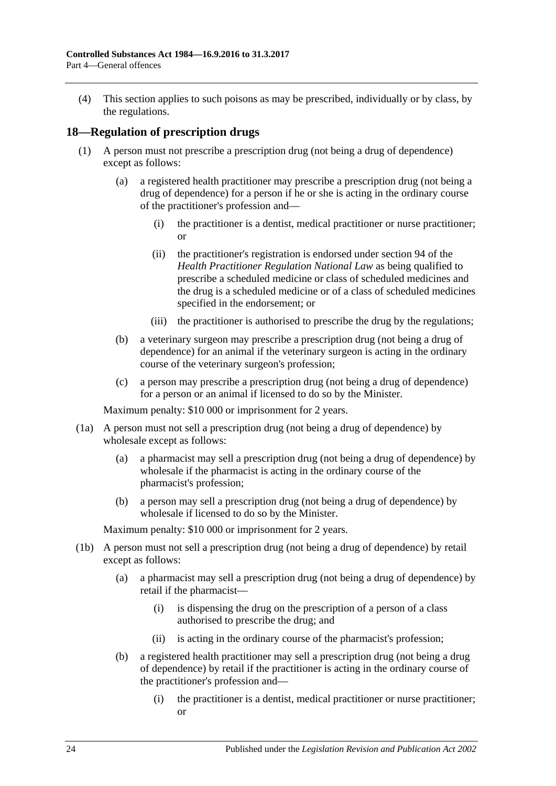(4) This section applies to such poisons as may be prescribed, individually or by class, by the regulations.

### <span id="page-23-1"></span><span id="page-23-0"></span>**18—Regulation of prescription drugs**

- (1) A person must not prescribe a prescription drug (not being a drug of dependence) except as follows:
	- (a) a registered health practitioner may prescribe a prescription drug (not being a drug of dependence) for a person if he or she is acting in the ordinary course of the practitioner's profession and—
		- (i) the practitioner is a dentist, medical practitioner or nurse practitioner; or
		- (ii) the practitioner's registration is endorsed under section 94 of the *Health Practitioner Regulation National Law* as being qualified to prescribe a scheduled medicine or class of scheduled medicines and the drug is a scheduled medicine or of a class of scheduled medicines specified in the endorsement; or
		- (iii) the practitioner is authorised to prescribe the drug by the regulations;
	- (b) a veterinary surgeon may prescribe a prescription drug (not being a drug of dependence) for an animal if the veterinary surgeon is acting in the ordinary course of the veterinary surgeon's profession;
	- (c) a person may prescribe a prescription drug (not being a drug of dependence) for a person or an animal if licensed to do so by the Minister.

Maximum penalty: \$10 000 or imprisonment for 2 years.

- (1a) A person must not sell a prescription drug (not being a drug of dependence) by wholesale except as follows:
	- (a) a pharmacist may sell a prescription drug (not being a drug of dependence) by wholesale if the pharmacist is acting in the ordinary course of the pharmacist's profession;
	- (b) a person may sell a prescription drug (not being a drug of dependence) by wholesale if licensed to do so by the Minister.

- (1b) A person must not sell a prescription drug (not being a drug of dependence) by retail except as follows:
	- (a) a pharmacist may sell a prescription drug (not being a drug of dependence) by retail if the pharmacist—
		- (i) is dispensing the drug on the prescription of a person of a class authorised to prescribe the drug; and
		- (ii) is acting in the ordinary course of the pharmacist's profession;
	- (b) a registered health practitioner may sell a prescription drug (not being a drug of dependence) by retail if the practitioner is acting in the ordinary course of the practitioner's profession and—
		- (i) the practitioner is a dentist, medical practitioner or nurse practitioner; or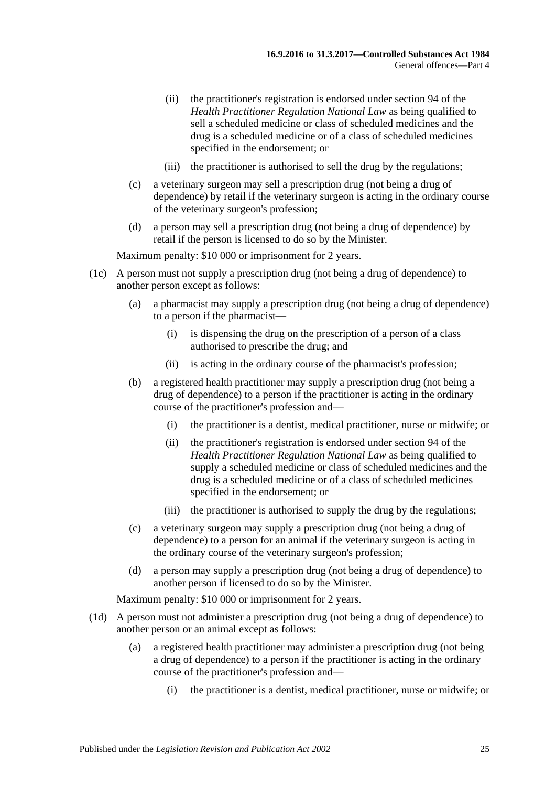- (ii) the practitioner's registration is endorsed under section 94 of the *Health Practitioner Regulation National Law* as being qualified to sell a scheduled medicine or class of scheduled medicines and the drug is a scheduled medicine or of a class of scheduled medicines specified in the endorsement; or
- (iii) the practitioner is authorised to sell the drug by the regulations;
- (c) a veterinary surgeon may sell a prescription drug (not being a drug of dependence) by retail if the veterinary surgeon is acting in the ordinary course of the veterinary surgeon's profession;
- (d) a person may sell a prescription drug (not being a drug of dependence) by retail if the person is licensed to do so by the Minister.

Maximum penalty: \$10 000 or imprisonment for 2 years.

- (1c) A person must not supply a prescription drug (not being a drug of dependence) to another person except as follows:
	- (a) a pharmacist may supply a prescription drug (not being a drug of dependence) to a person if the pharmacist—
		- (i) is dispensing the drug on the prescription of a person of a class authorised to prescribe the drug; and
		- (ii) is acting in the ordinary course of the pharmacist's profession;
	- (b) a registered health practitioner may supply a prescription drug (not being a drug of dependence) to a person if the practitioner is acting in the ordinary course of the practitioner's profession and—
		- (i) the practitioner is a dentist, medical practitioner, nurse or midwife; or
		- (ii) the practitioner's registration is endorsed under section 94 of the *Health Practitioner Regulation National Law* as being qualified to supply a scheduled medicine or class of scheduled medicines and the drug is a scheduled medicine or of a class of scheduled medicines specified in the endorsement; or
		- (iii) the practitioner is authorised to supply the drug by the regulations;
	- (c) a veterinary surgeon may supply a prescription drug (not being a drug of dependence) to a person for an animal if the veterinary surgeon is acting in the ordinary course of the veterinary surgeon's profession;
	- (d) a person may supply a prescription drug (not being a drug of dependence) to another person if licensed to do so by the Minister.

- (1d) A person must not administer a prescription drug (not being a drug of dependence) to another person or an animal except as follows:
	- (a) a registered health practitioner may administer a prescription drug (not being a drug of dependence) to a person if the practitioner is acting in the ordinary course of the practitioner's profession and—
		- (i) the practitioner is a dentist, medical practitioner, nurse or midwife; or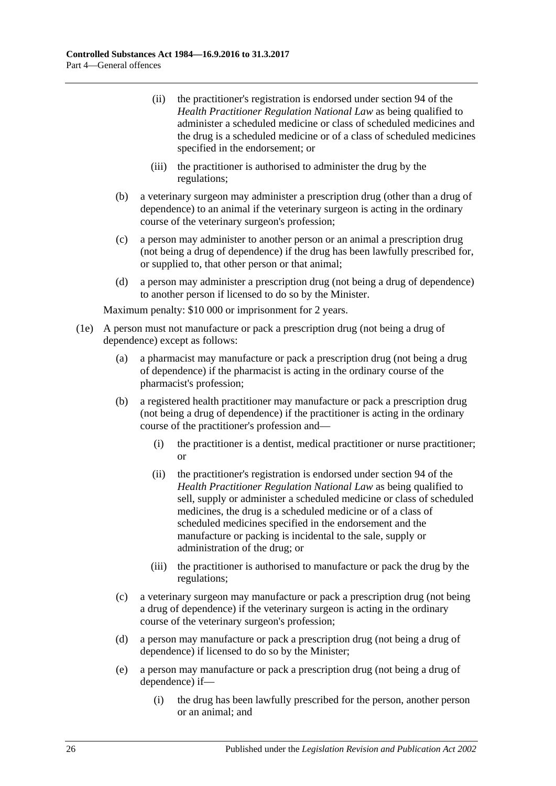- (ii) the practitioner's registration is endorsed under section 94 of the *Health Practitioner Regulation National Law* as being qualified to administer a scheduled medicine or class of scheduled medicines and the drug is a scheduled medicine or of a class of scheduled medicines specified in the endorsement; or
- (iii) the practitioner is authorised to administer the drug by the regulations;
- (b) a veterinary surgeon may administer a prescription drug (other than a drug of dependence) to an animal if the veterinary surgeon is acting in the ordinary course of the veterinary surgeon's profession;
- (c) a person may administer to another person or an animal a prescription drug (not being a drug of dependence) if the drug has been lawfully prescribed for, or supplied to, that other person or that animal;
- (d) a person may administer a prescription drug (not being a drug of dependence) to another person if licensed to do so by the Minister.

- (1e) A person must not manufacture or pack a prescription drug (not being a drug of dependence) except as follows:
	- (a) a pharmacist may manufacture or pack a prescription drug (not being a drug of dependence) if the pharmacist is acting in the ordinary course of the pharmacist's profession;
	- (b) a registered health practitioner may manufacture or pack a prescription drug (not being a drug of dependence) if the practitioner is acting in the ordinary course of the practitioner's profession and—
		- (i) the practitioner is a dentist, medical practitioner or nurse practitioner; or
		- (ii) the practitioner's registration is endorsed under section 94 of the *Health Practitioner Regulation National Law* as being qualified to sell, supply or administer a scheduled medicine or class of scheduled medicines, the drug is a scheduled medicine or of a class of scheduled medicines specified in the endorsement and the manufacture or packing is incidental to the sale, supply or administration of the drug; or
		- (iii) the practitioner is authorised to manufacture or pack the drug by the regulations;
	- (c) a veterinary surgeon may manufacture or pack a prescription drug (not being a drug of dependence) if the veterinary surgeon is acting in the ordinary course of the veterinary surgeon's profession;
	- (d) a person may manufacture or pack a prescription drug (not being a drug of dependence) if licensed to do so by the Minister;
	- (e) a person may manufacture or pack a prescription drug (not being a drug of dependence) if—
		- (i) the drug has been lawfully prescribed for the person, another person or an animal; and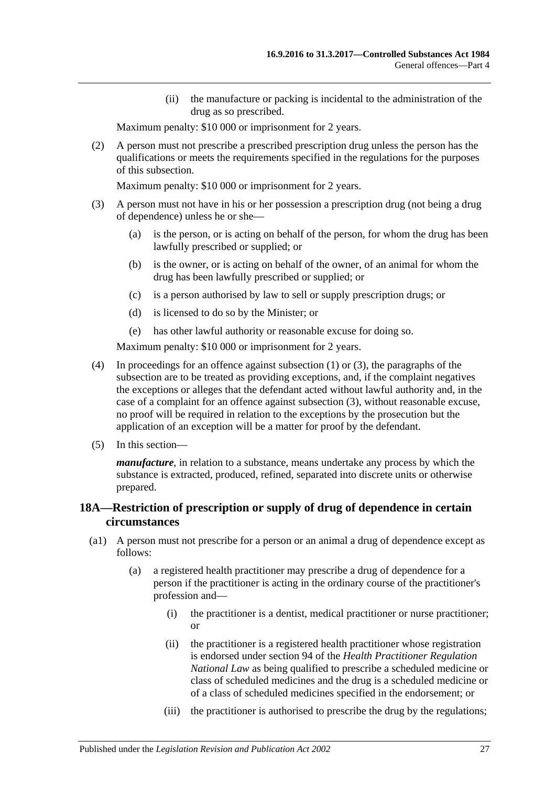(ii) the manufacture or packing is incidental to the administration of the drug as so prescribed.

Maximum penalty: \$10 000 or imprisonment for 2 years.

(2) A person must not prescribe a prescribed prescription drug unless the person has the qualifications or meets the requirements specified in the regulations for the purposes of this subsection.

Maximum penalty: \$10 000 or imprisonment for 2 years.

- <span id="page-26-1"></span>(3) A person must not have in his or her possession a prescription drug (not being a drug of dependence) unless he or she—
	- (a) is the person, or is acting on behalf of the person, for whom the drug has been lawfully prescribed or supplied; or
	- (b) is the owner, or is acting on behalf of the owner, of an animal for whom the drug has been lawfully prescribed or supplied; or
	- (c) is a person authorised by law to sell or supply prescription drugs; or
	- (d) is licensed to do so by the Minister; or
	- (e) has other lawful authority or reasonable excuse for doing so.

Maximum penalty: \$10 000 or imprisonment for 2 years.

- (4) In proceedings for an offence against [subsection](#page-23-1) (1) or [\(3\),](#page-26-1) the paragraphs of the subsection are to be treated as providing exceptions, and, if the complaint negatives the exceptions or alleges that the defendant acted without lawful authority and, in the case of a complaint for an offence against [subsection](#page-26-1) (3), without reasonable excuse, no proof will be required in relation to the exceptions by the prosecution but the application of an exception will be a matter for proof by the defendant.
- (5) In this section—

*manufacture*, in relation to a substance, means undertake any process by which the substance is extracted, produced, refined, separated into discrete units or otherwise prepared.

## <span id="page-26-0"></span>**18A—Restriction of prescription or supply of drug of dependence in certain circumstances**

- (a1) A person must not prescribe for a person or an animal a drug of dependence except as follows:
	- (a) a registered health practitioner may prescribe a drug of dependence for a person if the practitioner is acting in the ordinary course of the practitioner's profession and—
		- (i) the practitioner is a dentist, medical practitioner or nurse practitioner; or
		- (ii) the practitioner is a registered health practitioner whose registration is endorsed under section 94 of the *Health Practitioner Regulation National Law* as being qualified to prescribe a scheduled medicine or class of scheduled medicines and the drug is a scheduled medicine or of a class of scheduled medicines specified in the endorsement; or
		- (iii) the practitioner is authorised to prescribe the drug by the regulations;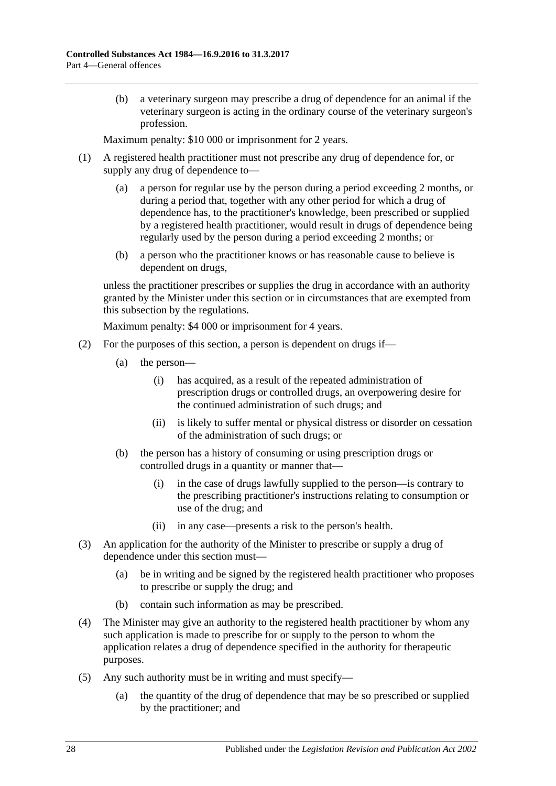(b) a veterinary surgeon may prescribe a drug of dependence for an animal if the veterinary surgeon is acting in the ordinary course of the veterinary surgeon's profession.

Maximum penalty: \$10 000 or imprisonment for 2 years.

- (1) A registered health practitioner must not prescribe any drug of dependence for, or supply any drug of dependence to—
	- (a) a person for regular use by the person during a period exceeding 2 months, or during a period that, together with any other period for which a drug of dependence has, to the practitioner's knowledge, been prescribed or supplied by a registered health practitioner, would result in drugs of dependence being regularly used by the person during a period exceeding 2 months; or
	- (b) a person who the practitioner knows or has reasonable cause to believe is dependent on drugs,

unless the practitioner prescribes or supplies the drug in accordance with an authority granted by the Minister under this section or in circumstances that are exempted from this subsection by the regulations.

- (2) For the purposes of this section, a person is dependent on drugs if—
	- (a) the person—
		- (i) has acquired, as a result of the repeated administration of prescription drugs or controlled drugs, an overpowering desire for the continued administration of such drugs; and
		- (ii) is likely to suffer mental or physical distress or disorder on cessation of the administration of such drugs; or
	- (b) the person has a history of consuming or using prescription drugs or controlled drugs in a quantity or manner that—
		- (i) in the case of drugs lawfully supplied to the person—is contrary to the prescribing practitioner's instructions relating to consumption or use of the drug; and
		- (ii) in any case—presents a risk to the person's health.
- (3) An application for the authority of the Minister to prescribe or supply a drug of dependence under this section must—
	- (a) be in writing and be signed by the registered health practitioner who proposes to prescribe or supply the drug; and
	- (b) contain such information as may be prescribed.
- (4) The Minister may give an authority to the registered health practitioner by whom any such application is made to prescribe for or supply to the person to whom the application relates a drug of dependence specified in the authority for therapeutic purposes.
- (5) Any such authority must be in writing and must specify—
	- (a) the quantity of the drug of dependence that may be so prescribed or supplied by the practitioner; and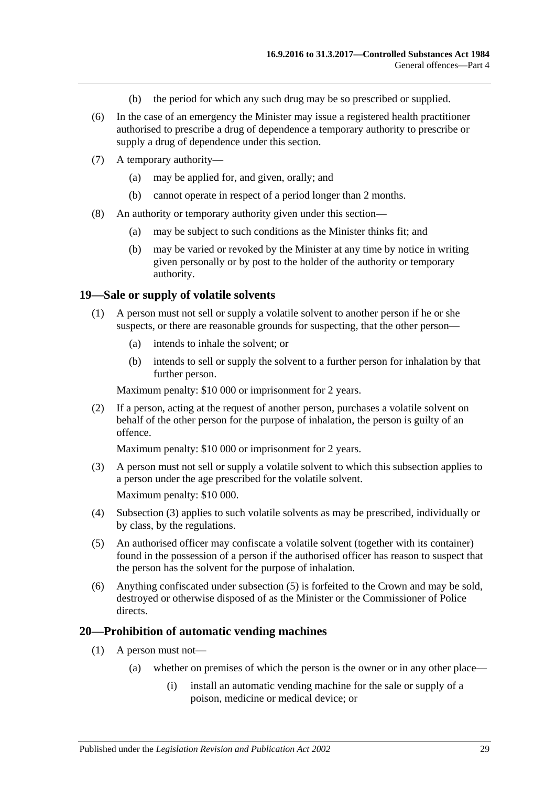- (b) the period for which any such drug may be so prescribed or supplied.
- (6) In the case of an emergency the Minister may issue a registered health practitioner authorised to prescribe a drug of dependence a temporary authority to prescribe or supply a drug of dependence under this section.
- (7) A temporary authority—
	- (a) may be applied for, and given, orally; and
	- (b) cannot operate in respect of a period longer than 2 months.
- (8) An authority or temporary authority given under this section—
	- (a) may be subject to such conditions as the Minister thinks fit; and
	- (b) may be varied or revoked by the Minister at any time by notice in writing given personally or by post to the holder of the authority or temporary authority.

#### <span id="page-28-0"></span>**19—Sale or supply of volatile solvents**

- (1) A person must not sell or supply a volatile solvent to another person if he or she suspects, or there are reasonable grounds for suspecting, that the other person—
	- (a) intends to inhale the solvent; or
	- (b) intends to sell or supply the solvent to a further person for inhalation by that further person.

Maximum penalty: \$10 000 or imprisonment for 2 years.

(2) If a person, acting at the request of another person, purchases a volatile solvent on behalf of the other person for the purpose of inhalation, the person is guilty of an offence.

Maximum penalty: \$10 000 or imprisonment for 2 years.

- <span id="page-28-2"></span>(3) A person must not sell or supply a volatile solvent to which this subsection applies to a person under the age prescribed for the volatile solvent. Maximum penalty: \$10 000.
- (4) [Subsection](#page-28-2) (3) applies to such volatile solvents as may be prescribed, individually or by class, by the regulations.
- <span id="page-28-3"></span>(5) An authorised officer may confiscate a volatile solvent (together with its container) found in the possession of a person if the authorised officer has reason to suspect that the person has the solvent for the purpose of inhalation.
- (6) Anything confiscated under [subsection](#page-28-3) (5) is forfeited to the Crown and may be sold, destroyed or otherwise disposed of as the Minister or the Commissioner of Police directs.

#### <span id="page-28-1"></span>**20—Prohibition of automatic vending machines**

- (1) A person must not—
	- (a) whether on premises of which the person is the owner or in any other place—
		- (i) install an automatic vending machine for the sale or supply of a poison, medicine or medical device; or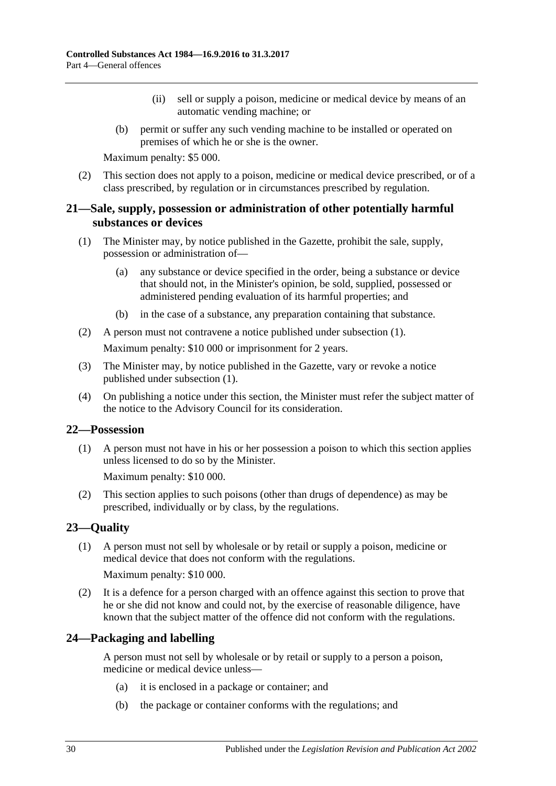- (ii) sell or supply a poison, medicine or medical device by means of an automatic vending machine; or
- (b) permit or suffer any such vending machine to be installed or operated on premises of which he or she is the owner.

Maximum penalty: \$5 000.

(2) This section does not apply to a poison, medicine or medical device prescribed, or of a class prescribed, by regulation or in circumstances prescribed by regulation.

## <span id="page-29-0"></span>**21—Sale, supply, possession or administration of other potentially harmful substances or devices**

- <span id="page-29-4"></span>(1) The Minister may, by notice published in the Gazette, prohibit the sale, supply, possession or administration of—
	- (a) any substance or device specified in the order, being a substance or device that should not, in the Minister's opinion, be sold, supplied, possessed or administered pending evaluation of its harmful properties; and
	- (b) in the case of a substance, any preparation containing that substance.
- (2) A person must not contravene a notice published under [subsection](#page-29-4) (1). Maximum penalty: \$10 000 or imprisonment for 2 years.
- (3) The Minister may, by notice published in the Gazette, vary or revoke a notice published under [subsection](#page-29-4) (1).
- (4) On publishing a notice under this section, the Minister must refer the subject matter of the notice to the Advisory Council for its consideration.

#### <span id="page-29-1"></span>**22—Possession**

(1) A person must not have in his or her possession a poison to which this section applies unless licensed to do so by the Minister.

Maximum penalty: \$10 000.

(2) This section applies to such poisons (other than drugs of dependence) as may be prescribed, individually or by class, by the regulations.

## <span id="page-29-2"></span>**23—Quality**

(1) A person must not sell by wholesale or by retail or supply a poison, medicine or medical device that does not conform with the regulations.

Maximum penalty: \$10 000.

(2) It is a defence for a person charged with an offence against this section to prove that he or she did not know and could not, by the exercise of reasonable diligence, have known that the subject matter of the offence did not conform with the regulations.

## <span id="page-29-3"></span>**24—Packaging and labelling**

A person must not sell by wholesale or by retail or supply to a person a poison, medicine or medical device unless—

- (a) it is enclosed in a package or container; and
- (b) the package or container conforms with the regulations; and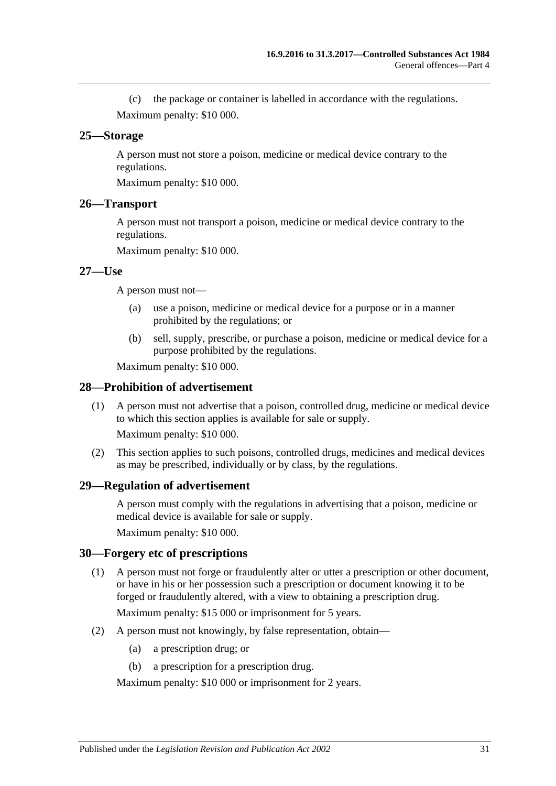(c) the package or container is labelled in accordance with the regulations. Maximum penalty: \$10 000.

#### <span id="page-30-0"></span>**25—Storage**

A person must not store a poison, medicine or medical device contrary to the regulations.

Maximum penalty: \$10 000.

#### <span id="page-30-1"></span>**26—Transport**

A person must not transport a poison, medicine or medical device contrary to the regulations.

Maximum penalty: \$10 000.

#### <span id="page-30-2"></span>**27—Use**

A person must not—

- (a) use a poison, medicine or medical device for a purpose or in a manner prohibited by the regulations; or
- (b) sell, supply, prescribe, or purchase a poison, medicine or medical device for a purpose prohibited by the regulations.

Maximum penalty: \$10 000.

#### <span id="page-30-3"></span>**28—Prohibition of advertisement**

(1) A person must not advertise that a poison, controlled drug, medicine or medical device to which this section applies is available for sale or supply.

Maximum penalty: \$10 000.

(2) This section applies to such poisons, controlled drugs, medicines and medical devices as may be prescribed, individually or by class, by the regulations.

#### <span id="page-30-4"></span>**29—Regulation of advertisement**

A person must comply with the regulations in advertising that a poison, medicine or medical device is available for sale or supply.

Maximum penalty: \$10 000.

#### <span id="page-30-5"></span>**30—Forgery etc of prescriptions**

(1) A person must not forge or fraudulently alter or utter a prescription or other document, or have in his or her possession such a prescription or document knowing it to be forged or fraudulently altered, with a view to obtaining a prescription drug.

Maximum penalty: \$15 000 or imprisonment for 5 years.

- (2) A person must not knowingly, by false representation, obtain—
	- (a) a prescription drug; or
	- (b) a prescription for a prescription drug.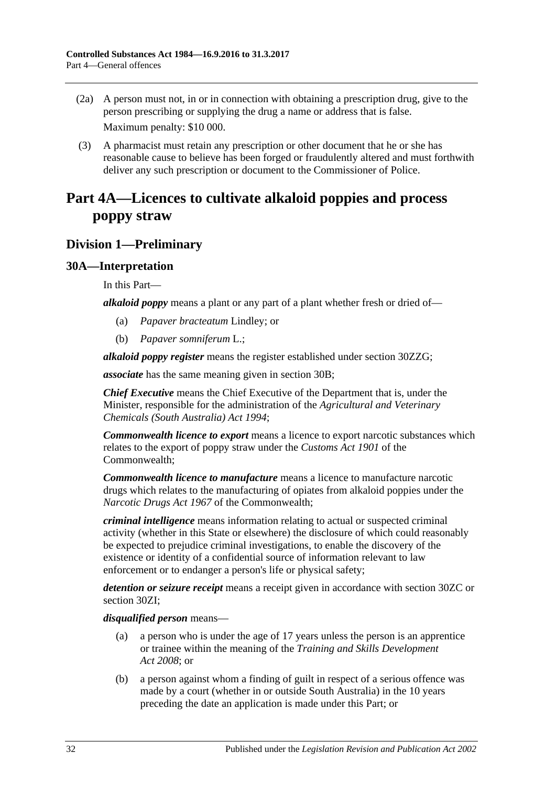- (2a) A person must not, in or in connection with obtaining a prescription drug, give to the person prescribing or supplying the drug a name or address that is false. Maximum penalty: \$10 000.
- (3) A pharmacist must retain any prescription or other document that he or she has reasonable cause to believe has been forged or fraudulently altered and must forthwith deliver any such prescription or document to the Commissioner of Police.

## <span id="page-31-0"></span>**Part 4A—Licences to cultivate alkaloid poppies and process poppy straw**

## <span id="page-31-1"></span>**Division 1—Preliminary**

## <span id="page-31-2"></span>**30A—Interpretation**

In this Part—

*alkaloid poppy* means a plant or any part of a plant whether fresh or dried of—

- (a) *Papaver bracteatum* Lindley; or
- (b) *Papaver somniferum* L.;

*alkaloid poppy register* means the register established under section [30ZZG;](#page-59-2)

*associate* has the same meaning given in [section](#page-33-0) 30B;

*Chief Executive* means the Chief Executive of the Department that is, under the Minister, responsible for the administration of the *[Agricultural and Veterinary](http://www.legislation.sa.gov.au/index.aspx?action=legref&type=act&legtitle=Agricultural%20and%20Veterinary%20Chemicals%20(South%20Australia)%20Act%201994)  [Chemicals \(South Australia\) Act](http://www.legislation.sa.gov.au/index.aspx?action=legref&type=act&legtitle=Agricultural%20and%20Veterinary%20Chemicals%20(South%20Australia)%20Act%201994) 1994*;

*Commonwealth licence to export* means a licence to export narcotic substances which relates to the export of poppy straw under the *Customs Act 1901* of the Commonwealth;

*Commonwealth licence to manufacture* means a licence to manufacture narcotic drugs which relates to the manufacturing of opiates from alkaloid poppies under the *Narcotic Drugs Act 1967* of the Commonwealth;

*criminal intelligence* means information relating to actual or suspected criminal activity (whether in this State or elsewhere) the disclosure of which could reasonably be expected to prejudice criminal investigations, to enable the discovery of the existence or identity of a confidential source of information relevant to law enforcement or to endanger a person's life or physical safety;

*detention or seizure receipt* means a receipt given in accordance with [section](#page-48-1) 30ZC or [section](#page-50-4) 30ZI;

*disqualified person* means—

- (a) a person who is under the age of 17 years unless the person is an apprentice or trainee within the meaning of the *[Training and Skills Development](http://www.legislation.sa.gov.au/index.aspx?action=legref&type=act&legtitle=Training%20and%20Skills%20Development%20Act%202008)  Act [2008](http://www.legislation.sa.gov.au/index.aspx?action=legref&type=act&legtitle=Training%20and%20Skills%20Development%20Act%202008)*; or
- (b) a person against whom a finding of guilt in respect of a serious offence was made by a court (whether in or outside South Australia) in the 10 years preceding the date an application is made under this Part; or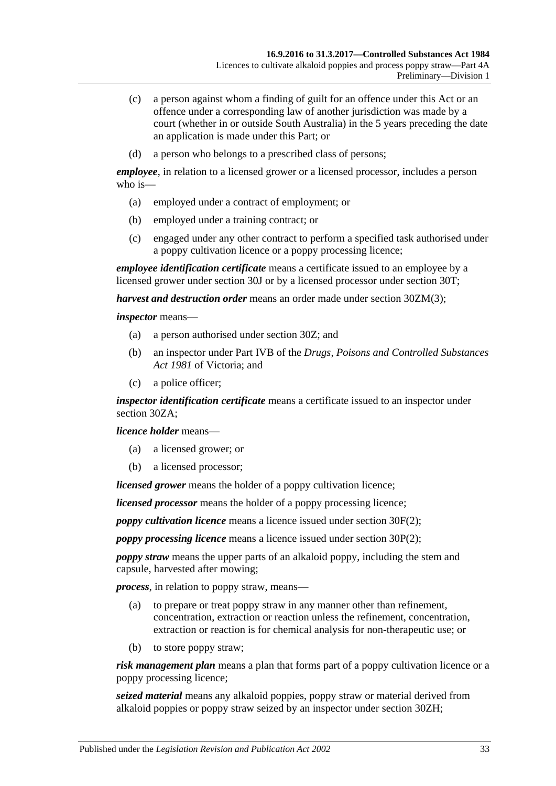- (c) a person against whom a finding of guilt for an offence under this Act or an offence under a corresponding law of another jurisdiction was made by a court (whether in or outside South Australia) in the 5 years preceding the date an application is made under this Part; or
- (d) a person who belongs to a prescribed class of persons;

*employee*, in relation to a licensed grower or a licensed processor, includes a person who is—

- (a) employed under a contract of employment; or
- (b) employed under a training contract; or
- (c) engaged under any other contract to perform a specified task authorised under a poppy cultivation licence or a poppy processing licence;

*employee identification certificate* means a certificate issued to an employee by a licensed grower under [section](#page-39-0) 30J or by a licensed processor under [section](#page-44-0) 30T;

*harvest and destruction order* means an order made under section [30ZM\(3\);](#page-53-4)

*inspector* means—

- (a) a person authorised under [section](#page-47-1) 30Z; and
- (b) an inspector under Part IVB of the *Drugs, Poisons and Controlled Substances Act 1981* of Victoria; and
- (c) a police officer;

*inspector identification certificate* means a certificate issued to an inspector under [section](#page-47-2) 30ZA;

*licence holder* means—

- (a) a licensed grower; or
- (b) a licensed processor;

*licensed grower* means the holder of a poppy cultivation licence;

*licensed processor* means the holder of a poppy processing licence;

*poppy cultivation licence* means a licence issued under [section](#page-37-2) 30F(2);

*poppy processing licence* means a licence issued under [section](#page-42-3) 30P(2);

*poppy straw* means the upper parts of an alkaloid poppy, including the stem and capsule, harvested after mowing;

*process*, in relation to poppy straw, means—

- (a) to prepare or treat poppy straw in any manner other than refinement, concentration, extraction or reaction unless the refinement, concentration, extraction or reaction is for chemical analysis for non-therapeutic use; or
- (b) to store poppy straw;

*risk management plan* means a plan that forms part of a poppy cultivation licence or a poppy processing licence;

*seized material* means any alkaloid poppies, poppy straw or material derived from alkaloid poppies or poppy straw seized by an inspector under [section](#page-50-3) 30ZH;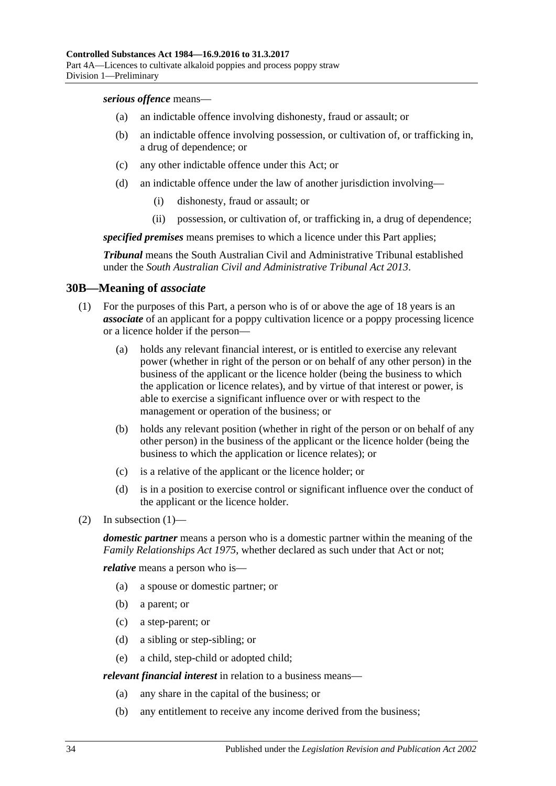*serious offence* means—

- (a) an indictable offence involving dishonesty, fraud or assault; or
- (b) an indictable offence involving possession, or cultivation of, or trafficking in, a drug of dependence; or
- (c) any other indictable offence under this Act; or
- (d) an indictable offence under the law of another jurisdiction involving—
	- (i) dishonesty, fraud or assault; or
	- (ii) possession, or cultivation of, or trafficking in, a drug of dependence;

*specified premises* means premises to which a licence under this Part applies;

*Tribunal* means the South Australian Civil and Administrative Tribunal established under the *[South Australian Civil and Administrative Tribunal Act](http://www.legislation.sa.gov.au/index.aspx?action=legref&type=act&legtitle=South%20Australian%20Civil%20and%20Administrative%20Tribunal%20Act%202013) 2013*.

### <span id="page-33-0"></span>**30B—Meaning of** *associate*

- (1) For the purposes of this Part, a person who is of or above the age of 18 years is an *associate* of an applicant for a poppy cultivation licence or a poppy processing licence or a licence holder if the person—
	- (a) holds any relevant financial interest, or is entitled to exercise any relevant power (whether in right of the person or on behalf of any other person) in the business of the applicant or the licence holder (being the business to which the application or licence relates), and by virtue of that interest or power, is able to exercise a significant influence over or with respect to the management or operation of the business; or
	- (b) holds any relevant position (whether in right of the person or on behalf of any other person) in the business of the applicant or the licence holder (being the business to which the application or licence relates); or
	- (c) is a relative of the applicant or the licence holder; or
	- (d) is in a position to exercise control or significant influence over the conduct of the applicant or the licence holder.
- (2) In subsection  $(1)$ —

*domestic partner* means a person who is a domestic partner within the meaning of the *[Family Relationships Act](http://www.legislation.sa.gov.au/index.aspx?action=legref&type=act&legtitle=Family%20Relationships%20Act%201975) 1975*, whether declared as such under that Act or not;

*relative* means a person who is—

- (a) a spouse or domestic partner; or
- (b) a parent; or
- (c) a step-parent; or
- (d) a sibling or step-sibling; or
- (e) a child, step-child or adopted child;

*relevant financial interest* in relation to a business means—

- (a) any share in the capital of the business; or
- (b) any entitlement to receive any income derived from the business;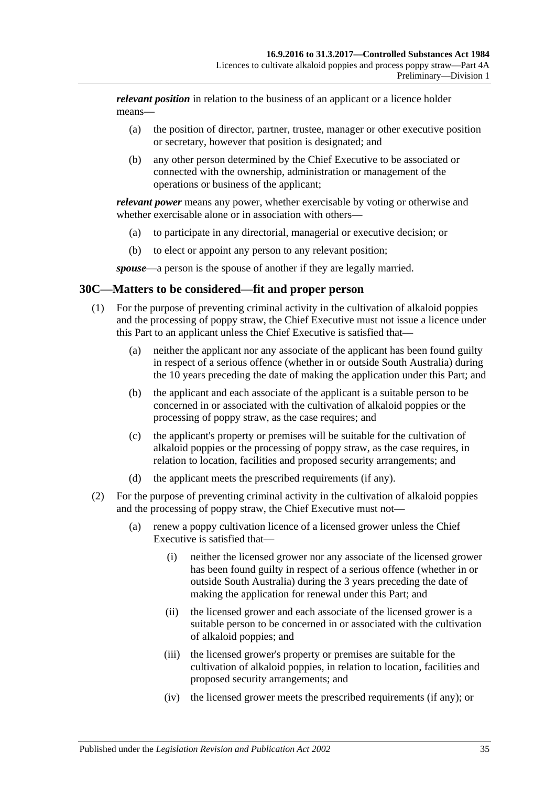*relevant position* in relation to the business of an applicant or a licence holder means—

- (a) the position of director, partner, trustee, manager or other executive position or secretary, however that position is designated; and
- (b) any other person determined by the Chief Executive to be associated or connected with the ownership, administration or management of the operations or business of the applicant;

*relevant power* means any power, whether exercisable by voting or otherwise and whether exercisable alone or in association with others—

- (a) to participate in any directorial, managerial or executive decision; or
- (b) to elect or appoint any person to any relevant position;

*spouse*—a person is the spouse of another if they are legally married.

### <span id="page-34-1"></span><span id="page-34-0"></span>**30C—Matters to be considered—fit and proper person**

- (1) For the purpose of preventing criminal activity in the cultivation of alkaloid poppies and the processing of poppy straw, the Chief Executive must not issue a licence under this Part to an applicant unless the Chief Executive is satisfied that—
	- (a) neither the applicant nor any associate of the applicant has been found guilty in respect of a serious offence (whether in or outside South Australia) during the 10 years preceding the date of making the application under this Part; and
	- (b) the applicant and each associate of the applicant is a suitable person to be concerned in or associated with the cultivation of alkaloid poppies or the processing of poppy straw, as the case requires; and
	- (c) the applicant's property or premises will be suitable for the cultivation of alkaloid poppies or the processing of poppy straw, as the case requires, in relation to location, facilities and proposed security arrangements; and
	- (d) the applicant meets the prescribed requirements (if any).
- <span id="page-34-2"></span>(2) For the purpose of preventing criminal activity in the cultivation of alkaloid poppies and the processing of poppy straw, the Chief Executive must not—
	- (a) renew a poppy cultivation licence of a licensed grower unless the Chief Executive is satisfied that—
		- (i) neither the licensed grower nor any associate of the licensed grower has been found guilty in respect of a serious offence (whether in or outside South Australia) during the 3 years preceding the date of making the application for renewal under this Part; and
		- (ii) the licensed grower and each associate of the licensed grower is a suitable person to be concerned in or associated with the cultivation of alkaloid poppies; and
		- (iii) the licensed grower's property or premises are suitable for the cultivation of alkaloid poppies, in relation to location, facilities and proposed security arrangements; and
		- (iv) the licensed grower meets the prescribed requirements (if any); or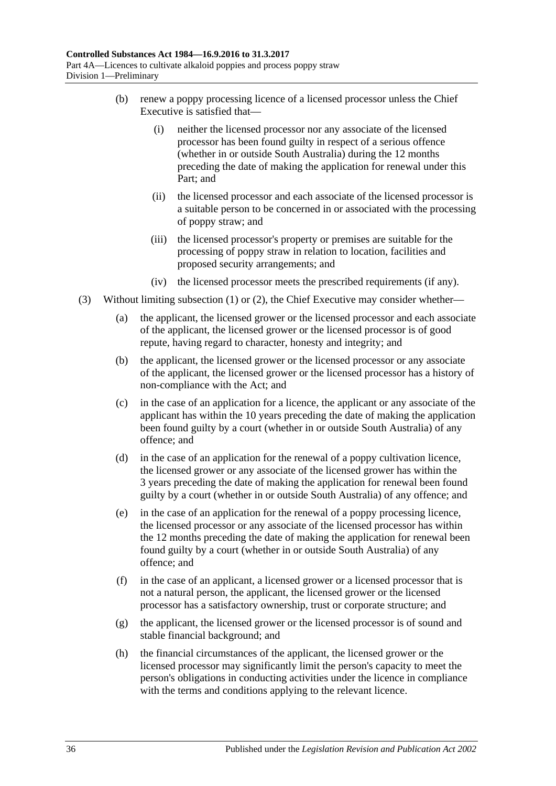- (b) renew a poppy processing licence of a licensed processor unless the Chief Executive is satisfied that—
	- (i) neither the licensed processor nor any associate of the licensed processor has been found guilty in respect of a serious offence (whether in or outside South Australia) during the 12 months preceding the date of making the application for renewal under this Part; and
	- (ii) the licensed processor and each associate of the licensed processor is a suitable person to be concerned in or associated with the processing of poppy straw; and
	- (iii) the licensed processor's property or premises are suitable for the processing of poppy straw in relation to location, facilities and proposed security arrangements; and
	- (iv) the licensed processor meets the prescribed requirements (if any).
- (3) Without limiting [subsection](#page-34-1) (1) or [\(2\),](#page-34-2) the Chief Executive may consider whether—
	- (a) the applicant, the licensed grower or the licensed processor and each associate of the applicant, the licensed grower or the licensed processor is of good repute, having regard to character, honesty and integrity; and
	- (b) the applicant, the licensed grower or the licensed processor or any associate of the applicant, the licensed grower or the licensed processor has a history of non-compliance with the Act; and
	- (c) in the case of an application for a licence, the applicant or any associate of the applicant has within the 10 years preceding the date of making the application been found guilty by a court (whether in or outside South Australia) of any offence; and
	- (d) in the case of an application for the renewal of a poppy cultivation licence, the licensed grower or any associate of the licensed grower has within the 3 years preceding the date of making the application for renewal been found guilty by a court (whether in or outside South Australia) of any offence; and
	- (e) in the case of an application for the renewal of a poppy processing licence, the licensed processor or any associate of the licensed processor has within the 12 months preceding the date of making the application for renewal been found guilty by a court (whether in or outside South Australia) of any offence; and
	- (f) in the case of an applicant, a licensed grower or a licensed processor that is not a natural person, the applicant, the licensed grower or the licensed processor has a satisfactory ownership, trust or corporate structure; and
	- (g) the applicant, the licensed grower or the licensed processor is of sound and stable financial background; and
	- (h) the financial circumstances of the applicant, the licensed grower or the licensed processor may significantly limit the person's capacity to meet the person's obligations in conducting activities under the licence in compliance with the terms and conditions applying to the relevant licence.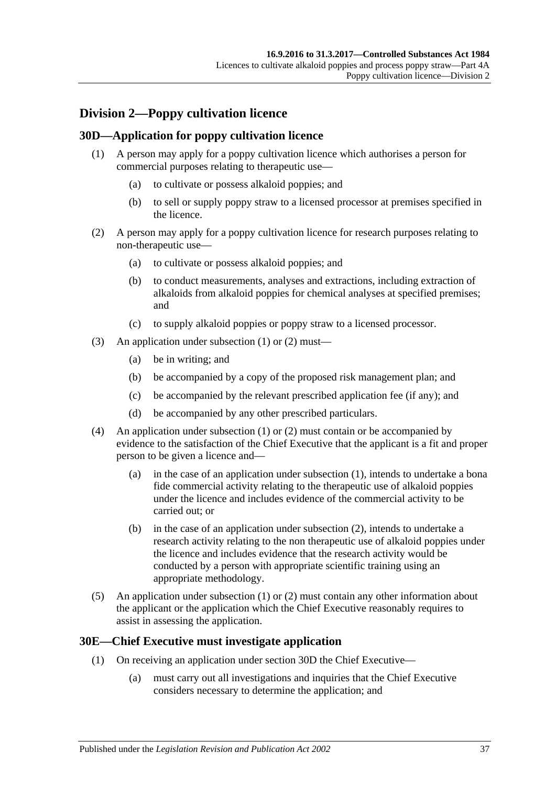# **Division 2—Poppy cultivation licence**

## <span id="page-36-2"></span><span id="page-36-0"></span>**30D—Application for poppy cultivation licence**

- (1) A person may apply for a poppy cultivation licence which authorises a person for commercial purposes relating to therapeutic use—
	- (a) to cultivate or possess alkaloid poppies; and
	- (b) to sell or supply poppy straw to a licensed processor at premises specified in the licence.
- <span id="page-36-1"></span>(2) A person may apply for a poppy cultivation licence for research purposes relating to non-therapeutic use—
	- (a) to cultivate or possess alkaloid poppies; and
	- (b) to conduct measurements, analyses and extractions, including extraction of alkaloids from alkaloid poppies for chemical analyses at specified premises; and
	- (c) to supply alkaloid poppies or poppy straw to a licensed processor.
- (3) An application under [subsection](#page-36-0) (1) or [\(2\)](#page-36-1) must—
	- (a) be in writing; and
	- (b) be accompanied by a copy of the proposed risk management plan; and
	- (c) be accompanied by the relevant prescribed application fee (if any); and
	- (d) be accompanied by any other prescribed particulars.
- (4) An application under [subsection](#page-36-0) (1) or [\(2\)](#page-36-1) must contain or be accompanied by evidence to the satisfaction of the Chief Executive that the applicant is a fit and proper person to be given a licence and—
	- (a) in the case of an application under [subsection](#page-36-0) (1), intends to undertake a bona fide commercial activity relating to the therapeutic use of alkaloid poppies under the licence and includes evidence of the commercial activity to be carried out; or
	- (b) in the case of an application under [subsection](#page-36-1) (2), intends to undertake a research activity relating to the non therapeutic use of alkaloid poppies under the licence and includes evidence that the research activity would be conducted by a person with appropriate scientific training using an appropriate methodology.
- (5) An application under [subsection](#page-36-0) (1) or [\(2\)](#page-36-1) must contain any other information about the applicant or the application which the Chief Executive reasonably requires to assist in assessing the application.

## <span id="page-36-3"></span>**30E—Chief Executive must investigate application**

- (1) On receiving an application under [section](#page-36-2) 30D the Chief Executive—
	- (a) must carry out all investigations and inquiries that the Chief Executive considers necessary to determine the application; and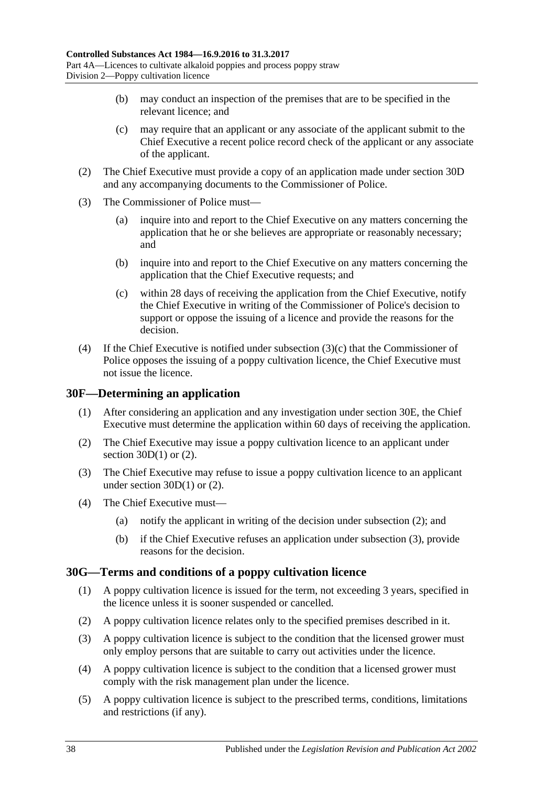- (b) may conduct an inspection of the premises that are to be specified in the relevant licence; and
- (c) may require that an applicant or any associate of the applicant submit to the Chief Executive a recent police record check of the applicant or any associate of the applicant.
- (2) The Chief Executive must provide a copy of an application made under [section](#page-36-2) 30D and any accompanying documents to the Commissioner of Police.
- (3) The Commissioner of Police must—
	- (a) inquire into and report to the Chief Executive on any matters concerning the application that he or she believes are appropriate or reasonably necessary; and
	- (b) inquire into and report to the Chief Executive on any matters concerning the application that the Chief Executive requests; and
	- (c) within 28 days of receiving the application from the Chief Executive, notify the Chief Executive in writing of the Commissioner of Police's decision to support or oppose the issuing of a licence and provide the reasons for the decision.
- <span id="page-37-0"></span>(4) If the Chief Executive is notified under [subsection](#page-37-0) (3)(c) that the Commissioner of Police opposes the issuing of a poppy cultivation licence, the Chief Executive must not issue the licence.

### **30F—Determining an application**

- (1) After considering an application and any investigation under [section](#page-36-3) 30E, the Chief Executive must determine the application within 60 days of receiving the application.
- <span id="page-37-1"></span>(2) The Chief Executive may issue a poppy cultivation licence to an applicant under section  $30D(1)$  or  $(2)$ .
- <span id="page-37-2"></span>(3) The Chief Executive may refuse to issue a poppy cultivation licence to an applicant under [section](#page-36-0) 30D(1) or [\(2\).](#page-36-1)
- (4) The Chief Executive must—
	- (a) notify the applicant in writing of the decision under [subsection](#page-37-1) (2); and
	- (b) if the Chief Executive refuses an application under [subsection](#page-37-2) (3), provide reasons for the decision.

## **30G—Terms and conditions of a poppy cultivation licence**

- (1) A poppy cultivation licence is issued for the term, not exceeding 3 years, specified in the licence unless it is sooner suspended or cancelled.
- (2) A poppy cultivation licence relates only to the specified premises described in it.
- (3) A poppy cultivation licence is subject to the condition that the licensed grower must only employ persons that are suitable to carry out activities under the licence.
- (4) A poppy cultivation licence is subject to the condition that a licensed grower must comply with the risk management plan under the licence.
- (5) A poppy cultivation licence is subject to the prescribed terms, conditions, limitations and restrictions (if any).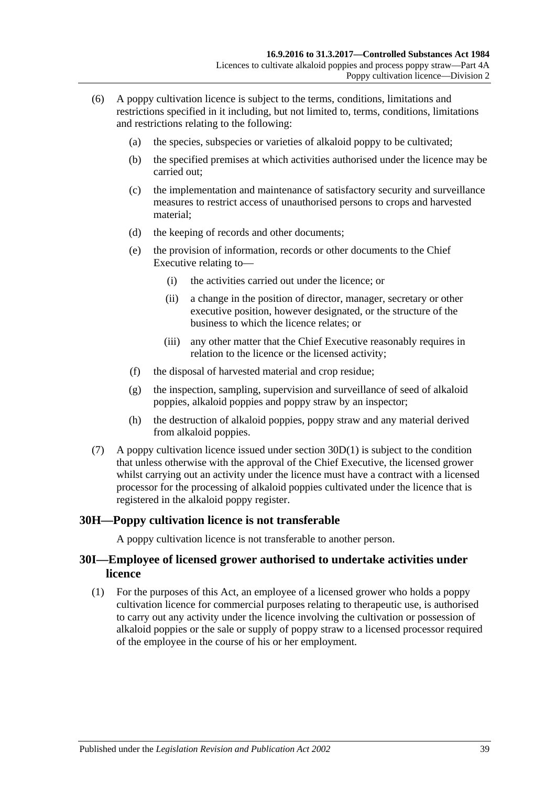- (6) A poppy cultivation licence is subject to the terms, conditions, limitations and restrictions specified in it including, but not limited to, terms, conditions, limitations and restrictions relating to the following:
	- (a) the species, subspecies or varieties of alkaloid poppy to be cultivated;
	- (b) the specified premises at which activities authorised under the licence may be carried out;
	- (c) the implementation and maintenance of satisfactory security and surveillance measures to restrict access of unauthorised persons to crops and harvested material;
	- (d) the keeping of records and other documents;
	- (e) the provision of information, records or other documents to the Chief Executive relating to—
		- (i) the activities carried out under the licence; or
		- (ii) a change in the position of director, manager, secretary or other executive position, however designated, or the structure of the business to which the licence relates; or
		- (iii) any other matter that the Chief Executive reasonably requires in relation to the licence or the licensed activity;
	- (f) the disposal of harvested material and crop residue;
	- (g) the inspection, sampling, supervision and surveillance of seed of alkaloid poppies, alkaloid poppies and poppy straw by an inspector;
	- (h) the destruction of alkaloid poppies, poppy straw and any material derived from alkaloid poppies.
- (7) A poppy cultivation licence issued under [section](#page-36-0) 30D(1) is subject to the condition that unless otherwise with the approval of the Chief Executive, the licensed grower whilst carrying out an activity under the licence must have a contract with a licensed processor for the processing of alkaloid poppies cultivated under the licence that is registered in the alkaloid poppy register.

## **30H—Poppy cultivation licence is not transferable**

A poppy cultivation licence is not transferable to another person.

## **30I—Employee of licensed grower authorised to undertake activities under licence**

<span id="page-38-0"></span>(1) For the purposes of this Act, an employee of a licensed grower who holds a poppy cultivation licence for commercial purposes relating to therapeutic use, is authorised to carry out any activity under the licence involving the cultivation or possession of alkaloid poppies or the sale or supply of poppy straw to a licensed processor required of the employee in the course of his or her employment.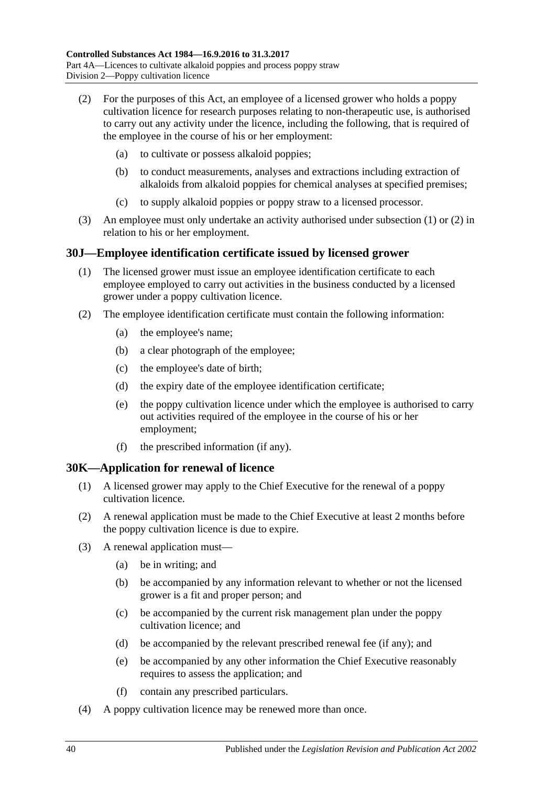- <span id="page-39-0"></span>(2) For the purposes of this Act, an employee of a licensed grower who holds a poppy cultivation licence for research purposes relating to non-therapeutic use, is authorised to carry out any activity under the licence, including the following, that is required of the employee in the course of his or her employment:
	- (a) to cultivate or possess alkaloid poppies;
	- (b) to conduct measurements, analyses and extractions including extraction of alkaloids from alkaloid poppies for chemical analyses at specified premises;
	- (c) to supply alkaloid poppies or poppy straw to a licensed processor.
- (3) An employee must only undertake an activity authorised under [subsection](#page-38-0) (1) or [\(2\)](#page-39-0) in relation to his or her employment.

## **30J—Employee identification certificate issued by licensed grower**

- (1) The licensed grower must issue an employee identification certificate to each employee employed to carry out activities in the business conducted by a licensed grower under a poppy cultivation licence.
- <span id="page-39-2"></span>(2) The employee identification certificate must contain the following information:
	- (a) the employee's name;
	- (b) a clear photograph of the employee;
	- (c) the employee's date of birth;
	- (d) the expiry date of the employee identification certificate;
	- (e) the poppy cultivation licence under which the employee is authorised to carry out activities required of the employee in the course of his or her employment;
	- (f) the prescribed information (if any).

## <span id="page-39-1"></span>**30K—Application for renewal of licence**

- (1) A licensed grower may apply to the Chief Executive for the renewal of a poppy cultivation licence.
- (2) A renewal application must be made to the Chief Executive at least 2 months before the poppy cultivation licence is due to expire.
- (3) A renewal application must—
	- (a) be in writing; and
	- (b) be accompanied by any information relevant to whether or not the licensed grower is a fit and proper person; and
	- (c) be accompanied by the current risk management plan under the poppy cultivation licence; and
	- (d) be accompanied by the relevant prescribed renewal fee (if any); and
	- (e) be accompanied by any other information the Chief Executive reasonably requires to assess the application; and
	- (f) contain any prescribed particulars.
- (4) A poppy cultivation licence may be renewed more than once.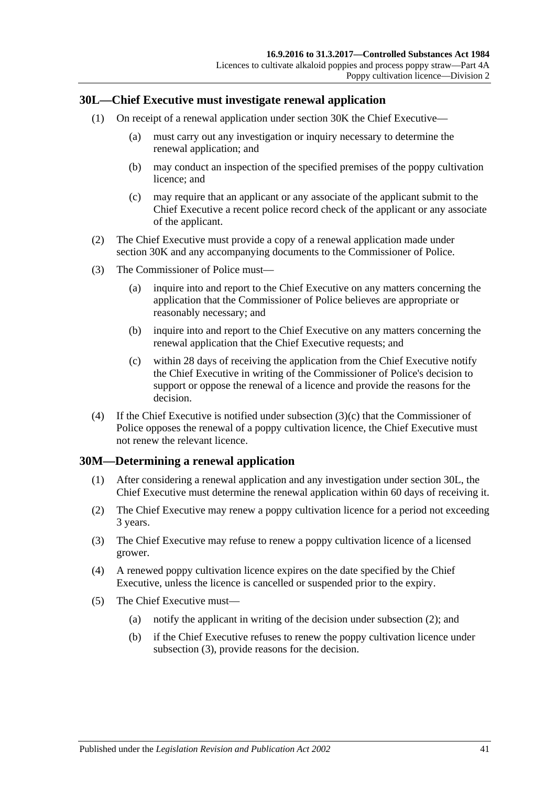## <span id="page-40-1"></span>**30L—Chief Executive must investigate renewal application**

- (1) On receipt of a renewal application under [section](#page-39-1) 30K the Chief Executive—
	- (a) must carry out any investigation or inquiry necessary to determine the renewal application; and
	- (b) may conduct an inspection of the specified premises of the poppy cultivation licence; and
	- (c) may require that an applicant or any associate of the applicant submit to the Chief Executive a recent police record check of the applicant or any associate of the applicant.
- (2) The Chief Executive must provide a copy of a renewal application made under [section](#page-39-1) 30K and any accompanying documents to the Commissioner of Police.
- (3) The Commissioner of Police must—
	- (a) inquire into and report to the Chief Executive on any matters concerning the application that the Commissioner of Police believes are appropriate or reasonably necessary; and
	- (b) inquire into and report to the Chief Executive on any matters concerning the renewal application that the Chief Executive requests; and
	- (c) within 28 days of receiving the application from the Chief Executive notify the Chief Executive in writing of the Commissioner of Police's decision to support or oppose the renewal of a licence and provide the reasons for the decision.
- <span id="page-40-0"></span>(4) If the Chief Executive is notified under [subsection](#page-40-0)  $(3)(c)$  that the Commissioner of Police opposes the renewal of a poppy cultivation licence, the Chief Executive must not renew the relevant licence.

## **30M—Determining a renewal application**

- (1) After considering a renewal application and any investigation under [section](#page-40-1) 30L, the Chief Executive must determine the renewal application within 60 days of receiving it.
- <span id="page-40-2"></span>(2) The Chief Executive may renew a poppy cultivation licence for a period not exceeding 3 years.
- <span id="page-40-3"></span>(3) The Chief Executive may refuse to renew a poppy cultivation licence of a licensed grower.
- (4) A renewed poppy cultivation licence expires on the date specified by the Chief Executive, unless the licence is cancelled or suspended prior to the expiry.
- (5) The Chief Executive must—
	- (a) notify the applicant in writing of the decision under [subsection](#page-40-2) (2); and
	- (b) if the Chief Executive refuses to renew the poppy cultivation licence under [subsection](#page-40-3) (3), provide reasons for the decision.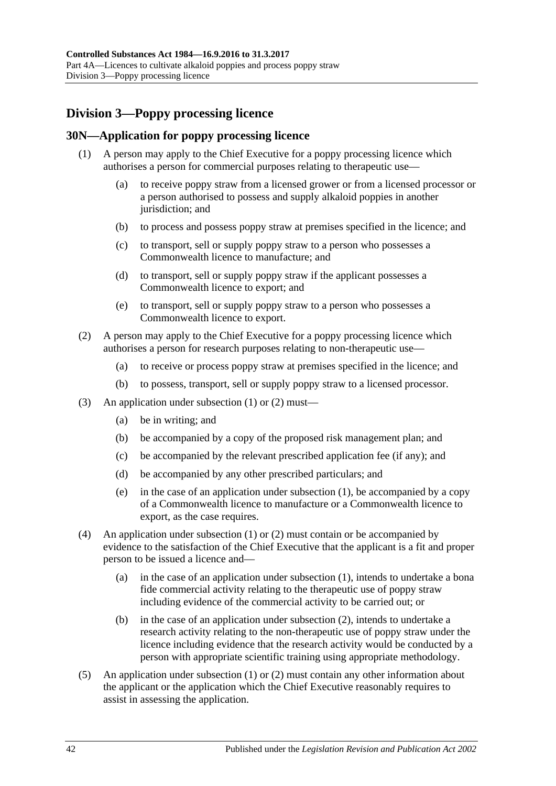# **Division 3—Poppy processing licence**

## <span id="page-41-2"></span><span id="page-41-0"></span>**30N—Application for poppy processing licence**

- (1) A person may apply to the Chief Executive for a poppy processing licence which authorises a person for commercial purposes relating to therapeutic use—
	- (a) to receive poppy straw from a licensed grower or from a licensed processor or a person authorised to possess and supply alkaloid poppies in another jurisdiction; and
	- (b) to process and possess poppy straw at premises specified in the licence; and
	- (c) to transport, sell or supply poppy straw to a person who possesses a Commonwealth licence to manufacture; and
	- (d) to transport, sell or supply poppy straw if the applicant possesses a Commonwealth licence to export; and
	- (e) to transport, sell or supply poppy straw to a person who possesses a Commonwealth licence to export.
- <span id="page-41-1"></span>(2) A person may apply to the Chief Executive for a poppy processing licence which authorises a person for research purposes relating to non-therapeutic use—
	- (a) to receive or process poppy straw at premises specified in the licence; and
	- (b) to possess, transport, sell or supply poppy straw to a licensed processor.
- (3) An application under [subsection](#page-41-0) (1) or [\(2\)](#page-41-1) must—
	- (a) be in writing; and
	- (b) be accompanied by a copy of the proposed risk management plan; and
	- (c) be accompanied by the relevant prescribed application fee (if any); and
	- (d) be accompanied by any other prescribed particulars; and
	- (e) in the case of an application under [subsection](#page-41-0) (1), be accompanied by a copy of a Commonwealth licence to manufacture or a Commonwealth licence to export, as the case requires.
- (4) An application under [subsection](#page-41-0) (1) or [\(2\)](#page-41-1) must contain or be accompanied by evidence to the satisfaction of the Chief Executive that the applicant is a fit and proper person to be issued a licence and—
	- (a) in the case of an application under [subsection](#page-41-0) (1), intends to undertake a bona fide commercial activity relating to the therapeutic use of poppy straw including evidence of the commercial activity to be carried out; or
	- (b) in the case of an application under [subsection](#page-41-1) (2), intends to undertake a research activity relating to the non-therapeutic use of poppy straw under the licence including evidence that the research activity would be conducted by a person with appropriate scientific training using appropriate methodology.
- (5) An application under [subsection](#page-41-0) (1) or [\(2\)](#page-41-1) must contain any other information about the applicant or the application which the Chief Executive reasonably requires to assist in assessing the application.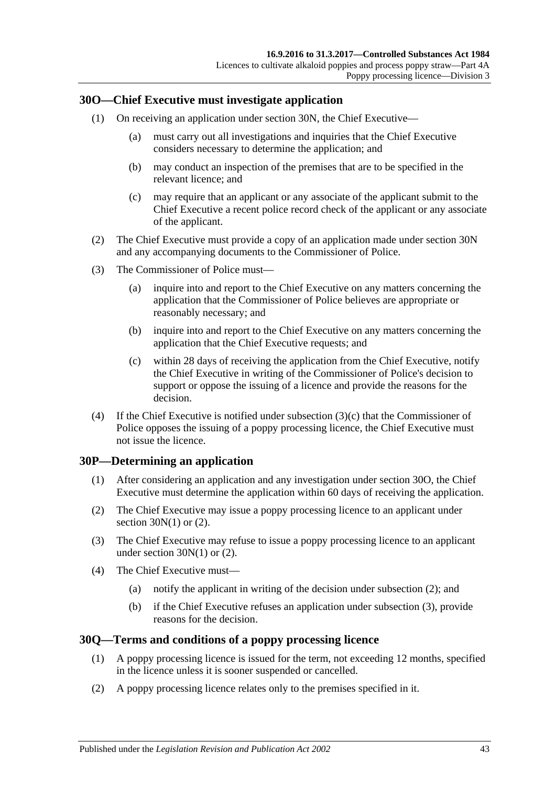## <span id="page-42-1"></span>**30O—Chief Executive must investigate application**

- (1) On receiving an application under [section](#page-41-2) 30N, the Chief Executive—
	- (a) must carry out all investigations and inquiries that the Chief Executive considers necessary to determine the application; and
	- (b) may conduct an inspection of the premises that are to be specified in the relevant licence; and
	- (c) may require that an applicant or any associate of the applicant submit to the Chief Executive a recent police record check of the applicant or any associate of the applicant.
- (2) The Chief Executive must provide a copy of an application made under [section](#page-41-2) 30N and any accompanying documents to the Commissioner of Police.
- (3) The Commissioner of Police must—
	- (a) inquire into and report to the Chief Executive on any matters concerning the application that the Commissioner of Police believes are appropriate or reasonably necessary; and
	- (b) inquire into and report to the Chief Executive on any matters concerning the application that the Chief Executive requests; and
	- (c) within 28 days of receiving the application from the Chief Executive, notify the Chief Executive in writing of the Commissioner of Police's decision to support or oppose the issuing of a licence and provide the reasons for the decision.
- <span id="page-42-0"></span>(4) If the Chief Executive is notified under [subsection](#page-42-0) (3)(c) that the Commissioner of Police opposes the issuing of a poppy processing licence, the Chief Executive must not issue the licence.

## **30P—Determining an application**

- (1) After considering an application and any investigation under [section](#page-42-1) 30O, the Chief Executive must determine the application within 60 days of receiving the application.
- <span id="page-42-2"></span>(2) The Chief Executive may issue a poppy processing licence to an applicant under section  $30N(1)$  or  $(2)$ .
- <span id="page-42-3"></span>(3) The Chief Executive may refuse to issue a poppy processing licence to an applicant under [section](#page-41-0) 30N(1) or [\(2\).](#page-41-1)
- (4) The Chief Executive must—
	- (a) notify the applicant in writing of the decision under [subsection](#page-42-2) (2); and
	- (b) if the Chief Executive refuses an application under [subsection](#page-42-3) (3), provide reasons for the decision.

#### **30Q—Terms and conditions of a poppy processing licence**

- (1) A poppy processing licence is issued for the term, not exceeding 12 months, specified in the licence unless it is sooner suspended or cancelled.
- (2) A poppy processing licence relates only to the premises specified in it.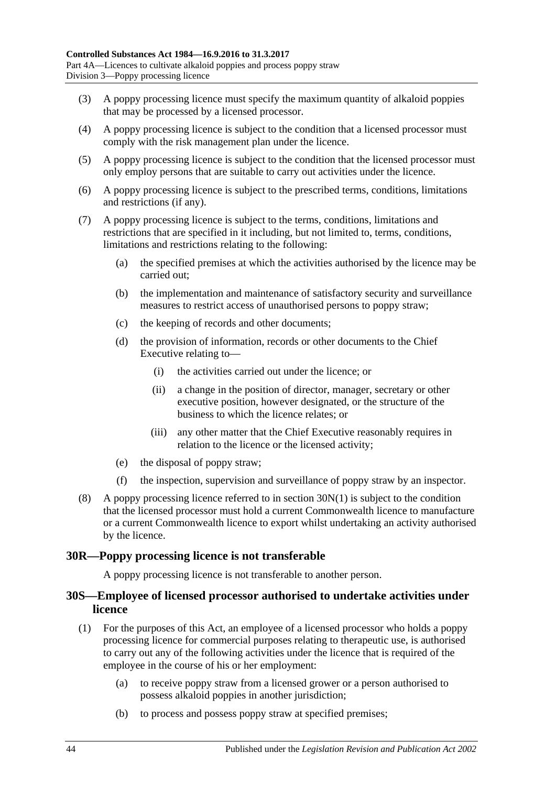- (3) A poppy processing licence must specify the maximum quantity of alkaloid poppies that may be processed by a licensed processor.
- (4) A poppy processing licence is subject to the condition that a licensed processor must comply with the risk management plan under the licence.
- (5) A poppy processing licence is subject to the condition that the licensed processor must only employ persons that are suitable to carry out activities under the licence.
- (6) A poppy processing licence is subject to the prescribed terms, conditions, limitations and restrictions (if any).
- (7) A poppy processing licence is subject to the terms, conditions, limitations and restrictions that are specified in it including, but not limited to, terms, conditions, limitations and restrictions relating to the following:
	- (a) the specified premises at which the activities authorised by the licence may be carried out;
	- (b) the implementation and maintenance of satisfactory security and surveillance measures to restrict access of unauthorised persons to poppy straw;
	- (c) the keeping of records and other documents;
	- (d) the provision of information, records or other documents to the Chief Executive relating to—
		- (i) the activities carried out under the licence; or
		- (ii) a change in the position of director, manager, secretary or other executive position, however designated, or the structure of the business to which the licence relates; or
		- (iii) any other matter that the Chief Executive reasonably requires in relation to the licence or the licensed activity;
	- (e) the disposal of poppy straw;
	- (f) the inspection, supervision and surveillance of poppy straw by an inspector.
- (8) A poppy processing licence referred to in [section](#page-41-0) 30N(1) is subject to the condition that the licensed processor must hold a current Commonwealth licence to manufacture or a current Commonwealth licence to export whilst undertaking an activity authorised by the licence.

## **30R—Poppy processing licence is not transferable**

A poppy processing licence is not transferable to another person.

## **30S—Employee of licensed processor authorised to undertake activities under licence**

- <span id="page-43-0"></span>(1) For the purposes of this Act, an employee of a licensed processor who holds a poppy processing licence for commercial purposes relating to therapeutic use, is authorised to carry out any of the following activities under the licence that is required of the employee in the course of his or her employment:
	- (a) to receive poppy straw from a licensed grower or a person authorised to possess alkaloid poppies in another jurisdiction;
	- (b) to process and possess poppy straw at specified premises;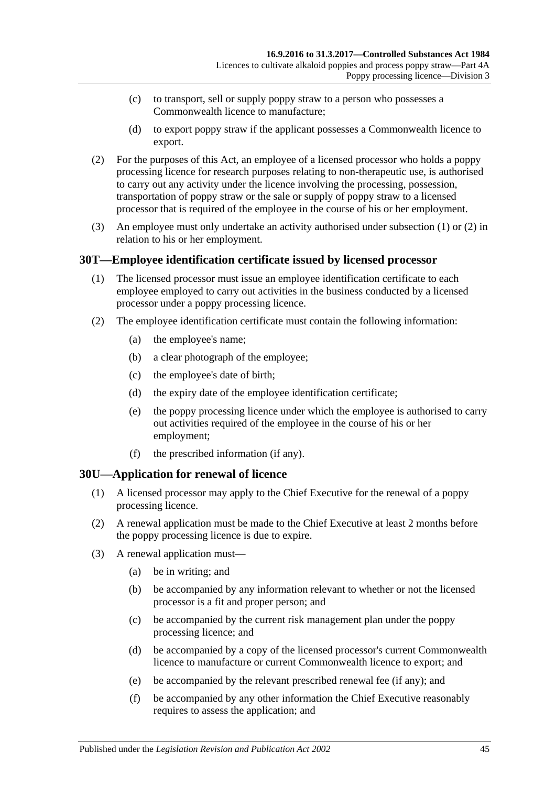- (c) to transport, sell or supply poppy straw to a person who possesses a Commonwealth licence to manufacture;
- (d) to export poppy straw if the applicant possesses a Commonwealth licence to export.
- <span id="page-44-0"></span>(2) For the purposes of this Act, an employee of a licensed processor who holds a poppy processing licence for research purposes relating to non-therapeutic use, is authorised to carry out any activity under the licence involving the processing, possession, transportation of poppy straw or the sale or supply of poppy straw to a licensed processor that is required of the employee in the course of his or her employment.
- (3) An employee must only undertake an activity authorised under [subsection](#page-43-0) (1) or [\(2\)](#page-44-0) in relation to his or her employment.

## **30T—Employee identification certificate issued by licensed processor**

- (1) The licensed processor must issue an employee identification certificate to each employee employed to carry out activities in the business conducted by a licensed processor under a poppy processing licence.
- <span id="page-44-2"></span>(2) The employee identification certificate must contain the following information:
	- (a) the employee's name;
	- (b) a clear photograph of the employee;
	- (c) the employee's date of birth;
	- (d) the expiry date of the employee identification certificate;
	- (e) the poppy processing licence under which the employee is authorised to carry out activities required of the employee in the course of his or her employment;
	- (f) the prescribed information (if any).

## <span id="page-44-1"></span>**30U—Application for renewal of licence**

- (1) A licensed processor may apply to the Chief Executive for the renewal of a poppy processing licence.
- (2) A renewal application must be made to the Chief Executive at least 2 months before the poppy processing licence is due to expire.
- (3) A renewal application must—
	- (a) be in writing; and
	- (b) be accompanied by any information relevant to whether or not the licensed processor is a fit and proper person; and
	- (c) be accompanied by the current risk management plan under the poppy processing licence; and
	- (d) be accompanied by a copy of the licensed processor's current Commonwealth licence to manufacture or current Commonwealth licence to export; and
	- (e) be accompanied by the relevant prescribed renewal fee (if any); and
	- (f) be accompanied by any other information the Chief Executive reasonably requires to assess the application; and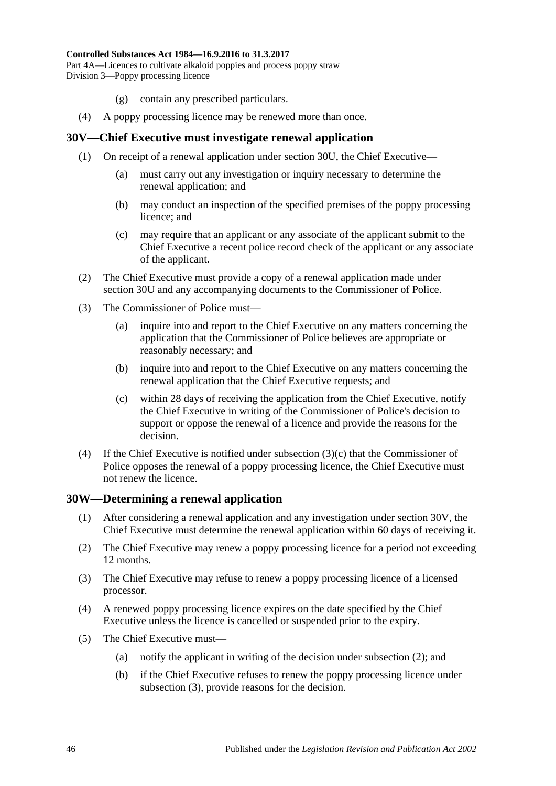- (g) contain any prescribed particulars.
- (4) A poppy processing licence may be renewed more than once.

#### <span id="page-45-1"></span>**30V—Chief Executive must investigate renewal application**

- (1) On receipt of a renewal application under [section](#page-44-1) 30U, the Chief Executive—
	- (a) must carry out any investigation or inquiry necessary to determine the renewal application; and
	- (b) may conduct an inspection of the specified premises of the poppy processing licence; and
	- (c) may require that an applicant or any associate of the applicant submit to the Chief Executive a recent police record check of the applicant or any associate of the applicant.
- (2) The Chief Executive must provide a copy of a renewal application made under [section](#page-44-1) 30U and any accompanying documents to the Commissioner of Police.
- (3) The Commissioner of Police must—
	- (a) inquire into and report to the Chief Executive on any matters concerning the application that the Commissioner of Police believes are appropriate or reasonably necessary; and
	- (b) inquire into and report to the Chief Executive on any matters concerning the renewal application that the Chief Executive requests; and
	- (c) within 28 days of receiving the application from the Chief Executive, notify the Chief Executive in writing of the Commissioner of Police's decision to support or oppose the renewal of a licence and provide the reasons for the decision.
- <span id="page-45-0"></span>(4) If the Chief Executive is notified under [subsection](#page-45-0) (3)(c) that the Commissioner of Police opposes the renewal of a poppy processing licence, the Chief Executive must not renew the licence.

#### **30W—Determining a renewal application**

- (1) After considering a renewal application and any investigation under [section](#page-45-1) 30V, the Chief Executive must determine the renewal application within 60 days of receiving it.
- <span id="page-45-2"></span>(2) The Chief Executive may renew a poppy processing licence for a period not exceeding 12 months.
- <span id="page-45-3"></span>(3) The Chief Executive may refuse to renew a poppy processing licence of a licensed processor.
- (4) A renewed poppy processing licence expires on the date specified by the Chief Executive unless the licence is cancelled or suspended prior to the expiry.
- (5) The Chief Executive must—
	- (a) notify the applicant in writing of the decision under [subsection](#page-45-2) (2); and
	- (b) if the Chief Executive refuses to renew the poppy processing licence under [subsection](#page-45-3) (3), provide reasons for the decision.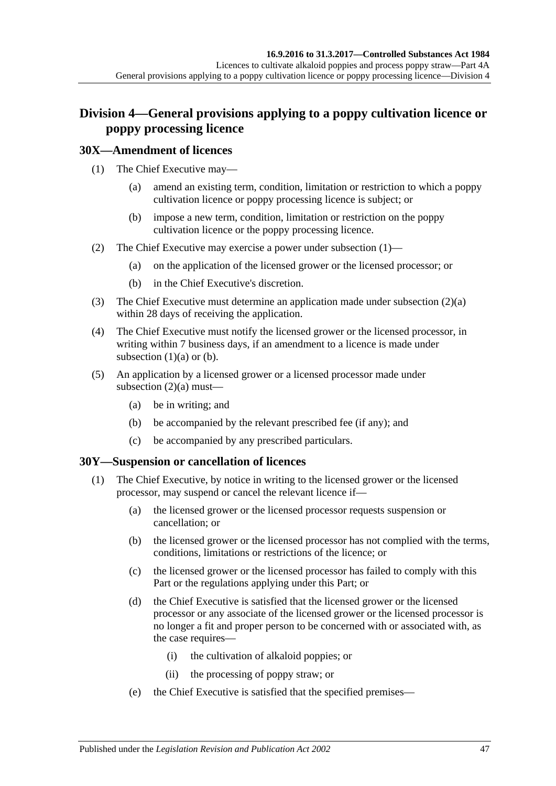# **Division 4—General provisions applying to a poppy cultivation licence or poppy processing licence**

## <span id="page-46-0"></span>**30X—Amendment of licences**

- <span id="page-46-2"></span>(1) The Chief Executive may—
	- (a) amend an existing term, condition, limitation or restriction to which a poppy cultivation licence or poppy processing licence is subject; or
	- (b) impose a new term, condition, limitation or restriction on the poppy cultivation licence or the poppy processing licence.
- <span id="page-46-3"></span><span id="page-46-1"></span>(2) The Chief Executive may exercise a power under [subsection](#page-46-0) (1)—
	- (a) on the application of the licensed grower or the licensed processor; or
	- (b) in the Chief Executive's discretion.
- (3) The Chief Executive must determine an application made under [subsection](#page-46-1) (2)(a) within 28 days of receiving the application.
- (4) The Chief Executive must notify the licensed grower or the licensed processor, in writing within 7 business days, if an amendment to a licence is made under [subsection](#page-46-2)  $(1)(a)$  or  $(b)$ .
- (5) An application by a licensed grower or a licensed processor made under [subsection](#page-46-1)  $(2)(a)$  must-
	- (a) be in writing; and
	- (b) be accompanied by the relevant prescribed fee (if any); and
	- (c) be accompanied by any prescribed particulars.

## <span id="page-46-5"></span><span id="page-46-4"></span>**30Y—Suspension or cancellation of licences**

- (1) The Chief Executive, by notice in writing to the licensed grower or the licensed processor, may suspend or cancel the relevant licence if—
	- (a) the licensed grower or the licensed processor requests suspension or cancellation; or
	- (b) the licensed grower or the licensed processor has not complied with the terms, conditions, limitations or restrictions of the licence; or
	- (c) the licensed grower or the licensed processor has failed to comply with this Part or the regulations applying under this Part; or
	- (d) the Chief Executive is satisfied that the licensed grower or the licensed processor or any associate of the licensed grower or the licensed processor is no longer a fit and proper person to be concerned with or associated with, as the case requires—
		- (i) the cultivation of alkaloid poppies; or
		- (ii) the processing of poppy straw; or
	- (e) the Chief Executive is satisfied that the specified premises—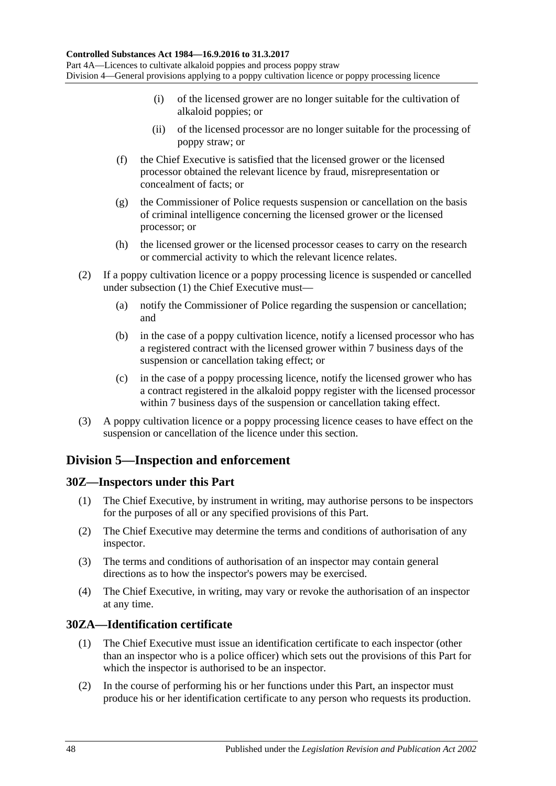- (i) of the licensed grower are no longer suitable for the cultivation of alkaloid poppies; or
- (ii) of the licensed processor are no longer suitable for the processing of poppy straw; or
- (f) the Chief Executive is satisfied that the licensed grower or the licensed processor obtained the relevant licence by fraud, misrepresentation or concealment of facts; or
- (g) the Commissioner of Police requests suspension or cancellation on the basis of criminal intelligence concerning the licensed grower or the licensed processor; or
- (h) the licensed grower or the licensed processor ceases to carry on the research or commercial activity to which the relevant licence relates.
- (2) If a poppy cultivation licence or a poppy processing licence is suspended or cancelled under [subsection](#page-46-4) (1) the Chief Executive must—
	- (a) notify the Commissioner of Police regarding the suspension or cancellation; and
	- (b) in the case of a poppy cultivation licence, notify a licensed processor who has a registered contract with the licensed grower within 7 business days of the suspension or cancellation taking effect; or
	- (c) in the case of a poppy processing licence, notify the licensed grower who has a contract registered in the alkaloid poppy register with the licensed processor within 7 business days of the suspension or cancellation taking effect.
- (3) A poppy cultivation licence or a poppy processing licence ceases to have effect on the suspension or cancellation of the licence under this section.

# **Division 5—Inspection and enforcement**

## **30Z—Inspectors under this Part**

- (1) The Chief Executive, by instrument in writing, may authorise persons to be inspectors for the purposes of all or any specified provisions of this Part.
- (2) The Chief Executive may determine the terms and conditions of authorisation of any inspector.
- (3) The terms and conditions of authorisation of an inspector may contain general directions as to how the inspector's powers may be exercised.
- (4) The Chief Executive, in writing, may vary or revoke the authorisation of an inspector at any time.

## **30ZA—Identification certificate**

- (1) The Chief Executive must issue an identification certificate to each inspector (other than an inspector who is a police officer) which sets out the provisions of this Part for which the inspector is authorised to be an inspector.
- (2) In the course of performing his or her functions under this Part, an inspector must produce his or her identification certificate to any person who requests its production.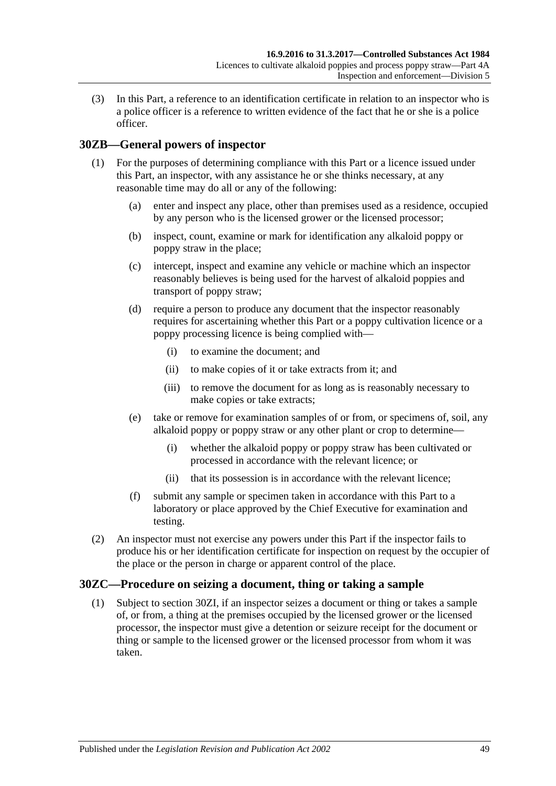(3) In this Part, a reference to an identification certificate in relation to an inspector who is a police officer is a reference to written evidence of the fact that he or she is a police officer.

## <span id="page-48-1"></span>**30ZB—General powers of inspector**

- (1) For the purposes of determining compliance with this Part or a licence issued under this Part, an inspector, with any assistance he or she thinks necessary, at any reasonable time may do all or any of the following:
	- (a) enter and inspect any place, other than premises used as a residence, occupied by any person who is the licensed grower or the licensed processor;
	- (b) inspect, count, examine or mark for identification any alkaloid poppy or poppy straw in the place;
	- (c) intercept, inspect and examine any vehicle or machine which an inspector reasonably believes is being used for the harvest of alkaloid poppies and transport of poppy straw;
	- (d) require a person to produce any document that the inspector reasonably requires for ascertaining whether this Part or a poppy cultivation licence or a poppy processing licence is being complied with—
		- (i) to examine the document; and
		- (ii) to make copies of it or take extracts from it; and
		- (iii) to remove the document for as long as is reasonably necessary to make copies or take extracts;
	- (e) take or remove for examination samples of or from, or specimens of, soil, any alkaloid poppy or poppy straw or any other plant or crop to determine—
		- (i) whether the alkaloid poppy or poppy straw has been cultivated or processed in accordance with the relevant licence; or
		- (ii) that its possession is in accordance with the relevant licence;
	- (f) submit any sample or specimen taken in accordance with this Part to a laboratory or place approved by the Chief Executive for examination and testing.
- <span id="page-48-0"></span>(2) An inspector must not exercise any powers under this Part if the inspector fails to produce his or her identification certificate for inspection on request by the occupier of the place or the person in charge or apparent control of the place.

## **30ZC—Procedure on seizing a document, thing or taking a sample**

(1) Subject to [section](#page-50-0) 30ZI, if an inspector seizes a document or thing or takes a sample of, or from, a thing at the premises occupied by the licensed grower or the licensed processor, the inspector must give a detention or seizure receipt for the document or thing or sample to the licensed grower or the licensed processor from whom it was taken.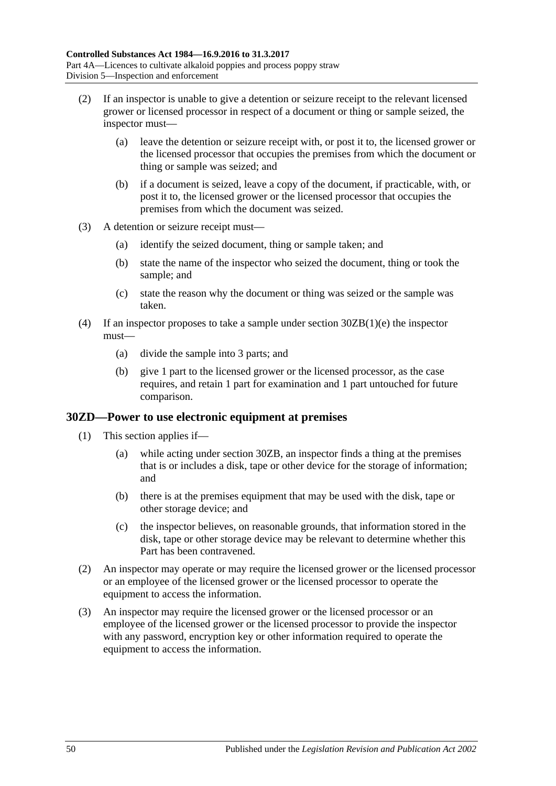- (2) If an inspector is unable to give a detention or seizure receipt to the relevant licensed grower or licensed processor in respect of a document or thing or sample seized, the inspector must—
	- (a) leave the detention or seizure receipt with, or post it to, the licensed grower or the licensed processor that occupies the premises from which the document or thing or sample was seized; and
	- (b) if a document is seized, leave a copy of the document, if practicable, with, or post it to, the licensed grower or the licensed processor that occupies the premises from which the document was seized.
- (3) A detention or seizure receipt must—
	- (a) identify the seized document, thing or sample taken; and
	- (b) state the name of the inspector who seized the document, thing or took the sample; and
	- (c) state the reason why the document or thing was seized or the sample was taken.
- (4) If an inspector proposes to take a sample under section [30ZB\(1\)\(e\)](#page-48-0) the inspector must—
	- (a) divide the sample into 3 parts; and
	- (b) give 1 part to the licensed grower or the licensed processor, as the case requires, and retain 1 part for examination and 1 part untouched for future comparison.

#### <span id="page-49-0"></span>**30ZD—Power to use electronic equipment at premises**

- (1) This section applies if—
	- (a) while acting under [section](#page-48-1) 30ZB, an inspector finds a thing at the premises that is or includes a disk, tape or other device for the storage of information; and
	- (b) there is at the premises equipment that may be used with the disk, tape or other storage device; and
	- (c) the inspector believes, on reasonable grounds, that information stored in the disk, tape or other storage device may be relevant to determine whether this Part has been contravened.
- (2) An inspector may operate or may require the licensed grower or the licensed processor or an employee of the licensed grower or the licensed processor to operate the equipment to access the information.
- (3) An inspector may require the licensed grower or the licensed processor or an employee of the licensed grower or the licensed processor to provide the inspector with any password, encryption key or other information required to operate the equipment to access the information.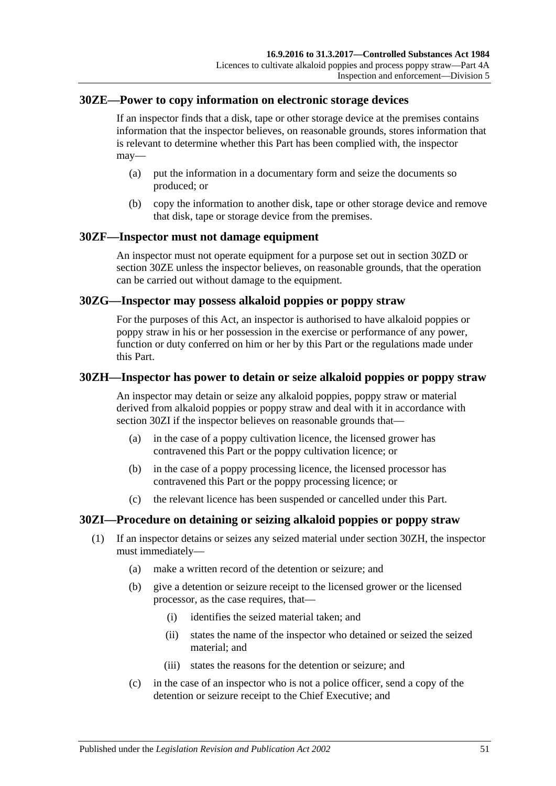### <span id="page-50-1"></span>**30ZE—Power to copy information on electronic storage devices**

If an inspector finds that a disk, tape or other storage device at the premises contains information that the inspector believes, on reasonable grounds, stores information that is relevant to determine whether this Part has been complied with, the inspector may—

- (a) put the information in a documentary form and seize the documents so produced; or
- (b) copy the information to another disk, tape or other storage device and remove that disk, tape or storage device from the premises.

### **30ZF—Inspector must not damage equipment**

An inspector must not operate equipment for a purpose set out in [section](#page-49-0) 30ZD or [section](#page-50-1) 30ZE unless the inspector believes, on reasonable grounds, that the operation can be carried out without damage to the equipment.

### **30ZG—Inspector may possess alkaloid poppies or poppy straw**

For the purposes of this Act, an inspector is authorised to have alkaloid poppies or poppy straw in his or her possession in the exercise or performance of any power, function or duty conferred on him or her by this Part or the regulations made under this Part.

### <span id="page-50-2"></span>**30ZH—Inspector has power to detain or seize alkaloid poppies or poppy straw**

An inspector may detain or seize any alkaloid poppies, poppy straw or material derived from alkaloid poppies or poppy straw and deal with it in accordance with [section](#page-50-0) 30ZI if the inspector believes on reasonable grounds that—

- (a) in the case of a poppy cultivation licence, the licensed grower has contravened this Part or the poppy cultivation licence; or
- (b) in the case of a poppy processing licence, the licensed processor has contravened this Part or the poppy processing licence; or
- (c) the relevant licence has been suspended or cancelled under this Part.

## <span id="page-50-0"></span>**30ZI—Procedure on detaining or seizing alkaloid poppies or poppy straw**

- (1) If an inspector detains or seizes any seized material under [section](#page-50-2) 30ZH, the inspector must immediately—
	- (a) make a written record of the detention or seizure; and
	- (b) give a detention or seizure receipt to the licensed grower or the licensed processor, as the case requires, that—
		- (i) identifies the seized material taken; and
		- (ii) states the name of the inspector who detained or seized the seized material; and
		- (iii) states the reasons for the detention or seizure; and
	- (c) in the case of an inspector who is not a police officer, send a copy of the detention or seizure receipt to the Chief Executive; and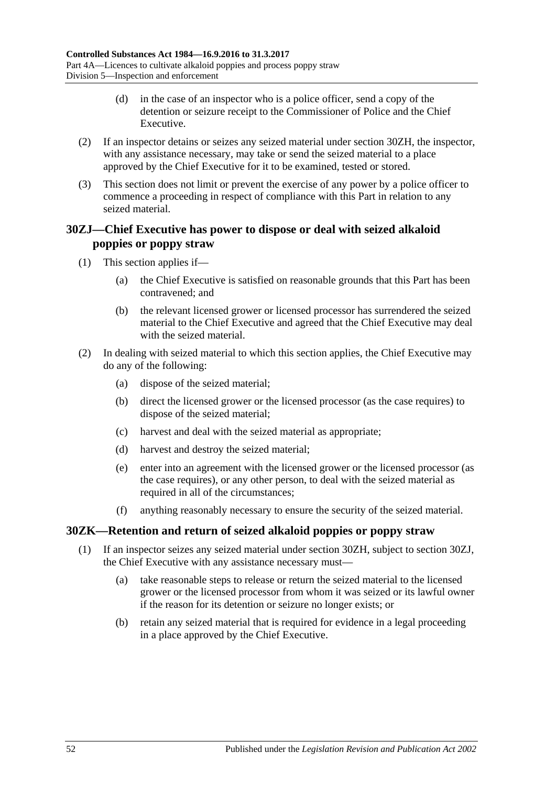- (d) in the case of an inspector who is a police officer, send a copy of the detention or seizure receipt to the Commissioner of Police and the Chief Executive.
- (2) If an inspector detains or seizes any seized material under [section](#page-50-2) 30ZH, the inspector, with any assistance necessary, may take or send the seized material to a place approved by the Chief Executive for it to be examined, tested or stored.
- (3) This section does not limit or prevent the exercise of any power by a police officer to commence a proceeding in respect of compliance with this Part in relation to any seized material.

## <span id="page-51-0"></span>**30ZJ—Chief Executive has power to dispose or deal with seized alkaloid poppies or poppy straw**

- (1) This section applies if—
	- (a) the Chief Executive is satisfied on reasonable grounds that this Part has been contravened; and
	- (b) the relevant licensed grower or licensed processor has surrendered the seized material to the Chief Executive and agreed that the Chief Executive may deal with the seized material.
- (2) In dealing with seized material to which this section applies, the Chief Executive may do any of the following:
	- (a) dispose of the seized material;
	- (b) direct the licensed grower or the licensed processor (as the case requires) to dispose of the seized material;
	- (c) harvest and deal with the seized material as appropriate;
	- (d) harvest and destroy the seized material;
	- (e) enter into an agreement with the licensed grower or the licensed processor (as the case requires), or any other person, to deal with the seized material as required in all of the circumstances;
	- (f) anything reasonably necessary to ensure the security of the seized material.

## **30ZK—Retention and return of seized alkaloid poppies or poppy straw**

- (1) If an inspector seizes any seized material under [section](#page-50-2) 30ZH, subject to [section](#page-51-0) 30ZJ, the Chief Executive with any assistance necessary must—
	- (a) take reasonable steps to release or return the seized material to the licensed grower or the licensed processor from whom it was seized or its lawful owner if the reason for its detention or seizure no longer exists; or
	- (b) retain any seized material that is required for evidence in a legal proceeding in a place approved by the Chief Executive.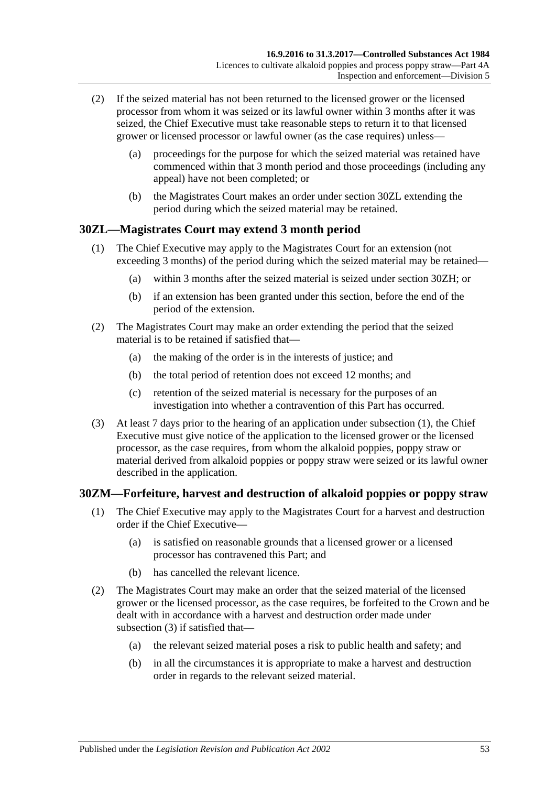- (2) If the seized material has not been returned to the licensed grower or the licensed processor from whom it was seized or its lawful owner within 3 months after it was seized, the Chief Executive must take reasonable steps to return it to that licensed grower or licensed processor or lawful owner (as the case requires) unless—
	- (a) proceedings for the purpose for which the seized material was retained have commenced within that 3 month period and those proceedings (including any appeal) have not been completed; or
	- (b) the Magistrates Court makes an order under [section](#page-52-0) 30ZL extending the period during which the seized material may be retained.

## <span id="page-52-1"></span><span id="page-52-0"></span>**30ZL—Magistrates Court may extend 3 month period**

- (1) The Chief Executive may apply to the Magistrates Court for an extension (not exceeding 3 months) of the period during which the seized material may be retained—
	- (a) within 3 months after the seized material is seized under [section](#page-50-2) 30ZH; or
	- (b) if an extension has been granted under this section, before the end of the period of the extension.
- (2) The Magistrates Court may make an order extending the period that the seized material is to be retained if satisfied that—
	- (a) the making of the order is in the interests of justice; and
	- (b) the total period of retention does not exceed 12 months; and
	- (c) retention of the seized material is necessary for the purposes of an investigation into whether a contravention of this Part has occurred.
- (3) At least 7 days prior to the hearing of an application under [subsection](#page-52-1) (1), the Chief Executive must give notice of the application to the licensed grower or the licensed processor, as the case requires, from whom the alkaloid poppies, poppy straw or material derived from alkaloid poppies or poppy straw were seized or its lawful owner described in the application.

## **30ZM—Forfeiture, harvest and destruction of alkaloid poppies or poppy straw**

- (1) The Chief Executive may apply to the Magistrates Court for a harvest and destruction order if the Chief Executive—
	- (a) is satisfied on reasonable grounds that a licensed grower or a licensed processor has contravened this Part; and
	- (b) has cancelled the relevant licence.
- (2) The Magistrates Court may make an order that the seized material of the licensed grower or the licensed processor, as the case requires, be forfeited to the Crown and be dealt with in accordance with a harvest and destruction order made under [subsection](#page-53-0) (3) if satisfied that—
	- (a) the relevant seized material poses a risk to public health and safety; and
	- (b) in all the circumstances it is appropriate to make a harvest and destruction order in regards to the relevant seized material.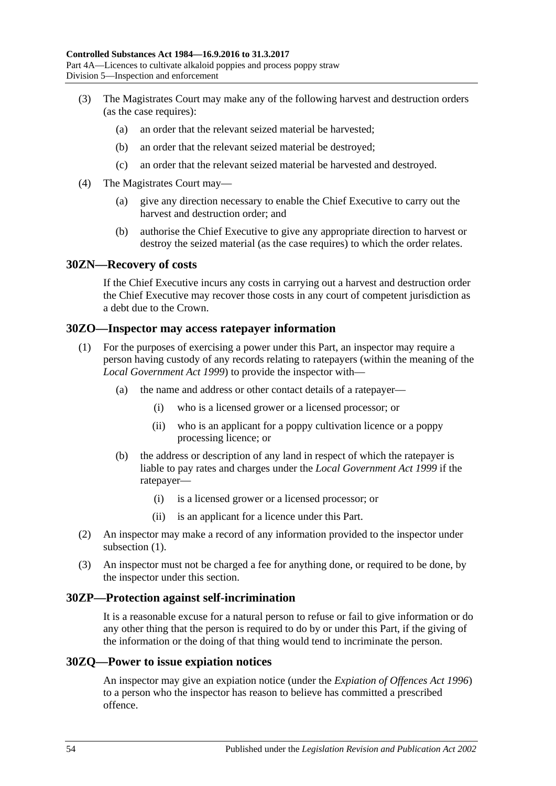- <span id="page-53-0"></span>(3) The Magistrates Court may make any of the following harvest and destruction orders (as the case requires):
	- (a) an order that the relevant seized material be harvested;
	- (b) an order that the relevant seized material be destroyed;
	- (c) an order that the relevant seized material be harvested and destroyed.
- (4) The Magistrates Court may—
	- (a) give any direction necessary to enable the Chief Executive to carry out the harvest and destruction order; and
	- (b) authorise the Chief Executive to give any appropriate direction to harvest or destroy the seized material (as the case requires) to which the order relates.

#### **30ZN—Recovery of costs**

If the Chief Executive incurs any costs in carrying out a harvest and destruction order the Chief Executive may recover those costs in any court of competent jurisdiction as a debt due to the Crown.

#### <span id="page-53-1"></span>**30ZO—Inspector may access ratepayer information**

- (1) For the purposes of exercising a power under this Part, an inspector may require a person having custody of any records relating to ratepayers (within the meaning of the *[Local Government Act](http://www.legislation.sa.gov.au/index.aspx?action=legref&type=act&legtitle=Local%20Government%20Act%201999) 1999*) to provide the inspector with—
	- (a) the name and address or other contact details of a ratepayer—
		- (i) who is a licensed grower or a licensed processor; or
		- (ii) who is an applicant for a poppy cultivation licence or a poppy processing licence; or
	- (b) the address or description of any land in respect of which the ratepayer is liable to pay rates and charges under the *[Local Government Act](http://www.legislation.sa.gov.au/index.aspx?action=legref&type=act&legtitle=Local%20Government%20Act%201999) 1999* if the ratepayer—
		- (i) is a licensed grower or a licensed processor; or
		- (ii) is an applicant for a licence under this Part.
- (2) An inspector may make a record of any information provided to the inspector under [subsection](#page-53-1) (1).
- (3) An inspector must not be charged a fee for anything done, or required to be done, by the inspector under this section.

#### **30ZP—Protection against self-incrimination**

It is a reasonable excuse for a natural person to refuse or fail to give information or do any other thing that the person is required to do by or under this Part, if the giving of the information or the doing of that thing would tend to incriminate the person.

#### <span id="page-53-2"></span>**30ZQ—Power to issue expiation notices**

An inspector may give an expiation notice (under the *[Expiation of Offences Act](http://www.legislation.sa.gov.au/index.aspx?action=legref&type=act&legtitle=Expiation%20of%20Offences%20Act%201996) 1996*) to a person who the inspector has reason to believe has committed a prescribed offence.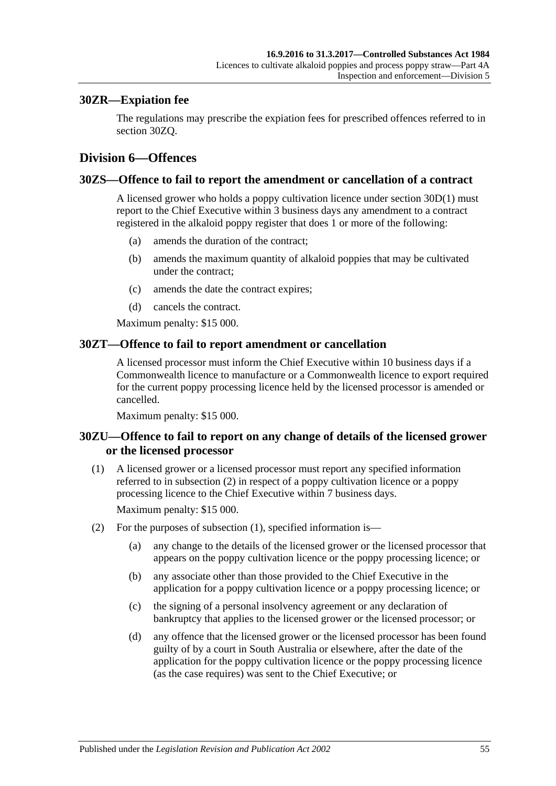### **30ZR—Expiation fee**

The regulations may prescribe the expiation fees for prescribed offences referred to in [section](#page-53-2) 30ZQ.

## **Division 6—Offences**

#### **30ZS—Offence to fail to report the amendment or cancellation of a contract**

A licensed grower who holds a poppy cultivation licence under [section](#page-36-0) 30D(1) must report to the Chief Executive within 3 business days any amendment to a contract registered in the alkaloid poppy register that does 1 or more of the following:

- (a) amends the duration of the contract;
- (b) amends the maximum quantity of alkaloid poppies that may be cultivated under the contract;
- (c) amends the date the contract expires;
- (d) cancels the contract.

Maximum penalty: \$15 000.

#### **30ZT—Offence to fail to report amendment or cancellation**

A licensed processor must inform the Chief Executive within 10 business days if a Commonwealth licence to manufacture or a Commonwealth licence to export required for the current poppy processing licence held by the licensed processor is amended or cancelled.

Maximum penalty: \$15 000.

## **30ZU—Offence to fail to report on any change of details of the licensed grower or the licensed processor**

<span id="page-54-1"></span>(1) A licensed grower or a licensed processor must report any specified information referred to in [subsection](#page-54-0) (2) in respect of a poppy cultivation licence or a poppy processing licence to the Chief Executive within 7 business days.

Maximum penalty: \$15 000.

- <span id="page-54-0"></span>(2) For the purposes of [subsection](#page-54-1) (1), specified information is—
	- (a) any change to the details of the licensed grower or the licensed processor that appears on the poppy cultivation licence or the poppy processing licence; or
	- (b) any associate other than those provided to the Chief Executive in the application for a poppy cultivation licence or a poppy processing licence; or
	- (c) the signing of a personal insolvency agreement or any declaration of bankruptcy that applies to the licensed grower or the licensed processor; or
	- (d) any offence that the licensed grower or the licensed processor has been found guilty of by a court in South Australia or elsewhere, after the date of the application for the poppy cultivation licence or the poppy processing licence (as the case requires) was sent to the Chief Executive; or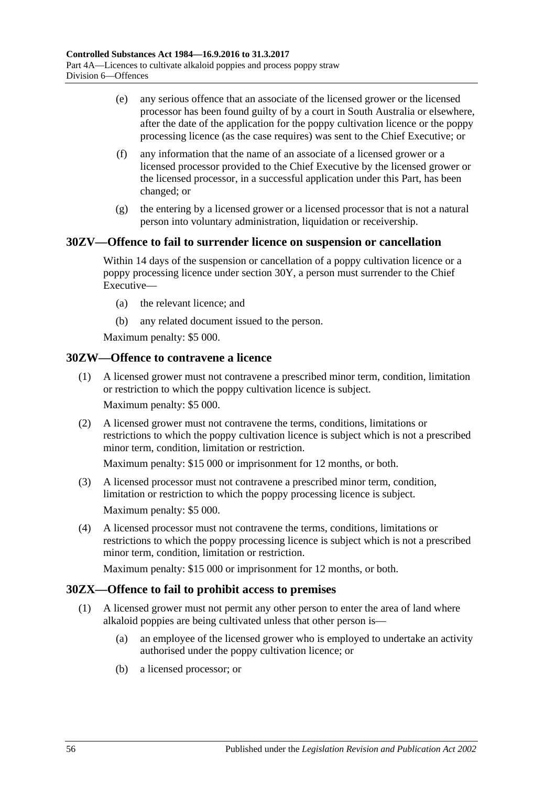- (e) any serious offence that an associate of the licensed grower or the licensed processor has been found guilty of by a court in South Australia or elsewhere, after the date of the application for the poppy cultivation licence or the poppy processing licence (as the case requires) was sent to the Chief Executive; or
- (f) any information that the name of an associate of a licensed grower or a licensed processor provided to the Chief Executive by the licensed grower or the licensed processor, in a successful application under this Part, has been changed; or
- (g) the entering by a licensed grower or a licensed processor that is not a natural person into voluntary administration, liquidation or receivership.

## **30ZV—Offence to fail to surrender licence on suspension or cancellation**

Within 14 days of the suspension or cancellation of a poppy cultivation licence or a poppy processing licence under [section](#page-46-5) 30Y, a person must surrender to the Chief Executive—

- (a) the relevant licence; and
- (b) any related document issued to the person.

Maximum penalty: \$5 000.

## **30ZW—Offence to contravene a licence**

- (1) A licensed grower must not contravene a prescribed minor term, condition, limitation or restriction to which the poppy cultivation licence is subject. Maximum penalty: \$5 000.
- (2) A licensed grower must not contravene the terms, conditions, limitations or restrictions to which the poppy cultivation licence is subject which is not a prescribed minor term, condition, limitation or restriction.

Maximum penalty: \$15 000 or imprisonment for 12 months, or both.

- (3) A licensed processor must not contravene a prescribed minor term, condition, limitation or restriction to which the poppy processing licence is subject. Maximum penalty: \$5 000.
- (4) A licensed processor must not contravene the terms, conditions, limitations or restrictions to which the poppy processing licence is subject which is not a prescribed minor term, condition, limitation or restriction.

Maximum penalty: \$15 000 or imprisonment for 12 months, or both.

## **30ZX—Offence to fail to prohibit access to premises**

- (1) A licensed grower must not permit any other person to enter the area of land where alkaloid poppies are being cultivated unless that other person is—
	- (a) an employee of the licensed grower who is employed to undertake an activity authorised under the poppy cultivation licence; or
	- (b) a licensed processor; or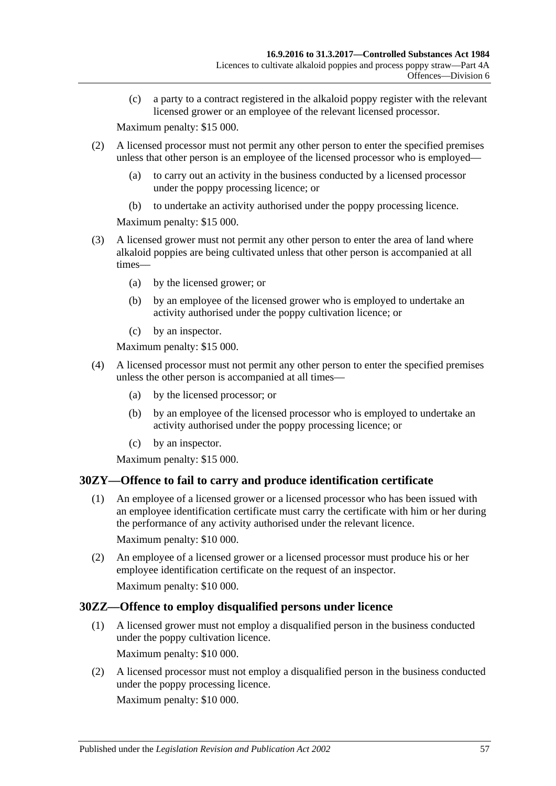(c) a party to a contract registered in the alkaloid poppy register with the relevant licensed grower or an employee of the relevant licensed processor.

Maximum penalty: \$15 000.

- (2) A licensed processor must not permit any other person to enter the specified premises unless that other person is an employee of the licensed processor who is employed—
	- (a) to carry out an activity in the business conducted by a licensed processor under the poppy processing licence; or
	- (b) to undertake an activity authorised under the poppy processing licence.

Maximum penalty: \$15 000.

- (3) A licensed grower must not permit any other person to enter the area of land where alkaloid poppies are being cultivated unless that other person is accompanied at all times—
	- (a) by the licensed grower; or
	- (b) by an employee of the licensed grower who is employed to undertake an activity authorised under the poppy cultivation licence; or
	- (c) by an inspector.

Maximum penalty: \$15 000.

- (4) A licensed processor must not permit any other person to enter the specified premises unless the other person is accompanied at all times—
	- (a) by the licensed processor; or
	- (b) by an employee of the licensed processor who is employed to undertake an activity authorised under the poppy processing licence; or
	- (c) by an inspector.

Maximum penalty: \$15 000.

## **30ZY—Offence to fail to carry and produce identification certificate**

(1) An employee of a licensed grower or a licensed processor who has been issued with an employee identification certificate must carry the certificate with him or her during the performance of any activity authorised under the relevant licence.

Maximum penalty: \$10 000.

(2) An employee of a licensed grower or a licensed processor must produce his or her employee identification certificate on the request of an inspector.

Maximum penalty: \$10 000.

## **30ZZ—Offence to employ disqualified persons under licence**

(1) A licensed grower must not employ a disqualified person in the business conducted under the poppy cultivation licence.

Maximum penalty: \$10 000.

(2) A licensed processor must not employ a disqualified person in the business conducted under the poppy processing licence.

Maximum penalty: \$10 000.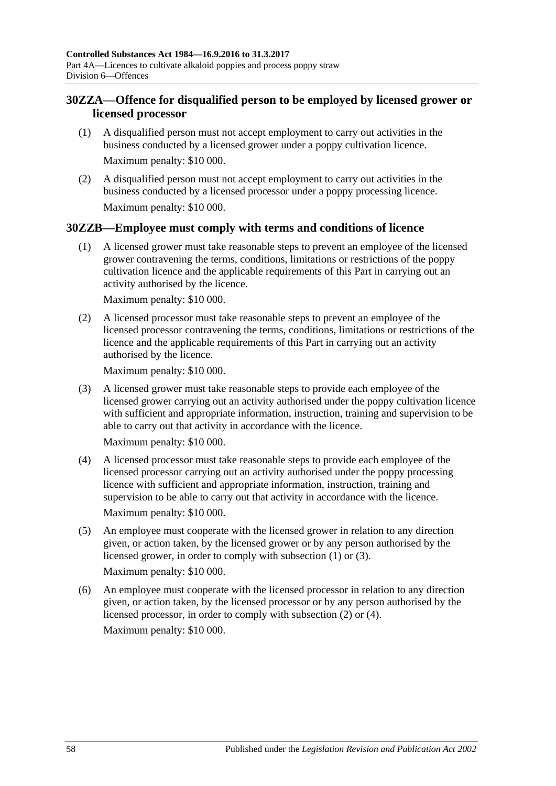## **30ZZA—Offence for disqualified person to be employed by licensed grower or licensed processor**

- (1) A disqualified person must not accept employment to carry out activities in the business conducted by a licensed grower under a poppy cultivation licence. Maximum penalty: \$10 000.
- (2) A disqualified person must not accept employment to carry out activities in the business conducted by a licensed processor under a poppy processing licence. Maximum penalty: \$10 000.

## <span id="page-57-0"></span>**30ZZB—Employee must comply with terms and conditions of licence**

(1) A licensed grower must take reasonable steps to prevent an employee of the licensed grower contravening the terms, conditions, limitations or restrictions of the poppy cultivation licence and the applicable requirements of this Part in carrying out an activity authorised by the licence.

Maximum penalty: \$10 000.

<span id="page-57-2"></span>(2) A licensed processor must take reasonable steps to prevent an employee of the licensed processor contravening the terms, conditions, limitations or restrictions of the licence and the applicable requirements of this Part in carrying out an activity authorised by the licence.

Maximum penalty: \$10 000.

<span id="page-57-1"></span>(3) A licensed grower must take reasonable steps to provide each employee of the licensed grower carrying out an activity authorised under the poppy cultivation licence with sufficient and appropriate information, instruction, training and supervision to be able to carry out that activity in accordance with the licence.

Maximum penalty: \$10 000.

<span id="page-57-3"></span>(4) A licensed processor must take reasonable steps to provide each employee of the licensed processor carrying out an activity authorised under the poppy processing licence with sufficient and appropriate information, instruction, training and supervision to be able to carry out that activity in accordance with the licence.

Maximum penalty: \$10 000.

(5) An employee must cooperate with the licensed grower in relation to any direction given, or action taken, by the licensed grower or by any person authorised by the licensed grower, in order to comply with [subsection](#page-57-0) (1) or [\(3\).](#page-57-1)

Maximum penalty: \$10 000.

(6) An employee must cooperate with the licensed processor in relation to any direction given, or action taken, by the licensed processor or by any person authorised by the licensed processor, in order to comply with [subsection](#page-57-2) (2) or [\(4\).](#page-57-3) Maximum penalty: \$10 000.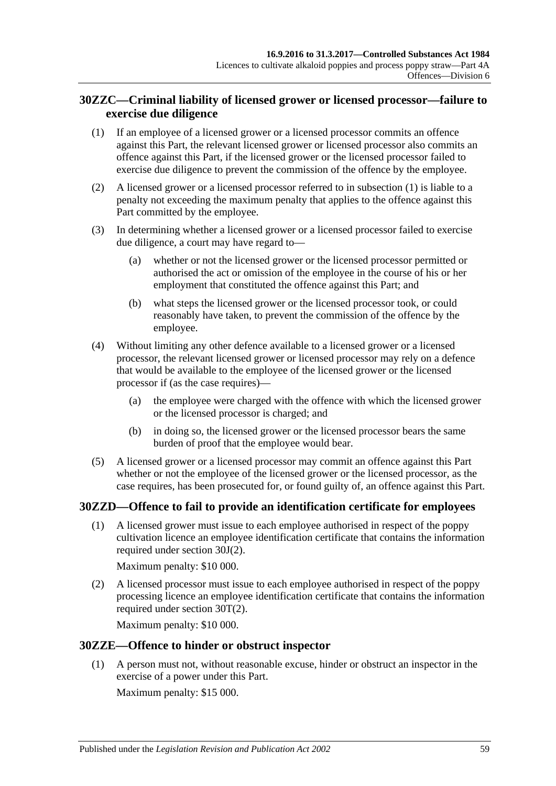## **30ZZC—Criminal liability of licensed grower or licensed processor—failure to exercise due diligence**

- <span id="page-58-0"></span>(1) If an employee of a licensed grower or a licensed processor commits an offence against this Part, the relevant licensed grower or licensed processor also commits an offence against this Part, if the licensed grower or the licensed processor failed to exercise due diligence to prevent the commission of the offence by the employee.
- (2) A licensed grower or a licensed processor referred to in [subsection](#page-58-0) (1) is liable to a penalty not exceeding the maximum penalty that applies to the offence against this Part committed by the employee.
- (3) In determining whether a licensed grower or a licensed processor failed to exercise due diligence, a court may have regard to—
	- (a) whether or not the licensed grower or the licensed processor permitted or authorised the act or omission of the employee in the course of his or her employment that constituted the offence against this Part; and
	- (b) what steps the licensed grower or the licensed processor took, or could reasonably have taken, to prevent the commission of the offence by the employee.
- (4) Without limiting any other defence available to a licensed grower or a licensed processor, the relevant licensed grower or licensed processor may rely on a defence that would be available to the employee of the licensed grower or the licensed processor if (as the case requires)—
	- (a) the employee were charged with the offence with which the licensed grower or the licensed processor is charged; and
	- (b) in doing so, the licensed grower or the licensed processor bears the same burden of proof that the employee would bear.
- (5) A licensed grower or a licensed processor may commit an offence against this Part whether or not the employee of the licensed grower or the licensed processor, as the case requires, has been prosecuted for, or found guilty of, an offence against this Part.

## **30ZZD—Offence to fail to provide an identification certificate for employees**

(1) A licensed grower must issue to each employee authorised in respect of the poppy cultivation licence an employee identification certificate that contains the information required under [section](#page-39-2) 30J(2).

Maximum penalty: \$10 000.

(2) A licensed processor must issue to each employee authorised in respect of the poppy processing licence an employee identification certificate that contains the information required under [section](#page-44-2) 30T(2).

Maximum penalty: \$10 000.

## **30ZZE—Offence to hinder or obstruct inspector**

(1) A person must not, without reasonable excuse, hinder or obstruct an inspector in the exercise of a power under this Part.

Maximum penalty: \$15 000.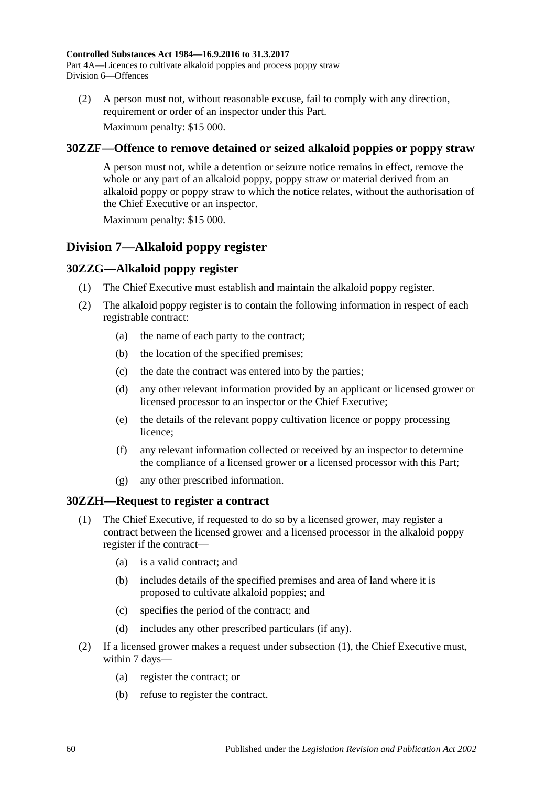(2) A person must not, without reasonable excuse, fail to comply with any direction, requirement or order of an inspector under this Part.

Maximum penalty: \$15 000.

## **30ZZF—Offence to remove detained or seized alkaloid poppies or poppy straw**

A person must not, while a detention or seizure notice remains in effect, remove the whole or any part of an alkaloid poppy, poppy straw or material derived from an alkaloid poppy or poppy straw to which the notice relates, without the authorisation of the Chief Executive or an inspector.

Maximum penalty: \$15 000.

# **Division 7—Alkaloid poppy register**

## **30ZZG—Alkaloid poppy register**

- (1) The Chief Executive must establish and maintain the alkaloid poppy register.
- (2) The alkaloid poppy register is to contain the following information in respect of each registrable contract:
	- (a) the name of each party to the contract;
	- (b) the location of the specified premises;
	- (c) the date the contract was entered into by the parties;
	- (d) any other relevant information provided by an applicant or licensed grower or licensed processor to an inspector or the Chief Executive;
	- (e) the details of the relevant poppy cultivation licence or poppy processing licence;
	- (f) any relevant information collected or received by an inspector to determine the compliance of a licensed grower or a licensed processor with this Part;
	- (g) any other prescribed information.

## <span id="page-59-0"></span>**30ZZH—Request to register a contract**

- (1) The Chief Executive, if requested to do so by a licensed grower, may register a contract between the licensed grower and a licensed processor in the alkaloid poppy register if the contract—
	- (a) is a valid contract; and
	- (b) includes details of the specified premises and area of land where it is proposed to cultivate alkaloid poppies; and
	- (c) specifies the period of the contract; and
	- (d) includes any other prescribed particulars (if any).
- <span id="page-59-2"></span><span id="page-59-1"></span>(2) If a licensed grower makes a request under [subsection](#page-59-0) (1), the Chief Executive must, within 7 days—
	- (a) register the contract; or
	- (b) refuse to register the contract.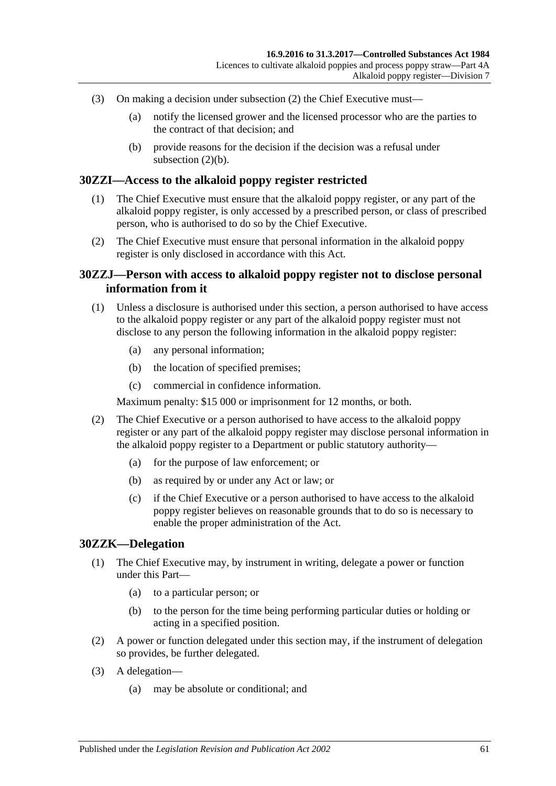- (3) On making a decision under [subsection](#page-59-1) (2) the Chief Executive must—
	- (a) notify the licensed grower and the licensed processor who are the parties to the contract of that decision; and
	- (b) provide reasons for the decision if the decision was a refusal under [subsection](#page-59-2)  $(2)(b)$ .

### **30ZZI—Access to the alkaloid poppy register restricted**

- (1) The Chief Executive must ensure that the alkaloid poppy register, or any part of the alkaloid poppy register, is only accessed by a prescribed person, or class of prescribed person, who is authorised to do so by the Chief Executive.
- (2) The Chief Executive must ensure that personal information in the alkaloid poppy register is only disclosed in accordance with this Act.

### **30ZZJ—Person with access to alkaloid poppy register not to disclose personal information from it**

- (1) Unless a disclosure is authorised under this section, a person authorised to have access to the alkaloid poppy register or any part of the alkaloid poppy register must not disclose to any person the following information in the alkaloid poppy register:
	- (a) any personal information;
	- (b) the location of specified premises;
	- (c) commercial in confidence information.

Maximum penalty: \$15 000 or imprisonment for 12 months, or both.

- (2) The Chief Executive or a person authorised to have access to the alkaloid poppy register or any part of the alkaloid poppy register may disclose personal information in the alkaloid poppy register to a Department or public statutory authority—
	- (a) for the purpose of law enforcement; or
	- (b) as required by or under any Act or law; or
	- (c) if the Chief Executive or a person authorised to have access to the alkaloid poppy register believes on reasonable grounds that to do so is necessary to enable the proper administration of the Act.

#### **30ZZK—Delegation**

- (1) The Chief Executive may, by instrument in writing, delegate a power or function under this Part—
	- (a) to a particular person; or
	- (b) to the person for the time being performing particular duties or holding or acting in a specified position.
- (2) A power or function delegated under this section may, if the instrument of delegation so provides, be further delegated.
- (3) A delegation—
	- (a) may be absolute or conditional; and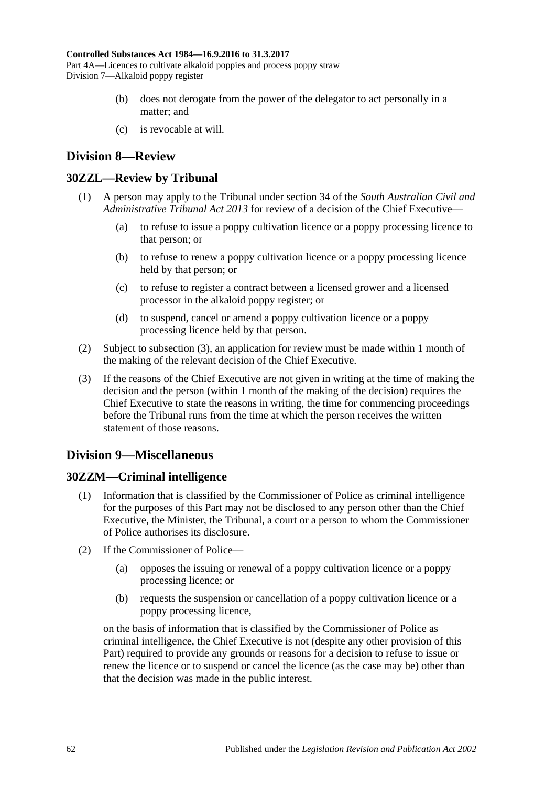- (b) does not derogate from the power of the delegator to act personally in a matter; and
- (c) is revocable at will.

# **Division 8—Review**

## **30ZZL—Review by Tribunal**

- (1) A person may apply to the Tribunal under section 34 of the *[South Australian Civil and](http://www.legislation.sa.gov.au/index.aspx?action=legref&type=act&legtitle=South%20Australian%20Civil%20and%20Administrative%20Tribunal%20Act%202013)  [Administrative Tribunal Act](http://www.legislation.sa.gov.au/index.aspx?action=legref&type=act&legtitle=South%20Australian%20Civil%20and%20Administrative%20Tribunal%20Act%202013) 2013* for review of a decision of the Chief Executive—
	- (a) to refuse to issue a poppy cultivation licence or a poppy processing licence to that person; or
	- (b) to refuse to renew a poppy cultivation licence or a poppy processing licence held by that person; or
	- (c) to refuse to register a contract between a licensed grower and a licensed processor in the alkaloid poppy register; or
	- (d) to suspend, cancel or amend a poppy cultivation licence or a poppy processing licence held by that person.
- (2) Subject to [subsection](#page-61-0) (3), an application for review must be made within 1 month of the making of the relevant decision of the Chief Executive.
- <span id="page-61-0"></span>(3) If the reasons of the Chief Executive are not given in writing at the time of making the decision and the person (within 1 month of the making of the decision) requires the Chief Executive to state the reasons in writing, the time for commencing proceedings before the Tribunal runs from the time at which the person receives the written statement of those reasons.

# **Division 9—Miscellaneous**

## **30ZZM—Criminal intelligence**

- (1) Information that is classified by the Commissioner of Police as criminal intelligence for the purposes of this Part may not be disclosed to any person other than the Chief Executive, the Minister, the Tribunal, a court or a person to whom the Commissioner of Police authorises its disclosure.
- (2) If the Commissioner of Police—
	- (a) opposes the issuing or renewal of a poppy cultivation licence or a poppy processing licence; or
	- (b) requests the suspension or cancellation of a poppy cultivation licence or a poppy processing licence,

on the basis of information that is classified by the Commissioner of Police as criminal intelligence, the Chief Executive is not (despite any other provision of this Part) required to provide any grounds or reasons for a decision to refuse to issue or renew the licence or to suspend or cancel the licence (as the case may be) other than that the decision was made in the public interest.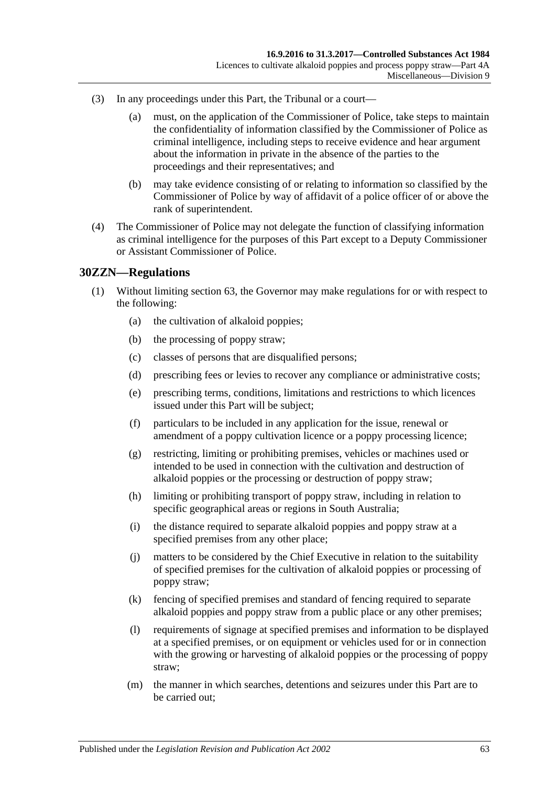- (3) In any proceedings under this Part, the Tribunal or a court—
	- (a) must, on the application of the Commissioner of Police, take steps to maintain the confidentiality of information classified by the Commissioner of Police as criminal intelligence, including steps to receive evidence and hear argument about the information in private in the absence of the parties to the proceedings and their representatives; and
	- (b) may take evidence consisting of or relating to information so classified by the Commissioner of Police by way of affidavit of a police officer of or above the rank of superintendent.
- (4) The Commissioner of Police may not delegate the function of classifying information as criminal intelligence for the purposes of this Part except to a Deputy Commissioner or Assistant Commissioner of Police.

#### **30ZZN—Regulations**

- (1) Without limiting section 63, the Governor may make regulations for or with respect to the following:
	- (a) the cultivation of alkaloid poppies;
	- (b) the processing of poppy straw;
	- (c) classes of persons that are disqualified persons;
	- (d) prescribing fees or levies to recover any compliance or administrative costs;
	- (e) prescribing terms, conditions, limitations and restrictions to which licences issued under this Part will be subject;
	- (f) particulars to be included in any application for the issue, renewal or amendment of a poppy cultivation licence or a poppy processing licence;
	- (g) restricting, limiting or prohibiting premises, vehicles or machines used or intended to be used in connection with the cultivation and destruction of alkaloid poppies or the processing or destruction of poppy straw;
	- (h) limiting or prohibiting transport of poppy straw, including in relation to specific geographical areas or regions in South Australia;
	- (i) the distance required to separate alkaloid poppies and poppy straw at a specified premises from any other place;
	- (j) matters to be considered by the Chief Executive in relation to the suitability of specified premises for the cultivation of alkaloid poppies or processing of poppy straw;
	- (k) fencing of specified premises and standard of fencing required to separate alkaloid poppies and poppy straw from a public place or any other premises;
	- (l) requirements of signage at specified premises and information to be displayed at a specified premises, or on equipment or vehicles used for or in connection with the growing or harvesting of alkaloid poppies or the processing of poppy straw;
	- (m) the manner in which searches, detentions and seizures under this Part are to be carried out;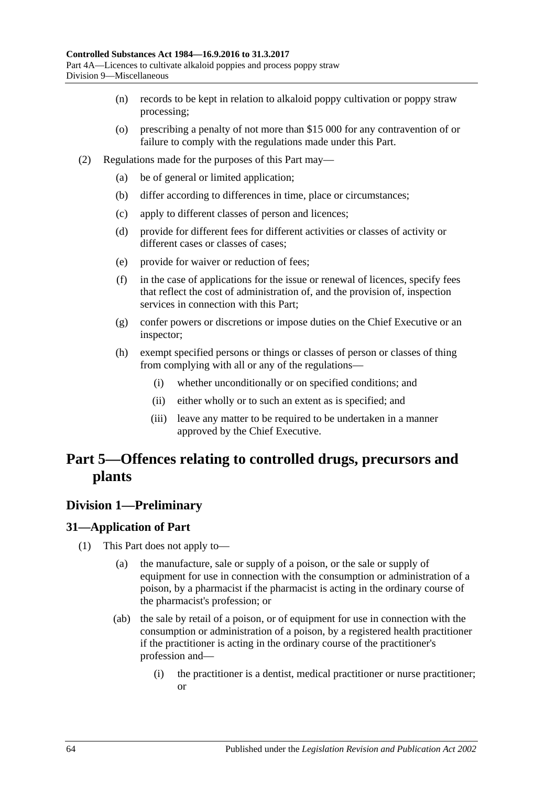- (n) records to be kept in relation to alkaloid poppy cultivation or poppy straw processing;
- (o) prescribing a penalty of not more than \$15 000 for any contravention of or failure to comply with the regulations made under this Part.
- (2) Regulations made for the purposes of this Part may—
	- (a) be of general or limited application;
	- (b) differ according to differences in time, place or circumstances;
	- (c) apply to different classes of person and licences;
	- (d) provide for different fees for different activities or classes of activity or different cases or classes of cases;
	- (e) provide for waiver or reduction of fees;
	- (f) in the case of applications for the issue or renewal of licences, specify fees that reflect the cost of administration of, and the provision of, inspection services in connection with this Part;
	- (g) confer powers or discretions or impose duties on the Chief Executive or an inspector;
	- (h) exempt specified persons or things or classes of person or classes of thing from complying with all or any of the regulations—
		- (i) whether unconditionally or on specified conditions; and
		- (ii) either wholly or to such an extent as is specified; and
		- (iii) leave any matter to be required to be undertaken in a manner approved by the Chief Executive.

# **Part 5—Offences relating to controlled drugs, precursors and plants**

## **Division 1—Preliminary**

## <span id="page-63-0"></span>**31—Application of Part**

- (1) This Part does not apply to—
	- (a) the manufacture, sale or supply of a poison, or the sale or supply of equipment for use in connection with the consumption or administration of a poison, by a pharmacist if the pharmacist is acting in the ordinary course of the pharmacist's profession; or
	- (ab) the sale by retail of a poison, or of equipment for use in connection with the consumption or administration of a poison, by a registered health practitioner if the practitioner is acting in the ordinary course of the practitioner's profession and—
		- (i) the practitioner is a dentist, medical practitioner or nurse practitioner; or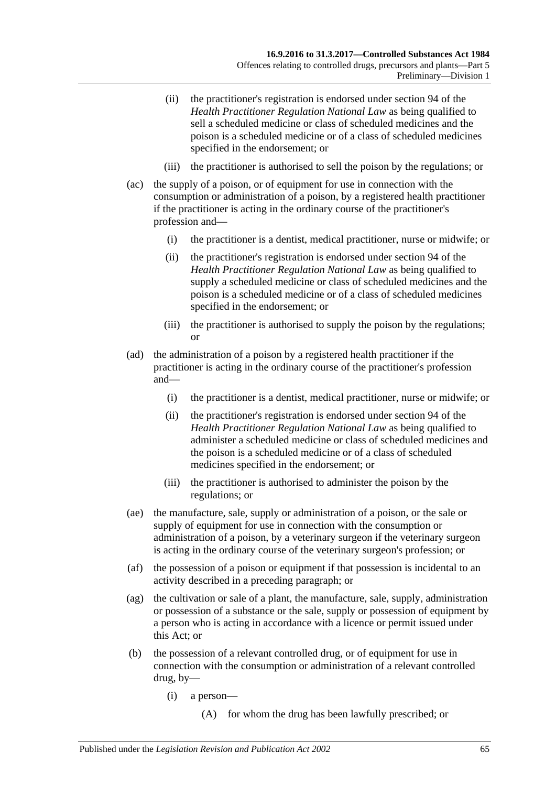- (ii) the practitioner's registration is endorsed under section 94 of the *Health Practitioner Regulation National Law* as being qualified to sell a scheduled medicine or class of scheduled medicines and the poison is a scheduled medicine or of a class of scheduled medicines specified in the endorsement; or
- (iii) the practitioner is authorised to sell the poison by the regulations; or
- (ac) the supply of a poison, or of equipment for use in connection with the consumption or administration of a poison, by a registered health practitioner if the practitioner is acting in the ordinary course of the practitioner's profession and—
	- (i) the practitioner is a dentist, medical practitioner, nurse or midwife; or
	- (ii) the practitioner's registration is endorsed under section 94 of the *Health Practitioner Regulation National Law* as being qualified to supply a scheduled medicine or class of scheduled medicines and the poison is a scheduled medicine or of a class of scheduled medicines specified in the endorsement; or
	- (iii) the practitioner is authorised to supply the poison by the regulations; or
- (ad) the administration of a poison by a registered health practitioner if the practitioner is acting in the ordinary course of the practitioner's profession and—
	- (i) the practitioner is a dentist, medical practitioner, nurse or midwife; or
	- (ii) the practitioner's registration is endorsed under section 94 of the *Health Practitioner Regulation National Law* as being qualified to administer a scheduled medicine or class of scheduled medicines and the poison is a scheduled medicine or of a class of scheduled medicines specified in the endorsement; or
	- (iii) the practitioner is authorised to administer the poison by the regulations; or
- (ae) the manufacture, sale, supply or administration of a poison, or the sale or supply of equipment for use in connection with the consumption or administration of a poison, by a veterinary surgeon if the veterinary surgeon is acting in the ordinary course of the veterinary surgeon's profession; or
- (af) the possession of a poison or equipment if that possession is incidental to an activity described in a preceding paragraph; or
- (ag) the cultivation or sale of a plant, the manufacture, sale, supply, administration or possession of a substance or the sale, supply or possession of equipment by a person who is acting in accordance with a licence or permit issued under this Act; or
- <span id="page-64-0"></span>(b) the possession of a relevant controlled drug, or of equipment for use in connection with the consumption or administration of a relevant controlled drug, by—
	- (i) a person—
		- (A) for whom the drug has been lawfully prescribed; or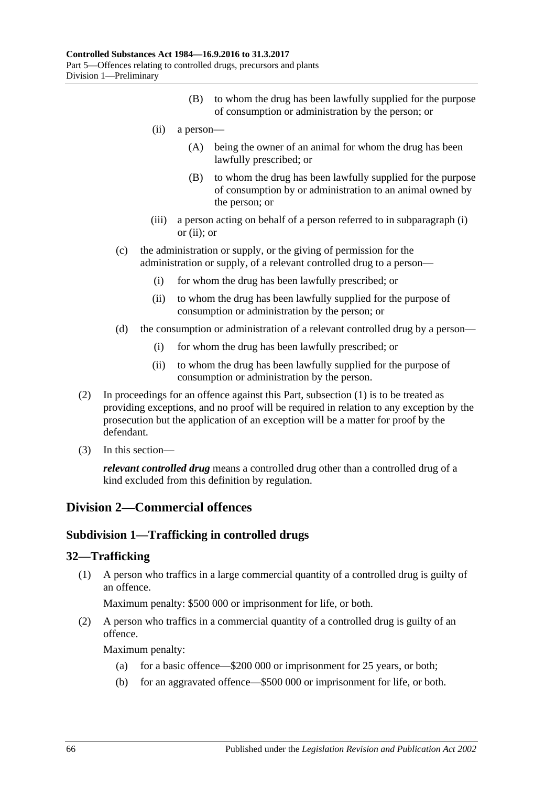- (B) to whom the drug has been lawfully supplied for the purpose of consumption or administration by the person; or
- <span id="page-65-0"></span>(ii) a person—
	- (A) being the owner of an animal for whom the drug has been lawfully prescribed; or
	- (B) to whom the drug has been lawfully supplied for the purpose of consumption by or administration to an animal owned by the person; or
- (iii) a person acting on behalf of a person referred to in [subparagraph](#page-64-0) (i) or [\(ii\);](#page-65-0) or
- (c) the administration or supply, or the giving of permission for the administration or supply, of a relevant controlled drug to a person—
	- (i) for whom the drug has been lawfully prescribed; or
	- (ii) to whom the drug has been lawfully supplied for the purpose of consumption or administration by the person; or
- (d) the consumption or administration of a relevant controlled drug by a person—
	- (i) for whom the drug has been lawfully prescribed; or
	- (ii) to whom the drug has been lawfully supplied for the purpose of consumption or administration by the person.
- (2) In proceedings for an offence against this Part, [subsection](#page-63-0) (1) is to be treated as providing exceptions, and no proof will be required in relation to any exception by the prosecution but the application of an exception will be a matter for proof by the defendant.
- (3) In this section—

*relevant controlled drug* means a controlled drug other than a controlled drug of a kind excluded from this definition by regulation.

## **Division 2—Commercial offences**

## **Subdivision 1—Trafficking in controlled drugs**

#### <span id="page-65-1"></span>**32—Trafficking**

(1) A person who traffics in a large commercial quantity of a controlled drug is guilty of an offence.

Maximum penalty: \$500 000 or imprisonment for life, or both.

<span id="page-65-2"></span>(2) A person who traffics in a commercial quantity of a controlled drug is guilty of an offence.

Maximum penalty:

- (a) for a basic offence—\$200 000 or imprisonment for 25 years, or both;
- (b) for an aggravated offence—\$500 000 or imprisonment for life, or both.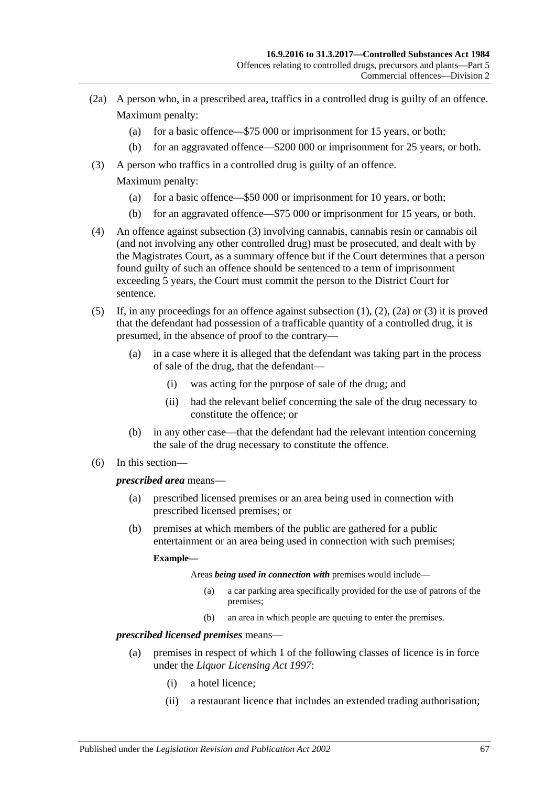- <span id="page-66-1"></span>(2a) A person who, in a prescribed area, traffics in a controlled drug is guilty of an offence. Maximum penalty:
	- (a) for a basic offence—\$75 000 or imprisonment for 15 years, or both;
	- (b) for an aggravated offence—\$200 000 or imprisonment for 25 years, or both.
- <span id="page-66-0"></span>(3) A person who traffics in a controlled drug is guilty of an offence. Maximum penalty:
	- (a) for a basic offence—\$50 000 or imprisonment for 10 years, or both;
	- (b) for an aggravated offence—\$75 000 or imprisonment for 15 years, or both.
- (4) An offence against [subsection](#page-66-0) (3) involving cannabis, cannabis resin or cannabis oil (and not involving any other controlled drug) must be prosecuted, and dealt with by the Magistrates Court, as a summary offence but if the Court determines that a person found guilty of such an offence should be sentenced to a term of imprisonment exceeding 5 years, the Court must commit the person to the District Court for sentence.
- (5) If, in any proceedings for an offence against [subsection](#page-65-1) (1), [\(2\),](#page-65-2) [\(2a\)](#page-66-1) or [\(3\)](#page-66-0) it is proved that the defendant had possession of a trafficable quantity of a controlled drug, it is presumed, in the absence of proof to the contrary—
	- (a) in a case where it is alleged that the defendant was taking part in the process of sale of the drug, that the defendant—
		- (i) was acting for the purpose of sale of the drug; and
		- (ii) had the relevant belief concerning the sale of the drug necessary to constitute the offence; or
	- (b) in any other case—that the defendant had the relevant intention concerning the sale of the drug necessary to constitute the offence.
- (6) In this section—

#### *prescribed area* means—

- (a) prescribed licensed premises or an area being used in connection with prescribed licensed premises; or
- (b) premises at which members of the public are gathered for a public entertainment or an area being used in connection with such premises;

#### **Example—**

Areas *being used in connection with* premises would include—

- (a) a car parking area specifically provided for the use of patrons of the premises;
- (b) an area in which people are queuing to enter the premises.

## *prescribed licensed premises* means—

- (a) premises in respect of which 1 of the following classes of licence is in force under the *[Liquor Licensing Act](http://www.legislation.sa.gov.au/index.aspx?action=legref&type=act&legtitle=Liquor%20Licensing%20Act%201997) 1997*:
	- (i) a hotel licence;
	- (ii) a restaurant licence that includes an extended trading authorisation;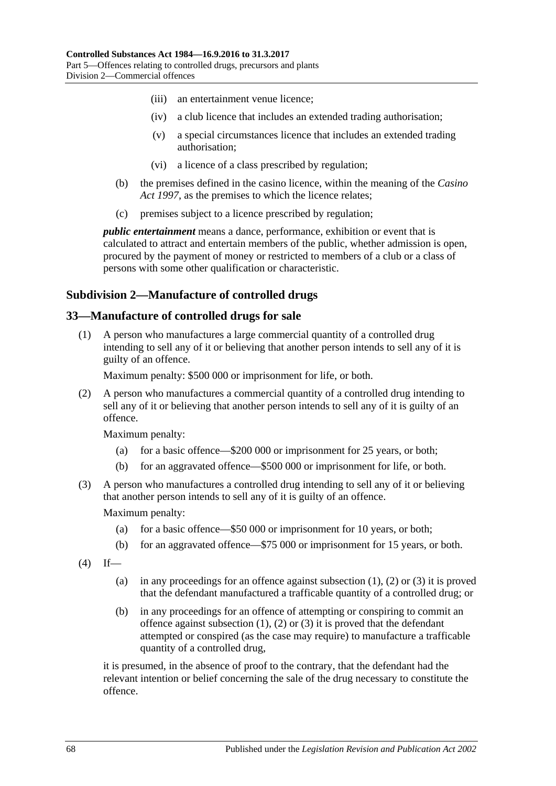- (iii) an entertainment venue licence;
- (iv) a club licence that includes an extended trading authorisation;
- (v) a special circumstances licence that includes an extended trading authorisation;
- (vi) a licence of a class prescribed by regulation;
- (b) the premises defined in the casino licence, within the meaning of the *[Casino](http://www.legislation.sa.gov.au/index.aspx?action=legref&type=act&legtitle=Casino%20Act%201997)  Act [1997](http://www.legislation.sa.gov.au/index.aspx?action=legref&type=act&legtitle=Casino%20Act%201997)*, as the premises to which the licence relates;
- (c) premises subject to a licence prescribed by regulation;

*public entertainment* means a dance, performance, exhibition or event that is calculated to attract and entertain members of the public, whether admission is open, procured by the payment of money or restricted to members of a club or a class of persons with some other qualification or characteristic.

## **Subdivision 2—Manufacture of controlled drugs**

### <span id="page-67-0"></span>**33—Manufacture of controlled drugs for sale**

(1) A person who manufactures a large commercial quantity of a controlled drug intending to sell any of it or believing that another person intends to sell any of it is guilty of an offence.

Maximum penalty: \$500 000 or imprisonment for life, or both.

<span id="page-67-1"></span>(2) A person who manufactures a commercial quantity of a controlled drug intending to sell any of it or believing that another person intends to sell any of it is guilty of an offence.

Maximum penalty:

- (a) for a basic offence—\$200 000 or imprisonment for 25 years, or both;
- (b) for an aggravated offence—\$500 000 or imprisonment for life, or both.
- <span id="page-67-2"></span>(3) A person who manufactures a controlled drug intending to sell any of it or believing that another person intends to sell any of it is guilty of an offence.

Maximum penalty:

- (a) for a basic offence—\$50 000 or imprisonment for 10 years, or both;
- (b) for an aggravated offence—\$75 000 or imprisonment for 15 years, or both.
- $(4)$  If
	- (a) in any proceedings for an offence against [subsection](#page-67-0)  $(1)$ ,  $(2)$  or  $(3)$  it is proved that the defendant manufactured a trafficable quantity of a controlled drug; or
	- (b) in any proceedings for an offence of attempting or conspiring to commit an offence against [subsection](#page-67-0)  $(1)$ ,  $(2)$  or  $(3)$  it is proved that the defendant attempted or conspired (as the case may require) to manufacture a trafficable quantity of a controlled drug,

it is presumed, in the absence of proof to the contrary, that the defendant had the relevant intention or belief concerning the sale of the drug necessary to constitute the offence.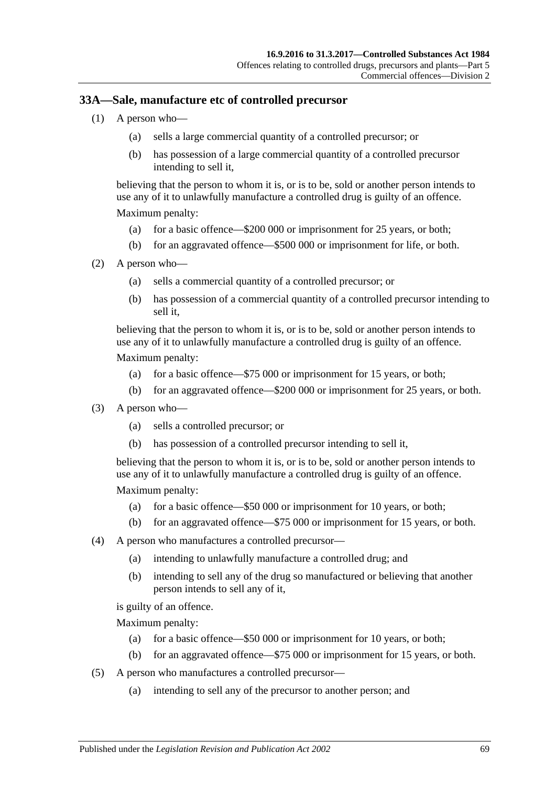## **33A—Sale, manufacture etc of controlled precursor**

- (1) A person who—
	- (a) sells a large commercial quantity of a controlled precursor; or
	- (b) has possession of a large commercial quantity of a controlled precursor intending to sell it,

believing that the person to whom it is, or is to be, sold or another person intends to use any of it to unlawfully manufacture a controlled drug is guilty of an offence. Maximum penalty:

- (a) for a basic offence—\$200 000 or imprisonment for 25 years, or both;
- (b) for an aggravated offence—\$500 000 or imprisonment for life, or both.
- (2) A person who—
	- (a) sells a commercial quantity of a controlled precursor; or
	- (b) has possession of a commercial quantity of a controlled precursor intending to sell it,

believing that the person to whom it is, or is to be, sold or another person intends to use any of it to unlawfully manufacture a controlled drug is guilty of an offence.

Maximum penalty:

- (a) for a basic offence—\$75 000 or imprisonment for 15 years, or both;
- (b) for an aggravated offence—\$200 000 or imprisonment for 25 years, or both.
- (3) A person who—
	- (a) sells a controlled precursor; or
	- (b) has possession of a controlled precursor intending to sell it,

believing that the person to whom it is, or is to be, sold or another person intends to use any of it to unlawfully manufacture a controlled drug is guilty of an offence.

Maximum penalty:

- (a) for a basic offence—\$50 000 or imprisonment for 10 years, or both;
- (b) for an aggravated offence—\$75 000 or imprisonment for 15 years, or both.
- (4) A person who manufactures a controlled precursor—
	- (a) intending to unlawfully manufacture a controlled drug; and
	- (b) intending to sell any of the drug so manufactured or believing that another person intends to sell any of it,

is guilty of an offence.

Maximum penalty:

- (a) for a basic offence—\$50 000 or imprisonment for 10 years, or both;
- (b) for an aggravated offence—\$75 000 or imprisonment for 15 years, or both.
- (5) A person who manufactures a controlled precursor—
	- (a) intending to sell any of the precursor to another person; and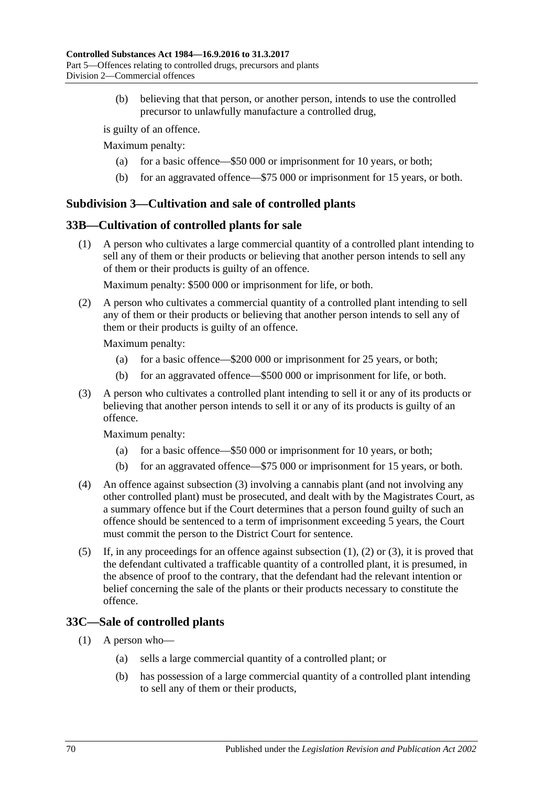(b) believing that that person, or another person, intends to use the controlled precursor to unlawfully manufacture a controlled drug,

is guilty of an offence.

Maximum penalty:

- (a) for a basic offence—\$50 000 or imprisonment for 10 years, or both;
- (b) for an aggravated offence—\$75 000 or imprisonment for 15 years, or both.

## **Subdivision 3—Cultivation and sale of controlled plants**

## <span id="page-69-1"></span>**33B—Cultivation of controlled plants for sale**

(1) A person who cultivates a large commercial quantity of a controlled plant intending to sell any of them or their products or believing that another person intends to sell any of them or their products is guilty of an offence.

Maximum penalty: \$500 000 or imprisonment for life, or both.

<span id="page-69-2"></span>(2) A person who cultivates a commercial quantity of a controlled plant intending to sell any of them or their products or believing that another person intends to sell any of them or their products is guilty of an offence.

Maximum penalty:

- (a) for a basic offence—\$200 000 or imprisonment for 25 years, or both;
- (b) for an aggravated offence—\$500 000 or imprisonment for life, or both.
- <span id="page-69-0"></span>(3) A person who cultivates a controlled plant intending to sell it or any of its products or believing that another person intends to sell it or any of its products is guilty of an offence.

Maximum penalty:

- (a) for a basic offence—\$50 000 or imprisonment for 10 years, or both;
- (b) for an aggravated offence—\$75 000 or imprisonment for 15 years, or both.
- (4) An offence against [subsection](#page-69-0) (3) involving a cannabis plant (and not involving any other controlled plant) must be prosecuted, and dealt with by the Magistrates Court, as a summary offence but if the Court determines that a person found guilty of such an offence should be sentenced to a term of imprisonment exceeding 5 years, the Court must commit the person to the District Court for sentence.
- (5) If, in any proceedings for an offence against [subsection](#page-69-1)  $(1)$ ,  $(2)$  or  $(3)$ , it is proved that the defendant cultivated a trafficable quantity of a controlled plant, it is presumed, in the absence of proof to the contrary, that the defendant had the relevant intention or belief concerning the sale of the plants or their products necessary to constitute the offence.

## <span id="page-69-3"></span>**33C—Sale of controlled plants**

- (1) A person who—
	- (a) sells a large commercial quantity of a controlled plant; or
	- (b) has possession of a large commercial quantity of a controlled plant intending to sell any of them or their products,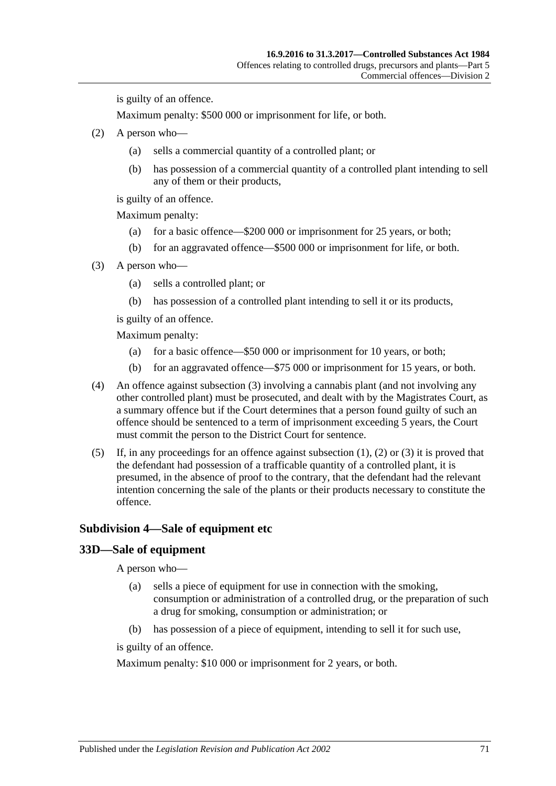is guilty of an offence.

Maximum penalty: \$500 000 or imprisonment for life, or both.

- <span id="page-70-1"></span>(2) A person who—
	- (a) sells a commercial quantity of a controlled plant; or
	- (b) has possession of a commercial quantity of a controlled plant intending to sell any of them or their products,

is guilty of an offence.

Maximum penalty:

- (a) for a basic offence—\$200 000 or imprisonment for 25 years, or both;
- (b) for an aggravated offence—\$500 000 or imprisonment for life, or both.
- <span id="page-70-0"></span>(3) A person who—
	- (a) sells a controlled plant; or
	- (b) has possession of a controlled plant intending to sell it or its products,

is guilty of an offence.

Maximum penalty:

- (a) for a basic offence—\$50 000 or imprisonment for 10 years, or both;
- (b) for an aggravated offence—\$75 000 or imprisonment for 15 years, or both.
- (4) An offence against [subsection](#page-70-0) (3) involving a cannabis plant (and not involving any other controlled plant) must be prosecuted, and dealt with by the Magistrates Court, as a summary offence but if the Court determines that a person found guilty of such an offence should be sentenced to a term of imprisonment exceeding 5 years, the Court must commit the person to the District Court for sentence.
- (5) If, in any proceedings for an offence against [subsection](#page-69-3)  $(1)$ ,  $(2)$  or  $(3)$  it is proved that the defendant had possession of a trafficable quantity of a controlled plant, it is presumed, in the absence of proof to the contrary, that the defendant had the relevant intention concerning the sale of the plants or their products necessary to constitute the offence.

### **Subdivision 4—Sale of equipment etc**

#### **33D—Sale of equipment**

A person who—

- (a) sells a piece of equipment for use in connection with the smoking, consumption or administration of a controlled drug, or the preparation of such a drug for smoking, consumption or administration; or
- (b) has possession of a piece of equipment, intending to sell it for such use,

is guilty of an offence.

Maximum penalty: \$10 000 or imprisonment for 2 years, or both.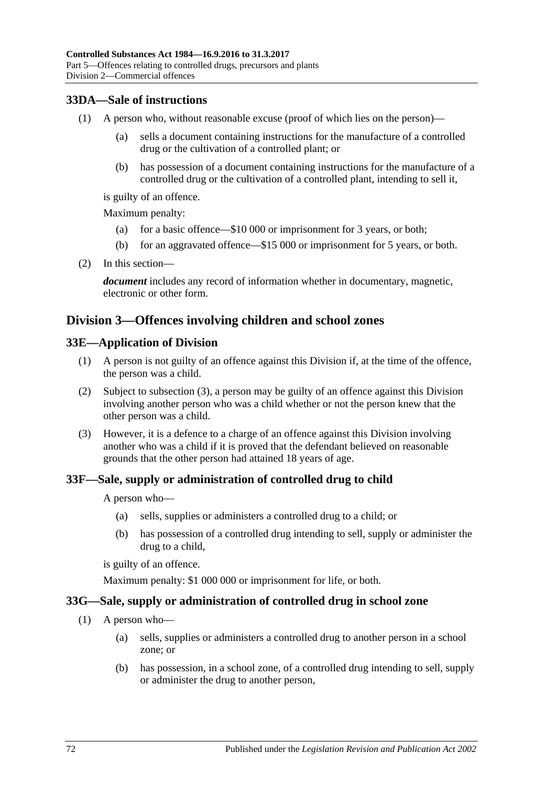## **33DA—Sale of instructions**

- (1) A person who, without reasonable excuse (proof of which lies on the person)—
	- (a) sells a document containing instructions for the manufacture of a controlled drug or the cultivation of a controlled plant; or
	- (b) has possession of a document containing instructions for the manufacture of a controlled drug or the cultivation of a controlled plant, intending to sell it,

is guilty of an offence.

Maximum penalty:

- (a) for a basic offence—\$10 000 or imprisonment for 3 years, or both;
- (b) for an aggravated offence—\$15 000 or imprisonment for 5 years, or both.
- (2) In this section—

*document* includes any record of information whether in documentary, magnetic, electronic or other form.

## **Division 3—Offences involving children and school zones**

### **33E—Application of Division**

- (1) A person is not guilty of an offence against this Division if, at the time of the offence, the person was a child.
- (2) Subject to [subsection](#page-71-0) (3), a person may be guilty of an offence against this Division involving another person who was a child whether or not the person knew that the other person was a child.
- <span id="page-71-0"></span>(3) However, it is a defence to a charge of an offence against this Division involving another who was a child if it is proved that the defendant believed on reasonable grounds that the other person had attained 18 years of age.

## **33F—Sale, supply or administration of controlled drug to child**

A person who—

- (a) sells, supplies or administers a controlled drug to a child; or
- (b) has possession of a controlled drug intending to sell, supply or administer the drug to a child,

is guilty of an offence.

Maximum penalty: \$1 000 000 or imprisonment for life, or both.

#### **33G—Sale, supply or administration of controlled drug in school zone**

- (1) A person who—
	- (a) sells, supplies or administers a controlled drug to another person in a school zone; or
	- (b) has possession, in a school zone, of a controlled drug intending to sell, supply or administer the drug to another person,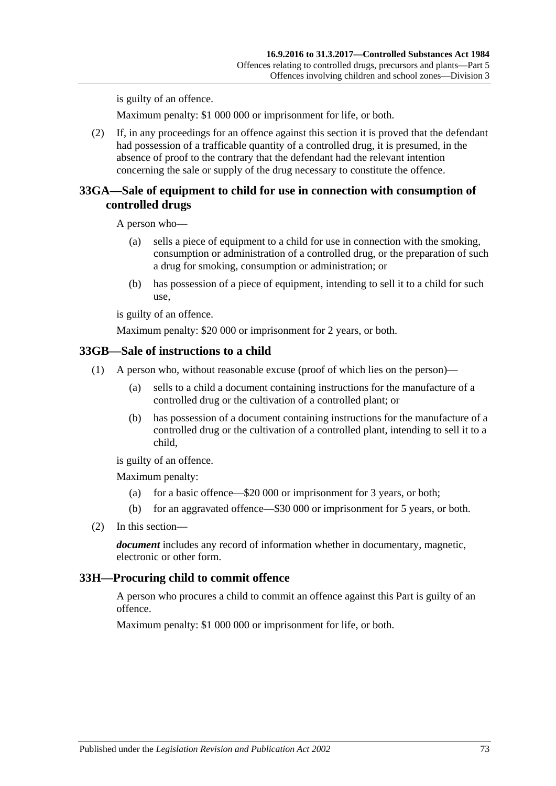is guilty of an offence.

Maximum penalty: \$1 000 000 or imprisonment for life, or both.

(2) If, in any proceedings for an offence against this section it is proved that the defendant had possession of a trafficable quantity of a controlled drug, it is presumed, in the absence of proof to the contrary that the defendant had the relevant intention concerning the sale or supply of the drug necessary to constitute the offence.

#### **33GA—Sale of equipment to child for use in connection with consumption of controlled drugs**

A person who—

- (a) sells a piece of equipment to a child for use in connection with the smoking, consumption or administration of a controlled drug, or the preparation of such a drug for smoking, consumption or administration; or
- (b) has possession of a piece of equipment, intending to sell it to a child for such use,

is guilty of an offence.

Maximum penalty: \$20 000 or imprisonment for 2 years, or both.

#### **33GB—Sale of instructions to a child**

- (1) A person who, without reasonable excuse (proof of which lies on the person)—
	- (a) sells to a child a document containing instructions for the manufacture of a controlled drug or the cultivation of a controlled plant; or
	- (b) has possession of a document containing instructions for the manufacture of a controlled drug or the cultivation of a controlled plant, intending to sell it to a child,

is guilty of an offence.

Maximum penalty:

- (a) for a basic offence—\$20 000 or imprisonment for 3 years, or both;
- (b) for an aggravated offence—\$30 000 or imprisonment for 5 years, or both.
- (2) In this section—

*document* includes any record of information whether in documentary, magnetic, electronic or other form.

#### <span id="page-72-0"></span>**33H—Procuring child to commit offence**

A person who procures a child to commit an offence against this Part is guilty of an offence.

Maximum penalty: \$1 000 000 or imprisonment for life, or both.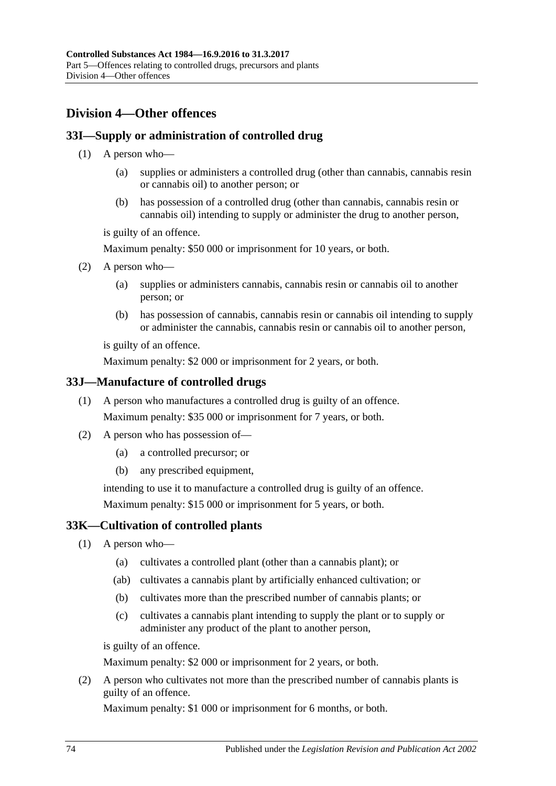# <span id="page-73-1"></span>**Division 4—Other offences**

## <span id="page-73-4"></span>**33I—Supply or administration of controlled drug**

- (1) A person who—
	- (a) supplies or administers a controlled drug (other than cannabis, cannabis resin or cannabis oil) to another person; or
	- (b) has possession of a controlled drug (other than cannabis, cannabis resin or cannabis oil) intending to supply or administer the drug to another person,

is guilty of an offence.

Maximum penalty: \$50 000 or imprisonment for 10 years, or both.

- <span id="page-73-2"></span>(2) A person who—
	- (a) supplies or administers cannabis, cannabis resin or cannabis oil to another person; or
	- (b) has possession of cannabis, cannabis resin or cannabis oil intending to supply or administer the cannabis, cannabis resin or cannabis oil to another person,

is guilty of an offence.

Maximum penalty: \$2 000 or imprisonment for 2 years, or both.

#### **33J—Manufacture of controlled drugs**

- (1) A person who manufactures a controlled drug is guilty of an offence. Maximum penalty: \$35 000 or imprisonment for 7 years, or both.
- (2) A person who has possession of—
	- (a) a controlled precursor; or
	- (b) any prescribed equipment,

intending to use it to manufacture a controlled drug is guilty of an offence. Maximum penalty: \$15 000 or imprisonment for 5 years, or both.

#### <span id="page-73-3"></span>**33K—Cultivation of controlled plants**

- (1) A person who—
	- (a) cultivates a controlled plant (other than a cannabis plant); or
	- (ab) cultivates a cannabis plant by artificially enhanced cultivation; or
	- (b) cultivates more than the prescribed number of cannabis plants; or
	- (c) cultivates a cannabis plant intending to supply the plant or to supply or administer any product of the plant to another person,

is guilty of an offence.

Maximum penalty: \$2 000 or imprisonment for 2 years, or both.

<span id="page-73-0"></span>(2) A person who cultivates not more than the prescribed number of cannabis plants is guilty of an offence.

Maximum penalty: \$1 000 or imprisonment for 6 months, or both.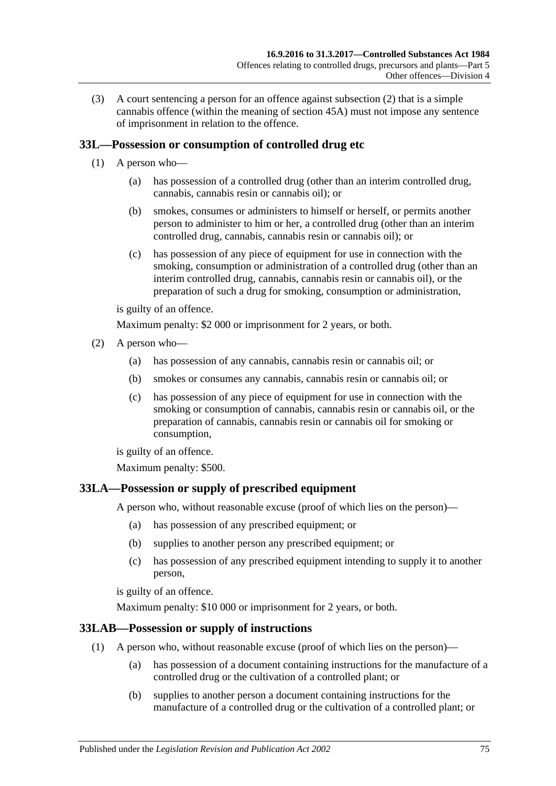(3) A court sentencing a person for an offence against [subsection](#page-73-0) (2) that is a simple cannabis offence (within the meaning of [section](#page-87-0) 45A) must not impose any sentence of imprisonment in relation to the offence.

## <span id="page-74-0"></span>**33L—Possession or consumption of controlled drug etc**

- (1) A person who—
	- (a) has possession of a controlled drug (other than an interim controlled drug, cannabis, cannabis resin or cannabis oil); or
	- (b) smokes, consumes or administers to himself or herself, or permits another person to administer to him or her, a controlled drug (other than an interim controlled drug, cannabis, cannabis resin or cannabis oil); or
	- (c) has possession of any piece of equipment for use in connection with the smoking, consumption or administration of a controlled drug (other than an interim controlled drug, cannabis, cannabis resin or cannabis oil), or the preparation of such a drug for smoking, consumption or administration,

is guilty of an offence.

Maximum penalty: \$2 000 or imprisonment for 2 years, or both.

- <span id="page-74-3"></span><span id="page-74-2"></span><span id="page-74-1"></span>(2) A person who—
	- (a) has possession of any cannabis, cannabis resin or cannabis oil; or
	- (b) smokes or consumes any cannabis, cannabis resin or cannabis oil; or
	- (c) has possession of any piece of equipment for use in connection with the smoking or consumption of cannabis, cannabis resin or cannabis oil, or the preparation of cannabis, cannabis resin or cannabis oil for smoking or consumption,

is guilty of an offence.

Maximum penalty: \$500.

#### <span id="page-74-4"></span>**33LA—Possession or supply of prescribed equipment**

A person who, without reasonable excuse (proof of which lies on the person)—

- (a) has possession of any prescribed equipment; or
- (b) supplies to another person any prescribed equipment; or
- (c) has possession of any prescribed equipment intending to supply it to another person,

is guilty of an offence.

Maximum penalty: \$10 000 or imprisonment for 2 years, or both.

#### **33LAB—Possession or supply of instructions**

- (1) A person who, without reasonable excuse (proof of which lies on the person)—
	- (a) has possession of a document containing instructions for the manufacture of a controlled drug or the cultivation of a controlled plant; or
	- (b) supplies to another person a document containing instructions for the manufacture of a controlled drug or the cultivation of a controlled plant; or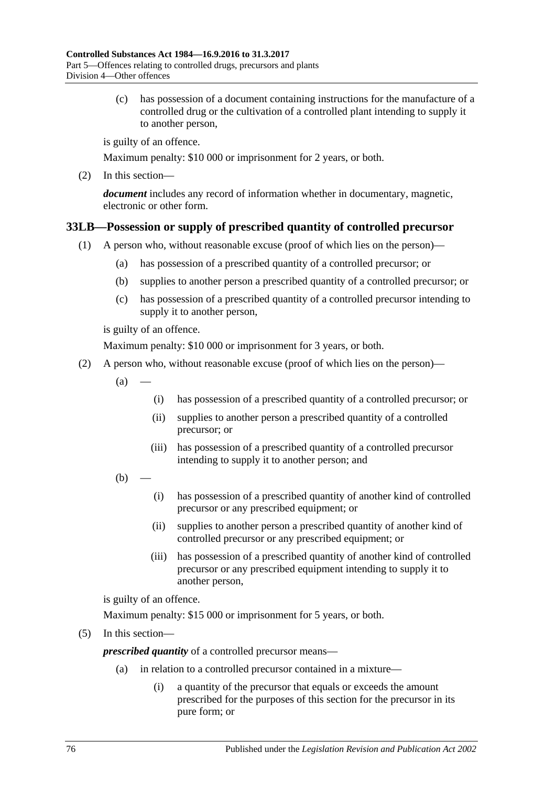(c) has possession of a document containing instructions for the manufacture of a controlled drug or the cultivation of a controlled plant intending to supply it to another person,

is guilty of an offence.

Maximum penalty: \$10 000 or imprisonment for 2 years, or both.

(2) In this section—

*document* includes any record of information whether in documentary, magnetic, electronic or other form.

## <span id="page-75-0"></span>**33LB—Possession or supply of prescribed quantity of controlled precursor**

- (1) A person who, without reasonable excuse (proof of which lies on the person)—
	- (a) has possession of a prescribed quantity of a controlled precursor; or
	- (b) supplies to another person a prescribed quantity of a controlled precursor; or
	- (c) has possession of a prescribed quantity of a controlled precursor intending to supply it to another person,

is guilty of an offence.

Maximum penalty: \$10 000 or imprisonment for 3 years, or both.

- (2) A person who, without reasonable excuse (proof of which lies on the person)—
	- $(a)$ 
		- (i) has possession of a prescribed quantity of a controlled precursor; or
		- (ii) supplies to another person a prescribed quantity of a controlled precursor; or
		- (iii) has possession of a prescribed quantity of a controlled precursor intending to supply it to another person; and
	- $(b)$ 
		- (i) has possession of a prescribed quantity of another kind of controlled precursor or any prescribed equipment; or
		- (ii) supplies to another person a prescribed quantity of another kind of controlled precursor or any prescribed equipment; or
		- (iii) has possession of a prescribed quantity of another kind of controlled precursor or any prescribed equipment intending to supply it to another person,

is guilty of an offence.

Maximum penalty: \$15 000 or imprisonment for 5 years, or both.

(5) In this section—

*prescribed quantity* of a controlled precursor means—

- (a) in relation to a controlled precursor contained in a mixture—
	- (i) a quantity of the precursor that equals or exceeds the amount prescribed for the purposes of this section for the precursor in its pure form; or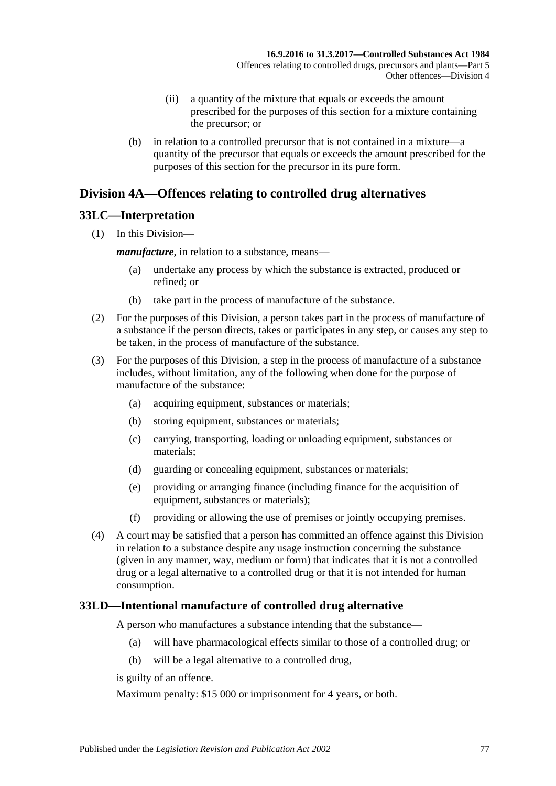- (ii) a quantity of the mixture that equals or exceeds the amount prescribed for the purposes of this section for a mixture containing the precursor; or
- (b) in relation to a controlled precursor that is not contained in a mixture—a quantity of the precursor that equals or exceeds the amount prescribed for the purposes of this section for the precursor in its pure form.

## <span id="page-76-1"></span>**Division 4A—Offences relating to controlled drug alternatives**

## **33LC—Interpretation**

(1) In this Division—

*manufacture*, in relation to a substance, means—

- (a) undertake any process by which the substance is extracted, produced or refined; or
- (b) take part in the process of manufacture of the substance.
- (2) For the purposes of this Division, a person takes part in the process of manufacture of a substance if the person directs, takes or participates in any step, or causes any step to be taken, in the process of manufacture of the substance.
- (3) For the purposes of this Division, a step in the process of manufacture of a substance includes, without limitation, any of the following when done for the purpose of manufacture of the substance:
	- (a) acquiring equipment, substances or materials;
	- (b) storing equipment, substances or materials;
	- (c) carrying, transporting, loading or unloading equipment, substances or materials;
	- (d) guarding or concealing equipment, substances or materials;
	- (e) providing or arranging finance (including finance for the acquisition of equipment, substances or materials);
	- (f) providing or allowing the use of premises or jointly occupying premises.
- (4) A court may be satisfied that a person has committed an offence against this Division in relation to a substance despite any usage instruction concerning the substance (given in any manner, way, medium or form) that indicates that it is not a controlled drug or a legal alternative to a controlled drug or that it is not intended for human consumption.

## <span id="page-76-0"></span>**33LD—Intentional manufacture of controlled drug alternative**

A person who manufactures a substance intending that the substance—

- (a) will have pharmacological effects similar to those of a controlled drug; or
- (b) will be a legal alternative to a controlled drug,

is guilty of an offence.

Maximum penalty: \$15 000 or imprisonment for 4 years, or both.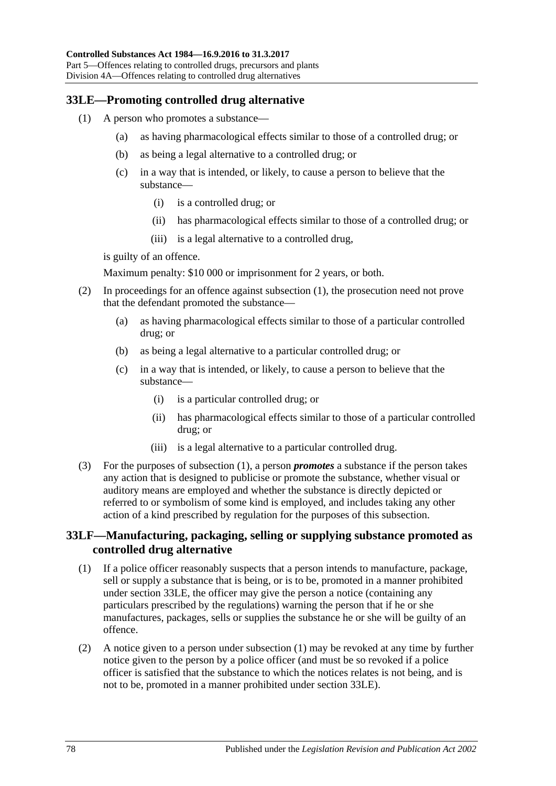## <span id="page-77-1"></span><span id="page-77-0"></span>**33LE—Promoting controlled drug alternative**

- (1) A person who promotes a substance—
	- (a) as having pharmacological effects similar to those of a controlled drug; or
	- (b) as being a legal alternative to a controlled drug; or
	- (c) in a way that is intended, or likely, to cause a person to believe that the substance—
		- (i) is a controlled drug; or
		- (ii) has pharmacological effects similar to those of a controlled drug; or
		- (iii) is a legal alternative to a controlled drug,

is guilty of an offence.

Maximum penalty: \$10 000 or imprisonment for 2 years, or both.

- (2) In proceedings for an offence against [subsection](#page-77-0) (1), the prosecution need not prove that the defendant promoted the substance—
	- (a) as having pharmacological effects similar to those of a particular controlled drug; or
	- (b) as being a legal alternative to a particular controlled drug; or
	- (c) in a way that is intended, or likely, to cause a person to believe that the substance—
		- (i) is a particular controlled drug; or
		- (ii) has pharmacological effects similar to those of a particular controlled drug; or
		- (iii) is a legal alternative to a particular controlled drug.
- (3) For the purposes of [subsection](#page-77-0) (1), a person *promotes* a substance if the person takes any action that is designed to publicise or promote the substance, whether visual or auditory means are employed and whether the substance is directly depicted or referred to or symbolism of some kind is employed, and includes taking any other action of a kind prescribed by regulation for the purposes of this subsection.

#### **33LF—Manufacturing, packaging, selling or supplying substance promoted as controlled drug alternative**

- <span id="page-77-2"></span>(1) If a police officer reasonably suspects that a person intends to manufacture, package, sell or supply a substance that is being, or is to be, promoted in a manner prohibited under [section](#page-77-1) 33LE, the officer may give the person a notice (containing any particulars prescribed by the regulations) warning the person that if he or she manufactures, packages, sells or supplies the substance he or she will be guilty of an offence.
- <span id="page-77-3"></span>(2) A notice given to a person under [subsection](#page-77-2) (1) may be revoked at any time by further notice given to the person by a police officer (and must be so revoked if a police officer is satisfied that the substance to which the notices relates is not being, and is not to be, promoted in a manner prohibited under [section](#page-77-1) 33LE).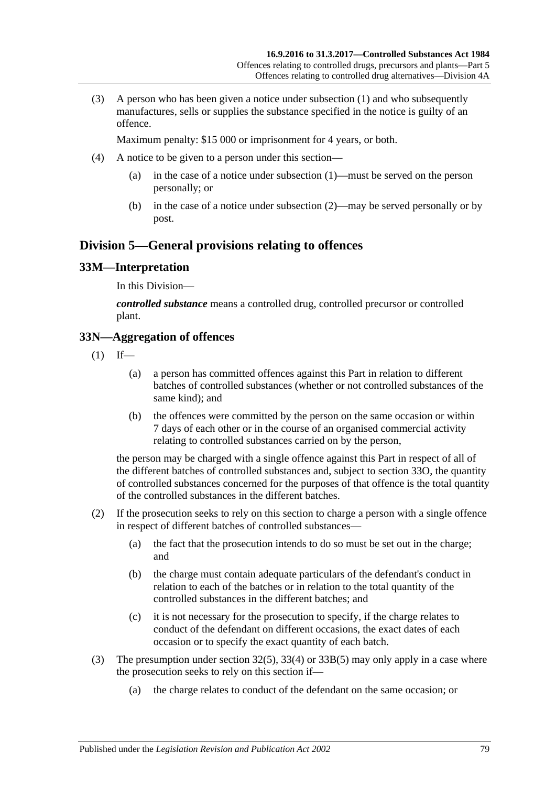(3) A person who has been given a notice under [subsection](#page-77-2) (1) and who subsequently manufactures, sells or supplies the substance specified in the notice is guilty of an offence.

Maximum penalty: \$15 000 or imprisonment for 4 years, or both.

- (4) A notice to be given to a person under this section—
	- (a) in the case of a notice under [subsection](#page-77-2) (1)—must be served on the person personally; or
	- (b) in the case of a notice under [subsection](#page-77-3) (2)—may be served personally or by post.

## **Division 5—General provisions relating to offences**

## **33M—Interpretation**

In this Division—

*controlled substance* means a controlled drug, controlled precursor or controlled plant.

## **33N—Aggregation of offences**

- $(1)$  If—
	- (a) a person has committed offences against this Part in relation to different batches of controlled substances (whether or not controlled substances of the same kind); and
	- (b) the offences were committed by the person on the same occasion or within 7 days of each other or in the course of an organised commercial activity relating to controlled substances carried on by the person,

the person may be charged with a single offence against this Part in respect of all of the different batches of controlled substances and, subject to [section](#page-79-0) 33O, the quantity of controlled substances concerned for the purposes of that offence is the total quantity of the controlled substances in the different batches.

- (2) If the prosecution seeks to rely on this section to charge a person with a single offence in respect of different batches of controlled substances—
	- (a) the fact that the prosecution intends to do so must be set out in the charge; and
	- (b) the charge must contain adequate particulars of the defendant's conduct in relation to each of the batches or in relation to the total quantity of the controlled substances in the different batches; and
	- (c) it is not necessary for the prosecution to specify, if the charge relates to conduct of the defendant on different occasions, the exact dates of each occasion or to specify the exact quantity of each batch.
- (3) The presumption under [section](#page-66-0) 32(5), [33\(4\)](#page-67-0) or [33B\(5\)](#page-69-0) may only apply in a case where the prosecution seeks to rely on this section if—
	- (a) the charge relates to conduct of the defendant on the same occasion; or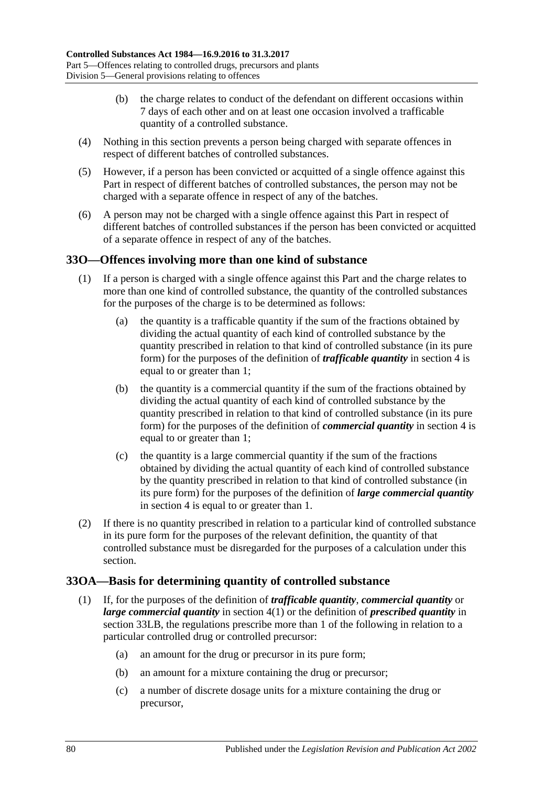- (b) the charge relates to conduct of the defendant on different occasions within 7 days of each other and on at least one occasion involved a trafficable quantity of a controlled substance.
- (4) Nothing in this section prevents a person being charged with separate offences in respect of different batches of controlled substances.
- (5) However, if a person has been convicted or acquitted of a single offence against this Part in respect of different batches of controlled substances, the person may not be charged with a separate offence in respect of any of the batches.
- (6) A person may not be charged with a single offence against this Part in respect of different batches of controlled substances if the person has been convicted or acquitted of a separate offence in respect of any of the batches.

## <span id="page-79-0"></span>**33O—Offences involving more than one kind of substance**

- (1) If a person is charged with a single offence against this Part and the charge relates to more than one kind of controlled substance, the quantity of the controlled substances for the purposes of the charge is to be determined as follows:
	- (a) the quantity is a trafficable quantity if the sum of the fractions obtained by dividing the actual quantity of each kind of controlled substance by the quantity prescribed in relation to that kind of controlled substance (in its pure form) for the purposes of the definition of *trafficable quantity* in [section](#page-5-0) 4 is equal to or greater than 1;
	- (b) the quantity is a commercial quantity if the sum of the fractions obtained by dividing the actual quantity of each kind of controlled substance by the quantity prescribed in relation to that kind of controlled substance (in its pure form) for the purposes of the definition of *commercial quantity* in [section](#page-5-0) 4 is equal to or greater than 1;
	- (c) the quantity is a large commercial quantity if the sum of the fractions obtained by dividing the actual quantity of each kind of controlled substance by the quantity prescribed in relation to that kind of controlled substance (in its pure form) for the purposes of the definition of *large commercial quantity* in [section](#page-5-0) 4 is equal to or greater than 1.
- (2) If there is no quantity prescribed in relation to a particular kind of controlled substance in its pure form for the purposes of the relevant definition, the quantity of that controlled substance must be disregarded for the purposes of a calculation under this section.

#### **33OA—Basis for determining quantity of controlled substance**

- (1) If, for the purposes of the definition of *trafficable quantity*, *commercial quantity* or *large commercial quantity* in [section](#page-5-1) 4(1) or the definition of *prescribed quantity* in [section](#page-75-0) 33LB, the regulations prescribe more than 1 of the following in relation to a particular controlled drug or controlled precursor:
	- (a) an amount for the drug or precursor in its pure form;
	- (b) an amount for a mixture containing the drug or precursor;
	- (c) a number of discrete dosage units for a mixture containing the drug or precursor,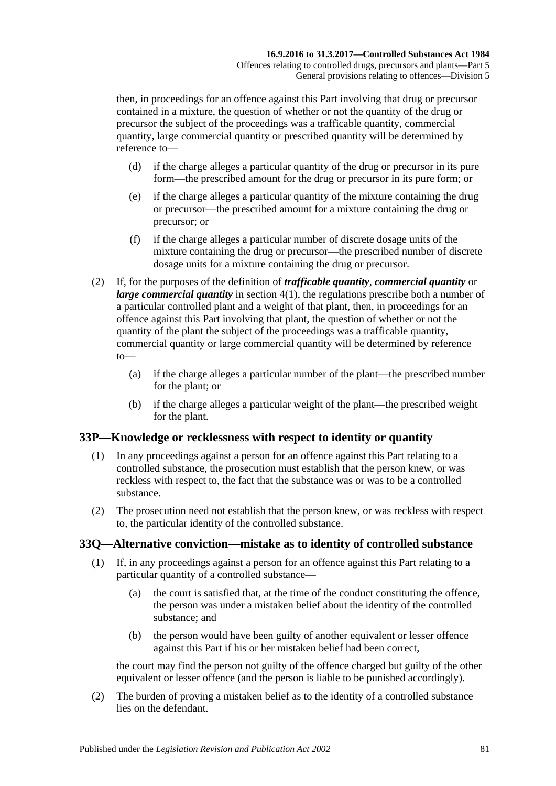then, in proceedings for an offence against this Part involving that drug or precursor contained in a mixture, the question of whether or not the quantity of the drug or precursor the subject of the proceedings was a trafficable quantity, commercial quantity, large commercial quantity or prescribed quantity will be determined by reference to—

- (d) if the charge alleges a particular quantity of the drug or precursor in its pure form—the prescribed amount for the drug or precursor in its pure form; or
- (e) if the charge alleges a particular quantity of the mixture containing the drug or precursor—the prescribed amount for a mixture containing the drug or precursor; or
- (f) if the charge alleges a particular number of discrete dosage units of the mixture containing the drug or precursor—the prescribed number of discrete dosage units for a mixture containing the drug or precursor.
- (2) If, for the purposes of the definition of *trafficable quantity*, *commercial quantity* or *large commercial quantity* in [section](#page-5-1) 4(1), the regulations prescribe both a number of a particular controlled plant and a weight of that plant, then, in proceedings for an offence against this Part involving that plant, the question of whether or not the quantity of the plant the subject of the proceedings was a trafficable quantity, commercial quantity or large commercial quantity will be determined by reference to—
	- (a) if the charge alleges a particular number of the plant—the prescribed number for the plant; or
	- (b) if the charge alleges a particular weight of the plant—the prescribed weight for the plant.

#### **33P—Knowledge or recklessness with respect to identity or quantity**

- (1) In any proceedings against a person for an offence against this Part relating to a controlled substance, the prosecution must establish that the person knew, or was reckless with respect to, the fact that the substance was or was to be a controlled substance.
- (2) The prosecution need not establish that the person knew, or was reckless with respect to, the particular identity of the controlled substance.

#### **33Q—Alternative conviction—mistake as to identity of controlled substance**

- (1) If, in any proceedings against a person for an offence against this Part relating to a particular quantity of a controlled substance—
	- (a) the court is satisfied that, at the time of the conduct constituting the offence, the person was under a mistaken belief about the identity of the controlled substance; and
	- (b) the person would have been guilty of another equivalent or lesser offence against this Part if his or her mistaken belief had been correct,

the court may find the person not guilty of the offence charged but guilty of the other equivalent or lesser offence (and the person is liable to be punished accordingly).

(2) The burden of proving a mistaken belief as to the identity of a controlled substance lies on the defendant.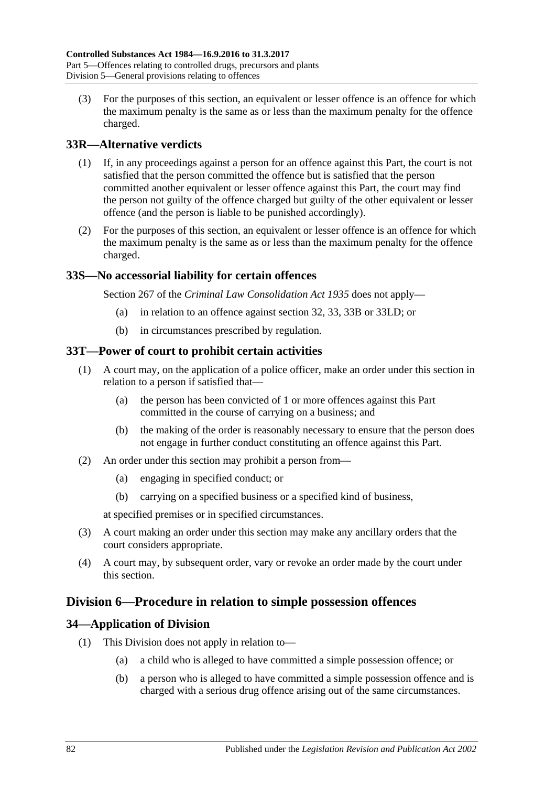(3) For the purposes of this section, an equivalent or lesser offence is an offence for which the maximum penalty is the same as or less than the maximum penalty for the offence charged.

## **33R—Alternative verdicts**

- (1) If, in any proceedings against a person for an offence against this Part, the court is not satisfied that the person committed the offence but is satisfied that the person committed another equivalent or lesser offence against this Part, the court may find the person not guilty of the offence charged but guilty of the other equivalent or lesser offence (and the person is liable to be punished accordingly).
- (2) For the purposes of this section, an equivalent or lesser offence is an offence for which the maximum penalty is the same as or less than the maximum penalty for the offence charged.

## **33S—No accessorial liability for certain offences**

Section 267 of the *[Criminal Law Consolidation Act](http://www.legislation.sa.gov.au/index.aspx?action=legref&type=act&legtitle=Criminal%20Law%20Consolidation%20Act%201935) 1935* does not apply—

- (a) in relation to an offence against [section](#page-65-0) 32, [33,](#page-67-1) [33B](#page-69-1) or [33LD;](#page-76-0) or
- (b) in circumstances prescribed by regulation.

#### **33T—Power of court to prohibit certain activities**

- (1) A court may, on the application of a police officer, make an order under this section in relation to a person if satisfied that—
	- (a) the person has been convicted of 1 or more offences against this Part committed in the course of carrying on a business; and
	- (b) the making of the order is reasonably necessary to ensure that the person does not engage in further conduct constituting an offence against this Part.
- (2) An order under this section may prohibit a person from—
	- (a) engaging in specified conduct; or
	- (b) carrying on a specified business or a specified kind of business,

at specified premises or in specified circumstances.

- (3) A court making an order under this section may make any ancillary orders that the court considers appropriate.
- (4) A court may, by subsequent order, vary or revoke an order made by the court under this section.

## **Division 6—Procedure in relation to simple possession offences**

#### **34—Application of Division**

- (1) This Division does not apply in relation to—
	- (a) a child who is alleged to have committed a simple possession offence; or
	- (b) a person who is alleged to have committed a simple possession offence and is charged with a serious drug offence arising out of the same circumstances.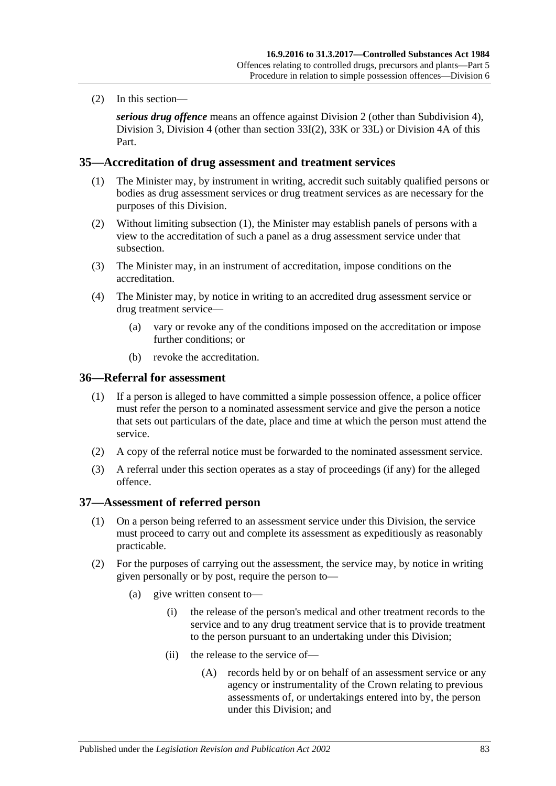(2) In this section—

*serious drug offence* means an offence against [Division 2](#page-65-1) (other than [Subdivision 4\)](#page-70-0), [Division 3,](#page-71-0) [Division 4](#page-73-1) (other than [section](#page-73-2) 33I(2), [33K](#page-73-3) or [33L\)](#page-74-0) or [Division 4A](#page-76-1) of this Part.

#### <span id="page-82-0"></span>**35—Accreditation of drug assessment and treatment services**

- (1) The Minister may, by instrument in writing, accredit such suitably qualified persons or bodies as drug assessment services or drug treatment services as are necessary for the purposes of this Division.
- (2) Without limiting [subsection](#page-82-0) (1), the Minister may establish panels of persons with a view to the accreditation of such a panel as a drug assessment service under that subsection.
- (3) The Minister may, in an instrument of accreditation, impose conditions on the accreditation.
- (4) The Minister may, by notice in writing to an accredited drug assessment service or drug treatment service—
	- (a) vary or revoke any of the conditions imposed on the accreditation or impose further conditions; or
	- (b) revoke the accreditation.

#### **36—Referral for assessment**

- (1) If a person is alleged to have committed a simple possession offence, a police officer must refer the person to a nominated assessment service and give the person a notice that sets out particulars of the date, place and time at which the person must attend the service.
- (2) A copy of the referral notice must be forwarded to the nominated assessment service.
- (3) A referral under this section operates as a stay of proceedings (if any) for the alleged offence.

#### **37—Assessment of referred person**

- (1) On a person being referred to an assessment service under this Division, the service must proceed to carry out and complete its assessment as expeditiously as reasonably practicable.
- (2) For the purposes of carrying out the assessment, the service may, by notice in writing given personally or by post, require the person to—
	- (a) give written consent to—
		- (i) the release of the person's medical and other treatment records to the service and to any drug treatment service that is to provide treatment to the person pursuant to an undertaking under this Division;
		- (ii) the release to the service of—
			- (A) records held by or on behalf of an assessment service or any agency or instrumentality of the Crown relating to previous assessments of, or undertakings entered into by, the person under this Division; and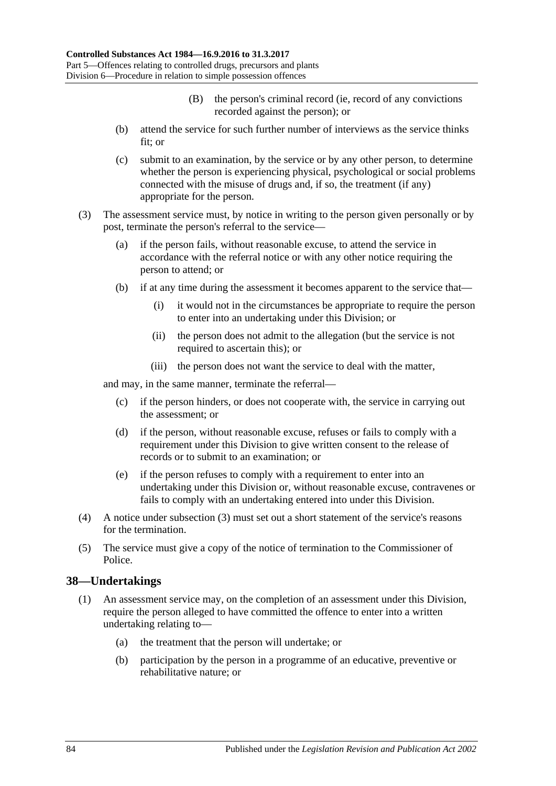- (B) the person's criminal record (ie, record of any convictions recorded against the person); or
- (b) attend the service for such further number of interviews as the service thinks fit; or
- (c) submit to an examination, by the service or by any other person, to determine whether the person is experiencing physical, psychological or social problems connected with the misuse of drugs and, if so, the treatment (if any) appropriate for the person.
- <span id="page-83-0"></span>(3) The assessment service must, by notice in writing to the person given personally or by post, terminate the person's referral to the service—
	- (a) if the person fails, without reasonable excuse, to attend the service in accordance with the referral notice or with any other notice requiring the person to attend; or
	- (b) if at any time during the assessment it becomes apparent to the service that—
		- (i) it would not in the circumstances be appropriate to require the person to enter into an undertaking under this Division; or
		- (ii) the person does not admit to the allegation (but the service is not required to ascertain this); or
		- (iii) the person does not want the service to deal with the matter,

and may, in the same manner, terminate the referral—

- (c) if the person hinders, or does not cooperate with, the service in carrying out the assessment; or
- (d) if the person, without reasonable excuse, refuses or fails to comply with a requirement under this Division to give written consent to the release of records or to submit to an examination; or
- (e) if the person refuses to comply with a requirement to enter into an undertaking under this Division or, without reasonable excuse, contravenes or fails to comply with an undertaking entered into under this Division.
- (4) A notice under [subsection](#page-83-0) (3) must set out a short statement of the service's reasons for the termination.
- (5) The service must give a copy of the notice of termination to the Commissioner of Police.

#### **38—Undertakings**

- (1) An assessment service may, on the completion of an assessment under this Division, require the person alleged to have committed the offence to enter into a written undertaking relating to—
	- (a) the treatment that the person will undertake; or
	- (b) participation by the person in a programme of an educative, preventive or rehabilitative nature; or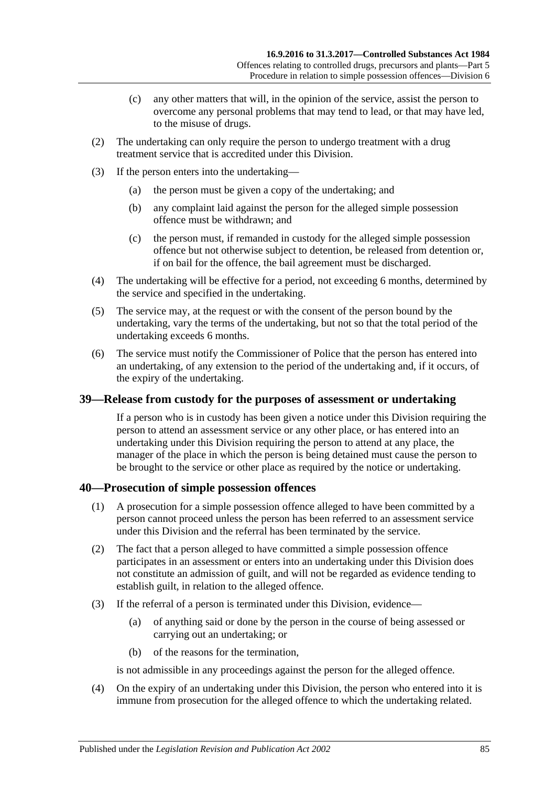- (c) any other matters that will, in the opinion of the service, assist the person to overcome any personal problems that may tend to lead, or that may have led, to the misuse of drugs.
- (2) The undertaking can only require the person to undergo treatment with a drug treatment service that is accredited under this Division.
- (3) If the person enters into the undertaking—
	- (a) the person must be given a copy of the undertaking; and
	- (b) any complaint laid against the person for the alleged simple possession offence must be withdrawn; and
	- (c) the person must, if remanded in custody for the alleged simple possession offence but not otherwise subject to detention, be released from detention or, if on bail for the offence, the bail agreement must be discharged.
- (4) The undertaking will be effective for a period, not exceeding 6 months, determined by the service and specified in the undertaking.
- (5) The service may, at the request or with the consent of the person bound by the undertaking, vary the terms of the undertaking, but not so that the total period of the undertaking exceeds 6 months.
- (6) The service must notify the Commissioner of Police that the person has entered into an undertaking, of any extension to the period of the undertaking and, if it occurs, of the expiry of the undertaking.

#### **39—Release from custody for the purposes of assessment or undertaking**

If a person who is in custody has been given a notice under this Division requiring the person to attend an assessment service or any other place, or has entered into an undertaking under this Division requiring the person to attend at any place, the manager of the place in which the person is being detained must cause the person to be brought to the service or other place as required by the notice or undertaking.

#### **40—Prosecution of simple possession offences**

- (1) A prosecution for a simple possession offence alleged to have been committed by a person cannot proceed unless the person has been referred to an assessment service under this Division and the referral has been terminated by the service.
- (2) The fact that a person alleged to have committed a simple possession offence participates in an assessment or enters into an undertaking under this Division does not constitute an admission of guilt, and will not be regarded as evidence tending to establish guilt, in relation to the alleged offence.
- (3) If the referral of a person is terminated under this Division, evidence—
	- (a) of anything said or done by the person in the course of being assessed or carrying out an undertaking; or
	- (b) of the reasons for the termination,

is not admissible in any proceedings against the person for the alleged offence.

(4) On the expiry of an undertaking under this Division, the person who entered into it is immune from prosecution for the alleged offence to which the undertaking related.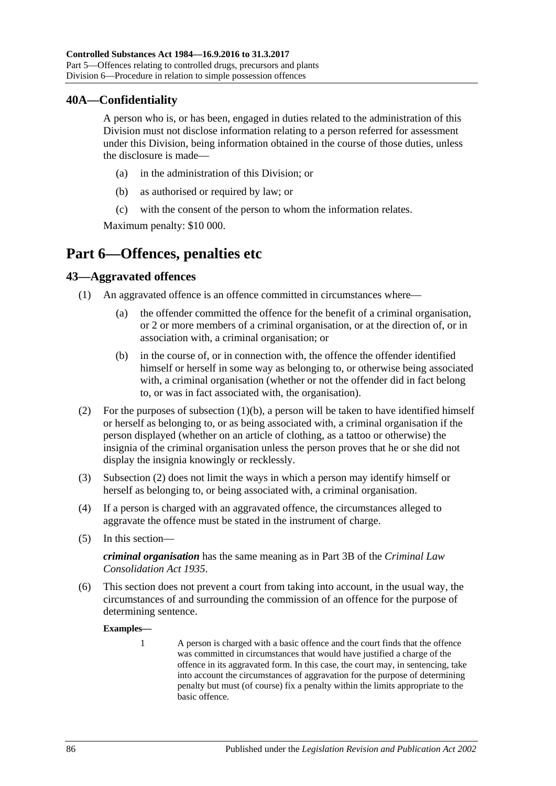#### **40A—Confidentiality**

A person who is, or has been, engaged in duties related to the administration of this Division must not disclose information relating to a person referred for assessment under this Division, being information obtained in the course of those duties, unless the disclosure is made—

- (a) in the administration of this Division; or
- (b) as authorised or required by law; or
- (c) with the consent of the person to whom the information relates.

Maximum penalty: \$10 000.

## **Part 6—Offences, penalties etc**

#### **43—Aggravated offences**

- <span id="page-85-0"></span>(1) An aggravated offence is an offence committed in circumstances where—
	- (a) the offender committed the offence for the benefit of a criminal organisation, or 2 or more members of a criminal organisation, or at the direction of, or in association with, a criminal organisation; or
	- (b) in the course of, or in connection with, the offence the offender identified himself or herself in some way as belonging to, or otherwise being associated with, a criminal organisation (whether or not the offender did in fact belong to, or was in fact associated with, the organisation).
- <span id="page-85-1"></span>(2) For the purposes of [subsection](#page-85-0)  $(1)(b)$ , a person will be taken to have identified himself or herself as belonging to, or as being associated with, a criminal organisation if the person displayed (whether on an article of clothing, as a tattoo or otherwise) the insignia of the criminal organisation unless the person proves that he or she did not display the insignia knowingly or recklessly.
- (3) [Subsection](#page-85-1) (2) does not limit the ways in which a person may identify himself or herself as belonging to, or being associated with, a criminal organisation.
- (4) If a person is charged with an aggravated offence, the circumstances alleged to aggravate the offence must be stated in the instrument of charge.
- (5) In this section—

*criminal organisation* has the same meaning as in Part 3B of the *[Criminal Law](http://www.legislation.sa.gov.au/index.aspx?action=legref&type=act&legtitle=Criminal%20Law%20Consolidation%20Act%201935)  [Consolidation Act](http://www.legislation.sa.gov.au/index.aspx?action=legref&type=act&legtitle=Criminal%20Law%20Consolidation%20Act%201935) 1935*.

(6) This section does not prevent a court from taking into account, in the usual way, the circumstances of and surrounding the commission of an offence for the purpose of determining sentence.

**Examples—**

1 A person is charged with a basic offence and the court finds that the offence was committed in circumstances that would have justified a charge of the offence in its aggravated form. In this case, the court may, in sentencing, take into account the circumstances of aggravation for the purpose of determining penalty but must (of course) fix a penalty within the limits appropriate to the basic offence.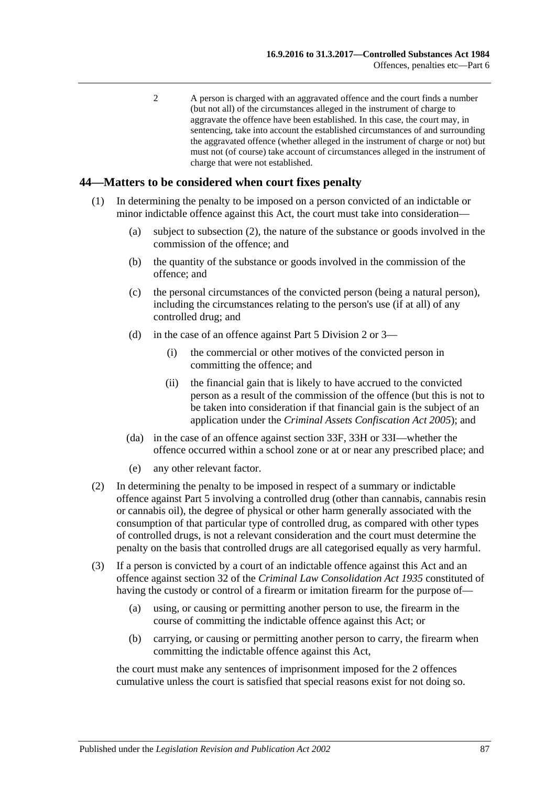2 A person is charged with an aggravated offence and the court finds a number (but not all) of the circumstances alleged in the instrument of charge to aggravate the offence have been established. In this case, the court may, in sentencing, take into account the established circumstances of and surrounding the aggravated offence (whether alleged in the instrument of charge or not) but must not (of course) take account of circumstances alleged in the instrument of charge that were not established.

#### **44—Matters to be considered when court fixes penalty**

- (1) In determining the penalty to be imposed on a person convicted of an indictable or minor indictable offence against this Act, the court must take into consideration—
	- (a) subject to [subsection](#page-86-0) (2), the nature of the substance or goods involved in the commission of the offence; and
	- (b) the quantity of the substance or goods involved in the commission of the offence; and
	- (c) the personal circumstances of the convicted person (being a natural person), including the circumstances relating to the person's use (if at all) of any controlled drug; and
	- (d) in the case of an offence against [Part 5 Division 2](#page-65-1) or [3—](#page-71-0)
		- (i) the commercial or other motives of the convicted person in committing the offence; and
		- (ii) the financial gain that is likely to have accrued to the convicted person as a result of the commission of the offence (but this is not to be taken into consideration if that financial gain is the subject of an application under the *[Criminal Assets Confiscation Act](http://www.legislation.sa.gov.au/index.aspx?action=legref&type=act&legtitle=Criminal%20Assets%20Confiscation%20Act%202005) 2005*); and
	- (da) in the case of an offence against [section](#page-71-1) 33F, [33H](#page-72-0) or [33I—](#page-73-4)whether the offence occurred within a school zone or at or near any prescribed place; and
	- (e) any other relevant factor.
- <span id="page-86-0"></span>(2) In determining the penalty to be imposed in respect of a summary or indictable offence against [Part 5](#page-63-0) involving a controlled drug (other than cannabis, cannabis resin or cannabis oil), the degree of physical or other harm generally associated with the consumption of that particular type of controlled drug, as compared with other types of controlled drugs, is not a relevant consideration and the court must determine the penalty on the basis that controlled drugs are all categorised equally as very harmful.
- (3) If a person is convicted by a court of an indictable offence against this Act and an offence against section 32 of the *[Criminal Law Consolidation Act](http://www.legislation.sa.gov.au/index.aspx?action=legref&type=act&legtitle=Criminal%20Law%20Consolidation%20Act%201935) 1935* constituted of having the custody or control of a firearm or imitation firearm for the purpose of—
	- (a) using, or causing or permitting another person to use, the firearm in the course of committing the indictable offence against this Act; or
	- (b) carrying, or causing or permitting another person to carry, the firearm when committing the indictable offence against this Act,

the court must make any sentences of imprisonment imposed for the 2 offences cumulative unless the court is satisfied that special reasons exist for not doing so.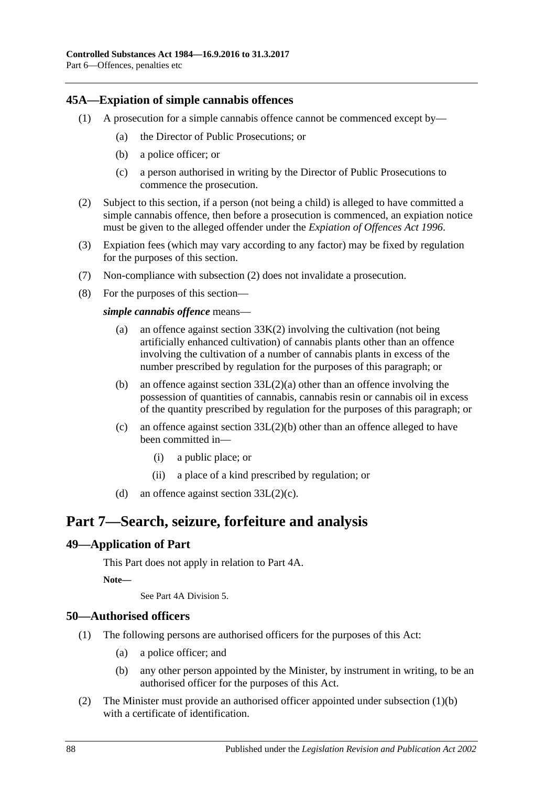#### <span id="page-87-0"></span>**45A—Expiation of simple cannabis offences**

- (1) A prosecution for a simple cannabis offence cannot be commenced except by—
	- (a) the Director of Public Prosecutions; or
	- (b) a police officer; or
	- (c) a person authorised in writing by the Director of Public Prosecutions to commence the prosecution.
- <span id="page-87-1"></span>(2) Subject to this section, if a person (not being a child) is alleged to have committed a simple cannabis offence, then before a prosecution is commenced, an expiation notice must be given to the alleged offender under the *[Expiation of Offences Act](http://www.legislation.sa.gov.au/index.aspx?action=legref&type=act&legtitle=Expiation%20of%20Offences%20Act%201996) 1996*.
- (3) Expiation fees (which may vary according to any factor) may be fixed by regulation for the purposes of this section.
- (7) Non-compliance with [subsection](#page-87-1) (2) does not invalidate a prosecution.
- (8) For the purposes of this section—

*simple cannabis offence* means—

- (a) an offence against [section](#page-73-0) 33K(2) involving the cultivation (not being artificially enhanced cultivation) of cannabis plants other than an offence involving the cultivation of a number of cannabis plants in excess of the number prescribed by regulation for the purposes of this paragraph; or
- (b) an offence against section [33L\(2\)\(a\)](#page-74-1) other than an offence involving the possession of quantities of cannabis, cannabis resin or cannabis oil in excess of the quantity prescribed by regulation for the purposes of this paragraph; or
- (c) an offence against section [33L\(2\)\(b\)](#page-74-2) other than an offence alleged to have been committed in—
	- (i) a public place; or
	- (ii) a place of a kind prescribed by regulation; or
- (d) an offence against section  $33L(2)(c)$ .

## **Part 7—Search, seizure, forfeiture and analysis**

#### **49—Application of Part**

This Part does not apply in relation to Part 4A.

**Note—**

See Part 4A Division 5.

#### **50—Authorised officers**

- <span id="page-87-2"></span>(1) The following persons are authorised officers for the purposes of this Act:
	- (a) a police officer; and
	- (b) any other person appointed by the Minister, by instrument in writing, to be an authorised officer for the purposes of this Act.
- (2) The Minister must provide an authorised officer appointed under [subsection](#page-87-2) (1)(b) with a certificate of identification.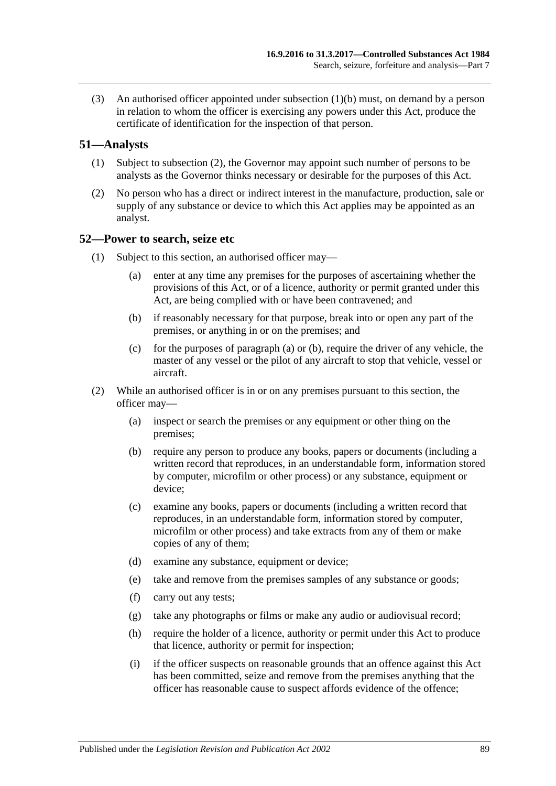(3) An authorised officer appointed under [subsection](#page-87-2) (1)(b) must, on demand by a person in relation to whom the officer is exercising any powers under this Act, produce the certificate of identification for the inspection of that person.

#### **51—Analysts**

- (1) Subject to [subsection](#page-88-0) (2), the Governor may appoint such number of persons to be analysts as the Governor thinks necessary or desirable for the purposes of this Act.
- <span id="page-88-0"></span>(2) No person who has a direct or indirect interest in the manufacture, production, sale or supply of any substance or device to which this Act applies may be appointed as an analyst.

#### <span id="page-88-3"></span>**52—Power to search, seize etc**

- <span id="page-88-2"></span><span id="page-88-1"></span>(1) Subject to this section, an authorised officer may—
	- (a) enter at any time any premises for the purposes of ascertaining whether the provisions of this Act, or of a licence, authority or permit granted under this Act, are being complied with or have been contravened; and
	- (b) if reasonably necessary for that purpose, break into or open any part of the premises, or anything in or on the premises; and
	- (c) for the purposes of [paragraph](#page-88-1) (a) or [\(b\),](#page-88-2) require the driver of any vehicle, the master of any vessel or the pilot of any aircraft to stop that vehicle, vessel or aircraft.
- (2) While an authorised officer is in or on any premises pursuant to this section, the officer may—
	- (a) inspect or search the premises or any equipment or other thing on the premises;
	- (b) require any person to produce any books, papers or documents (including a written record that reproduces, in an understandable form, information stored by computer, microfilm or other process) or any substance, equipment or device:
	- (c) examine any books, papers or documents (including a written record that reproduces, in an understandable form, information stored by computer, microfilm or other process) and take extracts from any of them or make copies of any of them;
	- (d) examine any substance, equipment or device;
	- (e) take and remove from the premises samples of any substance or goods;
	- (f) carry out any tests;
	- (g) take any photographs or films or make any audio or audiovisual record;
	- (h) require the holder of a licence, authority or permit under this Act to produce that licence, authority or permit for inspection;
	- (i) if the officer suspects on reasonable grounds that an offence against this Act has been committed, seize and remove from the premises anything that the officer has reasonable cause to suspect affords evidence of the offence;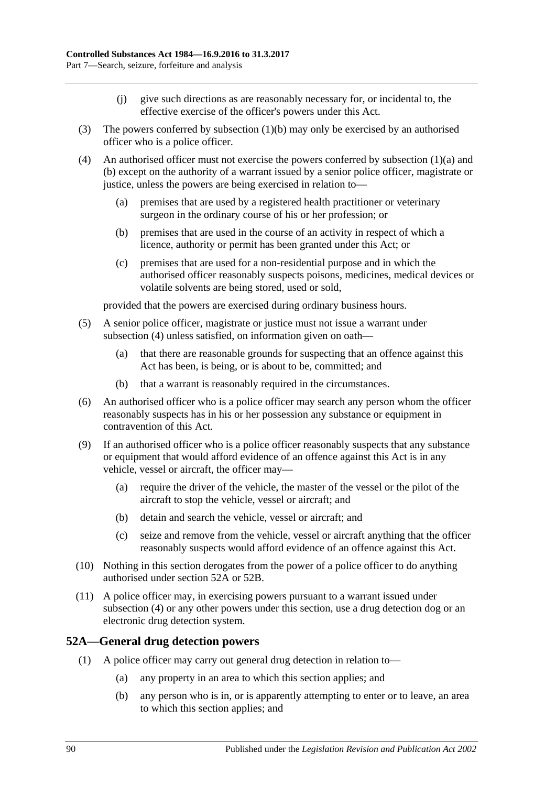- (j) give such directions as are reasonably necessary for, or incidental to, the effective exercise of the officer's powers under this Act.
- (3) The powers conferred by [subsection](#page-88-2) (1)(b) may only be exercised by an authorised officer who is a police officer.
- <span id="page-89-0"></span>(4) An authorised officer must not exercise the powers conferred by [subsection](#page-88-1)  $(1)(a)$  and [\(b\)](#page-88-2) except on the authority of a warrant issued by a senior police officer, magistrate or justice, unless the powers are being exercised in relation to—
	- (a) premises that are used by a registered health practitioner or veterinary surgeon in the ordinary course of his or her profession; or
	- (b) premises that are used in the course of an activity in respect of which a licence, authority or permit has been granted under this Act; or
	- (c) premises that are used for a non-residential purpose and in which the authorised officer reasonably suspects poisons, medicines, medical devices or volatile solvents are being stored, used or sold,

provided that the powers are exercised during ordinary business hours.

- (5) A senior police officer, magistrate or justice must not issue a warrant under [subsection](#page-89-0) (4) unless satisfied, on information given on oath—
	- (a) that there are reasonable grounds for suspecting that an offence against this Act has been, is being, or is about to be, committed; and
	- (b) that a warrant is reasonably required in the circumstances.
- (6) An authorised officer who is a police officer may search any person whom the officer reasonably suspects has in his or her possession any substance or equipment in contravention of this Act.
- (9) If an authorised officer who is a police officer reasonably suspects that any substance or equipment that would afford evidence of an offence against this Act is in any vehicle, vessel or aircraft, the officer may—
	- (a) require the driver of the vehicle, the master of the vessel or the pilot of the aircraft to stop the vehicle, vessel or aircraft; and
	- (b) detain and search the vehicle, vessel or aircraft; and
	- (c) seize and remove from the vehicle, vessel or aircraft anything that the officer reasonably suspects would afford evidence of an offence against this Act.
- (10) Nothing in this section derogates from the power of a police officer to do anything authorised under [section](#page-89-1) 52A or [52B.](#page-91-0)
- (11) A police officer may, in exercising powers pursuant to a warrant issued under [subsection](#page-89-0) (4) or any other powers under this section, use a drug detection dog or an electronic drug detection system.

#### <span id="page-89-1"></span>**52A—General drug detection powers**

- (1) A police officer may carry out general drug detection in relation to—
	- (a) any property in an area to which this section applies; and
	- (b) any person who is in, or is apparently attempting to enter or to leave, an area to which this section applies; and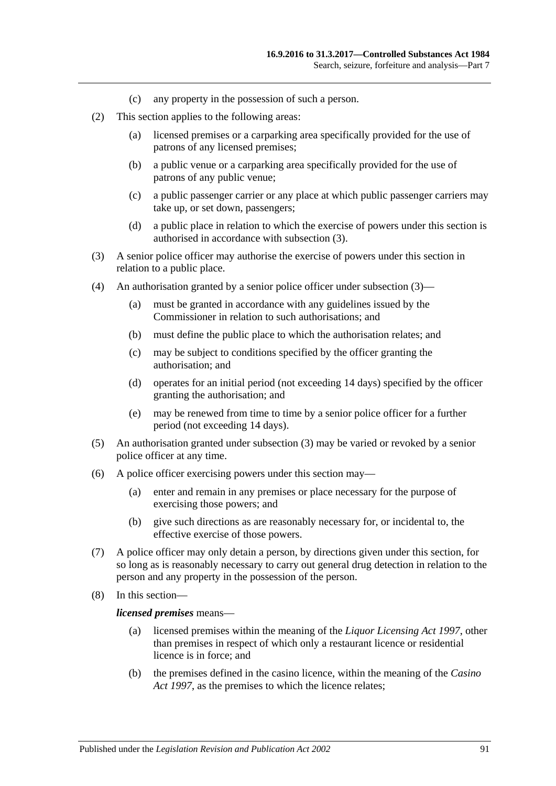- (c) any property in the possession of such a person.
- (2) This section applies to the following areas:
	- (a) licensed premises or a carparking area specifically provided for the use of patrons of any licensed premises;
	- (b) a public venue or a carparking area specifically provided for the use of patrons of any public venue;
	- (c) a public passenger carrier or any place at which public passenger carriers may take up, or set down, passengers;
	- (d) a public place in relation to which the exercise of powers under this section is authorised in accordance with [subsection](#page-90-0) (3).
- <span id="page-90-0"></span>(3) A senior police officer may authorise the exercise of powers under this section in relation to a public place.
- (4) An authorisation granted by a senior police officer under [subsection](#page-90-0) (3)—
	- (a) must be granted in accordance with any guidelines issued by the Commissioner in relation to such authorisations; and
	- (b) must define the public place to which the authorisation relates; and
	- (c) may be subject to conditions specified by the officer granting the authorisation; and
	- (d) operates for an initial period (not exceeding 14 days) specified by the officer granting the authorisation; and
	- (e) may be renewed from time to time by a senior police officer for a further period (not exceeding 14 days).
- (5) An authorisation granted under [subsection](#page-90-0) (3) may be varied or revoked by a senior police officer at any time.
- (6) A police officer exercising powers under this section may—
	- (a) enter and remain in any premises or place necessary for the purpose of exercising those powers; and
	- (b) give such directions as are reasonably necessary for, or incidental to, the effective exercise of those powers.
- (7) A police officer may only detain a person, by directions given under this section, for so long as is reasonably necessary to carry out general drug detection in relation to the person and any property in the possession of the person.
- (8) In this section—

#### *licensed premises* means—

- (a) licensed premises within the meaning of the *[Liquor Licensing Act](http://www.legislation.sa.gov.au/index.aspx?action=legref&type=act&legtitle=Liquor%20Licensing%20Act%201997) 1997*, other than premises in respect of which only a restaurant licence or residential licence is in force; and
- (b) the premises defined in the casino licence, within the meaning of the *[Casino](http://www.legislation.sa.gov.au/index.aspx?action=legref&type=act&legtitle=Casino%20Act%201997)  Act [1997](http://www.legislation.sa.gov.au/index.aspx?action=legref&type=act&legtitle=Casino%20Act%201997)*, as the premises to which the licence relates;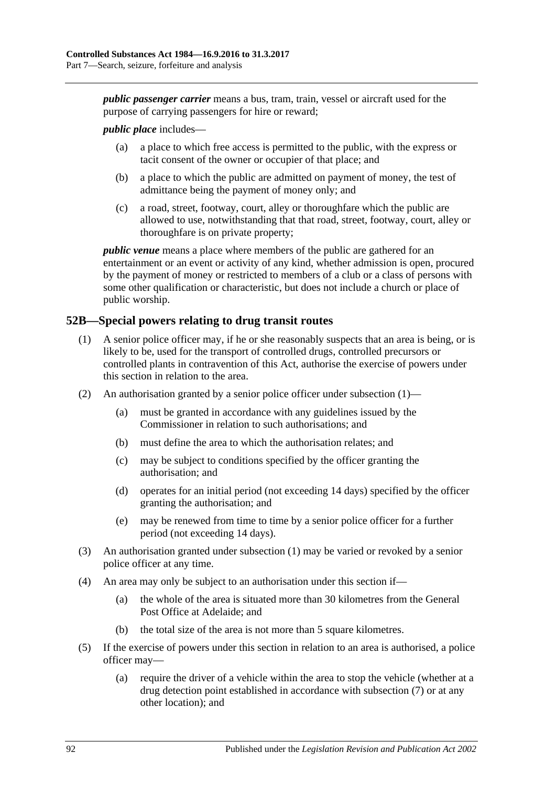*public passenger carrier* means a bus, tram, train, vessel or aircraft used for the purpose of carrying passengers for hire or reward;

#### *public place* includes—

- (a) a place to which free access is permitted to the public, with the express or tacit consent of the owner or occupier of that place; and
- (b) a place to which the public are admitted on payment of money, the test of admittance being the payment of money only; and
- (c) a road, street, footway, court, alley or thoroughfare which the public are allowed to use, notwithstanding that that road, street, footway, court, alley or thoroughfare is on private property;

*public venue* means a place where members of the public are gathered for an entertainment or an event or activity of any kind, whether admission is open, procured by the payment of money or restricted to members of a club or a class of persons with some other qualification or characteristic, but does not include a church or place of public worship.

#### <span id="page-91-1"></span><span id="page-91-0"></span>**52B—Special powers relating to drug transit routes**

- (1) A senior police officer may, if he or she reasonably suspects that an area is being, or is likely to be, used for the transport of controlled drugs, controlled precursors or controlled plants in contravention of this Act, authorise the exercise of powers under this section in relation to the area.
- (2) An authorisation granted by a senior police officer under [subsection](#page-91-1) (1)—
	- (a) must be granted in accordance with any guidelines issued by the Commissioner in relation to such authorisations; and
	- (b) must define the area to which the authorisation relates; and
	- (c) may be subject to conditions specified by the officer granting the authorisation; and
	- (d) operates for an initial period (not exceeding 14 days) specified by the officer granting the authorisation; and
	- (e) may be renewed from time to time by a senior police officer for a further period (not exceeding 14 days).
- (3) An authorisation granted under [subsection](#page-91-1) (1) may be varied or revoked by a senior police officer at any time.
- (4) An area may only be subject to an authorisation under this section if—
	- (a) the whole of the area is situated more than 30 kilometres from the General Post Office at Adelaide; and
	- (b) the total size of the area is not more than 5 square kilometres.
- (5) If the exercise of powers under this section in relation to an area is authorised, a police officer may—
	- (a) require the driver of a vehicle within the area to stop the vehicle (whether at a drug detection point established in accordance with [subsection](#page-92-0) (7) or at any other location); and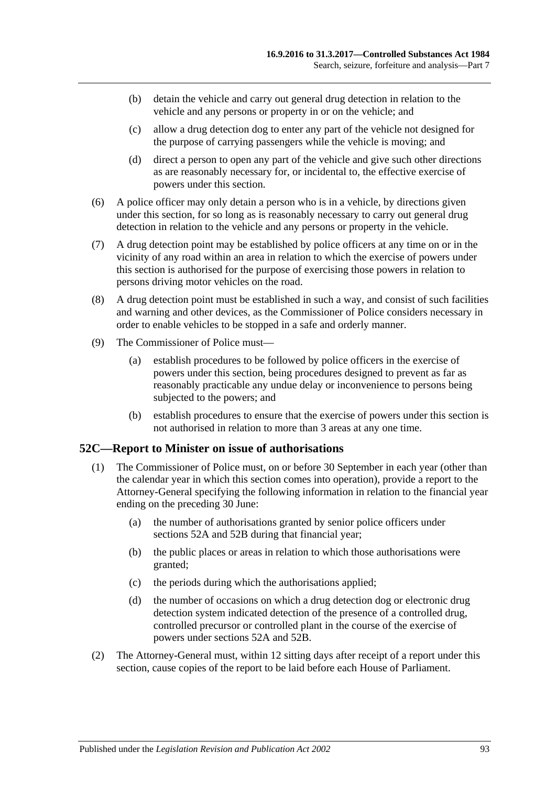- (b) detain the vehicle and carry out general drug detection in relation to the vehicle and any persons or property in or on the vehicle; and
- (c) allow a drug detection dog to enter any part of the vehicle not designed for the purpose of carrying passengers while the vehicle is moving; and
- (d) direct a person to open any part of the vehicle and give such other directions as are reasonably necessary for, or incidental to, the effective exercise of powers under this section.
- (6) A police officer may only detain a person who is in a vehicle, by directions given under this section, for so long as is reasonably necessary to carry out general drug detection in relation to the vehicle and any persons or property in the vehicle.
- <span id="page-92-0"></span>(7) A drug detection point may be established by police officers at any time on or in the vicinity of any road within an area in relation to which the exercise of powers under this section is authorised for the purpose of exercising those powers in relation to persons driving motor vehicles on the road.
- (8) A drug detection point must be established in such a way, and consist of such facilities and warning and other devices, as the Commissioner of Police considers necessary in order to enable vehicles to be stopped in a safe and orderly manner.
- (9) The Commissioner of Police must—
	- (a) establish procedures to be followed by police officers in the exercise of powers under this section, being procedures designed to prevent as far as reasonably practicable any undue delay or inconvenience to persons being subjected to the powers; and
	- (b) establish procedures to ensure that the exercise of powers under this section is not authorised in relation to more than 3 areas at any one time.

#### **52C—Report to Minister on issue of authorisations**

- (1) The Commissioner of Police must, on or before 30 September in each year (other than the calendar year in which this section comes into operation), provide a report to the Attorney-General specifying the following information in relation to the financial year ending on the preceding 30 June:
	- (a) the number of authorisations granted by senior police officers under [sections](#page-89-1) 52A and [52B](#page-91-0) during that financial year;
	- (b) the public places or areas in relation to which those authorisations were granted;
	- (c) the periods during which the authorisations applied;
	- (d) the number of occasions on which a drug detection dog or electronic drug detection system indicated detection of the presence of a controlled drug, controlled precursor or controlled plant in the course of the exercise of powers under [sections](#page-89-1) 52A and [52B.](#page-91-0)
- (2) The Attorney-General must, within 12 sitting days after receipt of a report under this section, cause copies of the report to be laid before each House of Parliament.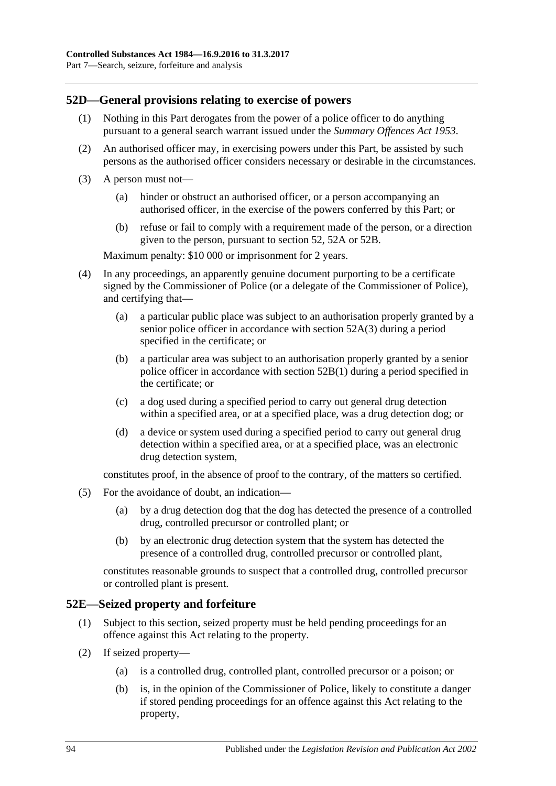## **52D—General provisions relating to exercise of powers**

- (1) Nothing in this Part derogates from the power of a police officer to do anything pursuant to a general search warrant issued under the *[Summary Offences Act](http://www.legislation.sa.gov.au/index.aspx?action=legref&type=act&legtitle=Summary%20Offences%20Act%201953) 1953*.
- (2) An authorised officer may, in exercising powers under this Part, be assisted by such persons as the authorised officer considers necessary or desirable in the circumstances.
- (3) A person must not—
	- (a) hinder or obstruct an authorised officer, or a person accompanying an authorised officer, in the exercise of the powers conferred by this Part; or
	- (b) refuse or fail to comply with a requirement made of the person, or a direction given to the person, pursuant to [section](#page-88-3) 52, [52A](#page-89-1) or [52B.](#page-91-0)

Maximum penalty: \$10 000 or imprisonment for 2 years.

- (4) In any proceedings, an apparently genuine document purporting to be a certificate signed by the Commissioner of Police (or a delegate of the Commissioner of Police), and certifying that—
	- (a) a particular public place was subject to an authorisation properly granted by a senior police officer in accordance with [section](#page-90-0) 52A(3) during a period specified in the certificate; or
	- (b) a particular area was subject to an authorisation properly granted by a senior police officer in accordance with [section](#page-91-1) 52B(1) during a period specified in the certificate; or
	- (c) a dog used during a specified period to carry out general drug detection within a specified area, or at a specified place, was a drug detection dog; or
	- (d) a device or system used during a specified period to carry out general drug detection within a specified area, or at a specified place, was an electronic drug detection system,

constitutes proof, in the absence of proof to the contrary, of the matters so certified.

- (5) For the avoidance of doubt, an indication—
	- (a) by a drug detection dog that the dog has detected the presence of a controlled drug, controlled precursor or controlled plant; or
	- (b) by an electronic drug detection system that the system has detected the presence of a controlled drug, controlled precursor or controlled plant,

constitutes reasonable grounds to suspect that a controlled drug, controlled precursor or controlled plant is present.

#### **52E—Seized property and forfeiture**

- (1) Subject to this section, seized property must be held pending proceedings for an offence against this Act relating to the property.
- <span id="page-93-0"></span>(2) If seized property—
	- (a) is a controlled drug, controlled plant, controlled precursor or a poison; or
	- (b) is, in the opinion of the Commissioner of Police, likely to constitute a danger if stored pending proceedings for an offence against this Act relating to the property,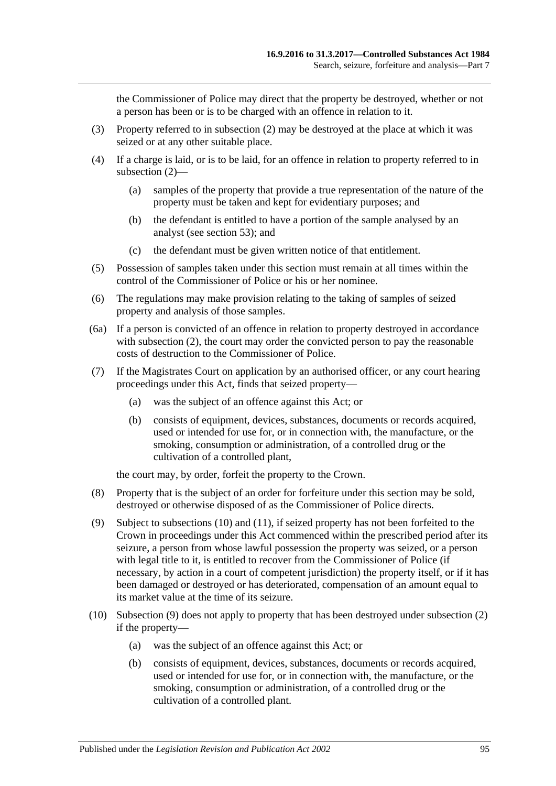the Commissioner of Police may direct that the property be destroyed, whether or not a person has been or is to be charged with an offence in relation to it.

- (3) Property referred to in [subsection](#page-93-0) (2) may be destroyed at the place at which it was seized or at any other suitable place.
- (4) If a charge is laid, or is to be laid, for an offence in relation to property referred to in [subsection](#page-93-0) (2)—
	- (a) samples of the property that provide a true representation of the nature of the property must be taken and kept for evidentiary purposes; and
	- (b) the defendant is entitled to have a portion of the sample analysed by an analyst (see [section](#page-95-0) 53); and
	- (c) the defendant must be given written notice of that entitlement.
- (5) Possession of samples taken under this section must remain at all times within the control of the Commissioner of Police or his or her nominee.
- (6) The regulations may make provision relating to the taking of samples of seized property and analysis of those samples.
- (6a) If a person is convicted of an offence in relation to property destroyed in accordance with [subsection](#page-93-0) (2), the court may order the convicted person to pay the reasonable costs of destruction to the Commissioner of Police.
- <span id="page-94-2"></span>(7) If the Magistrates Court on application by an authorised officer, or any court hearing proceedings under this Act, finds that seized property—
	- (a) was the subject of an offence against this Act; or
	- (b) consists of equipment, devices, substances, documents or records acquired, used or intended for use for, or in connection with, the manufacture, or the smoking, consumption or administration, of a controlled drug or the cultivation of a controlled plant,

the court may, by order, forfeit the property to the Crown.

- (8) Property that is the subject of an order for forfeiture under this section may be sold, destroyed or otherwise disposed of as the Commissioner of Police directs.
- <span id="page-94-1"></span>(9) Subject to [subsections](#page-94-0) (10) and [\(11\),](#page-95-1) if seized property has not been forfeited to the Crown in proceedings under this Act commenced within the prescribed period after its seizure, a person from whose lawful possession the property was seized, or a person with legal title to it, is entitled to recover from the Commissioner of Police (if necessary, by action in a court of competent jurisdiction) the property itself, or if it has been damaged or destroyed or has deteriorated, compensation of an amount equal to its market value at the time of its seizure.
- <span id="page-94-0"></span>(10) [Subsection](#page-94-1) (9) does not apply to property that has been destroyed under [subsection](#page-93-0) (2) if the property—
	- (a) was the subject of an offence against this Act; or
	- (b) consists of equipment, devices, substances, documents or records acquired, used or intended for use for, or in connection with, the manufacture, or the smoking, consumption or administration, of a controlled drug or the cultivation of a controlled plant.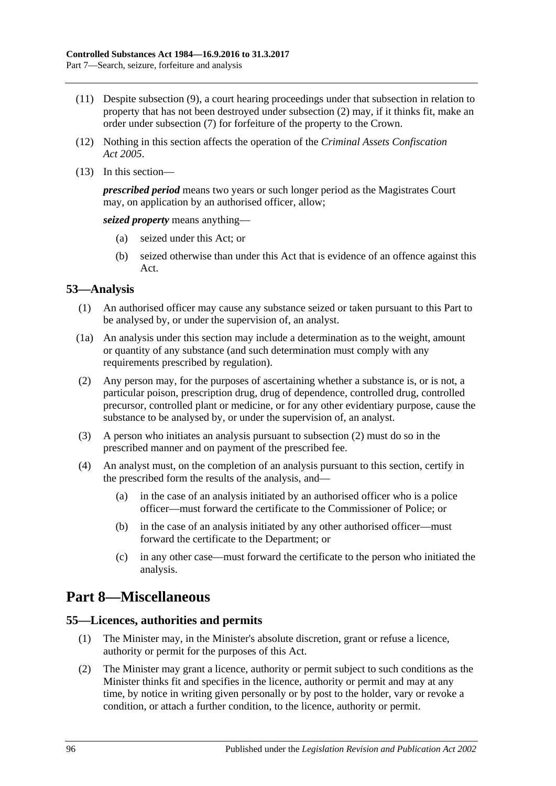- <span id="page-95-1"></span>(11) Despite [subsection](#page-94-1) (9), a court hearing proceedings under that subsection in relation to property that has not been destroyed under [subsection](#page-93-0) (2) may, if it thinks fit, make an order under [subsection](#page-94-2) (7) for forfeiture of the property to the Crown.
- (12) Nothing in this section affects the operation of the *[Criminal Assets Confiscation](http://www.legislation.sa.gov.au/index.aspx?action=legref&type=act&legtitle=Criminal%20Assets%20Confiscation%20Act%202005)  Act [2005](http://www.legislation.sa.gov.au/index.aspx?action=legref&type=act&legtitle=Criminal%20Assets%20Confiscation%20Act%202005)*.
- (13) In this section—

*prescribed period* means two years or such longer period as the Magistrates Court may, on application by an authorised officer, allow;

*seized property* means anything—

- (a) seized under this Act; or
- (b) seized otherwise than under this Act that is evidence of an offence against this Act.

## <span id="page-95-0"></span>**53—Analysis**

- (1) An authorised officer may cause any substance seized or taken pursuant to this Part to be analysed by, or under the supervision of, an analyst.
- (1a) An analysis under this section may include a determination as to the weight, amount or quantity of any substance (and such determination must comply with any requirements prescribed by regulation).
- <span id="page-95-2"></span>(2) Any person may, for the purposes of ascertaining whether a substance is, or is not, a particular poison, prescription drug, drug of dependence, controlled drug, controlled precursor, controlled plant or medicine, or for any other evidentiary purpose, cause the substance to be analysed by, or under the supervision of, an analyst.
- (3) A person who initiates an analysis pursuant to [subsection](#page-95-2) (2) must do so in the prescribed manner and on payment of the prescribed fee.
- (4) An analyst must, on the completion of an analysis pursuant to this section, certify in the prescribed form the results of the analysis, and—
	- (a) in the case of an analysis initiated by an authorised officer who is a police officer—must forward the certificate to the Commissioner of Police; or
	- (b) in the case of an analysis initiated by any other authorised officer—must forward the certificate to the Department; or
	- (c) in any other case—must forward the certificate to the person who initiated the analysis.

# **Part 8—Miscellaneous**

#### **55—Licences, authorities and permits**

- (1) The Minister may, in the Minister's absolute discretion, grant or refuse a licence, authority or permit for the purposes of this Act.
- (2) The Minister may grant a licence, authority or permit subject to such conditions as the Minister thinks fit and specifies in the licence, authority or permit and may at any time, by notice in writing given personally or by post to the holder, vary or revoke a condition, or attach a further condition, to the licence, authority or permit.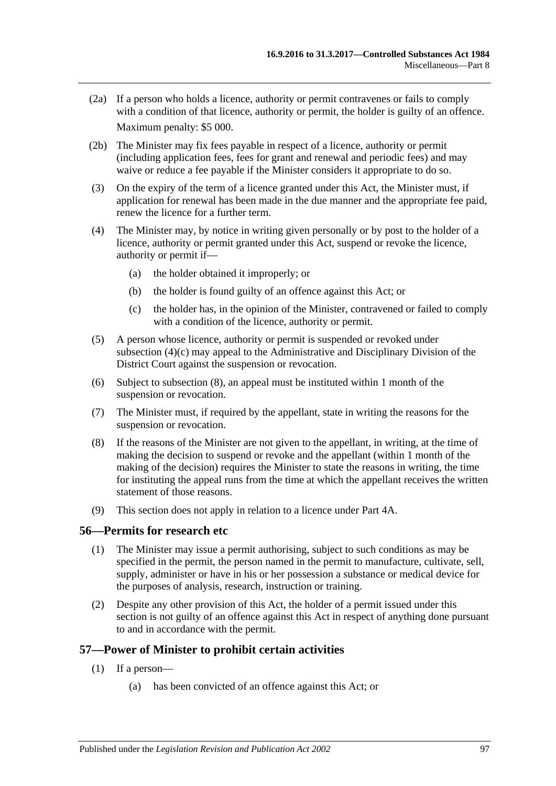- (2a) If a person who holds a licence, authority or permit contravenes or fails to comply with a condition of that licence, authority or permit, the holder is guilty of an offence. Maximum penalty: \$5 000.
- (2b) The Minister may fix fees payable in respect of a licence, authority or permit (including application fees, fees for grant and renewal and periodic fees) and may waive or reduce a fee payable if the Minister considers it appropriate to do so.
- (3) On the expiry of the term of a licence granted under this Act, the Minister must, if application for renewal has been made in the due manner and the appropriate fee paid, renew the licence for a further term.
- (4) The Minister may, by notice in writing given personally or by post to the holder of a licence, authority or permit granted under this Act, suspend or revoke the licence, authority or permit if—
	- (a) the holder obtained it improperly; or
	- (b) the holder is found guilty of an offence against this Act; or
	- (c) the holder has, in the opinion of the Minister, contravened or failed to comply with a condition of the licence, authority or permit.
- <span id="page-96-0"></span>(5) A person whose licence, authority or permit is suspended or revoked under [subsection](#page-96-0) (4)(c) may appeal to the Administrative and Disciplinary Division of the District Court against the suspension or revocation.
- (6) Subject to [subsection](#page-96-1) (8), an appeal must be instituted within 1 month of the suspension or revocation.
- (7) The Minister must, if required by the appellant, state in writing the reasons for the suspension or revocation.
- <span id="page-96-1"></span>(8) If the reasons of the Minister are not given to the appellant, in writing, at the time of making the decision to suspend or revoke and the appellant (within 1 month of the making of the decision) requires the Minister to state the reasons in writing, the time for instituting the appeal runs from the time at which the appellant receives the written statement of those reasons.
- (9) This section does not apply in relation to a licence under Part 4A.

#### **56—Permits for research etc**

- (1) The Minister may issue a permit authorising, subject to such conditions as may be specified in the permit, the person named in the permit to manufacture, cultivate, sell, supply, administer or have in his or her possession a substance or medical device for the purposes of analysis, research, instruction or training.
- (2) Despite any other provision of this Act, the holder of a permit issued under this section is not guilty of an offence against this Act in respect of anything done pursuant to and in accordance with the permit.

#### <span id="page-96-2"></span>**57—Power of Minister to prohibit certain activities**

- (1) If a person—
	- (a) has been convicted of an offence against this Act; or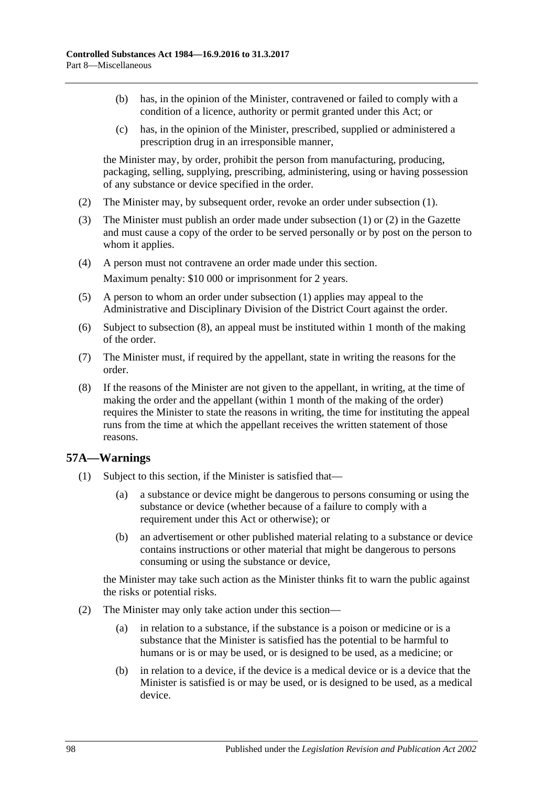- (b) has, in the opinion of the Minister, contravened or failed to comply with a condition of a licence, authority or permit granted under this Act; or
- (c) has, in the opinion of the Minister, prescribed, supplied or administered a prescription drug in an irresponsible manner,

the Minister may, by order, prohibit the person from manufacturing, producing, packaging, selling, supplying, prescribing, administering, using or having possession of any substance or device specified in the order.

- <span id="page-97-0"></span>(2) The Minister may, by subsequent order, revoke an order under [subsection](#page-96-2) (1).
- (3) The Minister must publish an order made under [subsection](#page-96-2) (1) or [\(2\)](#page-97-0) in the Gazette and must cause a copy of the order to be served personally or by post on the person to whom it applies.
- (4) A person must not contravene an order made under this section. Maximum penalty: \$10 000 or imprisonment for 2 years.
- (5) A person to whom an order under [subsection](#page-96-2) (1) applies may appeal to the Administrative and Disciplinary Division of the District Court against the order.
- (6) Subject to [subsection](#page-97-1) (8), an appeal must be instituted within 1 month of the making of the order.
- (7) The Minister must, if required by the appellant, state in writing the reasons for the order.
- <span id="page-97-1"></span>(8) If the reasons of the Minister are not given to the appellant, in writing, at the time of making the order and the appellant (within 1 month of the making of the order) requires the Minister to state the reasons in writing, the time for instituting the appeal runs from the time at which the appellant receives the written statement of those reasons.

#### <span id="page-97-2"></span>**57A—Warnings**

- (1) Subject to this section, if the Minister is satisfied that—
	- (a) a substance or device might be dangerous to persons consuming or using the substance or device (whether because of a failure to comply with a requirement under this Act or otherwise); or
	- (b) an advertisement or other published material relating to a substance or device contains instructions or other material that might be dangerous to persons consuming or using the substance or device,

the Minister may take such action as the Minister thinks fit to warn the public against the risks or potential risks.

- (2) The Minister may only take action under this section—
	- (a) in relation to a substance, if the substance is a poison or medicine or is a substance that the Minister is satisfied has the potential to be harmful to humans or is or may be used, or is designed to be used, as a medicine; or
	- (b) in relation to a device, if the device is a medical device or is a device that the Minister is satisfied is or may be used, or is designed to be used, as a medical device.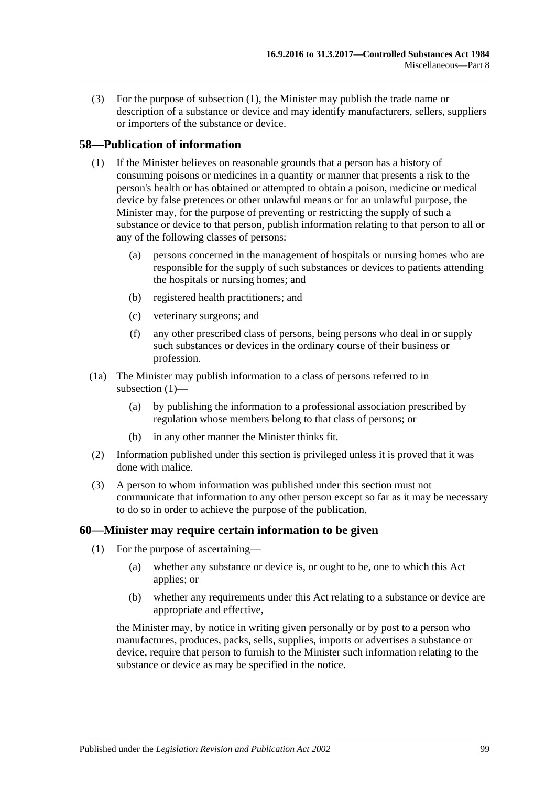(3) For the purpose of [subsection](#page-97-2) (1), the Minister may publish the trade name or description of a substance or device and may identify manufacturers, sellers, suppliers or importers of the substance or device.

#### <span id="page-98-0"></span>**58—Publication of information**

- (1) If the Minister believes on reasonable grounds that a person has a history of consuming poisons or medicines in a quantity or manner that presents a risk to the person's health or has obtained or attempted to obtain a poison, medicine or medical device by false pretences or other unlawful means or for an unlawful purpose, the Minister may, for the purpose of preventing or restricting the supply of such a substance or device to that person, publish information relating to that person to all or any of the following classes of persons:
	- (a) persons concerned in the management of hospitals or nursing homes who are responsible for the supply of such substances or devices to patients attending the hospitals or nursing homes; and
	- (b) registered health practitioners; and
	- (c) veterinary surgeons; and
	- (f) any other prescribed class of persons, being persons who deal in or supply such substances or devices in the ordinary course of their business or profession.
- (1a) The Minister may publish information to a class of persons referred to in [subsection](#page-98-0) (1)—
	- (a) by publishing the information to a professional association prescribed by regulation whose members belong to that class of persons; or
	- (b) in any other manner the Minister thinks fit.
- (2) Information published under this section is privileged unless it is proved that it was done with malice.
- (3) A person to whom information was published under this section must not communicate that information to any other person except so far as it may be necessary to do so in order to achieve the purpose of the publication.

#### **60—Minister may require certain information to be given**

- (1) For the purpose of ascertaining—
	- (a) whether any substance or device is, or ought to be, one to which this Act applies; or
	- (b) whether any requirements under this Act relating to a substance or device are appropriate and effective,

the Minister may, by notice in writing given personally or by post to a person who manufactures, produces, packs, sells, supplies, imports or advertises a substance or device, require that person to furnish to the Minister such information relating to the substance or device as may be specified in the notice.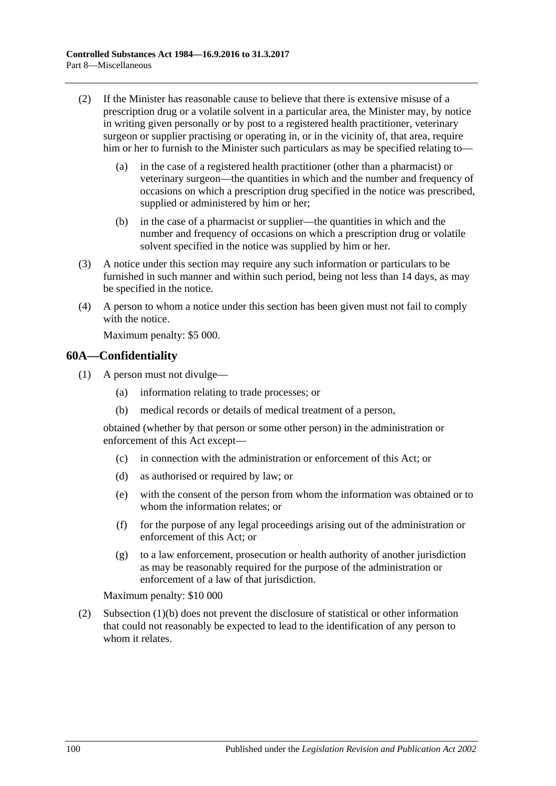- (2) If the Minister has reasonable cause to believe that there is extensive misuse of a prescription drug or a volatile solvent in a particular area, the Minister may, by notice in writing given personally or by post to a registered health practitioner, veterinary surgeon or supplier practising or operating in, or in the vicinity of, that area, require him or her to furnish to the Minister such particulars as may be specified relating to—
	- (a) in the case of a registered health practitioner (other than a pharmacist) or veterinary surgeon—the quantities in which and the number and frequency of occasions on which a prescription drug specified in the notice was prescribed, supplied or administered by him or her;
	- (b) in the case of a pharmacist or supplier—the quantities in which and the number and frequency of occasions on which a prescription drug or volatile solvent specified in the notice was supplied by him or her.
- (3) A notice under this section may require any such information or particulars to be furnished in such manner and within such period, being not less than 14 days, as may be specified in the notice.
- (4) A person to whom a notice under this section has been given must not fail to comply with the notice.

Maximum penalty: \$5 000.

#### **60A—Confidentiality**

- <span id="page-99-0"></span>(1) A person must not divulge—
	- (a) information relating to trade processes; or
	- (b) medical records or details of medical treatment of a person,

obtained (whether by that person or some other person) in the administration or enforcement of this Act except—

- (c) in connection with the administration or enforcement of this Act; or
- (d) as authorised or required by law; or
- (e) with the consent of the person from whom the information was obtained or to whom the information relates; or
- (f) for the purpose of any legal proceedings arising out of the administration or enforcement of this Act; or
- (g) to a law enforcement, prosecution or health authority of another jurisdiction as may be reasonably required for the purpose of the administration or enforcement of a law of that jurisdiction.

Maximum penalty: \$10 000

(2) [Subsection](#page-99-0) (1)(b) does not prevent the disclosure of statistical or other information that could not reasonably be expected to lead to the identification of any person to whom it relates.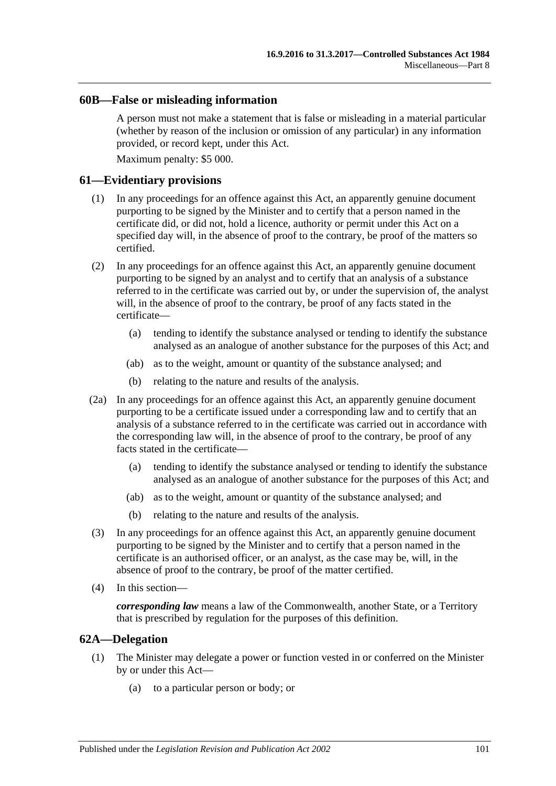#### **60B—False or misleading information**

A person must not make a statement that is false or misleading in a material particular (whether by reason of the inclusion or omission of any particular) in any information provided, or record kept, under this Act.

Maximum penalty: \$5 000.

#### **61—Evidentiary provisions**

- (1) In any proceedings for an offence against this Act, an apparently genuine document purporting to be signed by the Minister and to certify that a person named in the certificate did, or did not, hold a licence, authority or permit under this Act on a specified day will, in the absence of proof to the contrary, be proof of the matters so certified.
- (2) In any proceedings for an offence against this Act, an apparently genuine document purporting to be signed by an analyst and to certify that an analysis of a substance referred to in the certificate was carried out by, or under the supervision of, the analyst will, in the absence of proof to the contrary, be proof of any facts stated in the certificate—
	- (a) tending to identify the substance analysed or tending to identify the substance analysed as an analogue of another substance for the purposes of this Act; and
	- (ab) as to the weight, amount or quantity of the substance analysed; and
	- (b) relating to the nature and results of the analysis.
- (2a) In any proceedings for an offence against this Act, an apparently genuine document purporting to be a certificate issued under a corresponding law and to certify that an analysis of a substance referred to in the certificate was carried out in accordance with the corresponding law will, in the absence of proof to the contrary, be proof of any facts stated in the certificate—
	- (a) tending to identify the substance analysed or tending to identify the substance analysed as an analogue of another substance for the purposes of this Act; and
	- (ab) as to the weight, amount or quantity of the substance analysed; and
	- (b) relating to the nature and results of the analysis.
- (3) In any proceedings for an offence against this Act, an apparently genuine document purporting to be signed by the Minister and to certify that a person named in the certificate is an authorised officer, or an analyst, as the case may be, will, in the absence of proof to the contrary, be proof of the matter certified.
- (4) In this section—

*corresponding law* means a law of the Commonwealth, another State, or a Territory that is prescribed by regulation for the purposes of this definition.

#### **62A—Delegation**

- (1) The Minister may delegate a power or function vested in or conferred on the Minister by or under this Act—
	- (a) to a particular person or body; or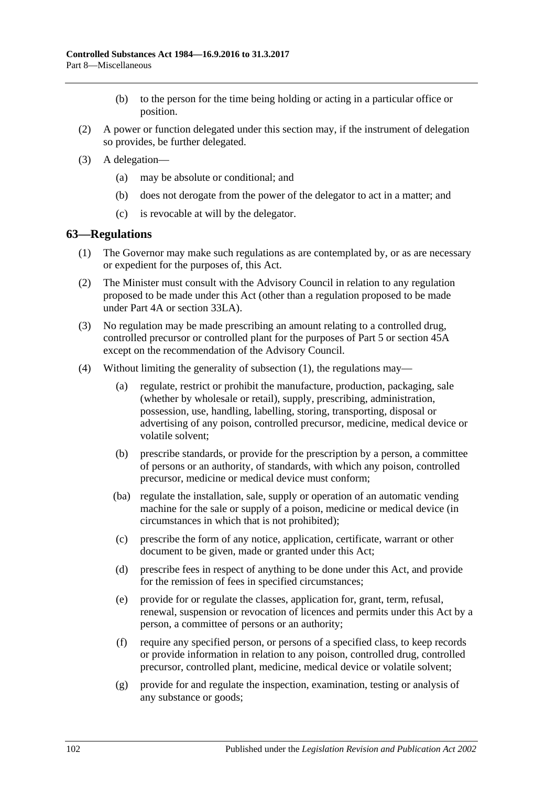- (b) to the person for the time being holding or acting in a particular office or position.
- (2) A power or function delegated under this section may, if the instrument of delegation so provides, be further delegated.
- (3) A delegation—
	- (a) may be absolute or conditional; and
	- (b) does not derogate from the power of the delegator to act in a matter; and
	- (c) is revocable at will by the delegator.

#### <span id="page-101-0"></span>**63—Regulations**

- (1) The Governor may make such regulations as are contemplated by, or as are necessary or expedient for the purposes of, this Act.
- (2) The Minister must consult with the Advisory Council in relation to any regulation proposed to be made under this Act (other than a regulation proposed to be made under [Part 4A](#page-31-0) or [section](#page-74-4) 33LA).
- (3) No regulation may be made prescribing an amount relating to a controlled drug, controlled precursor or controlled plant for the purposes of [Part 5](#page-63-0) or [section](#page-87-0) 45A except on the recommendation of the Advisory Council.
- (4) Without limiting the generality of [subsection](#page-101-0) (1), the regulations may—
	- (a) regulate, restrict or prohibit the manufacture, production, packaging, sale (whether by wholesale or retail), supply, prescribing, administration, possession, use, handling, labelling, storing, transporting, disposal or advertising of any poison, controlled precursor, medicine, medical device or volatile solvent;
	- (b) prescribe standards, or provide for the prescription by a person, a committee of persons or an authority, of standards, with which any poison, controlled precursor, medicine or medical device must conform;
	- (ba) regulate the installation, sale, supply or operation of an automatic vending machine for the sale or supply of a poison, medicine or medical device (in circumstances in which that is not prohibited);
	- (c) prescribe the form of any notice, application, certificate, warrant or other document to be given, made or granted under this Act;
	- (d) prescribe fees in respect of anything to be done under this Act, and provide for the remission of fees in specified circumstances;
	- (e) provide for or regulate the classes, application for, grant, term, refusal, renewal, suspension or revocation of licences and permits under this Act by a person, a committee of persons or an authority;
	- (f) require any specified person, or persons of a specified class, to keep records or provide information in relation to any poison, controlled drug, controlled precursor, controlled plant, medicine, medical device or volatile solvent;
	- (g) provide for and regulate the inspection, examination, testing or analysis of any substance or goods;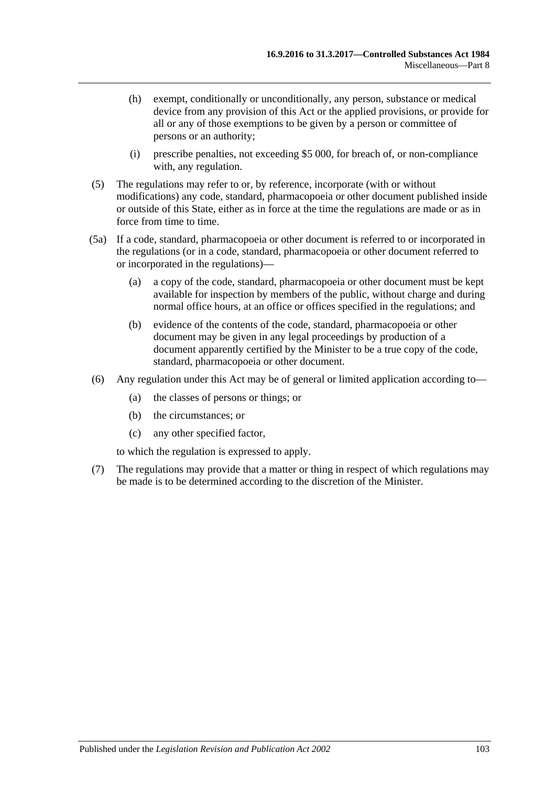- (h) exempt, conditionally or unconditionally, any person, substance or medical device from any provision of this Act or the applied provisions, or provide for all or any of those exemptions to be given by a person or committee of persons or an authority;
- (i) prescribe penalties, not exceeding \$5 000, for breach of, or non-compliance with, any regulation.
- (5) The regulations may refer to or, by reference, incorporate (with or without modifications) any code, standard, pharmacopoeia or other document published inside or outside of this State, either as in force at the time the regulations are made or as in force from time to time.
- (5a) If a code, standard, pharmacopoeia or other document is referred to or incorporated in the regulations (or in a code, standard, pharmacopoeia or other document referred to or incorporated in the regulations)—
	- (a) a copy of the code, standard, pharmacopoeia or other document must be kept available for inspection by members of the public, without charge and during normal office hours, at an office or offices specified in the regulations; and
	- (b) evidence of the contents of the code, standard, pharmacopoeia or other document may be given in any legal proceedings by production of a document apparently certified by the Minister to be a true copy of the code, standard, pharmacopoeia or other document.
- (6) Any regulation under this Act may be of general or limited application according to—
	- (a) the classes of persons or things; or
	- (b) the circumstances; or
	- (c) any other specified factor,

to which the regulation is expressed to apply.

(7) The regulations may provide that a matter or thing in respect of which regulations may be made is to be determined according to the discretion of the Minister.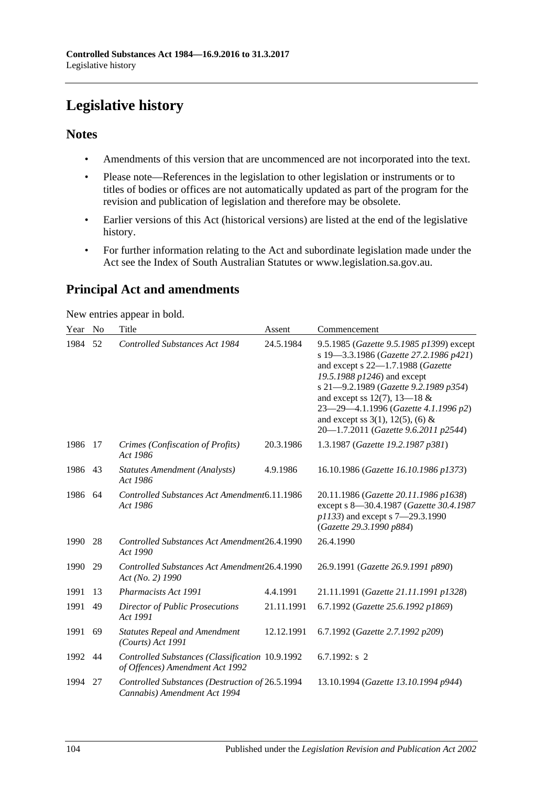# **Legislative history**

## **Notes**

- Amendments of this version that are uncommenced are not incorporated into the text.
- Please note—References in the legislation to other legislation or instruments or to titles of bodies or offices are not automatically updated as part of the program for the revision and publication of legislation and therefore may be obsolete.
- Earlier versions of this Act (historical versions) are listed at the end of the legislative history.
- For further information relating to the Act and subordinate legislation made under the Act see the Index of South Australian Statutes or www.legislation.sa.gov.au.

# **Principal Act and amendments**

New entries appear in bold.

| Year | N <sub>o</sub> | Title                                                                              | Assent     | Commencement                                                                                                                                                                                                                                                                                                                                                |
|------|----------------|------------------------------------------------------------------------------------|------------|-------------------------------------------------------------------------------------------------------------------------------------------------------------------------------------------------------------------------------------------------------------------------------------------------------------------------------------------------------------|
| 1984 | 52             | <b>Controlled Substances Act 1984</b>                                              | 24.5.1984  | 9.5.1985 (Gazette 9.5.1985 p1399) except<br>s 19-3.3.1986 (Gazette 27.2.1986 p421)<br>and except s 22-1.7.1988 (Gazette<br>19.5.1988 p1246) and except<br>s 21-9.2.1989 (Gazette 9.2.1989 p354)<br>and except ss 12(7), 13–18 $&$<br>23-29-4.1.1996 (Gazette 4.1.1996 p2)<br>and except ss $3(1)$ , $12(5)$ , (6) &<br>20-1.7.2011 (Gazette 9.6.2011 p2544) |
| 1986 | 17             | Crimes (Confiscation of Profits)<br>Act 1986                                       | 20.3.1986  | 1.3.1987 (Gazette 19.2.1987 p381)                                                                                                                                                                                                                                                                                                                           |
| 1986 | 43             | <b>Statutes Amendment (Analysts)</b><br>Act 1986                                   | 4.9.1986   | 16.10.1986 (Gazette 16.10.1986 p1373)                                                                                                                                                                                                                                                                                                                       |
| 1986 | 64             | Controlled Substances Act Amendment6.11.1986<br>Act 1986                           |            | 20.11.1986 (Gazette 20.11.1986 p1638)<br>except s 8-30.4.1987 (Gazette 30.4.1987<br>p1133) and except s 7-29.3.1990<br>(Gazette 29.3.1990 p884)                                                                                                                                                                                                             |
| 1990 | 28             | Controlled Substances Act Amendment26.4.1990<br>Act 1990                           |            | 26.4.1990                                                                                                                                                                                                                                                                                                                                                   |
| 1990 | 29             | Controlled Substances Act Amendment26.4.1990<br>Act (No. 2) 1990                   |            | 26.9.1991 (Gazette 26.9.1991 p890)                                                                                                                                                                                                                                                                                                                          |
| 1991 | 13             | Pharmacists Act 1991                                                               | 4.4.1991   | 21.11.1991 (Gazette 21.11.1991 p1328)                                                                                                                                                                                                                                                                                                                       |
| 1991 | 49             | Director of Public Prosecutions<br>Act 1991                                        | 21.11.1991 | 6.7.1992 (Gazette 25.6.1992 p1869)                                                                                                                                                                                                                                                                                                                          |
| 1991 | 69             | <b>Statutes Repeal and Amendment</b><br>$(Courts)$ Act 1991                        | 12.12.1991 | 6.7.1992 (Gazette 2.7.1992 p209)                                                                                                                                                                                                                                                                                                                            |
| 1992 | 44             | Controlled Substances (Classification 10.9.1992<br>of Offences) Amendment Act 1992 |            | 6.7.1992: $s$ 2                                                                                                                                                                                                                                                                                                                                             |
| 1994 | 27             | Controlled Substances (Destruction of 26.5.1994<br>Cannabis) Amendment Act 1994    |            | 13.10.1994 (Gazette 13.10.1994 p944)                                                                                                                                                                                                                                                                                                                        |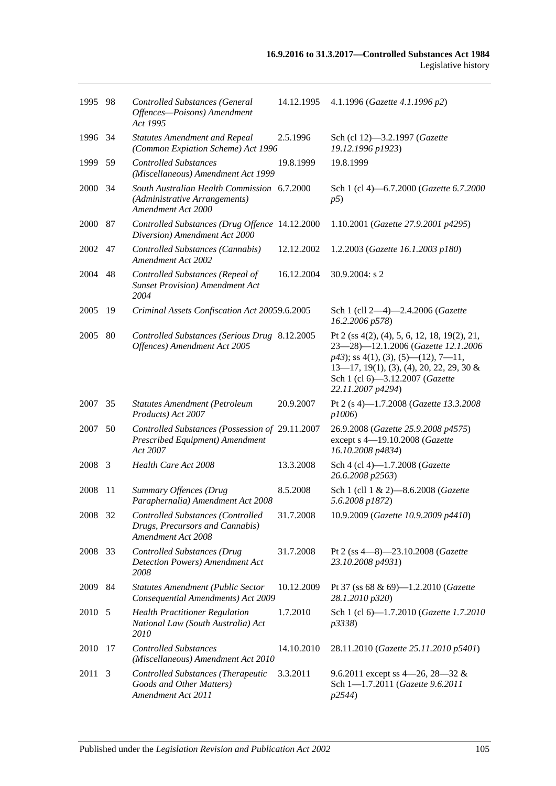| 1995 98 |      | <b>Controlled Substances (General</b><br>Offences-Poisons) Amendment<br>Act 1995                   | 14.12.1995 | 4.1.1996 (Gazette 4.1.1996 p2)                                                                                                                                                                                                      |
|---------|------|----------------------------------------------------------------------------------------------------|------------|-------------------------------------------------------------------------------------------------------------------------------------------------------------------------------------------------------------------------------------|
| 1996 34 |      | <b>Statutes Amendment and Repeal</b><br>(Common Expiation Scheme) Act 1996                         | 2.5.1996   | Sch (cl 12)-3.2.1997 (Gazette<br>19.12.1996 p1923)                                                                                                                                                                                  |
| 1999    | 59   | <b>Controlled Substances</b><br>(Miscellaneous) Amendment Act 1999                                 | 19.8.1999  | 19.8.1999                                                                                                                                                                                                                           |
| 2000 34 |      | South Australian Health Commission 6.7.2000<br>(Administrative Arrangements)<br>Amendment Act 2000 |            | Sch 1 (cl 4)-6.7.2000 (Gazette 6.7.2000<br>p5)                                                                                                                                                                                      |
| 2000    | 87   | Controlled Substances (Drug Offence 14.12.2000<br>Diversion) Amendment Act 2000                    |            | 1.10.2001 (Gazette 27.9.2001 p4295)                                                                                                                                                                                                 |
| 2002    | 47   | Controlled Substances (Cannabis)<br>Amendment Act 2002                                             | 12.12.2002 | 1.2.2003 (Gazette 16.1.2003 p180)                                                                                                                                                                                                   |
| 2004    | 48   | Controlled Substances (Repeal of<br><b>Sunset Provision</b> ) Amendment Act<br>2004                | 16.12.2004 | 30.9.2004: s 2                                                                                                                                                                                                                      |
| 2005    | 19   | Criminal Assets Confiscation Act 20059.6.2005                                                      |            | Sch 1 (cll 2-4)-2.4.2006 (Gazette<br>16.2.2006 p578)                                                                                                                                                                                |
| 2005    | 80   | Controlled Substances (Serious Drug 8.12.2005<br>Offences) Amendment Act 2005                      |            | Pt 2 (ss 4(2), (4), 5, 6, 12, 18, 19(2), 21,<br>23-28)-12.1.2006 (Gazette 12.1.2006<br>$p43$ ; ss 4(1), (3), (5)—(12), 7—11,<br>$13-17$ , 19(1), (3), (4), 20, 22, 29, 30 &<br>Sch 1 (cl 6)-3.12.2007 (Gazette<br>22.11.2007 p4294) |
| 2007    | 35   | Statutes Amendment (Petroleum<br>Products) Act 2007                                                | 20.9.2007  | Pt 2 (s 4)-1.7.2008 (Gazette 13.3.2008<br>p1006)                                                                                                                                                                                    |
| 2007    | 50   | Controlled Substances (Possession of 29.11.2007<br>Prescribed Equipment) Amendment<br>Act 2007     |            | 26.9.2008 (Gazette 25.9.2008 p4575)<br>except s 4-19.10.2008 (Gazette<br>16.10.2008 p4834)                                                                                                                                          |
| 2008    | 3    | Health Care Act 2008                                                                               | 13.3.2008  | Sch 4 (cl 4)-1.7.2008 (Gazette<br>26.6.2008 p2563)                                                                                                                                                                                  |
| 2008    | 11   | Summary Offences (Drug<br>Paraphernalia) Amendment Act 2008                                        | 8.5.2008   | Sch 1 (cll 1 & 2)-8.6.2008 (Gazette<br>5.6.2008 p1872)                                                                                                                                                                              |
| 2008    | - 32 | Controlled Substances (Controlled<br>Drugs, Precursors and Cannabis)<br>Amendment Act 2008         | 31.7.2008  | 10.9.2009 (Gazette 10.9.2009 p4410)                                                                                                                                                                                                 |
| 2008    | 33   | <b>Controlled Substances (Drug</b><br>Detection Powers) Amendment Act<br>2008                      | 31.7.2008  | Pt 2 (ss 4-8)-23.10.2008 (Gazette<br>23.10.2008 p4931)                                                                                                                                                                              |
| 2009    | 84   | <b>Statutes Amendment (Public Sector</b><br>Consequential Amendments) Act 2009                     | 10.12.2009 | Pt 37 (ss 68 & 69)-1.2.2010 (Gazette<br>28.1.2010 p320)                                                                                                                                                                             |
| 2010 5  |      | <b>Health Practitioner Regulation</b><br>National Law (South Australia) Act<br><i>2010</i>         | 1.7.2010   | Sch 1 (cl 6)-1.7.2010 (Gazette 1.7.2010<br>p3338)                                                                                                                                                                                   |
| 2010 17 |      | <b>Controlled Substances</b><br>(Miscellaneous) Amendment Act 2010                                 | 14.10.2010 | 28.11.2010 (Gazette 25.11.2010 p5401)                                                                                                                                                                                               |
| 2011    | 3    | Controlled Substances (Therapeutic<br>Goods and Other Matters)<br>Amendment Act 2011               | 3.3.2011   | 9.6.2011 except ss 4–26, 28–32 &<br>Sch 1-1.7.2011 (Gazette 9.6.2011<br>p2544)                                                                                                                                                      |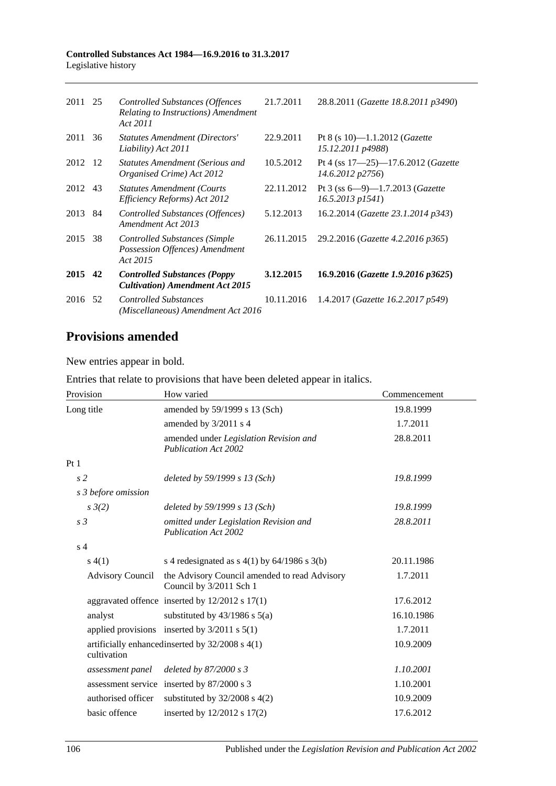#### **Controlled Substances Act 1984—16.9.2016 to 31.3.2017** Legislative history

| 2011 | 25  | <b>Controlled Substances (Offences</b><br>Relating to Instructions) Amendment<br>Act 2011 | 21.7.2011  | 28.8.2011 (Gazette 18.8.2011 p3490)                                  |
|------|-----|-------------------------------------------------------------------------------------------|------------|----------------------------------------------------------------------|
| 2011 | 36  | <b>Statutes Amendment (Directors'</b><br>Liability) Act 2011                              | 22.9.2011  | Pt 8 (s 10)-1.1.2012 (Gazette<br>15.12.2011 p4988)                   |
| 2012 | -12 | <b>Statutes Amendment (Serious and</b><br>Organised Crime) Act 2012                       | 10.5.2012  | Pt 4 (ss $17 - 25$ ) -17.6.2012 ( <i>Gazette</i><br>14.6.2012 p2756) |
| 2012 | 43  | <b>Statutes Amendment (Courts</b><br>Efficiency Reforms) Act 2012                         | 22.11.2012 | Pt 3 (ss $6-9$ )-1.7.2013 ( <i>Gazette</i><br>$16.5.2013$ $p1541$ )  |
| 2013 | 84  | Controlled Substances (Offences)<br>Amendment Act 2013                                    | 5.12.2013  | 16.2.2014 (Gazette 23.1.2014 p343)                                   |
| 2015 | 38  | <b>Controlled Substances (Simple</b><br>Possession Offences) Amendment<br>Act 2015        | 26.11.2015 | 29.2.2016 (Gazette 4.2.2016 p365)                                    |
| 2015 | 42  | <b>Controlled Substances (Poppy</b><br><b>Cultivation</b> ) Amendment Act 2015            | 3.12.2015  | 16.9.2016 (Gazette 1.9.2016 p3625)                                   |
| 2016 | 52  | <b>Controlled Substances</b><br>(Miscellaneous) Amendment Act 2016                        | 10.11.2016 | 1.4.2017 ( <i>Gazette 16.2.2017 p549</i> )                           |

# **Provisions amended**

New entries appear in bold.

| Entries that relate to provisions that have been deleted appear in italics. |  |  |  |  |  |
|-----------------------------------------------------------------------------|--|--|--|--|--|
|-----------------------------------------------------------------------------|--|--|--|--|--|

| Provision               | How varied                                                               | Commencement |
|-------------------------|--------------------------------------------------------------------------|--------------|
| Long title              | amended by 59/1999 s 13 (Sch)                                            | 19.8.1999    |
|                         | amended by 3/2011 s 4                                                    | 1.7.2011     |
|                         | amended under Legislation Revision and<br><b>Publication Act 2002</b>    | 28.8.2011    |
| Pt1                     |                                                                          |              |
| s <sub>2</sub>          | deleted by 59/1999 s 13 (Sch)                                            | 19.8.1999    |
| s 3 before omission     |                                                                          |              |
| $s \frac{3}{2}$         | deleted by 59/1999 s 13 (Sch)                                            | 19.8.1999    |
| s <sub>3</sub>          | omitted under Legislation Revision and<br><b>Publication Act 2002</b>    | 28.8.2011    |
| s <sub>4</sub>          |                                                                          |              |
| s(4(1))                 | s 4 redesignated as s $4(1)$ by $64/1986$ s $3(b)$                       | 20.11.1986   |
| <b>Advisory Council</b> | the Advisory Council amended to read Advisory<br>Council by 3/2011 Sch 1 | 1.7.2011     |
|                         | aggravated offence inserted by $12/2012$ s $17(1)$                       | 17.6.2012    |
| analyst                 | substituted by $43/1986$ s $5(a)$                                        | 16.10.1986   |
|                         | applied provisions inserted by $3/2011$ s $5(1)$                         | 1.7.2011     |
| cultivation             | artificially enhancedinserted by 32/2008 s 4(1)                          | 10.9.2009    |
| assessment panel        | deleted by $87/2000 s3$                                                  | 1.10.2001    |
|                         | assessment service inserted by 87/2000 s 3                               | 1.10.2001    |
| authorised officer      | substituted by $32/2008$ s $4(2)$                                        | 10.9.2009    |
| basic offence           | inserted by 12/2012 s 17(2)                                              | 17.6.2012    |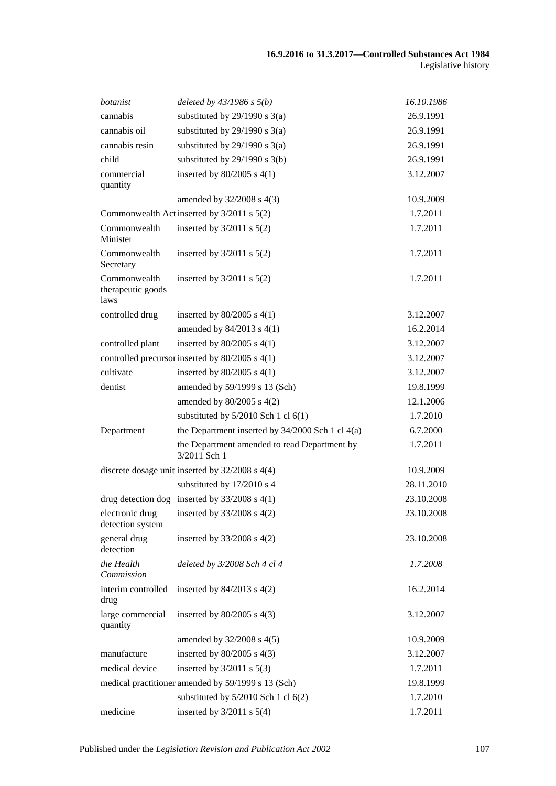| botanist                                  | deleted by $43/1986$ s $5(b)$                                | 16.10.1986 |
|-------------------------------------------|--------------------------------------------------------------|------------|
| cannabis                                  | substituted by $29/1990$ s $3(a)$                            | 26.9.1991  |
| cannabis oil                              | substituted by $29/1990$ s $3(a)$                            | 26.9.1991  |
| cannabis resin                            | substituted by $29/1990$ s $3(a)$                            | 26.9.1991  |
| child                                     | substituted by $29/1990$ s $3(b)$                            | 26.9.1991  |
| commercial                                | inserted by $80/2005$ s $4(1)$                               | 3.12.2007  |
| quantity                                  |                                                              |            |
|                                           | amended by 32/2008 s 4(3)                                    | 10.9.2009  |
|                                           | Commonwealth Act inserted by 3/2011 s 5(2)                   | 1.7.2011   |
| Commonwealth<br>Minister                  | inserted by $3/2011$ s $5(2)$                                | 1.7.2011   |
| Commonwealth<br>Secretary                 | inserted by $3/2011$ s $5(2)$                                | 1.7.2011   |
| Commonwealth<br>therapeutic goods<br>laws | inserted by $3/2011$ s $5(2)$                                | 1.7.2011   |
| controlled drug                           | inserted by $80/2005$ s $4(1)$                               | 3.12.2007  |
|                                           | amended by $84/2013$ s $4(1)$                                | 16.2.2014  |
| controlled plant                          | inserted by $80/2005$ s $4(1)$                               | 3.12.2007  |
|                                           | controlled precursor inserted by 80/2005 s 4(1)              | 3.12.2007  |
| cultivate                                 | inserted by $80/2005$ s $4(1)$                               | 3.12.2007  |
| dentist                                   | amended by 59/1999 s 13 (Sch)                                | 19.8.1999  |
|                                           | amended by 80/2005 s 4(2)                                    | 12.1.2006  |
|                                           | substituted by 5/2010 Sch 1 cl 6(1)                          | 1.7.2010   |
| Department                                | the Department inserted by $34/2000$ Sch 1 cl $4(a)$         | 6.7.2000   |
|                                           | the Department amended to read Department by<br>3/2011 Sch 1 | 1.7.2011   |
|                                           | discrete dosage unit inserted by $32/2008$ s $4(4)$          | 10.9.2009  |
|                                           | substituted by 17/2010 s 4                                   | 28.11.2010 |
|                                           | drug detection dog inserted by $33/2008$ s 4(1)              | 23.10.2008 |
| electronic drug<br>detection system       | inserted by 33/2008 s 4(2)                                   | 23.10.2008 |
| general drug<br>detection                 | inserted by $33/2008$ s $4(2)$                               | 23.10.2008 |
| the Health<br>Commission                  | deleted by 3/2008 Sch 4 cl 4                                 | 1.7.2008   |
| interim controlled<br>drug                | inserted by $84/2013$ s $4(2)$                               | 16.2.2014  |
| large commercial<br>quantity              | inserted by $80/2005$ s $4(3)$                               | 3.12.2007  |
|                                           | amended by 32/2008 s 4(5)                                    | 10.9.2009  |
| manufacture                               | inserted by 80/2005 s 4(3)                                   | 3.12.2007  |
| medical device                            | inserted by $3/2011$ s $5(3)$                                | 1.7.2011   |
|                                           | medical practitioner amended by 59/1999 s 13 (Sch)           | 19.8.1999  |
|                                           | substituted by $5/2010$ Sch 1 cl $6(2)$                      | 1.7.2010   |
| medicine                                  | inserted by $3/2011$ s $5(4)$                                | 1.7.2011   |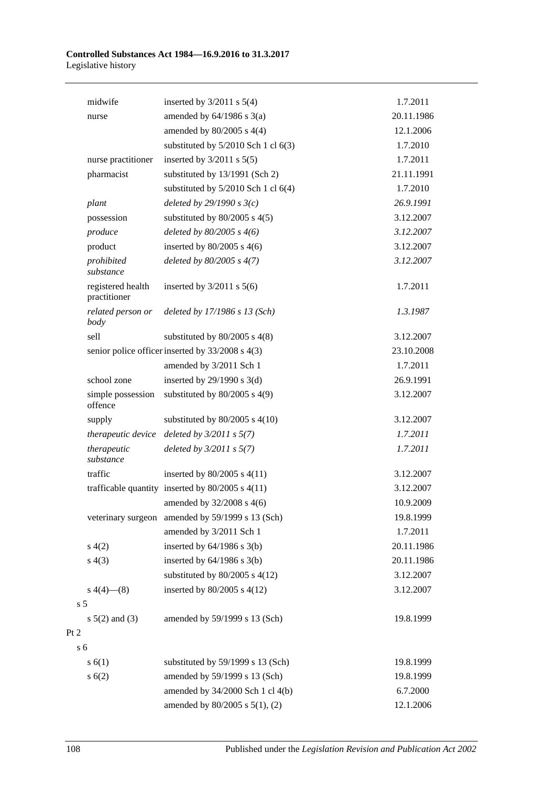#### **Controlled Substances Act 1984—16.9.2016 to 31.3.2017** Legislative history

|                | midwife                           | inserted by $3/2011$ s $5(4)$                        | 1.7.2011   |
|----------------|-----------------------------------|------------------------------------------------------|------------|
|                | nurse                             | amended by $64/1986$ s $3(a)$                        | 20.11.1986 |
|                |                                   | amended by $80/2005$ s $4(4)$                        | 12.1.2006  |
|                |                                   | substituted by $5/2010$ Sch 1 cl $6(3)$              | 1.7.2010   |
|                | nurse practitioner                | inserted by $3/2011$ s $5(5)$                        | 1.7.2011   |
|                | pharmacist                        | substituted by 13/1991 (Sch 2)                       | 21.11.1991 |
|                |                                   | substituted by $5/2010$ Sch 1 cl $6(4)$              | 1.7.2010   |
|                | plant                             | deleted by $29/1990 s3(c)$                           | 26.9.1991  |
|                | possession                        | substituted by $80/2005$ s $4(5)$                    | 3.12.2007  |
|                | produce                           | deleted by $80/2005$ s $4(6)$                        | 3.12.2007  |
|                | product                           | inserted by $80/2005$ s 4(6)                         | 3.12.2007  |
|                | prohibited<br>substance           | deleted by $80/2005$ s $4(7)$                        | 3.12.2007  |
|                | registered health<br>practitioner | inserted by $3/2011$ s $5(6)$                        | 1.7.2011   |
|                | related person or<br>body         | deleted by 17/1986 s 13 (Sch)                        | 1.3.1987   |
|                | sell                              | substituted by $80/2005$ s $4(8)$                    | 3.12.2007  |
|                |                                   | senior police officer inserted by 33/2008 s 4(3)     | 23.10.2008 |
|                |                                   | amended by 3/2011 Sch 1                              | 1.7.2011   |
|                | school zone                       | inserted by $29/1990$ s 3(d)                         | 26.9.1991  |
|                | simple possession<br>offence      | substituted by $80/2005$ s $4(9)$                    | 3.12.2007  |
|                | supply                            | substituted by $80/2005$ s $4(10)$                   | 3.12.2007  |
|                | therapeutic device                | deleted by $3/2011 s 5(7)$                           | 1.7.2011   |
|                | therapeutic<br>substance          | deleted by $3/2011 s 5(7)$                           | 1.7.2011   |
|                | traffic                           | inserted by $80/2005$ s $4(11)$                      | 3.12.2007  |
|                |                                   | trafficable quantity inserted by $80/2005$ s $4(11)$ | 3.12.2007  |
|                |                                   | amended by 32/2008 s 4(6)                            | 10.9.2009  |
|                |                                   | veterinary surgeon amended by 59/1999 s 13 (Sch)     | 19.8.1999  |
|                |                                   | amended by 3/2011 Sch 1                              | 1.7.2011   |
|                | s(4(2)                            | inserted by $64/1986$ s $3(b)$                       | 20.11.1986 |
|                | s(4(3))                           | inserted by $64/1986$ s $3(b)$                       | 20.11.1986 |
|                |                                   | substituted by $80/2005$ s $4(12)$                   | 3.12.2007  |
|                | $s\ 4(4)$ (8)                     | inserted by $80/2005$ s $4(12)$                      | 3.12.2007  |
| s <sub>5</sub> |                                   |                                                      |            |
|                | $s \ 5(2)$ and (3)                | amended by 59/1999 s 13 (Sch)                        | 19.8.1999  |
| Pt 2           |                                   |                                                      |            |
| s <sub>6</sub> |                                   |                                                      |            |
|                | s(6(1))                           | substituted by 59/1999 s 13 (Sch)                    | 19.8.1999  |
|                | s(6(2))                           | amended by 59/1999 s 13 (Sch)                        | 19.8.1999  |
|                |                                   | amended by 34/2000 Sch 1 cl 4(b)                     | 6.7.2000   |
|                |                                   | amended by 80/2005 s 5(1), (2)                       | 12.1.2006  |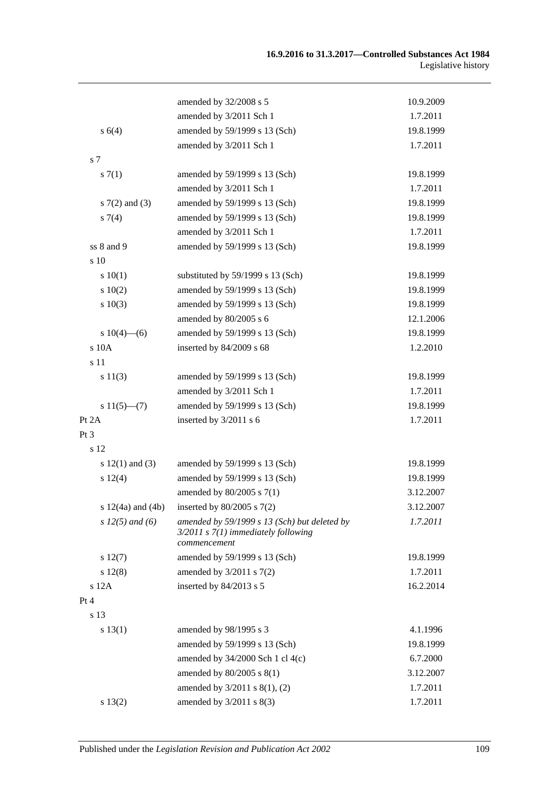|                       | amended by 32/2008 s 5                                                                                  | 10.9.2009 |
|-----------------------|---------------------------------------------------------------------------------------------------------|-----------|
|                       | amended by 3/2011 Sch 1                                                                                 | 1.7.2011  |
| s 6(4)                | amended by 59/1999 s 13 (Sch)                                                                           | 19.8.1999 |
|                       | amended by 3/2011 Sch 1                                                                                 | 1.7.2011  |
| s 7                   |                                                                                                         |           |
| s(7(1)                | amended by 59/1999 s 13 (Sch)                                                                           | 19.8.1999 |
|                       | amended by 3/2011 Sch 1                                                                                 | 1.7.2011  |
| $s \, 7(2)$ and (3)   | amended by 59/1999 s 13 (Sch)                                                                           | 19.8.1999 |
| $s \, 7(4)$           | amended by 59/1999 s 13 (Sch)                                                                           | 19.8.1999 |
|                       | amended by 3/2011 Sch 1                                                                                 | 1.7.2011  |
| ss 8 and 9            | amended by 59/1999 s 13 (Sch)                                                                           | 19.8.1999 |
| s 10                  |                                                                                                         |           |
| 10(1)                 | substituted by 59/1999 s 13 (Sch)                                                                       | 19.8.1999 |
| 10(2)                 | amended by 59/1999 s 13 (Sch)                                                                           | 19.8.1999 |
| s 10(3)               | amended by 59/1999 s 13 (Sch)                                                                           | 19.8.1999 |
|                       | amended by 80/2005 s 6                                                                                  | 12.1.2006 |
| s $10(4)$ —(6)        | amended by 59/1999 s 13 (Sch)                                                                           | 19.8.1999 |
| s 10A                 | inserted by 84/2009 s 68                                                                                | 1.2.2010  |
| s 11                  |                                                                                                         |           |
| s 11(3)               | amended by 59/1999 s 13 (Sch)                                                                           | 19.8.1999 |
|                       | amended by 3/2011 Sch 1                                                                                 | 1.7.2011  |
| $s 11(5)$ —(7)        | amended by 59/1999 s 13 (Sch)                                                                           | 19.8.1999 |
| Pt 2A                 | inserted by 3/2011 s 6                                                                                  | 1.7.2011  |
| Pt 3                  |                                                                                                         |           |
| s 12                  |                                                                                                         |           |
| s $12(1)$ and $(3)$   | amended by 59/1999 s 13 (Sch)                                                                           | 19.8.1999 |
| s 12(4)               | amended by 59/1999 s 13 (Sch)                                                                           | 19.8.1999 |
|                       | amended by 80/2005 s 7(1)                                                                               | 3.12.2007 |
| s $12(4a)$ and $(4b)$ | inserted by 80/2005 s 7(2)                                                                              | 3.12.2007 |
| s $12(5)$ and (6)     | amended by 59/1999 s 13 (Sch) but deleted by<br>$3/2011$ s $7(1)$ immediately following<br>commencement | 1.7.2011  |
| s 12(7)               | amended by 59/1999 s 13 (Sch)                                                                           | 19.8.1999 |
| s 12(8)               | amended by $3/2011$ s $7(2)$                                                                            | 1.7.2011  |
| s 12A                 | inserted by 84/2013 s 5                                                                                 | 16.2.2014 |
| Pt 4                  |                                                                                                         |           |
| s 13                  |                                                                                                         |           |
| s 13(1)               | amended by 98/1995 s 3                                                                                  | 4.1.1996  |
|                       | amended by 59/1999 s 13 (Sch)                                                                           | 19.8.1999 |
|                       | amended by 34/2000 Sch 1 cl 4(c)                                                                        | 6.7.2000  |
|                       | amended by 80/2005 s 8(1)                                                                               | 3.12.2007 |
|                       | amended by 3/2011 s 8(1), (2)                                                                           | 1.7.2011  |
| s 13(2)               | amended by $3/2011$ s $8(3)$                                                                            | 1.7.2011  |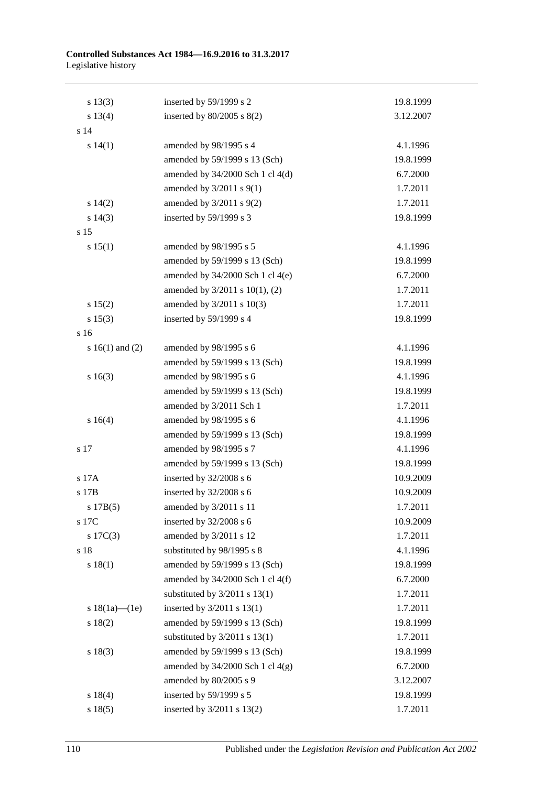#### **Controlled Substances Act 1984—16.9.2016 to 31.3.2017** Legislative history

| s 13(3)             | inserted by 59/1999 s 2              | 19.8.1999 |
|---------------------|--------------------------------------|-----------|
| s 13(4)             | inserted by $80/2005$ s $8(2)$       | 3.12.2007 |
| s 14                |                                      |           |
| s 14(1)             | amended by 98/1995 s 4               | 4.1.1996  |
|                     | amended by 59/1999 s 13 (Sch)        | 19.8.1999 |
|                     | amended by 34/2000 Sch 1 cl 4(d)     | 6.7.2000  |
|                     | amended by 3/2011 s 9(1)             | 1.7.2011  |
| 14(2)               | amended by $3/2011$ s $9(2)$         | 1.7.2011  |
| $s\ 14(3)$          | inserted by 59/1999 s 3              | 19.8.1999 |
| s 15                |                                      |           |
| s 15(1)             | amended by 98/1995 s 5               | 4.1.1996  |
|                     | amended by 59/1999 s 13 (Sch)        | 19.8.1999 |
|                     | amended by 34/2000 Sch 1 cl 4(e)     | 6.7.2000  |
|                     | amended by 3/2011 s 10(1), (2)       | 1.7.2011  |
| s 15(2)             | amended by 3/2011 s 10(3)            | 1.7.2011  |
| s 15(3)             | inserted by 59/1999 s 4              | 19.8.1999 |
| s 16                |                                      |           |
| s $16(1)$ and $(2)$ | amended by 98/1995 s 6               | 4.1.1996  |
|                     | amended by 59/1999 s 13 (Sch)        | 19.8.1999 |
| s 16(3)             | amended by 98/1995 s 6               | 4.1.1996  |
|                     | amended by 59/1999 s 13 (Sch)        | 19.8.1999 |
|                     | amended by 3/2011 Sch 1              | 1.7.2011  |
| s 16(4)             | amended by 98/1995 s 6               | 4.1.1996  |
|                     | amended by 59/1999 s 13 (Sch)        | 19.8.1999 |
| s 17                | amended by 98/1995 s 7               | 4.1.1996  |
|                     | amended by 59/1999 s 13 (Sch)        | 19.8.1999 |
| s 17A               | inserted by 32/2008 s 6              | 10.9.2009 |
| s 17B               | inserted by 32/2008 s 6              | 10.9.2009 |
| s $17B(5)$          | amended by $3/2011$ s 11             | 1.7.2011  |
| s 17C               | inserted by 32/2008 s 6              | 10.9.2009 |
| $s \ 17C(3)$        | amended by 3/2011 s 12               | 1.7.2011  |
| s 18                | substituted by 98/1995 s 8           | 4.1.1996  |
| s 18(1)             | amended by 59/1999 s 13 (Sch)        | 19.8.1999 |
|                     | amended by $34/2000$ Sch 1 cl $4(f)$ | 6.7.2000  |
|                     | substituted by $3/2011$ s $13(1)$    | 1.7.2011  |
| s $18(1a)$ — $(1e)$ | inserted by $3/2011$ s $13(1)$       | 1.7.2011  |
| s 18(2)             | amended by 59/1999 s 13 (Sch)        | 19.8.1999 |
|                     | substituted by $3/2011$ s $13(1)$    | 1.7.2011  |
| s 18(3)             | amended by 59/1999 s 13 (Sch)        | 19.8.1999 |
|                     | amended by $34/2000$ Sch 1 cl $4(g)$ | 6.7.2000  |
|                     | amended by 80/2005 s 9               | 3.12.2007 |
| s 18(4)             | inserted by 59/1999 s 5              | 19.8.1999 |
| s 18(5)             | inserted by 3/2011 s 13(2)           | 1.7.2011  |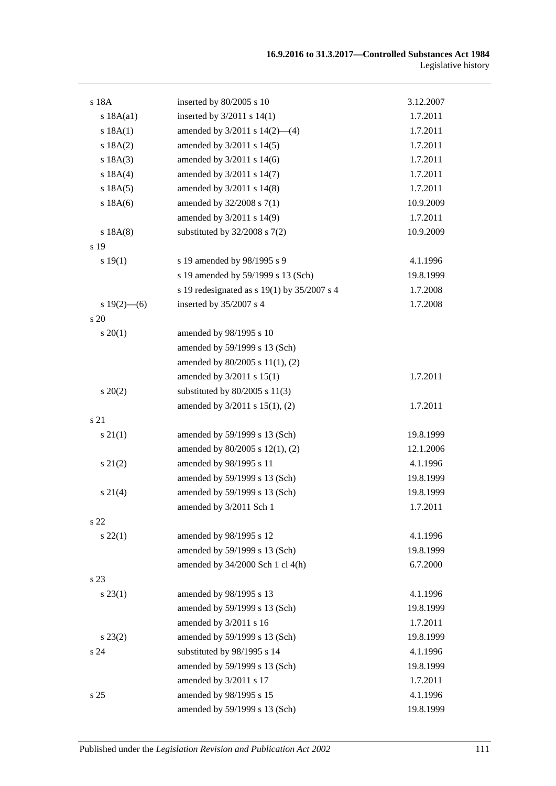| s 18A           | inserted by 80/2005 s 10                        | 3.12.2007 |
|-----------------|-------------------------------------------------|-----------|
| s 18A(a1)       | inserted by $3/2011$ s $14(1)$                  | 1.7.2011  |
| s 18A(1)        | amended by $3/2011$ s $14(2)$ —(4)              | 1.7.2011  |
| s 18A(2)        | amended by 3/2011 s 14(5)                       | 1.7.2011  |
| s 18A(3)        | amended by 3/2011 s 14(6)                       | 1.7.2011  |
| s 18A(4)        | amended by 3/2011 s 14(7)                       | 1.7.2011  |
| s 18A(5)        | amended by 3/2011 s 14(8)                       | 1.7.2011  |
| s 18A(6)        | amended by 32/2008 s 7(1)                       | 10.9.2009 |
|                 | amended by 3/2011 s 14(9)                       | 1.7.2011  |
| s 18A(8)        | substituted by $32/2008$ s $7(2)$               | 10.9.2009 |
| s 19            |                                                 |           |
| s 19(1)         | s 19 amended by 98/1995 s 9                     | 4.1.1996  |
|                 | s 19 amended by 59/1999 s 13 (Sch)              | 19.8.1999 |
|                 | s 19 redesignated as s $19(1)$ by $35/2007$ s 4 | 1.7.2008  |
| $s 19(2)$ - (6) | inserted by 35/2007 s 4                         | 1.7.2008  |
| s 20            |                                                 |           |
| $s \ 20(1)$     | amended by 98/1995 s 10                         |           |
|                 | amended by 59/1999 s 13 (Sch)                   |           |
|                 | amended by 80/2005 s 11(1), (2)                 |           |
|                 | amended by 3/2011 s 15(1)                       | 1.7.2011  |
| $s\ 20(2)$      | substituted by $80/2005$ s $11(3)$              |           |
|                 | amended by 3/2011 s 15(1), (2)                  | 1.7.2011  |
| s 21            |                                                 |           |
| $s\,21(1)$      | amended by 59/1999 s 13 (Sch)                   | 19.8.1999 |
|                 | amended by 80/2005 s 12(1), (2)                 | 12.1.2006 |
| $s\ 21(2)$      | amended by 98/1995 s 11                         | 4.1.1996  |
|                 | amended by 59/1999 s 13 (Sch)                   | 19.8.1999 |
| $s \ 21(4)$     | amended by 59/1999 s 13 (Sch)                   | 19.8.1999 |
|                 | amended by 3/2011 Sch 1                         | 1.7.2011  |
| s <sub>22</sub> |                                                 |           |
| $s\,22(1)$      | amended by 98/1995 s 12                         | 4.1.1996  |
|                 | amended by 59/1999 s 13 (Sch)                   | 19.8.1999 |
|                 | amended by 34/2000 Sch 1 cl 4(h)                | 6.7.2000  |
| s 23            |                                                 |           |
| $s\,23(1)$      | amended by 98/1995 s 13                         | 4.1.1996  |
|                 | amended by 59/1999 s 13 (Sch)                   | 19.8.1999 |
|                 | amended by 3/2011 s 16                          | 1.7.2011  |
| $s\,23(2)$      | amended by 59/1999 s 13 (Sch)                   | 19.8.1999 |
| s <sub>24</sub> | substituted by 98/1995 s 14                     | 4.1.1996  |
|                 | amended by 59/1999 s 13 (Sch)                   | 19.8.1999 |
|                 | amended by 3/2011 s 17                          | 1.7.2011  |
| s <sub>25</sub> | amended by 98/1995 s 15                         | 4.1.1996  |
|                 | amended by 59/1999 s 13 (Sch)                   | 19.8.1999 |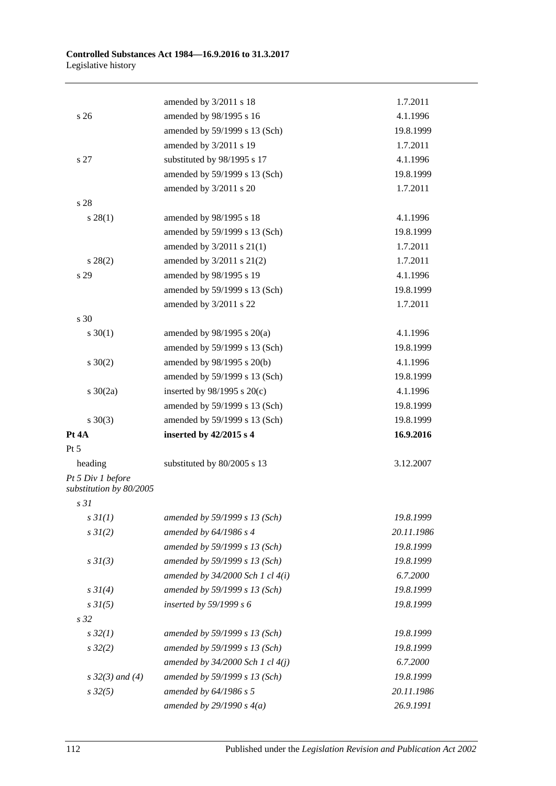|                                              | amended by 3/2011 s 18               | 1.7.2011   |
|----------------------------------------------|--------------------------------------|------------|
| s <sub>26</sub>                              | amended by 98/1995 s 16              | 4.1.1996   |
|                                              | amended by 59/1999 s 13 (Sch)        | 19.8.1999  |
|                                              | amended by 3/2011 s 19               | 1.7.2011   |
| s 27                                         | substituted by 98/1995 s 17          | 4.1.1996   |
|                                              | amended by 59/1999 s 13 (Sch)        | 19.8.1999  |
|                                              | amended by 3/2011 s 20               | 1.7.2011   |
| s 28                                         |                                      |            |
| $s\,28(1)$                                   | amended by 98/1995 s 18              | 4.1.1996   |
|                                              | amended by 59/1999 s 13 (Sch)        | 19.8.1999  |
|                                              | amended by $3/2011$ s $21(1)$        | 1.7.2011   |
| $s\,28(2)$                                   | amended by $3/2011$ s $21(2)$        | 1.7.2011   |
| s 29                                         | amended by 98/1995 s 19              | 4.1.1996   |
|                                              | amended by 59/1999 s 13 (Sch)        | 19.8.1999  |
|                                              | amended by 3/2011 s 22               | 1.7.2011   |
| s 30                                         |                                      |            |
| $s \ 30(1)$                                  | amended by $98/1995$ s $20(a)$       | 4.1.1996   |
|                                              | amended by 59/1999 s 13 (Sch)        | 19.8.1999  |
| $s \ 30(2)$                                  | amended by 98/1995 s 20(b)           | 4.1.1996   |
|                                              | amended by 59/1999 s 13 (Sch)        | 19.8.1999  |
| s $30(2a)$                                   | inserted by $98/1995$ s $20(c)$      | 4.1.1996   |
|                                              | amended by 59/1999 s 13 (Sch)        | 19.8.1999  |
| $s \ 30(3)$                                  | amended by 59/1999 s 13 (Sch)        | 19.8.1999  |
| Pt 4A                                        | inserted by 42/2015 s 4              | 16.9.2016  |
| Pt 5                                         |                                      |            |
| heading                                      | substituted by 80/2005 s 13          | 3.12.2007  |
| Pt 5 Div 1 before<br>substitution by 80/2005 |                                      |            |
| s <sub>31</sub>                              |                                      |            |
| $s \frac{3I(1)}{2}$                          | amended by 59/1999 s 13 (Sch)        | 19.8.1999  |
| $s \frac{3I(2)}{2}$                          | amended by $64/1986 s 4$             | 20.11.1986 |
|                                              | amended by 59/1999 s 13 (Sch)        | 19.8.1999  |
| $s \frac{3I(3)}{3}$                          | amended by 59/1999 s 13 (Sch)        | 19.8.1999  |
|                                              | amended by $34/2000$ Sch 1 cl $4(i)$ | 6.7.2000   |
| $s \, 3I(4)$                                 | amended by 59/1999 s 13 (Sch)        | 19.8.1999  |
| $s \, 3I(5)$                                 | inserted by $59/1999 s 6$            | 19.8.1999  |
| s <sub>32</sub>                              |                                      |            |
| $s\,32(1)$                                   | amended by 59/1999 s 13 (Sch)        | 19.8.1999  |
| $s\,32(2)$                                   | amended by 59/1999 s 13 (Sch)        | 19.8.1999  |
|                                              | amended by $34/2000$ Sch 1 cl $4(j)$ | 6.7.2000   |
| s $32(3)$ and (4)                            | amended by 59/1999 s 13 (Sch)        | 19.8.1999  |
| $s\,32(5)$                                   | amended by $64/1986$ s 5             | 20.11.1986 |
|                                              | amended by $29/1990 s 4(a)$          | 26.9.1991  |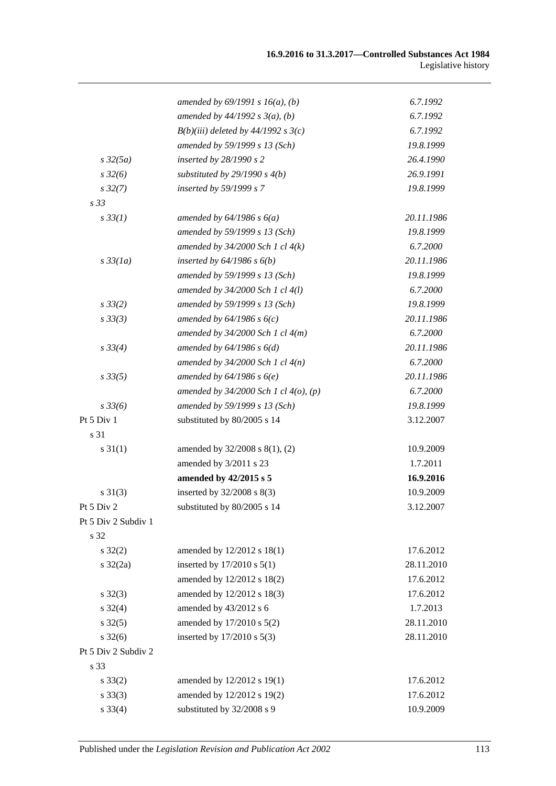|                     | amended by $69/1991 s 16(a)$ , (b)         | 6.7.1992   |
|---------------------|--------------------------------------------|------------|
|                     | amended by $44/1992 s 3(a), (b)$           | 6.7.1992   |
|                     | $B(b)(iii)$ deleted by 44/1992 s 3(c)      | 6.7.1992   |
|                     | amended by 59/1999 s 13 (Sch)              | 19.8.1999  |
| $s\,32(5a)$         | inserted by 28/1990 s 2                    | 26.4.1990  |
| $s\,32(6)$          | substituted by $29/1990 s 4(b)$            | 26.9.1991  |
| $s\,32(7)$          | inserted by 59/1999 s 7                    | 19.8.1999  |
| s <sub>33</sub>     |                                            |            |
| $s \, 33(1)$        | amended by $64/1986$ s $6(a)$              | 20.11.1986 |
|                     | amended by 59/1999 s 13 (Sch)              | 19.8.1999  |
|                     | amended by $34/2000$ Sch 1 cl $4(k)$       | 6.7.2000   |
| $s\,33(1a)$         | inserted by $64/1986$ s $6(b)$             | 20.11.1986 |
|                     | amended by 59/1999 s 13 (Sch)              | 19.8.1999  |
|                     | amended by 34/2000 Sch 1 cl 4(l)           | 6.7.2000   |
| $s \, 33(2)$        | amended by 59/1999 s 13 (Sch)              | 19.8.1999  |
| s33(3)              | amended by $64/1986 s 6(c)$                | 20.11.1986 |
|                     | amended by $34/2000$ Sch 1 cl $4(m)$       | 6.7.2000   |
| $s \, 33(4)$        | amended by $64/1986 s 6(d)$                | 20.11.1986 |
|                     | amended by $34/2000$ Sch 1 cl $4(n)$       | 6.7.2000   |
| $s\,33(5)$          | amended by $64/1986 s 6(e)$                | 20.11.1986 |
|                     | amended by $34/2000$ Sch 1 cl $4(0)$ , (p) | 6.7.2000   |
| $s \, 33(6)$        | amended by 59/1999 s 13 (Sch)              | 19.8.1999  |
| Pt 5 Div 1          | substituted by 80/2005 s 14                | 3.12.2007  |
| s 31                |                                            |            |
| $s \, 31(1)$        | amended by 32/2008 s 8(1), (2)             | 10.9.2009  |
|                     | amended by 3/2011 s 23                     | 1.7.2011   |
|                     | amended by 42/2015 s 5                     | 16.9.2016  |
| $s \ 31(3)$         | inserted by 32/2008 s 8(3)                 | 10.9.2009  |
| Pt 5 Div 2          | substituted by 80/2005 s 14                | 3.12.2007  |
| Pt 5 Div 2 Subdiv 1 |                                            |            |
| s 32                |                                            |            |
| $s \, 32(2)$        | amended by 12/2012 s 18(1)                 | 17.6.2012  |
| $s \frac{32}{2a}$   | inserted by 17/2010 s 5(1)                 | 28.11.2010 |
|                     | amended by 12/2012 s 18(2)                 | 17.6.2012  |
| $s \, 32(3)$        | amended by 12/2012 s 18(3)                 | 17.6.2012  |
| $s \, 32(4)$        | amended by 43/2012 s 6                     | 1.7.2013   |
| $s \, 32(5)$        | amended by 17/2010 s 5(2)                  | 28.11.2010 |
| $s \, 32(6)$        | inserted by 17/2010 s 5(3)                 | 28.11.2010 |
| Pt 5 Div 2 Subdiv 2 |                                            |            |
| s 33                |                                            |            |
| $s \, 33(2)$        | amended by 12/2012 s 19(1)                 | 17.6.2012  |
| $s \, 33(3)$        | amended by 12/2012 s 19(2)                 | 17.6.2012  |
| $s \, 33(4)$        | substituted by 32/2008 s 9                 | 10.9.2009  |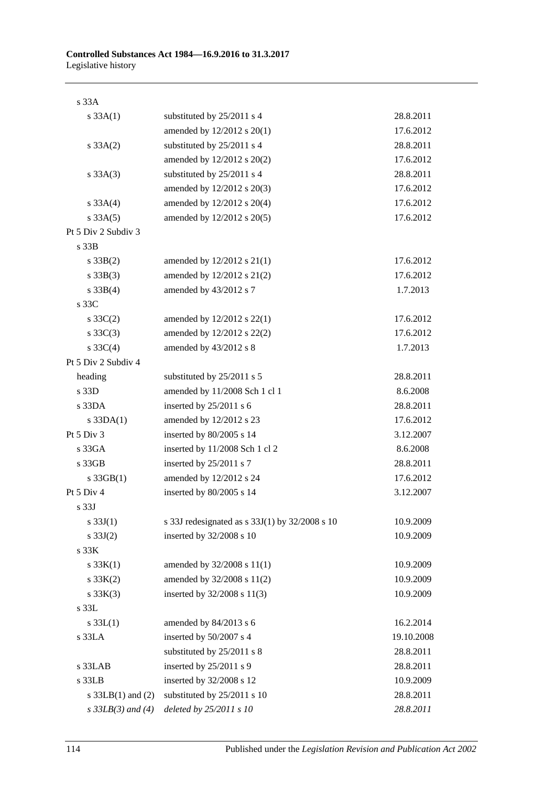| s33A                  |                                                    |            |
|-----------------------|----------------------------------------------------|------------|
| $s \, 33A(1)$         | substituted by 25/2011 s 4                         | 28.8.2011  |
|                       | amended by 12/2012 s 20(1)                         | 17.6.2012  |
| $s \, 33A(2)$         | substituted by 25/2011 s 4                         | 28.8.2011  |
|                       | amended by 12/2012 s 20(2)                         | 17.6.2012  |
| $s \, 33A(3)$         | substituted by 25/2011 s 4                         | 28.8.2011  |
|                       | amended by 12/2012 s 20(3)                         | 17.6.2012  |
| s $33A(4)$            | amended by 12/2012 s 20(4)                         | 17.6.2012  |
| $s \, 33A(5)$         | amended by 12/2012 s 20(5)                         | 17.6.2012  |
| Pt 5 Div 2 Subdiv 3   |                                                    |            |
| s 33B                 |                                                    |            |
| $s \, 33B(2)$         | amended by $12/2012$ s $21(1)$                     | 17.6.2012  |
| $s \, 33B(3)$         | amended by 12/2012 s 21(2)                         | 17.6.2012  |
| $s \, 33B(4)$         | amended by 43/2012 s 7                             | 1.7.2013   |
| s 33C                 |                                                    |            |
| $s \, 33C(2)$         | amended by 12/2012 s 22(1)                         | 17.6.2012  |
| s $33C(3)$            | amended by 12/2012 s 22(2)                         | 17.6.2012  |
| s $33C(4)$            | amended by 43/2012 s 8                             | 1.7.2013   |
| Pt 5 Div 2 Subdiv 4   |                                                    |            |
| heading               | substituted by 25/2011 s 5                         | 28.8.2011  |
| s 33D                 | amended by 11/2008 Sch 1 cl 1                      | 8.6.2008   |
| $s$ 33DA              | inserted by $25/2011$ s 6                          | 28.8.2011  |
| $s$ 33DA $(1)$        | amended by 12/2012 s 23                            | 17.6.2012  |
| Pt 5 Div 3            | inserted by 80/2005 s 14                           | 3.12.2007  |
| s33GA                 | inserted by 11/2008 Sch 1 cl 2                     | 8.6.2008   |
| s 33GB                | inserted by $25/2011$ s 7                          | 28.8.2011  |
| $s \cdot 33GB(1)$     | amended by 12/2012 s 24                            | 17.6.2012  |
| Pt 5 Div 4            | inserted by 80/2005 s 14                           | 3.12.2007  |
| s <sub>33J</sub>      |                                                    |            |
| s $33J(1)$            | s 33J redesignated as s $33J(1)$ by $32/2008$ s 10 | 10.9.2009  |
| s $33J(2)$            | inserted by 32/2008 s 10                           | 10.9.2009  |
| s <sub>33K</sub>      |                                                    |            |
| s $33K(1)$            | amended by 32/2008 s 11(1)                         | 10.9.2009  |
| $s \, 33K(2)$         | amended by 32/2008 s 11(2)                         | 10.9.2009  |
| $s \, 33K(3)$         | inserted by 32/2008 s 11(3)                        | 10.9.2009  |
| $s$ 33 $L$            |                                                    |            |
| $s \, 33L(1)$         | amended by 84/2013 s 6                             | 16.2.2014  |
| s 33LA                | inserted by 50/2007 s 4                            | 19.10.2008 |
|                       | substituted by 25/2011 s 8                         | 28.8.2011  |
| s 33LAB               | inserted by 25/2011 s 9                            | 28.8.2011  |
| s 33LB                | inserted by 32/2008 s 12                           | 10.9.2009  |
| s $33LB(1)$ and $(2)$ | substituted by 25/2011 s 10                        | 28.8.2011  |
| $s$ 33LB(3) and (4)   | deleted by 25/2011 s 10                            | 28.8.2011  |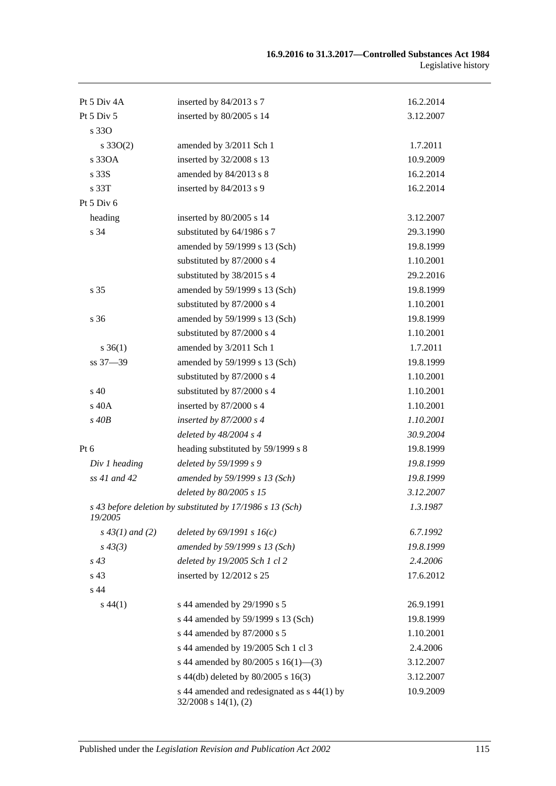| Pt 5 Div 4A                  | inserted by 84/2013 s 7                                             | 16.2.2014 |
|------------------------------|---------------------------------------------------------------------|-----------|
| Pt 5 Div 5                   | inserted by 80/2005 s 14                                            | 3.12.2007 |
| s 330                        |                                                                     |           |
| $s \, 33O(2)$                | amended by 3/2011 Sch 1                                             | 1.7.2011  |
| s 330A                       | inserted by 32/2008 s 13                                            | 10.9.2009 |
| s 33S                        | amended by 84/2013 s 8                                              | 16.2.2014 |
| s 33T                        | inserted by 84/2013 s 9                                             | 16.2.2014 |
| Pt $5$ Div $6$               |                                                                     |           |
| heading                      | inserted by 80/2005 s 14                                            | 3.12.2007 |
| s 34                         | substituted by 64/1986 s 7                                          | 29.3.1990 |
|                              | amended by 59/1999 s 13 (Sch)                                       | 19.8.1999 |
|                              | substituted by 87/2000 s 4                                          | 1.10.2001 |
|                              | substituted by 38/2015 s 4                                          | 29.2.2016 |
| s 35                         | amended by 59/1999 s 13 (Sch)                                       | 19.8.1999 |
|                              | substituted by 87/2000 s 4                                          | 1.10.2001 |
| s 36                         | amended by 59/1999 s 13 (Sch)                                       | 19.8.1999 |
|                              | substituted by 87/2000 s 4                                          | 1.10.2001 |
| $s \; 36(1)$                 | amended by 3/2011 Sch 1                                             | 1.7.2011  |
| ss 37-39                     | amended by 59/1999 s 13 (Sch)                                       | 19.8.1999 |
|                              | substituted by 87/2000 s 4                                          | 1.10.2001 |
| $\boldsymbol{\mathsf{s}}$ 40 | substituted by 87/2000 s 4                                          | 1.10.2001 |
| s 40A                        | inserted by 87/2000 s 4                                             | 1.10.2001 |
| $s$ 40 $B$                   | inserted by $87/2000 s 4$                                           | 1.10.2001 |
|                              | deleted by $48/2004$ s 4                                            | 30.9.2004 |
| $Pt\ 6$                      | heading substituted by 59/1999 s 8                                  | 19.8.1999 |
| Div 1 heading                | deleted by 59/1999 s 9                                              | 19.8.1999 |
| ss 41 and 42                 | amended by 59/1999 s 13 (Sch)                                       | 19.8.1999 |
|                              | deleted by 80/2005 s 15                                             | 3.12.2007 |
| 19/2005                      | s 43 before deletion by substituted by 17/1986 s 13 (Sch)           | 1.3.1987  |
| $s\,43(1)$ and (2)           | deleted by $69/1991 s 16(c)$                                        | 6.7.1992  |
| $s\,43(3)$                   | amended by 59/1999 s 13 (Sch)                                       | 19.8.1999 |
| $s\,43$                      | deleted by 19/2005 Sch 1 cl 2                                       | 2.4.2006  |
| s 43                         | inserted by 12/2012 s 25                                            | 17.6.2012 |
| s 44                         |                                                                     |           |
| $s\,44(1)$                   | s 44 amended by 29/1990 s 5                                         | 26.9.1991 |
|                              | s 44 amended by 59/1999 s 13 (Sch)                                  | 19.8.1999 |
|                              | s 44 amended by 87/2000 s 5                                         | 1.10.2001 |
|                              | s 44 amended by 19/2005 Sch 1 cl 3                                  | 2.4.2006  |
|                              | s 44 amended by 80/2005 s 16(1)–(3)                                 | 3.12.2007 |
|                              | s 44(db) deleted by 80/2005 s 16(3)                                 | 3.12.2007 |
|                              | s 44 amended and redesignated as s 44(1) by<br>32/2008 s 14(1), (2) | 10.9.2009 |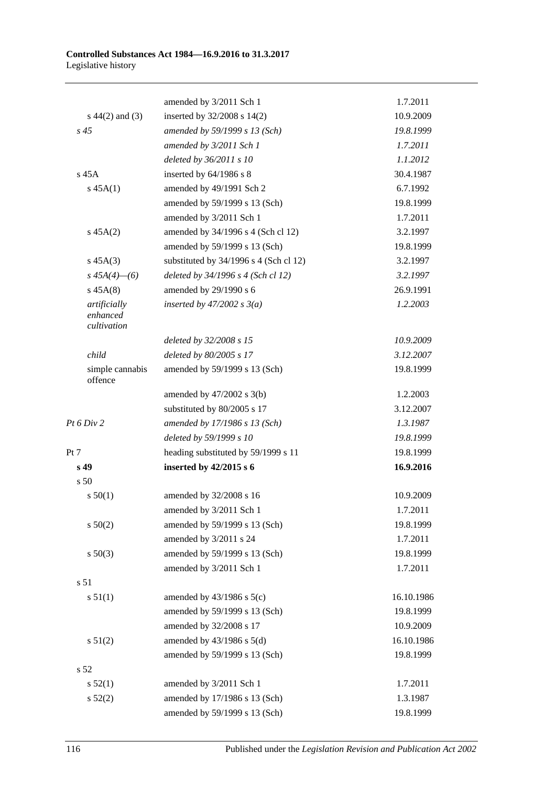#### **Controlled Substances Act 1984—16.9.2016 to 31.3.2017** Legislative history

|                                         | amended by 3/2011 Sch 1                | 1.7.2011   |
|-----------------------------------------|----------------------------------------|------------|
| $s\ 44(2)$ and (3)                      | inserted by 32/2008 s 14(2)            | 10.9.2009  |
| $s\,45$                                 | amended by 59/1999 s 13 (Sch)          | 19.8.1999  |
|                                         | amended by 3/2011 Sch 1                | 1.7.2011   |
|                                         | deleted by 36/2011 s 10                | 1.1.2012   |
| $s$ 45A                                 | inserted by 64/1986 s 8                | 30.4.1987  |
| s 45A(1)                                | amended by 49/1991 Sch 2               | 6.7.1992   |
|                                         | amended by 59/1999 s 13 (Sch)          | 19.8.1999  |
|                                         | amended by 3/2011 Sch 1                | 1.7.2011   |
| $s\,45A(2)$                             | amended by 34/1996 s 4 (Sch cl 12)     | 3.2.1997   |
|                                         | amended by 59/1999 s 13 (Sch)          | 19.8.1999  |
| $s\,45A(3)$                             | substituted by 34/1996 s 4 (Sch cl 12) | 3.2.1997   |
| $s\,45A(4)$ - (6)                       | deleted by 34/1996 s 4 (Sch cl 12)     | 3.2.1997   |
| $s\,45A(8)$                             | amended by 29/1990 s 6                 | 26.9.1991  |
| artificially<br>enhanced<br>cultivation | inserted by $47/2002$ s $3(a)$         | 1.2.2003   |
|                                         | deleted by 32/2008 s 15                | 10.9.2009  |
| child                                   | deleted by 80/2005 s 17                | 3.12.2007  |
| simple cannabis<br>offence              | amended by 59/1999 s 13 (Sch)          | 19.8.1999  |
|                                         | amended by $47/2002$ s $3(b)$          | 1.2.2003   |
|                                         | substituted by 80/2005 s 17            | 3.12.2007  |
| Pt 6 Div 2                              | amended by 17/1986 s 13 (Sch)          | 1.3.1987   |
|                                         | deleted by 59/1999 s 10                | 19.8.1999  |
| Pt 7                                    | heading substituted by 59/1999 s 11    | 19.8.1999  |
| s 49                                    | inserted by 42/2015 s 6                | 16.9.2016  |
| s 50                                    |                                        |            |
| s 50(1)                                 | amended by 32/2008 s 16                | 10.9.2009  |
|                                         | amended by 3/2011 Sch 1                | 1.7.2011   |
| s 50(2)                                 | amended by 59/1999 s 13 (Sch)          | 19.8.1999  |
|                                         | amended by 3/2011 s 24                 | 1.7.2011   |
| $s\ 50(3)$                              | amended by 59/1999 s 13 (Sch)          | 19.8.1999  |
|                                         | amended by 3/2011 Sch 1                | 1.7.2011   |
| s <sub>51</sub>                         |                                        |            |
| s 51(1)                                 | amended by $43/1986$ s $5(c)$          | 16.10.1986 |
|                                         | amended by 59/1999 s 13 (Sch)          | 19.8.1999  |
|                                         | amended by 32/2008 s 17                | 10.9.2009  |
| s 51(2)                                 | amended by $43/1986$ s $5(d)$          | 16.10.1986 |
|                                         | amended by 59/1999 s 13 (Sch)          | 19.8.1999  |
| s <sub>52</sub>                         |                                        |            |
| s 52(1)                                 | amended by 3/2011 Sch 1                | 1.7.2011   |
| s 52(2)                                 | amended by 17/1986 s 13 (Sch)          | 1.3.1987   |
|                                         | amended by 59/1999 s 13 (Sch)          | 19.8.1999  |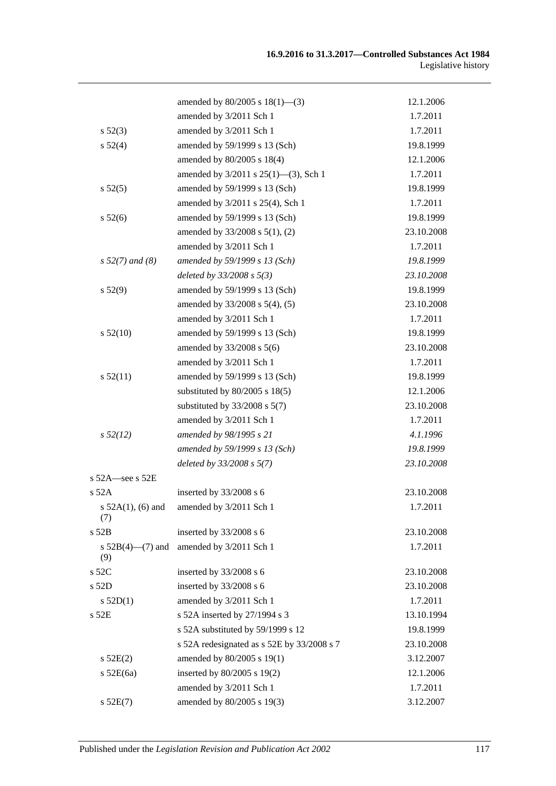|                        | amended by $80/2005$ s $18(1)$ —(3)        | 12.1.2006  |
|------------------------|--------------------------------------------|------------|
|                        | amended by 3/2011 Sch 1                    | 1.7.2011   |
| $s\,52(3)$             | amended by 3/2011 Sch 1                    | 1.7.2011   |
| s 52(4)                | amended by 59/1999 s 13 (Sch)              | 19.8.1999  |
|                        | amended by 80/2005 s 18(4)                 | 12.1.2006  |
|                        | amended by 3/2011 s 25(1)-(3), Sch 1       | 1.7.2011   |
| s 52(5)                | amended by 59/1999 s 13 (Sch)              | 19.8.1999  |
|                        | amended by 3/2011 s 25(4), Sch 1           | 1.7.2011   |
| s 52(6)                | amended by 59/1999 s 13 (Sch)              | 19.8.1999  |
|                        | amended by 33/2008 s 5(1), (2)             | 23.10.2008 |
|                        | amended by 3/2011 Sch 1                    | 1.7.2011   |
| $s 52(7)$ and (8)      | amended by 59/1999 s 13 (Sch)              | 19.8.1999  |
|                        | deleted by $33/2008 s 5(3)$                | 23.10.2008 |
| s 52(9)                | amended by 59/1999 s 13 (Sch)              | 19.8.1999  |
|                        | amended by 33/2008 s 5(4), (5)             | 23.10.2008 |
|                        | amended by 3/2011 Sch 1                    | 1.7.2011   |
| $s\,52(10)$            | amended by 59/1999 s 13 (Sch)              | 19.8.1999  |
|                        | amended by 33/2008 s 5(6)                  | 23.10.2008 |
|                        | amended by 3/2011 Sch 1                    | 1.7.2011   |
| $s\,52(11)$            | amended by 59/1999 s 13 (Sch)              | 19.8.1999  |
|                        | substituted by $80/2005$ s $18(5)$         | 12.1.2006  |
|                        | substituted by $33/2008$ s $5(7)$          | 23.10.2008 |
|                        | amended by 3/2011 Sch 1                    | 1.7.2011   |
| $s\,52(12)$            | amended by 98/1995 s 21                    | 4.1.1996   |
|                        | amended by 59/1999 s 13 (Sch)              | 19.8.1999  |
|                        | deleted by $33/2008 s 5(7)$                | 23.10.2008 |
| $s$ 52A $-$ see s 52E  |                                            |            |
| s 52A                  | inserted by 33/2008 s 6                    | 23.10.2008 |
| s $52A(1)$ , (6) and   | amended by 3/2011 Sch 1                    | 1.7.2011   |
| (7)<br>$s$ 52 $B$      | inserted by 33/2008 s 6                    | 23.10.2008 |
| s $52B(4)$ — $(7)$ and | amended by 3/2011 Sch 1                    | 1.7.2011   |
| (9)                    |                                            |            |
| s 52C                  | inserted by 33/2008 s 6                    | 23.10.2008 |
| s 52D                  | inserted by 33/2008 s 6                    | 23.10.2008 |
| s 52D(1)               | amended by 3/2011 Sch 1                    | 1.7.2011   |
| s 52E                  | s 52A inserted by 27/1994 s 3              | 13.10.1994 |
|                        | s 52A substituted by 59/1999 s 12          | 19.8.1999  |
|                        | s 52A redesignated as s 52E by 33/2008 s 7 | 23.10.2008 |
| s 52E(2)               | amended by 80/2005 s 19(1)                 | 3.12.2007  |
| $s$ 52E(6a)            | inserted by 80/2005 s 19(2)                | 12.1.2006  |
|                        | amended by 3/2011 Sch 1                    | 1.7.2011   |
| s 52E(7)               | amended by 80/2005 s 19(3)                 | 3.12.2007  |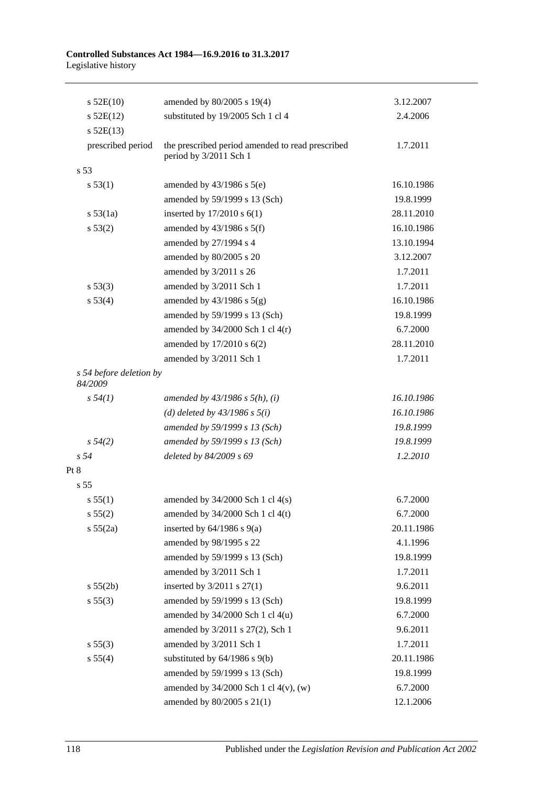#### **Controlled Substances Act 1984—16.9.2016 to 31.3.2017** Legislative history

| $s$ 52E(10)                        | amended by 80/2005 s 19(4)                                                 | 3.12.2007  |
|------------------------------------|----------------------------------------------------------------------------|------------|
| $s$ 52E(12)                        | substituted by 19/2005 Sch 1 cl 4                                          | 2.4.2006   |
| $s$ 52E(13)                        |                                                                            |            |
| prescribed period                  | the prescribed period amended to read prescribed<br>period by 3/2011 Sch 1 | 1.7.2011   |
| s <sub>53</sub>                    |                                                                            |            |
| s 53(1)                            | amended by $43/1986$ s $5(e)$                                              | 16.10.1986 |
|                                    | amended by 59/1999 s 13 (Sch)                                              | 19.8.1999  |
| $s\,53(1a)$                        | inserted by $17/2010$ s $6(1)$                                             | 28.11.2010 |
| s 53(2)                            | amended by $43/1986$ s $5(f)$                                              | 16.10.1986 |
|                                    | amended by 27/1994 s 4                                                     | 13.10.1994 |
|                                    | amended by 80/2005 s 20                                                    | 3.12.2007  |
|                                    | amended by 3/2011 s 26                                                     | 1.7.2011   |
| s 53(3)                            | amended by 3/2011 Sch 1                                                    | 1.7.2011   |
| s 53(4)                            | amended by $43/1986$ s $5(g)$                                              | 16.10.1986 |
|                                    | amended by 59/1999 s 13 (Sch)                                              | 19.8.1999  |
|                                    | amended by $34/2000$ Sch 1 cl $4(r)$                                       | 6.7.2000   |
|                                    | amended by 17/2010 s 6(2)                                                  | 28.11.2010 |
|                                    | amended by 3/2011 Sch 1                                                    | 1.7.2011   |
| s 54 before deletion by<br>84/2009 |                                                                            |            |
| $s\,54(1)$                         | amended by $43/1986$ s $5(h)$ , (i)                                        | 16.10.1986 |
|                                    | (d) deleted by $43/1986$ s $5(i)$                                          | 16.10.1986 |
|                                    | amended by 59/1999 s 13 (Sch)                                              | 19.8.1999  |
| $s\,54(2)$                         | amended by 59/1999 s 13 (Sch)                                              | 19.8.1999  |
| s 54                               | deleted by 84/2009 s 69                                                    | 1.2.2010   |
| Pt 8                               |                                                                            |            |
| s <sub>55</sub>                    |                                                                            |            |
| s 55(1)                            | amended by $34/2000$ Sch 1 cl $4(s)$                                       | 6.7.2000   |
| s 55(2)                            | amended by 34/2000 Sch 1 cl 4(t)                                           | 6.7.2000   |
| s 55(2a)                           | inserted by $64/1986$ s $9(a)$                                             | 20.11.1986 |
|                                    | amended by 98/1995 s 22                                                    | 4.1.1996   |
|                                    | amended by 59/1999 s 13 (Sch)                                              | 19.8.1999  |
|                                    | amended by 3/2011 Sch 1                                                    | 1.7.2011   |
| s 55(2b)                           | inserted by $3/2011$ s $27(1)$                                             | 9.6.2011   |
| s 55(3)                            | amended by 59/1999 s 13 (Sch)                                              | 19.8.1999  |
|                                    | amended by $34/2000$ Sch 1 cl $4(u)$                                       | 6.7.2000   |
|                                    | amended by 3/2011 s 27(2), Sch 1                                           | 9.6.2011   |
| s 55(3)                            | amended by 3/2011 Sch 1                                                    | 1.7.2011   |
| s 55(4)                            | substituted by $64/1986$ s $9(b)$                                          | 20.11.1986 |
|                                    | amended by 59/1999 s 13 (Sch)                                              | 19.8.1999  |
|                                    | amended by $34/2000$ Sch 1 cl $4(v)$ , (w)                                 | 6.7.2000   |
|                                    | amended by 80/2005 s 21(1)                                                 | 12.1.2006  |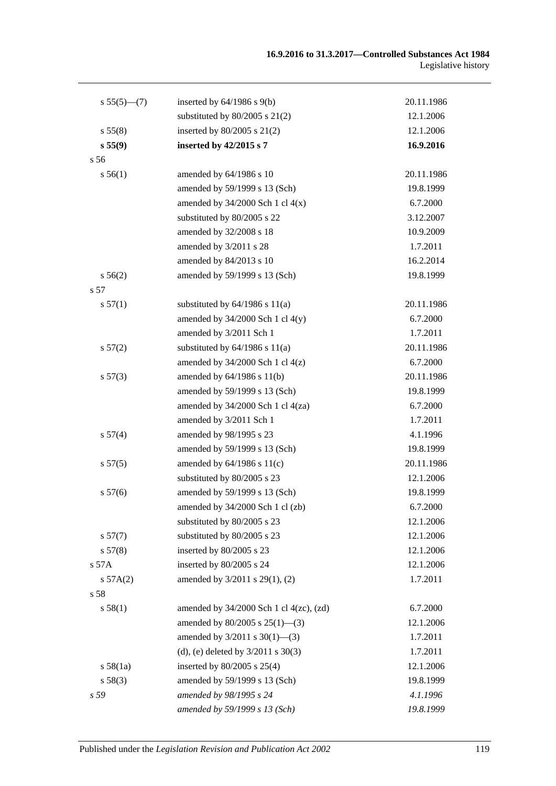| substituted by $80/2005$ s $21(2)$<br>12.1.2006<br>inserted by $80/2005$ s $21(2)$<br>s 55(8)<br>12.1.2006<br>s 55(9)<br>inserted by 42/2015 s 7<br>16.9.2016<br>s 56<br>s 56(1)<br>amended by 64/1986 s 10<br>20.11.1986<br>amended by 59/1999 s 13 (Sch)<br>19.8.1999<br>amended by $34/2000$ Sch 1 cl $4(x)$<br>6.7.2000<br>substituted by 80/2005 s 22<br>3.12.2007<br>amended by 32/2008 s 18<br>10.9.2009<br>1.7.2011<br>amended by 3/2011 s 28<br>amended by 84/2013 s 10<br>16.2.2014<br>amended by 59/1999 s 13 (Sch)<br>s 56(2)<br>19.8.1999<br>s 57<br>substituted by $64/1986$ s $11(a)$<br>s 57(1)<br>20.11.1986<br>amended by $34/2000$ Sch 1 cl $4(y)$<br>6.7.2000<br>amended by 3/2011 Sch 1<br>1.7.2011<br>substituted by $64/1986$ s $11(a)$<br>20.11.1986<br>s 57(2)<br>amended by $34/2000$ Sch 1 cl $4(z)$<br>6.7.2000<br>amended by $64/1986$ s $11(b)$<br>20.11.1986<br>s 57(3)<br>amended by 59/1999 s 13 (Sch)<br>19.8.1999<br>amended by 34/2000 Sch 1 cl 4(za)<br>6.7.2000<br>1.7.2011<br>amended by 3/2011 Sch 1<br>amended by 98/1995 s 23<br>s 57(4)<br>4.1.1996<br>amended by 59/1999 s 13 (Sch)<br>19.8.1999<br>s 57(5)<br>amended by $64/1986$ s $11(c)$<br>20.11.1986<br>substituted by 80/2005 s 23<br>12.1.2006<br>amended by 59/1999 s 13 (Sch)<br>s 57(6)<br>19.8.1999<br>amended by 34/2000 Sch 1 cl (zb)<br>6.7.2000<br>substituted by 80/2005 s 23<br>12.1.2006<br>substituted by 80/2005 s 23<br>s 57(7)<br>12.1.2006<br>s 57(8)<br>inserted by 80/2005 s 23<br>12.1.2006<br>inserted by 80/2005 s 24<br>s 57A<br>12.1.2006<br>s 57A(2)<br>amended by 3/2011 s 29(1), (2)<br>1.7.2011<br>s 58<br>s 58(1)<br>amended by $34/2000$ Sch 1 cl $4(zc)$ , $(zd)$<br>6.7.2000<br>amended by $80/2005$ s $25(1)$ —(3)<br>12.1.2006<br>amended by $3/2011$ s $30(1)$ —(3)<br>1.7.2011 | $s 55(5)$ (7) | inserted by $64/1986$ s $9(b)$ | 20.11.1986 |
|------------------------------------------------------------------------------------------------------------------------------------------------------------------------------------------------------------------------------------------------------------------------------------------------------------------------------------------------------------------------------------------------------------------------------------------------------------------------------------------------------------------------------------------------------------------------------------------------------------------------------------------------------------------------------------------------------------------------------------------------------------------------------------------------------------------------------------------------------------------------------------------------------------------------------------------------------------------------------------------------------------------------------------------------------------------------------------------------------------------------------------------------------------------------------------------------------------------------------------------------------------------------------------------------------------------------------------------------------------------------------------------------------------------------------------------------------------------------------------------------------------------------------------------------------------------------------------------------------------------------------------------------------------------------------------------------------------------------------------------------------------------------------------------------------------------------|---------------|--------------------------------|------------|
|                                                                                                                                                                                                                                                                                                                                                                                                                                                                                                                                                                                                                                                                                                                                                                                                                                                                                                                                                                                                                                                                                                                                                                                                                                                                                                                                                                                                                                                                                                                                                                                                                                                                                                                                                                                                                        |               |                                |            |
|                                                                                                                                                                                                                                                                                                                                                                                                                                                                                                                                                                                                                                                                                                                                                                                                                                                                                                                                                                                                                                                                                                                                                                                                                                                                                                                                                                                                                                                                                                                                                                                                                                                                                                                                                                                                                        |               |                                |            |
|                                                                                                                                                                                                                                                                                                                                                                                                                                                                                                                                                                                                                                                                                                                                                                                                                                                                                                                                                                                                                                                                                                                                                                                                                                                                                                                                                                                                                                                                                                                                                                                                                                                                                                                                                                                                                        |               |                                |            |
|                                                                                                                                                                                                                                                                                                                                                                                                                                                                                                                                                                                                                                                                                                                                                                                                                                                                                                                                                                                                                                                                                                                                                                                                                                                                                                                                                                                                                                                                                                                                                                                                                                                                                                                                                                                                                        |               |                                |            |
|                                                                                                                                                                                                                                                                                                                                                                                                                                                                                                                                                                                                                                                                                                                                                                                                                                                                                                                                                                                                                                                                                                                                                                                                                                                                                                                                                                                                                                                                                                                                                                                                                                                                                                                                                                                                                        |               |                                |            |
|                                                                                                                                                                                                                                                                                                                                                                                                                                                                                                                                                                                                                                                                                                                                                                                                                                                                                                                                                                                                                                                                                                                                                                                                                                                                                                                                                                                                                                                                                                                                                                                                                                                                                                                                                                                                                        |               |                                |            |
|                                                                                                                                                                                                                                                                                                                                                                                                                                                                                                                                                                                                                                                                                                                                                                                                                                                                                                                                                                                                                                                                                                                                                                                                                                                                                                                                                                                                                                                                                                                                                                                                                                                                                                                                                                                                                        |               |                                |            |
|                                                                                                                                                                                                                                                                                                                                                                                                                                                                                                                                                                                                                                                                                                                                                                                                                                                                                                                                                                                                                                                                                                                                                                                                                                                                                                                                                                                                                                                                                                                                                                                                                                                                                                                                                                                                                        |               |                                |            |
|                                                                                                                                                                                                                                                                                                                                                                                                                                                                                                                                                                                                                                                                                                                                                                                                                                                                                                                                                                                                                                                                                                                                                                                                                                                                                                                                                                                                                                                                                                                                                                                                                                                                                                                                                                                                                        |               |                                |            |
|                                                                                                                                                                                                                                                                                                                                                                                                                                                                                                                                                                                                                                                                                                                                                                                                                                                                                                                                                                                                                                                                                                                                                                                                                                                                                                                                                                                                                                                                                                                                                                                                                                                                                                                                                                                                                        |               |                                |            |
|                                                                                                                                                                                                                                                                                                                                                                                                                                                                                                                                                                                                                                                                                                                                                                                                                                                                                                                                                                                                                                                                                                                                                                                                                                                                                                                                                                                                                                                                                                                                                                                                                                                                                                                                                                                                                        |               |                                |            |
|                                                                                                                                                                                                                                                                                                                                                                                                                                                                                                                                                                                                                                                                                                                                                                                                                                                                                                                                                                                                                                                                                                                                                                                                                                                                                                                                                                                                                                                                                                                                                                                                                                                                                                                                                                                                                        |               |                                |            |
|                                                                                                                                                                                                                                                                                                                                                                                                                                                                                                                                                                                                                                                                                                                                                                                                                                                                                                                                                                                                                                                                                                                                                                                                                                                                                                                                                                                                                                                                                                                                                                                                                                                                                                                                                                                                                        |               |                                |            |
|                                                                                                                                                                                                                                                                                                                                                                                                                                                                                                                                                                                                                                                                                                                                                                                                                                                                                                                                                                                                                                                                                                                                                                                                                                                                                                                                                                                                                                                                                                                                                                                                                                                                                                                                                                                                                        |               |                                |            |
|                                                                                                                                                                                                                                                                                                                                                                                                                                                                                                                                                                                                                                                                                                                                                                                                                                                                                                                                                                                                                                                                                                                                                                                                                                                                                                                                                                                                                                                                                                                                                                                                                                                                                                                                                                                                                        |               |                                |            |
|                                                                                                                                                                                                                                                                                                                                                                                                                                                                                                                                                                                                                                                                                                                                                                                                                                                                                                                                                                                                                                                                                                                                                                                                                                                                                                                                                                                                                                                                                                                                                                                                                                                                                                                                                                                                                        |               |                                |            |
|                                                                                                                                                                                                                                                                                                                                                                                                                                                                                                                                                                                                                                                                                                                                                                                                                                                                                                                                                                                                                                                                                                                                                                                                                                                                                                                                                                                                                                                                                                                                                                                                                                                                                                                                                                                                                        |               |                                |            |
|                                                                                                                                                                                                                                                                                                                                                                                                                                                                                                                                                                                                                                                                                                                                                                                                                                                                                                                                                                                                                                                                                                                                                                                                                                                                                                                                                                                                                                                                                                                                                                                                                                                                                                                                                                                                                        |               |                                |            |
|                                                                                                                                                                                                                                                                                                                                                                                                                                                                                                                                                                                                                                                                                                                                                                                                                                                                                                                                                                                                                                                                                                                                                                                                                                                                                                                                                                                                                                                                                                                                                                                                                                                                                                                                                                                                                        |               |                                |            |
|                                                                                                                                                                                                                                                                                                                                                                                                                                                                                                                                                                                                                                                                                                                                                                                                                                                                                                                                                                                                                                                                                                                                                                                                                                                                                                                                                                                                                                                                                                                                                                                                                                                                                                                                                                                                                        |               |                                |            |
|                                                                                                                                                                                                                                                                                                                                                                                                                                                                                                                                                                                                                                                                                                                                                                                                                                                                                                                                                                                                                                                                                                                                                                                                                                                                                                                                                                                                                                                                                                                                                                                                                                                                                                                                                                                                                        |               |                                |            |
|                                                                                                                                                                                                                                                                                                                                                                                                                                                                                                                                                                                                                                                                                                                                                                                                                                                                                                                                                                                                                                                                                                                                                                                                                                                                                                                                                                                                                                                                                                                                                                                                                                                                                                                                                                                                                        |               |                                |            |
|                                                                                                                                                                                                                                                                                                                                                                                                                                                                                                                                                                                                                                                                                                                                                                                                                                                                                                                                                                                                                                                                                                                                                                                                                                                                                                                                                                                                                                                                                                                                                                                                                                                                                                                                                                                                                        |               |                                |            |
|                                                                                                                                                                                                                                                                                                                                                                                                                                                                                                                                                                                                                                                                                                                                                                                                                                                                                                                                                                                                                                                                                                                                                                                                                                                                                                                                                                                                                                                                                                                                                                                                                                                                                                                                                                                                                        |               |                                |            |
|                                                                                                                                                                                                                                                                                                                                                                                                                                                                                                                                                                                                                                                                                                                                                                                                                                                                                                                                                                                                                                                                                                                                                                                                                                                                                                                                                                                                                                                                                                                                                                                                                                                                                                                                                                                                                        |               |                                |            |
|                                                                                                                                                                                                                                                                                                                                                                                                                                                                                                                                                                                                                                                                                                                                                                                                                                                                                                                                                                                                                                                                                                                                                                                                                                                                                                                                                                                                                                                                                                                                                                                                                                                                                                                                                                                                                        |               |                                |            |
|                                                                                                                                                                                                                                                                                                                                                                                                                                                                                                                                                                                                                                                                                                                                                                                                                                                                                                                                                                                                                                                                                                                                                                                                                                                                                                                                                                                                                                                                                                                                                                                                                                                                                                                                                                                                                        |               |                                |            |
|                                                                                                                                                                                                                                                                                                                                                                                                                                                                                                                                                                                                                                                                                                                                                                                                                                                                                                                                                                                                                                                                                                                                                                                                                                                                                                                                                                                                                                                                                                                                                                                                                                                                                                                                                                                                                        |               |                                |            |
|                                                                                                                                                                                                                                                                                                                                                                                                                                                                                                                                                                                                                                                                                                                                                                                                                                                                                                                                                                                                                                                                                                                                                                                                                                                                                                                                                                                                                                                                                                                                                                                                                                                                                                                                                                                                                        |               |                                |            |
|                                                                                                                                                                                                                                                                                                                                                                                                                                                                                                                                                                                                                                                                                                                                                                                                                                                                                                                                                                                                                                                                                                                                                                                                                                                                                                                                                                                                                                                                                                                                                                                                                                                                                                                                                                                                                        |               |                                |            |
|                                                                                                                                                                                                                                                                                                                                                                                                                                                                                                                                                                                                                                                                                                                                                                                                                                                                                                                                                                                                                                                                                                                                                                                                                                                                                                                                                                                                                                                                                                                                                                                                                                                                                                                                                                                                                        |               |                                |            |
|                                                                                                                                                                                                                                                                                                                                                                                                                                                                                                                                                                                                                                                                                                                                                                                                                                                                                                                                                                                                                                                                                                                                                                                                                                                                                                                                                                                                                                                                                                                                                                                                                                                                                                                                                                                                                        |               |                                |            |
|                                                                                                                                                                                                                                                                                                                                                                                                                                                                                                                                                                                                                                                                                                                                                                                                                                                                                                                                                                                                                                                                                                                                                                                                                                                                                                                                                                                                                                                                                                                                                                                                                                                                                                                                                                                                                        |               |                                |            |
|                                                                                                                                                                                                                                                                                                                                                                                                                                                                                                                                                                                                                                                                                                                                                                                                                                                                                                                                                                                                                                                                                                                                                                                                                                                                                                                                                                                                                                                                                                                                                                                                                                                                                                                                                                                                                        |               |                                |            |
|                                                                                                                                                                                                                                                                                                                                                                                                                                                                                                                                                                                                                                                                                                                                                                                                                                                                                                                                                                                                                                                                                                                                                                                                                                                                                                                                                                                                                                                                                                                                                                                                                                                                                                                                                                                                                        |               |                                |            |
|                                                                                                                                                                                                                                                                                                                                                                                                                                                                                                                                                                                                                                                                                                                                                                                                                                                                                                                                                                                                                                                                                                                                                                                                                                                                                                                                                                                                                                                                                                                                                                                                                                                                                                                                                                                                                        |               |                                |            |
|                                                                                                                                                                                                                                                                                                                                                                                                                                                                                                                                                                                                                                                                                                                                                                                                                                                                                                                                                                                                                                                                                                                                                                                                                                                                                                                                                                                                                                                                                                                                                                                                                                                                                                                                                                                                                        |               |                                |            |
| (d), (e) deleted by $3/2011$ s $30(3)$<br>1.7.2011                                                                                                                                                                                                                                                                                                                                                                                                                                                                                                                                                                                                                                                                                                                                                                                                                                                                                                                                                                                                                                                                                                                                                                                                                                                                                                                                                                                                                                                                                                                                                                                                                                                                                                                                                                     |               |                                |            |
| inserted by $80/2005$ s $25(4)$<br>12.1.2006<br>s 58(1a)                                                                                                                                                                                                                                                                                                                                                                                                                                                                                                                                                                                                                                                                                                                                                                                                                                                                                                                                                                                                                                                                                                                                                                                                                                                                                                                                                                                                                                                                                                                                                                                                                                                                                                                                                               |               |                                |            |
| amended by 59/1999 s 13 (Sch)<br>s 58(3)<br>19.8.1999                                                                                                                                                                                                                                                                                                                                                                                                                                                                                                                                                                                                                                                                                                                                                                                                                                                                                                                                                                                                                                                                                                                                                                                                                                                                                                                                                                                                                                                                                                                                                                                                                                                                                                                                                                  |               |                                |            |
| amended by 98/1995 s 24<br>s 59<br>4.1.1996                                                                                                                                                                                                                                                                                                                                                                                                                                                                                                                                                                                                                                                                                                                                                                                                                                                                                                                                                                                                                                                                                                                                                                                                                                                                                                                                                                                                                                                                                                                                                                                                                                                                                                                                                                            |               |                                |            |
| amended by 59/1999 s 13 (Sch)<br>19.8.1999                                                                                                                                                                                                                                                                                                                                                                                                                                                                                                                                                                                                                                                                                                                                                                                                                                                                                                                                                                                                                                                                                                                                                                                                                                                                                                                                                                                                                                                                                                                                                                                                                                                                                                                                                                             |               |                                |            |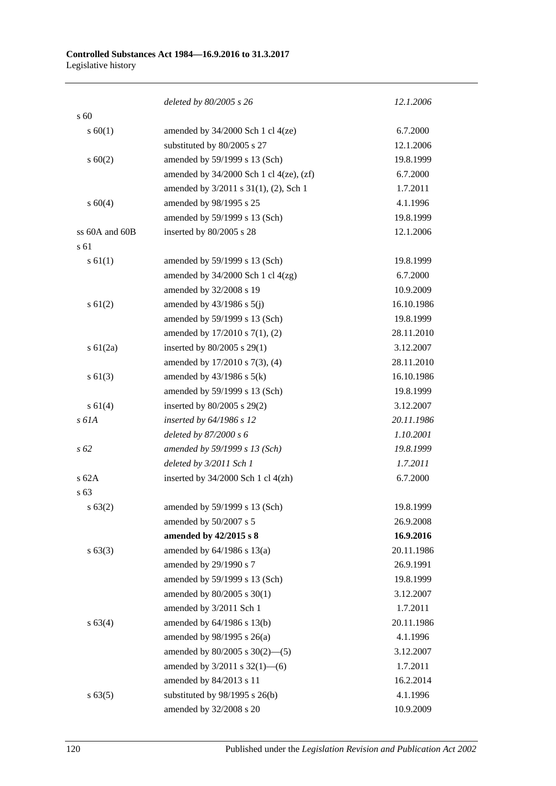|                | deleted by 80/2005 s 26                        | 12.1.2006  |
|----------------|------------------------------------------------|------------|
| s 60           |                                                |            |
| $s \ 60(1)$    | amended by $34/2000$ Sch 1 cl $4(ze)$          | 6.7.2000   |
|                | substituted by 80/2005 s 27                    | 12.1.2006  |
| $s \ 60(2)$    | amended by 59/1999 s 13 (Sch)                  | 19.8.1999  |
|                | amended by $34/2000$ Sch 1 cl $4(ze)$ , $(zf)$ | 6.7.2000   |
|                | amended by 3/2011 s 31(1), (2), Sch 1          | 1.7.2011   |
| s 60(4)        | amended by 98/1995 s 25                        | 4.1.1996   |
|                | amended by 59/1999 s 13 (Sch)                  | 19.8.1999  |
| ss 60A and 60B | inserted by 80/2005 s 28                       | 12.1.2006  |
| s 61           |                                                |            |
| $s \, 61(1)$   | amended by 59/1999 s 13 (Sch)                  | 19.8.1999  |
|                | amended by $34/2000$ Sch 1 cl $4(zg)$          | 6.7.2000   |
|                | amended by 32/2008 s 19                        | 10.9.2009  |
| s 61(2)        | amended by $43/1986$ s $5(j)$                  | 16.10.1986 |
|                | amended by 59/1999 s 13 (Sch)                  | 19.8.1999  |
|                | amended by 17/2010 s 7(1), (2)                 | 28.11.2010 |
| s 61(2a)       | inserted by 80/2005 s 29(1)                    | 3.12.2007  |
|                | amended by 17/2010 s 7(3), (4)                 | 28.11.2010 |
| $s \ 61(3)$    | amended by $43/1986$ s $5(k)$                  | 16.10.1986 |
|                | amended by 59/1999 s 13 (Sch)                  | 19.8.1999  |
| s 61(4)        | inserted by 80/2005 s 29(2)                    | 3.12.2007  |
| s 61A          | inserted by 64/1986 s 12                       | 20.11.1986 |
|                | deleted by $87/2000 s 6$                       | 1.10.2001  |
| $s\,62$        | amended by 59/1999 s 13 (Sch)                  | 19.8.1999  |
|                | deleted by 3/2011 Sch 1                        | 1.7.2011   |
| $s$ 62A        | inserted by $34/2000$ Sch 1 cl $4(zh)$         | 6.7.2000   |
| s 63           |                                                |            |
| $s \, 63(2)$   | amended by 59/1999 s 13 (Sch)                  | 19.8.1999  |
|                | amended by 50/2007 s 5                         | 26.9.2008  |
|                | amended by 42/2015 s 8                         | 16.9.2016  |
| $s\,63(3)$     | amended by $64/1986$ s $13(a)$                 | 20.11.1986 |
|                | amended by 29/1990 s 7                         | 26.9.1991  |
|                | amended by 59/1999 s 13 (Sch)                  | 19.8.1999  |
|                | amended by 80/2005 s 30(1)                     | 3.12.2007  |
|                | amended by 3/2011 Sch 1                        | 1.7.2011   |
| s 63(4)        | amended by 64/1986 s 13(b)                     | 20.11.1986 |
|                | amended by 98/1995 s 26(a)                     | 4.1.1996   |
|                | amended by $80/2005$ s $30(2)$ —(5)            | 3.12.2007  |
|                | amended by 3/2011 s 32(1)-6)                   | 1.7.2011   |
|                | amended by 84/2013 s 11                        | 16.2.2014  |
| s 63(5)        | substituted by 98/1995 s 26(b)                 | 4.1.1996   |
|                | amended by 32/2008 s 20                        | 10.9.2009  |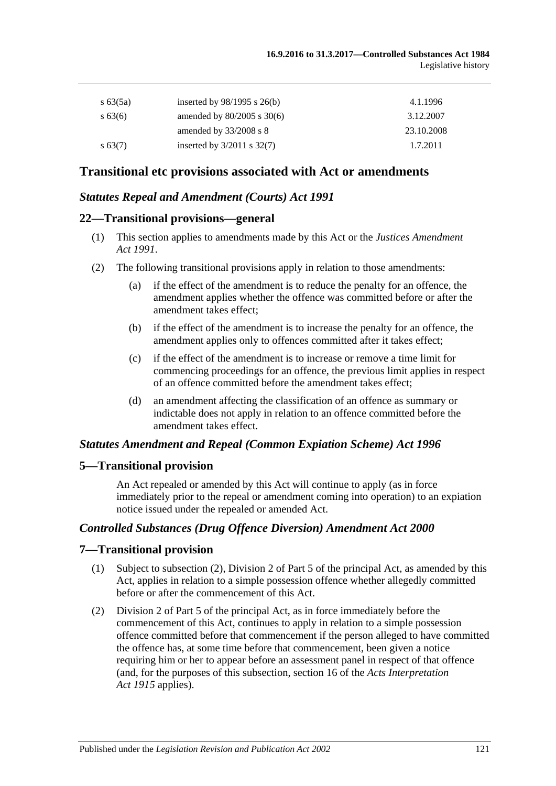| s $63(5a)$ | inserted by $98/1995$ s $26(b)$ | 4.1.1996   |
|------------|---------------------------------|------------|
| $s\,63(6)$ | amended by $80/2005$ s $30(6)$  | 3.12.2007  |
|            | amended by $33/2008$ s 8        | 23.10.2008 |
| $s\,63(7)$ | inserted by $3/2011$ s $32(7)$  | 1.7.2011   |

# **Transitional etc provisions associated with Act or amendments**

## *Statutes Repeal and Amendment (Courts) Act 1991*

#### **22—Transitional provisions—general**

- (1) This section applies to amendments made by this Act or the *[Justices Amendment](http://www.legislation.sa.gov.au/index.aspx?action=legref&type=act&legtitle=Justices%20Amendment%20Act%201991)  Act [1991](http://www.legislation.sa.gov.au/index.aspx?action=legref&type=act&legtitle=Justices%20Amendment%20Act%201991)*.
- (2) The following transitional provisions apply in relation to those amendments:
	- (a) if the effect of the amendment is to reduce the penalty for an offence, the amendment applies whether the offence was committed before or after the amendment takes effect;
	- (b) if the effect of the amendment is to increase the penalty for an offence, the amendment applies only to offences committed after it takes effect;
	- (c) if the effect of the amendment is to increase or remove a time limit for commencing proceedings for an offence, the previous limit applies in respect of an offence committed before the amendment takes effect;
	- (d) an amendment affecting the classification of an offence as summary or indictable does not apply in relation to an offence committed before the amendment takes effect.

#### *Statutes Amendment and Repeal (Common Expiation Scheme) Act 1996*

#### **5—Transitional provision**

An Act repealed or amended by this Act will continue to apply (as in force immediately prior to the repeal or amendment coming into operation) to an expiation notice issued under the repealed or amended Act.

## *Controlled Substances (Drug Offence Diversion) Amendment Act 2000*

#### **7—Transitional provision**

- (1) Subject to subsection (2), Division 2 of Part 5 of the principal Act, as amended by this Act, applies in relation to a simple possession offence whether allegedly committed before or after the commencement of this Act.
- (2) Division 2 of Part 5 of the principal Act, as in force immediately before the commencement of this Act, continues to apply in relation to a simple possession offence committed before that commencement if the person alleged to have committed the offence has, at some time before that commencement, been given a notice requiring him or her to appear before an assessment panel in respect of that offence (and, for the purposes of this subsection, section 16 of the *[Acts Interpretation](http://www.legislation.sa.gov.au/index.aspx?action=legref&type=act&legtitle=Acts%20Interpretation%20Act%201915)  Act [1915](http://www.legislation.sa.gov.au/index.aspx?action=legref&type=act&legtitle=Acts%20Interpretation%20Act%201915)* applies).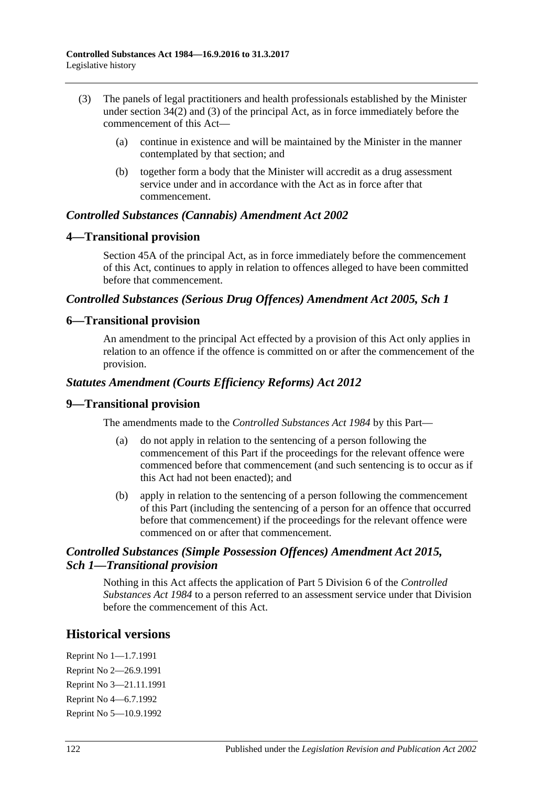- (3) The panels of legal practitioners and health professionals established by the Minister under section 34(2) and (3) of the principal Act, as in force immediately before the commencement of this Act—
	- (a) continue in existence and will be maintained by the Minister in the manner contemplated by that section; and
	- (b) together form a body that the Minister will accredit as a drug assessment service under and in accordance with the Act as in force after that commencement.

## *Controlled Substances (Cannabis) Amendment Act 2002*

## **4—Transitional provision**

Section 45A of the principal Act, as in force immediately before the commencement of this Act, continues to apply in relation to offences alleged to have been committed before that commencement.

#### *Controlled Substances (Serious Drug Offences) Amendment Act 2005, Sch 1*

## **6—Transitional provision**

An amendment to the principal Act effected by a provision of this Act only applies in relation to an offence if the offence is committed on or after the commencement of the provision.

## *Statutes Amendment (Courts Efficiency Reforms) Act 2012*

#### **9—Transitional provision**

The amendments made to the *[Controlled Substances Act](http://www.legislation.sa.gov.au/index.aspx?action=legref&type=act&legtitle=Controlled%20Substances%20Act%201984) 1984* by this Part—

- (a) do not apply in relation to the sentencing of a person following the commencement of this Part if the proceedings for the relevant offence were commenced before that commencement (and such sentencing is to occur as if this Act had not been enacted); and
- (b) apply in relation to the sentencing of a person following the commencement of this Part (including the sentencing of a person for an offence that occurred before that commencement) if the proceedings for the relevant offence were commenced on or after that commencement.

## *Controlled Substances (Simple Possession Offences) Amendment Act 2015, Sch 1—Transitional provision*

Nothing in this Act affects the application of Part 5 Division 6 of the *[Controlled](http://www.legislation.sa.gov.au/index.aspx?action=legref&type=act&legtitle=Controlled%20Substances%20Act%201984)  [Substances Act](http://www.legislation.sa.gov.au/index.aspx?action=legref&type=act&legtitle=Controlled%20Substances%20Act%201984) 1984* to a person referred to an assessment service under that Division before the commencement of this Act.

# **Historical versions**

Reprint No 1—1.7.1991 Reprint No 2—26.9.1991 Reprint No 3—21.11.1991 Reprint No 4—6.7.1992 Reprint No 5—10.9.1992